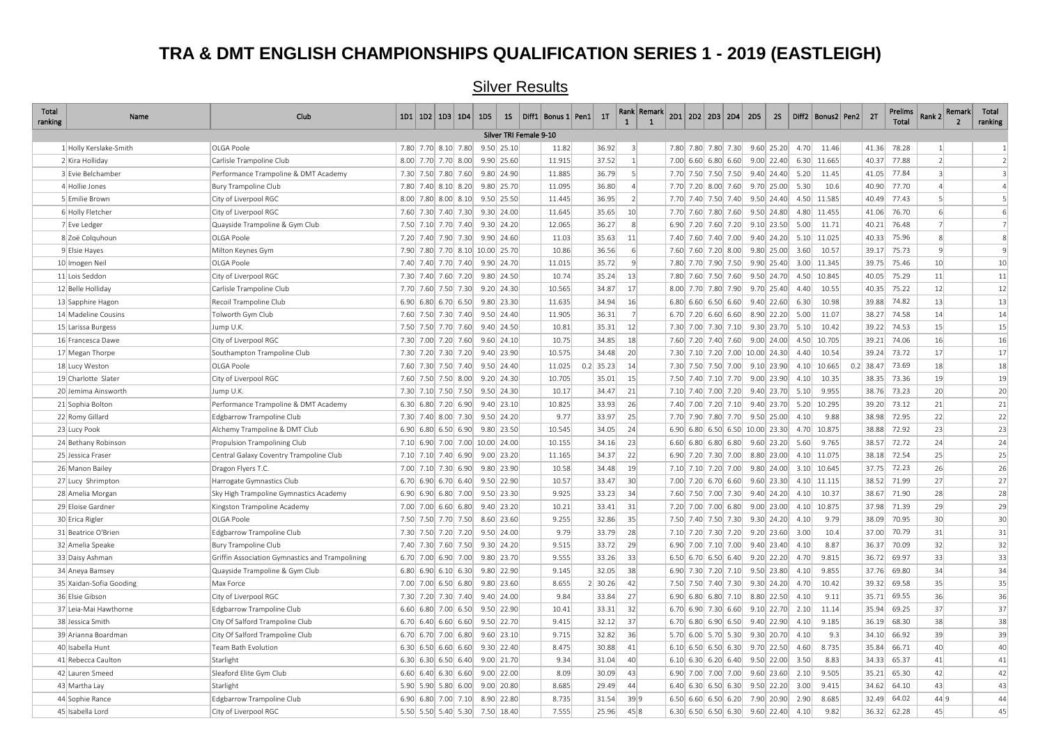#### **TRA & DMT ENGLISH CHAMPIONSHIPS QUALIFICATION SERIES 1 - 2019 (EASTLEIGH)**

#### Total<br>ranking ranking Name Club 1D1 1D2 1D3 1D4 1D5 1S Diff1 Bonus 1 Pen1 1T Rank 1 Rank Remark 1 2D1 2D2 2D3 2D4 2D5 2S Diff2 Bonus2 Pen2 2T Prelims  $R$ ank 2 Remark  $\overline{2}$ Total ranking 1 Holly Kerslake-Smith OLGA Poole 7.80 7.70 8.10 7.80 9.50 25.10 11.82 36.92 3 7.80 7.80 7.80 7.30 9.60 25.20 4.70 11.46 41.36 78.28 1 1 2 Kira Holliday Carlisle Trampoline Club 8.00 7.70 7.70 8.00 9.90 25.60 11.915 37.52 1 7.00 6.60 6.80 6.60 9.00 22.40 6.30 11.665 40.37 77.88 2 2 3 Evie Belchamber 2003 24.40 1.43 Performance Trampoline & DMT Academy 7.30 7.50 7.50 7.60 7.60 9.80 24.90 1.885 36.79 5 7.70 7.50 7.50 7.50 7.50 9.40 24.40 5.20 11.45 41.05 77.84 3 4 Hollie Jones Bury Trampoline Club 7.80 7.40 8.10 8.20 9.80 25.70 11.095 36.80 4 7.70 7.20 8.00 7.60 9.70 25.00 5.30 10.6 40.90 77.70 4 4 5 Emilie Brown City of Liverpool RGC 8.00 7.80 8.00 8.10 9.50 25.50 11.445 36.95 2 7.70 7.40 7.50 7.40 9.50 24.40 4.50 11.585 40.49 77.43 5 5 6 Holly Fletcher City of Liverpool RGC 7.60 7.30 7.40 7.30 9.30 24.00 11.645 35.65 10 7.70 7.60 7.80 7.60 9.50 24.80 4.80 11.455 41.06 76.70 6 6 7 Eve Ledger Quayside Trampoline & Gym Club 7.50 7.10 7.70 7.40 9.30 24.20 12.065 36.27 8 6.90 7.20 7.60 7.20 9.10 23.50 5.00 11.71 40.21 76.48 7 7 8 Zoë Colquhoun OLGA Poole 7.20 7.40 7.90 7.30 9.90 24.60 11.03 35.63 11 7.40 7.60 7.40 7.00 9.40 24.20 5.10 11.025 40.33 75.96 8 8 9 Elsie Hayes Milton Keynes Gym (7.90 7.80 7.90 7.90 7.70 8.10 10.00 25.70 10.86 36.56 6 7.60 7.60 7.60 7.60 9.80 25.00 3.60 10.57 39.17 75.73 9 9 10|lmogen Neil 7.40| 7.40| 7.40| 7.40| 7.40| 9.90| 24.70 11.015 35.72 9 7.80| 7.70| 7.90| 7.50| 9.90| 25.40| 3.00| 11.345| 39.75| 75.46 | 10 10 11 Lois Seddon City of Liverpool RGC 7.30 7.40 7.60 7.20 9.80 24.50 10.74 35.24 13 7.80 7.60 7.50 7.60 9.50 24.70 4.50 10.845 40.05 75.29 11 11 12 Belle Holliday Carlisle Trampoline Club 7.70 7.60 7.50 7.30 9.20 24.30 10.565 34.87 17 8.00 7.70 7.80 7.90 9.70 25.40 4.40 10.55 40.35 75.22 12 12 13 Sapphire Hagon Recoil Trampoline Club 6.90 6.80 6.70 6.50 9.80 23.30 11.635 34.94 16 6.80 6.60 6.50 6.60 9.40 22.60 6.30 10.98 39.88 74.82 13 13 14|Madeline Cousins |Tolworth Gym Club 9.50| 2.4.40 36.31 7 14 14 14 14 14 14 1 15 Larissa Burgess Jump U.K. 7.50 7.50 7.70 7.60 9.40 24.50 10.81 35.31 12 7.30 7.00 7.30 7.10 9.30 23.70 5.10 10.42 39.22 74.53 15 15 16|Francesca Dawe |City of Liverpool RGC | 7.30| 7.00| 7.00| 7.60| 9.40| 9.18| | 7.60| 7.20| 7.40| 7.60| 7.20| 7.40| 7.60| 9.00| 24.00| 4.50| 10.705| | 39.21| 74.06 | 16| | 16 17 Megan Thorpe Southampton Trampoline Club 7.30 7.20 7.30 7.20 9.40 23.90 10.575 34.48 20 7.30 7.10 7.20 7.00 10.00 24.30 4.40 10.54 39.24 73.72 17 17 18|Lucy Weston 7.60| 7.30| 7.50| 24.40| 11.025| 0.2| 35.23| 14| 7.30| 7.50| 7.50| 7.50| 7.50| 7.90| 9.10| 23.90| 4.10| 10.665| 0.2| 38.47| 73.69 | 18 | 18 19|Charlotte Slater |City of Liverpool RGC 7.60| 7.50| 8.00| 10.705| | 38.01| 15| | 7.50| 7.40| 7.10| 7.70| 9.00| 23.90| 4.10| 10.35| |38.35| 73.36 | 19| | 19 20 Jemima Ainsworth Jump U.K. 7.30 7.10 7.50 7.50 9.50 24.30 10.17 34.47 21 7.10 7.40 7.00 7.20 9.40 23.70 5.10 9.955 38.76 73.23 20 20 21 Sophia Bolton Performance Trampoline & DMT Academy 6.30 6.80 7.20 6.90 9.40 23.10 10.825 33.93 26 7.40 7.00 7.20 7.10 9.40 23.70 5.20 10.295 39.20 73.12 21 21 22 Romy Gillard Edgbarrow Trampoline Club 7.30 7.40 8.00 7.30 9.50 24.20 9.77 33.97 25 7.70 7.90 7.80 7.70 9.50 25.00 4.10 9.88 38.98 72.95 22 22 23 Lucy Pook Alchemy Trampoline & DMT Club 6.90 6.80 6.50 6.90 9.80 23.50 10.545 34.05 24 6.90 6.80 6.50 6.50 10.00 23.30 4.70 10.875 38.88 72.92 23 23 24 Bethany Robinson Propulsion Trampolining Club 7.10 6.90 7.00 10.00 24.00 10.00 24.00 10.155 34.16 23 6.60 6.80 6.80 6.80 6.80 9.60 23.20 5.60 9.765 38.57 72.72 24 24 25 Jessica Fraser Central Galaxy Coventry Trampoline Club 7.10 7.10 7.40 6.90 9.00 23.20 11.165 34.37 22 6.90 7.20 7.30 7.00 8.80 23.00 4.10 11.075 38.18 72.54 25 25 26 Manon Bailey Dragon Flyers T.C. 7.00 7.10 7.30 6.90 9.80 23.90 10.58 34.48 19 7.10 7.10 7.20 7.00 9.80 24.00 3.10 10.645 37.75 72.23 26 26 27 Lucy Shrimpton Harrogate Gymnastics Club 6.70 6.90 6.70 6.40 9.50 22.90 10.57 33.47 30 7.00 7.20 6.70 6.60 9.60 23.30 4.10 11.115 38.52 71.99 27 27 28 Amelia Morgan Sky High Trampoline Gymnastics Academy 6.90 6.80 7.00 9.50 23.30 9.925 33.23 34 7.60 7.50 7.00 7.30 9.40 24.20 4.10 10.37 38.67 71.90 28 28 29 Eloise Gardner Kingston Trampoline Academy 7.00 7.00 6.60 6.80 9.40 23.20 10.21 33.41 31 7.20 7.00 7.00 6.80 9.00 23.00 4.10 10.875 37.98 71.39 29 29 30|Erica Rigler 7.50| 7.70| 7.50| 8.60| 23.60| 30.86| 32.86| 35| 7.50| 7.40| 7.50| 7.30| 9.30| 24.20| 4.10| 9.79| 38.09| 70.95 | 30| | 30 31 Beatrice O'Brien Edgbarrow Trampoline Club 7.30 7.50 7.20 7.20 9.50 24.00 9.79 33.79 28 7.10 7.20 7.30 7.20 9.20 23.60 3.00 10.4 37.00 70.79 31 31 32 Amelia Speake Bury Trampoline Club 7.40 7.30 7.60 7.50 9.30 24.20 9.515 33.72 29 6.90 7.00 7.10 7.00 9.40 23.40 4.10 8.87 36.37 70.09 32 32 33 Daisy Ashman Griffin Association Gymnastics and Trampolining 6.70 7.00 6.90 7.00 9.80 23.70 9.855 33.26 33 6.50 6.70 6.50 6.50 6.70 9.20 22.20 4.70 9.815 36.72 69.97 33 34|Aneya Bamsey |Quayside Trampoline & Gym Club | 6.80| 6.90| 6.10| 6.30| 9.80| 22.90| | 9.145 | 32.05| 38| | 6.90| 7.30| 7.20| 7.10| 9.50| 23.80| 4.10| 9.855| | 37.76| 69.80 | 35 Xaidan-Sofia Gooding Max Force 6.00 2.00 7.00 7.00 7.00 8.50 8.80 9.80 23.60 8.655 2 30.26 42 7.50 7.50 7.40 7.30 9.30 24.20 4.70 10.42 39.32 69.58 35 35 36 Elsie Gibson City of Liverpool RGC 7.30 7.20 7.30 7.40 9.40 24.00 9.84 33.84 27 6.90 6.80 6.80 7.10 8.80 22.50 4.10 9.11 35.71 69.55 36 36 37 Leia-Mai Hawthorne Edgbarrow Trampoline Club 6.60 6.80 7.00 6.50 9.50 22.90 10.41 33.31 32 6.70 6.90 7.30 6.60 9.10 22.70 2.10 11.14 35.94 69.25 37 37 38 Jessica Smith City Of Salford Trampoline Club 6.70 6.40 6.60 6.60 9.50 22.70 9.415 32.12 37 6.70 6.80 6.90 6.50 9.40 22.90 4.10 9.185 36.19 68.30 38 38 39 Arianna Boardman City Of Salford Trampoline Club 6.70 6.70 7.00 6.80 9.60 23.10 9.715 32.82 36 5.70 6.00 5.70 5.30 9.30 20.70 4.10 9.3 34.10 66.92 39 39 40 Isabella Hunt Team Bath Evolution 6.30 6.50 6.60 6.60 9.30 22.40 8.475 30.88 41 6.10 6.50 6.50 6.30 9.70 22.50 4.60 8.735 35.84 66.71 40 40 41 Rebecca Caulton Starlight 6.30 6.30 6.50 6.40 9.00 21.70 9.34 31.04 40 6.10 6.30 6.20 6.40 9.50 22.00 3.50 8.83 34.33 65.37 41 41 42|Lauren Smeed Sleaford Elite Gym Club 6.60| 6.40| 6.30| 6.60| 9.00| 22.00| 30.09| | 30.09| 43| | 6.90| 7.00| 7.00| 7.00| 7.00| 7.00| 9.60| 23.60| 2.10| 9.505| | 35.21| 65.30 | 42| | 42 43 Martha Lay Starlight 5.90 5.90 5.80 6.00 9.00 20.80 8.685 29.49 44 6.40 6.30 6.50 6.30 9.50 22.20 3.00 9.415 34.62 64.10 43 43 44 Sophie Rance Edgbarrow Trampoline Club 6.90 6.80 7.00 7.10 8.90 22.80 8.735 31.54 39 9 6.50 6.60 6.50 6.20 7.90 20.90 2.90 8.685 32.49 64.02 44 9 44 45 Isabella Lord City of Liverpool RGC 5.50 5.50 5.40 5.30 7.50 18.40 7.555 25.96 45 8 6.30 6.50 6.50 6.30 9.60 22.40 4.10 9.82 36.32 62.28 45 45 Silver TRI Female 9-10

#### Silver Results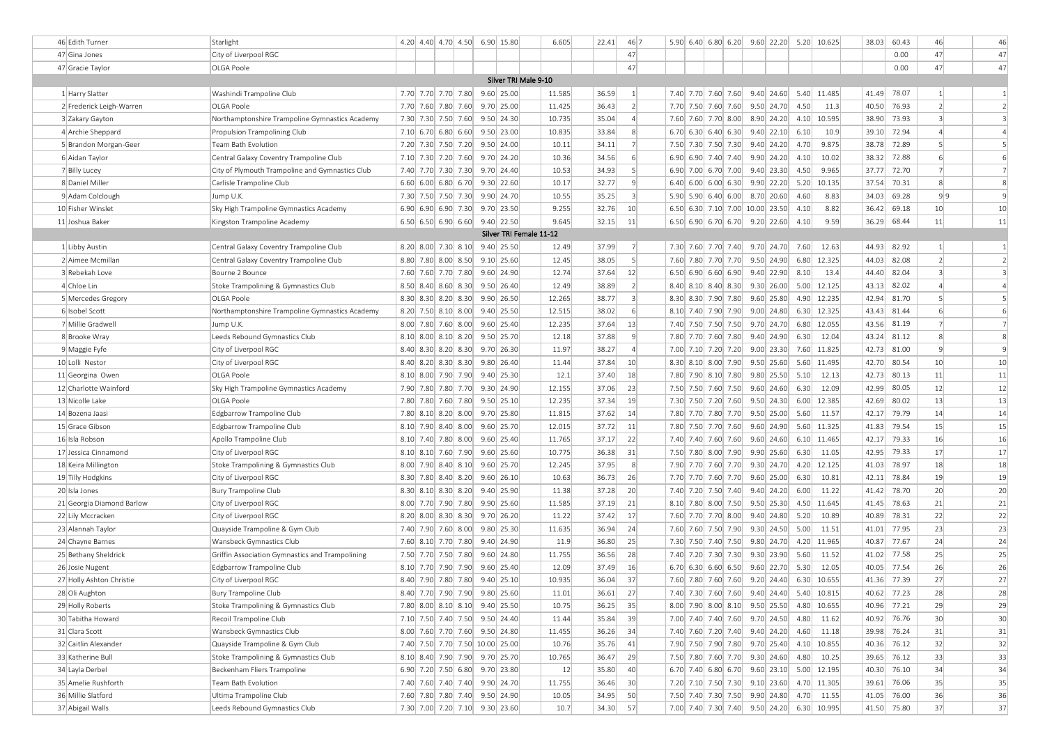| 46 Edith Turner           | Starlight                                       | 4.20 4.40 4.70 4.50 6.90 15.80  |  |                         | 6.605  | 22.41      | 46 7             | 5.90 6.40 6.80 6.20 9.60 22.20 5.20 10.625 |  |                        |      |                        | 38.03       | 60.43 | 46             | 46             |
|---------------------------|-------------------------------------------------|---------------------------------|--|-------------------------|--------|------------|------------------|--------------------------------------------|--|------------------------|------|------------------------|-------------|-------|----------------|----------------|
| 47 Gina Jones             | City of Liverpool RGC                           |                                 |  |                         |        |            | 47               |                                            |  |                        |      |                        |             | 0.00  | 47             | 47             |
| 47 Gracie Taylor          | OLGA Poole                                      |                                 |  |                         |        |            | 47               |                                            |  |                        |      |                        |             | 0.00  | 47             | 47             |
|                           |                                                 |                                 |  | Silver TRI Male 9-10    |        |            |                  |                                            |  |                        |      |                        |             |       |                |                |
| 1 Harry Slatter           | Washindi Trampoline Club                        | 7.70 7.70 7.70 7.80 9.60 25.00  |  |                         | 11.585 | 36.59      | 1                | 7.40 7.70 7.60 7.60                        |  |                        |      | 9.40 24.60 5.40 11.485 | 41.49       | 78.07 | $\vert$ 1      | 1              |
| 2 Frederick Leigh-Warren  | OLGA Poole                                      | 7.70 7.60 7.80 7.60             |  | $9.70$ 25.00            | 11.425 | 36.43      | 2                | 7.70 7.50 7.60 7.60                        |  | 9.50 24.70             | 4.50 | 11.3                   | 40.50       | 76.93 | $\overline{2}$ | $\overline{2}$ |
| 3 Zakary Gayton           | Northamptonshire Trampoline Gymnastics Academy  | 7.30 7.30 7.50 7.60 9.50 24.30  |  |                         | 10.735 | 35.04      | $\left 4\right $ | 7.60 7.60 7.70 8.00                        |  | 8.90 24.20             | 4.10 | 10.595                 | 38.90       | 73.93 | $\overline{3}$ | 3              |
| 4 Archie Sheppard         | Propulsion Trampolining Club                    | 7.10 6.70 6.80 6.60 9.50 23.00  |  |                         | 10.835 | 33.84      | 8 <sup>1</sup>   | $6.70$ 6.30 6.40 6.30                      |  | 9.40 22.10             | 6.10 | 10.9                   | 39.10       | 72.94 | $\overline{4}$ | $\overline{4}$ |
| 5 Brandon Morgan-Geer     | Team Bath Evolution                             | 7.20 7.30 7.50 7.20 9.50 24.00  |  |                         | 10.11  | 34.11      | 7                | 7.50 7.30 7.50 7.30                        |  | $9.40$ 24.20           | 4.70 | 9.875                  | 38.78       | 72.89 | 5              | 5              |
| 6 Aidan Taylor            | Central Galaxy Coventry Trampoline Club         | 7.10 7.30 7.20 7.60 9.70 24.20  |  |                         | 10.36  | 34.56      | $6 \mid$         | $6.90$ 6.90 7.40 7.40                      |  | $9.90$ 24.20           | 4.10 | 10.02                  | 38.32       | 72.88 | 6              | 6              |
| 7 Billy Lucey             | City of Plymouth Trampoline and Gymnastics Club | 7.40 7.70 7.30 7.30 9.70 24.40  |  |                         | 10.53  | 34.93      | 5 <sup>1</sup>   | 6.90 7.00 6.70 7.00                        |  | $9.40$ 23.30           | 4.50 | 9.965                  | 37.77       | 72.70 | $\overline{7}$ | $\overline{7}$ |
| 8 Daniel Miller           | Carlisle Trampoline Club                        | 6.60 6.00 6.80 6.70 9.30 22.60  |  |                         | 10.17  | 32.77      | $\vert$          | $6.40$ 6.00 6.00 6.30                      |  | $9.90$ 22.20           | 5.20 | 10.135                 | 37.54       | 70.31 | 8              | 8              |
| 9 Adam Colclough          | Jump U.K.                                       | 7.30 7.50 7.50 7.30 9.90 24.70  |  |                         | 10.55  | 35.25      | 3 <sup>1</sup>   | $5.90$ $5.90$ $6.40$ $6.00$                |  | 8.70 20.60             | 4.60 | 8.83                   | 34.03       | 69.28 | 9 9            | $\mathbf{q}$   |
| 10 Fisher Winslet         | Sky High Trampoline Gymnastics Academy          | 6.90 6.90 6.90 7.30 9.70 23.50  |  |                         | 9.255  | 32.76      | 10 <sup>1</sup>  | 6.50 6.30 7.10 7.00 10.00 23.50            |  |                        | 4.10 | 8.82                   | 36.42       | 69.18 | 10             | 10             |
| 11 Joshua Baker           | Kingston Trampoline Academy                     | 6.50 6.50 6.90 6.60 9.40 22.50  |  |                         | 9.645  | 32.15      | 11               | $6.50$ 6.90 6.70 6.70 9.20 22.60           |  |                        | 4.10 | 9.59                   | 36.29       | 68.44 | 11             | 11             |
|                           |                                                 |                                 |  | Silver TRI Female 11-12 |        |            |                  |                                            |  |                        |      |                        |             |       |                |                |
| 1 Libby Austin            | Central Galaxy Coventry Trampoline Club         | 8.20 8.00 7.30 8.10 9.40 25.50  |  |                         | 12.49  | 37.99      | 7                | 7.30 7.60 7.70 7.40                        |  | 9.70 24.70             | 7.60 | 12.63                  | 44.93       | 82.92 | 1              | $\mathbf{1}$   |
| 2 Aimee Mcmillan          | Central Galaxy Coventry Trampoline Club         | 8.80 7.80 8.00 8.50 9.10 25.60  |  |                         | 12.45  | 38.05      | 5 <sup>2</sup>   | 7.60 7.80 7.70 7.70                        |  | $9.50$ 24.90           | 6.80 | 12.325                 | 44.03       | 82.08 | $\overline{2}$ | $\overline{2}$ |
| 3 Rebekah Love            | Bourne 2 Bounce                                 | 7.60 7.60 7.70 7.80 9.60 24.90  |  |                         | 12.74  | 37.64      | 12               | $6.50$ 6.90 6.60 6.90                      |  | $9.40$ 22.90           | 8.10 | 13.4                   | 44.40       | 82.04 | $\overline{3}$ | 3              |
| 4 Chloe Lin               | Stoke Trampolining & Gymnastics Club            | 8.50 8.40 8.60 8.30             |  | 9.50 26.40              | 12.49  | 38.89      | 2                | $8.40$ $8.10$ $8.40$ $8.30$                |  | 9.30 26.00             | 5.00 | 12.125                 | 43.13       | 82.02 | $\overline{4}$ | $\overline{4}$ |
| 5 Mercedes Gregory        | OLGA Poole                                      | 8.30 8.30 8.20 8.30 9.90 26.50  |  |                         | 12.265 | 38.77      | 3 <sup>1</sup>   | 8.30 8.30 7.90 7.80                        |  | $9.60$ 25.80           |      | 4.90 12.235            | 42.94       | 81.70 | 5              | 5              |
| 6 Isobel Scott            | Northamptonshire Trampoline Gymnastics Academy  | 8.20 7.50 8.10 8.00 9.40 25.50  |  |                         | 12.515 | 38.02      | $6 \mid$         | 8.10 7.40 7.90 7.90                        |  | $9.00 \mid 24.80 \mid$ |      | 6.30 12.325            | 43.43       | 81.44 | 6              | 6              |
| 7 Millie Gradwell         | Jump U.K.                                       | 8.00 7.80 7.60 8.00 9.60 25.40  |  |                         | 12.235 | 37.64      | 13               | 7.40 7.50 7.50 7.50                        |  | 9.70 24.70             |      | 6.80 12.055            | 43.56       | 81.19 | $\overline{7}$ | $\overline{7}$ |
| 8 Brooke Wray             | Leeds Rebound Gymnastics Club                   | 8.10 8.00 8.10 8.20 9.50 25.70  |  |                         | 12.18  | 37.88      | 9 <sup>1</sup>   | 7.80 7.70 7.60 7.80                        |  | 9.40 24.90             | 6.30 | 12.04                  | 43.24       | 81.12 | 8              | 8              |
| 9 Maggie Fyfe             | City of Liverpool RGC                           | 8.40 8.30 8.20 8.30 9.70 26.30  |  |                         | 11.97  | 38.27      | $\left 4\right $ | 7.00 7.10 7.20 7.20                        |  | $9.00 \mid 23.30 \mid$ |      | 7.60 11.825            | 42.73 81.00 |       | $\vert$ 9      | 9              |
| 10 Lolli Nestor           | City of Liverpool RGC                           | 8.40 8.20 8.30 8.30 9.80 26.40  |  |                         | 11.44  | 37.84      | 10 <sup>1</sup>  | 8.30 8.10 8.00 7.90                        |  | $9.50$ 25.60           |      | 5.60 11.495            | 42.70       | 80.54 | 10             | 10             |
| 11 Georgina Owen          | OLGA Poole                                      | 8.10 8.00 7.90 7.90             |  | 9.40 25.30              | 12.1   | 37.40      | 18               | 7.80 7.90 8.10 7.80                        |  | $9.80$ 25.50           | 5.10 | 12.13                  | 42.73       | 80.13 | 11             | 11             |
| 12 Charlotte Wainford     | Sky High Trampoline Gymnastics Academy          | 7.90 7.80 7.80 7.70 9.30 24.90  |  |                         | 12.155 | 37.06      | 23               | 7.50 7.50 7.60 7.50                        |  | $9.60$ 24.60           | 6.30 | 12.09                  | 42.99       | 80.05 | 12             | 12             |
| 13 Nicolle Lake           | OLGA Poole                                      | 7.80 7.80 7.60 7.80 9.50 25.10  |  |                         | 12.235 | 37.34      | 19               | 7.30 7.50 7.20 7.60 9.50 24.30             |  |                        |      | 6.00 12.385            | 42.69       | 80.02 | 13             | 13             |
| 14 Bozena Jaasi           | Edgbarrow Trampoline Club                       | 7.80 8.10 8.20 8.00 9.70 25.80  |  |                         | 11.815 | 37.62      | 14               | 7.80 7.70 7.80 7.70                        |  | $9.50$ 25.00           | 5.60 | 11.57                  | 42.17 79.79 |       | 14             | 14             |
| 15 Grace Gibson           | Edgbarrow Trampoline Club                       | 8.10 7.90 8.40 8.00 9.60 25.70  |  |                         | 12.015 | 37.72      | 11               | 7.80 7.50 7.70 7.60                        |  | $9.60$ 24.90           |      | 5.60 11.325            | 41.83       | 79.54 | 15             | 15             |
| 16 Isla Robson            | Apollo Trampoline Club                          | 8.10 7.40 7.80 8.00 9.60 25.40  |  |                         | 11.765 | 37.17      | 22               | 7.40 7.40 7.60 7.60                        |  | $9.60$ 24.60           |      | 6.10 11.465            | 42.17 79.33 |       | 16             | 16             |
| 17 Jessica Cinnamond      | City of Liverpool RGC                           | 8.10 8.10 7.60 7.90 9.60 25.60  |  |                         | 10.775 | 36.38      | 31               | 7.50 7.80 8.00 7.90                        |  | $9.90 \mid 25.60$      | 6.30 | 11.05                  | 42.95       | 79.33 | 17             | 17             |
| 18 Keira Millington       | Stoke Trampolining & Gymnastics Club            | 8.00 7.90 8.40 8.10 9.60 25.70  |  |                         | 12.245 | 37.95      | 8 <sup>1</sup>   | 7.90 7.70 7.60 7.70                        |  | 9.30 24.70             |      | 4.20 12.125            | 41.03       | 78.97 | 18             | 18             |
| 19 Tilly Hodgkins         | City of Liverpool RGC                           | 8.30 7.80 8.40 8.20 9.60 26.10  |  |                         | 10.63  | 36.73      | 26               | 7.70 7.70 7.60 7.70                        |  | $9.60$ 25.00           | 6.30 | 10.81                  | 42.11       | 78.84 | 19             | 19             |
| 20 Isla Jones             | Bury Trampoline Club                            | 8.30 8.10 8.30 8.20 9.40 25.90  |  |                         | 11.38  | 37.28      | 20               | 7.40 7.20 7.50 7.40                        |  | 9.40 24.20             | 6.00 | 11.22                  | 41.42       | 78.70 | 20             | 20             |
| 21 Georgia Diamond Barlow | City of Liverpool RGC                           | 8.00 7.70 7.90 7.80 9.90 25.60  |  |                         | 11.585 | 37.19      | 21               | 8.10 7.80 8.00 7.50                        |  | $9.50$ 25.30           | 4.50 | 11.645                 | 41.45       | 78.63 | 21             | 21             |
| 22 Lily Mccracken         | City of Liverpool RGC                           | 8.20 8.00 8.30 8.30 9.70 26.20  |  |                         | 11.22  | 37.42      | 17               | 7.60 7.70 7.70 8.00                        |  | $9.40$ 24.80           | 5.20 | 10.89                  | 40.89       | 78.31 | 22             | 22             |
| 23 Alannah Taylor         | Quayside Trampoline & Gym Club                  | 7.40 7.90 7.60 8.00 9.80 25.30  |  |                         | 11.635 | 36.94      | 24               | 7.60 7.60 7.50 7.90                        |  | 9.30 24.50             | 5.00 | 11.51                  | 41.01       | 77.95 | 23             | 23             |
| 24 Chayne Barnes          | Wansbeck Gymnastics Club                        | 7.60 8.10 7.70 7.80 9.40 24.90  |  |                         | 11.9   | 36.80      | 25               | 7.30 7.50 7.40 7.50                        |  | $9.80$ 24.70           |      | 4.20 11.965            | 40.87       | 77.67 | 24             | 24             |
| 25 Bethany Sheldrick      | Griffin Association Gymnastics and Trampolining | 7.50 7.70 7.50 7.80 9.60 24.80  |  |                         | 11.755 | 36.56      | 28               | 7.40 7.20 7.30 7.30                        |  | 9.30 23.90             | 5.60 | 11.52                  | 41.02       | 77.58 | 25             | 25             |
| 26 Josie Nugent           | Edgbarrow Trampoline Club                       | 8.10 7.70 7.90 7.90             |  | $9.60$ 25.40            | 12.09  | 37.49      | 16               | $6.70$ 6.30 6.60 6.50                      |  | $9.60$ 22.70           | 5.30 | 12.05                  | 40.05       | 77.54 | 26             | 26             |
| 27 Holly Ashton Christie  | City of Liverpool RGC                           | 8.40 7.90 7.80 7.80 9.40 25.10  |  |                         | 10.935 | 36.04      | 37               | 7.60 7.80 7.60 7.60 9.20 24.40             |  |                        |      | 6.30 10.655            | 41.36 77.39 |       | 27             | 27             |
| 28 Oli Aughton            | <b>Bury Trampoline Club</b>                     | 8.40 7.70 7.90 7.90 9.80 25.60  |  |                         | 11.01  | 36.61      | 27               | 7.40 7.30 7.60 7.60 9.40 24.40 5.40 10.815 |  |                        |      |                        | 40.62 77.23 |       | 28             | 28             |
| 29 Holly Roberts          | Stoke Trampolining & Gymnastics Club            | 7.80 8.00 8.10 8.10 9.40 25.50  |  |                         | 10.75  | 36.25      | 35               | 8.00 7.90 8.00 8.10 9.50 25.50 4.80 10.655 |  |                        |      |                        | 40.96 77.21 |       | 29             | 29             |
| 30 Tabitha Howard         | Recoil Trampoline Club                          | 7.10 7.50 7.40 7.50 9.50 24.40  |  |                         | 11.44  | 35.84      | 39               | 7.00 7.40 7.40 7.60 9.70 24.50 4.80        |  |                        |      | 11.62                  | 40.92 76.76 |       | 30             | 30             |
| 31 Clara Scott            | Wansbeck Gymnastics Club                        | 8.00 7.60 7.70 7.60 9.50 24.80  |  |                         | 11.455 | 36.26      | 34               | 7.40 7.60 7.20 7.40 9.40 24.20 4.60 11.18  |  |                        |      |                        | 39.98 76.24 |       | 31             | 31             |
| 32 Caitlin Alexander      | Quayside Trampoline & Gym Club                  | 7.40 7.50 7.70 7.50 10.00 25.00 |  |                         | 10.76  | 35.76      | 41               | 7.90 7.50 7.90 7.80 9.70 25.40 4.10 10.855 |  |                        |      |                        | 40.36 76.12 |       | 32             | 32             |
| 33 Katherine Bull         | Stoke Trampolining & Gymnastics Club            | 8.10 8.40 7.90 7.90 9.70 25.70  |  |                         | 10.765 | 36.47      | 29               | 7.50 7.80 7.60 7.70 9.30 24.60 4.80        |  |                        |      | 10.25                  | 39.65 76.12 |       | 33             | 33             |
| 34 Layla Derbel           | Beckenham Fliers Trampoline                     | 6.90 7.20 7.50 6.80 9.70 23.80  |  |                         | 12     | 35.80      | 40               | 6.70 7.40 6.80 6.70 9.60 23.10 5.00 12.195 |  |                        |      |                        | 40.30 76.10 |       | 34             | 34             |
| 35 Amelie Rushforth       | Team Bath Evolution                             | 7.40 7.60 7.40 7.40 9.90 24.70  |  |                         | 11.755 | 36.46      | 30               | 7.20 7.10 7.50 7.30 9.10 23.60 4.70 11.305 |  |                        |      |                        | 39.61 76.06 |       | 35             | 35             |
| 36 Millie Slatford        | Ultima Trampoline Club                          | 7.60 7.80 7.80 7.40 9.50 24.90  |  |                         | 10.05  | 34.95      | 50               | 7.50 7.40 7.30 7.50 9.90 24.80 4.70 11.55  |  |                        |      |                        | 41.05 76.00 |       | 36             | 36             |
| 37 Abigail Walls          | Leeds Rebound Gymnastics Club                   | 7.30 7.00 7.20 7.10 9.30 23.60  |  |                         | 10.7   | $34.30$ 57 |                  | 7.00 7.40 7.30 7.40 9.50 24.20 6.30 10.995 |  |                        |      |                        | 41.50 75.80 |       | 37             | 37             |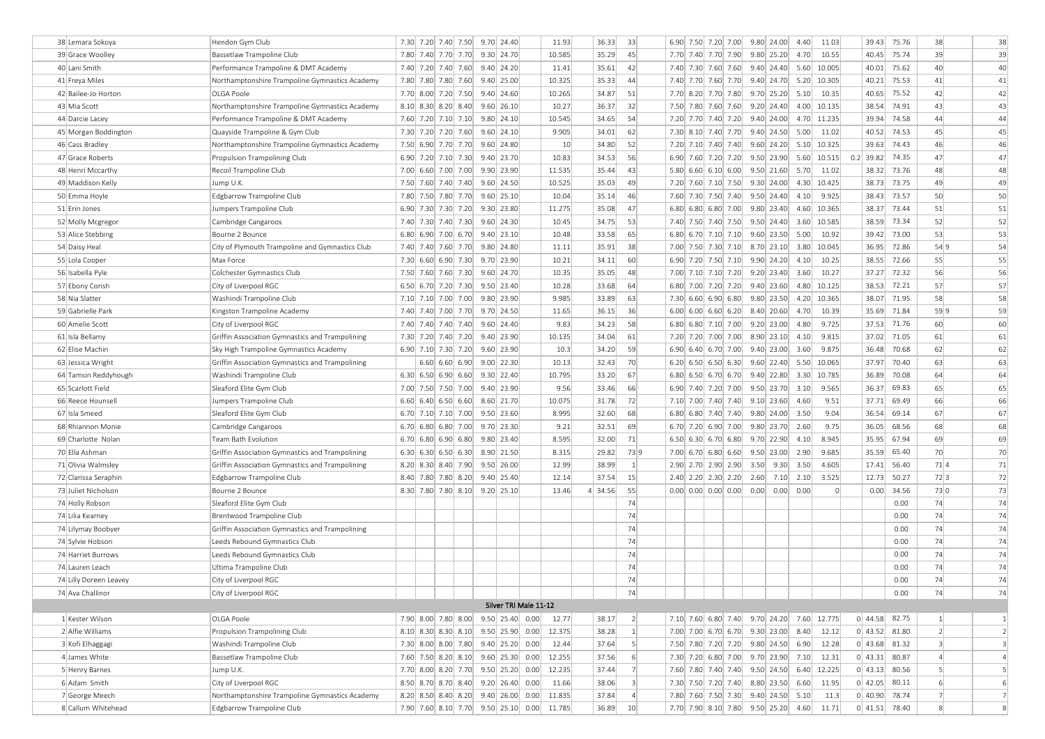| 38 Lemara Sokoya                          | Hendon Gym Club                                 |                                           |  |                  | 7.30 7.20 7.40 7.50 9.70 24.40             | 11.93          | 36.33          | 33               |  | 6.90 7.50 7.20 7.00    |      | $9.80$ 24.00           | 4.40                                | 11.03                                      |             | 39.43 75.76     | 38               | 38               |
|-------------------------------------------|-------------------------------------------------|-------------------------------------------|--|------------------|--------------------------------------------|----------------|----------------|------------------|--|------------------------|------|------------------------|-------------------------------------|--------------------------------------------|-------------|-----------------|------------------|------------------|
| 39 Grace Woolley                          | Bassetlaw Trampoline Club                       | 7.80 7.40 7.70 7.70                       |  |                  | 9.30 24.70                                 | 10.585         | 35.29          | 45               |  | 7.70 7.40 7.70 7.90    |      | $9.80$ 25.20           | 4.70                                | 10.55                                      |             | 40.45 75.74     | 39               | 39               |
| 40 Lani Smith                             | Performance Trampoline & DMT Academy            |                                           |  |                  | 7.40 7.20 7.40 7.60 9.40 24.20             | 11.41          | 35.61          | 42               |  | 7.40 7.30 7.60 7.60    |      |                        | $9.40$ 24.40 5.60                   | 10.005                                     | 40.01       | 75.62           | 40               | 40               |
| 41 Freya Miles                            | Northamptonshire Trampoline Gymnastics Academy  | 7.80 7.80 7.80 7.60                       |  |                  | 9.40 25.00                                 | 10.325         | 35.33          | 44               |  | 7.40 7.70 7.60 7.70    |      |                        | $9.40$ 24.70 5.20                   | 10.305                                     | 40.21       | 75.53           | 41               | 41               |
| 42 Bailee-Jo Horton                       | OLGA Poole                                      | 7.70 8.00 7.20 7.50                       |  |                  | 9.40 24.60                                 | 10.265         | 34.87          | 51               |  | 7.70 8.20 7.70 7.80    |      | $9.70$ 25.20           | 5.10                                | 10.35                                      | 40.65       | 75.52           | 42               | 42               |
| 43 Mia Scott                              | Northamptonshire Trampoline Gymnastics Academy  | $8.10$ $8.30$ $8.20$ $8.40$               |  |                  | $9.60$ 26.10                               | 10.27          | 36.37          | 32               |  | 7.50 7.80 7.60 7.60    |      | $9.20 \mid 24.40 \mid$ | 4.00                                | 10.135                                     | 38.54       | 74.91           | 43               | 43               |
| 44 Darcie Lacey                           | Performance Trampoline & DMT Academy            |                                           |  |                  | 7.60 7.20 7.10 7.10 9.80 24.10             | 10.545         | 34.65          | 54               |  | 7.20 7.70 7.40 7.20    |      | 9.40 24.00             |                                     | 4.70 11.235                                | 39.94       | 74.58           | 44               | 44               |
| 45 Morgan Boddington                      | Quayside Trampoline & Gym Club                  | 7.30 7.20 7.20 7.60                       |  |                  | $9.60$ 24.10                               | 9.905          | 34.01          | 62               |  | 7.30 8.10 7.40 7.70    |      | 9.40 24.50             | 5.00                                | 11.02                                      | 40.52       | 74.53           | 45               | 45               |
| 46 Cass Bradley                           | Northamptonshire Trampoline Gymnastics Academy  | 7.50 6.90 7.70 7.70                       |  |                  | $9.60 \mid 24.80 \mid$                     | 10             | 34.80          | 52               |  | 7.20 7.10 7.40 7.40    |      | $9.60$ 24.20           |                                     | $5.10$ 10.325                              |             | 39.63 74.43     | 46               | 46               |
| 47 Grace Roberts                          | Propulsion Trampolining Club                    |                                           |  |                  | 6.90 7.20 7.10 7.30 9.40 23.70             | 10.83          | 34.53          | 56               |  | 6.90 7.60 7.20 7.20    |      | $9.50$ 23.90           | 5.60                                | 10.515                                     | $0.2$ 39.82 | 74.35           | 47               | 47               |
| 48 Henri Mccarthy                         | Recoil Trampoline Club                          | 7.00 6.60 7.00 7.00                       |  |                  | 9.90 23.90                                 | 11.535         | 35.44          | 43               |  | $5.80$ 6.60 6.10 6.00  |      | $9.50$ 21.60           | 5.70                                | 11.02                                      |             | 38.32 73.76     | 48               | 48               |
| 49 Maddison Kelly                         | Jump U.K.                                       |                                           |  |                  | 7.50 7.60 7.40 7.40 9.60 24.50             | 10.525         | 35.03          | 49               |  | 7.20 7.60 7.10 7.50    |      | 9.30 24.00             | 4.30                                | 10.425                                     |             | 38.73 73.75     | 49               | 49               |
| 50 Emma Hoyle                             | Edgbarrow Trampoline Club                       | 7.80 7.50 7.80 7.70                       |  |                  | $9.60$ 25.10                               | 10.04          | 35.14          | 46               |  | 7.60 7.30 7.50 7.40    |      | $9.50$ 24.40           | 4.10                                | 9.925                                      | 38.43       | 73.57           | 50               | 50               |
| 51 Erin Jones                             | Jumpers Trampoline Club                         |                                           |  |                  | 6.90 7.30 7.30 7.20 9.30 23.80             | 11.275         | 35.08          | 47               |  | $6.80$ 6.80 6.80 7.00  |      | $9.80$ 23.40           | 4.60                                | 10.365                                     | 38.37       | 73.44           | 51               | 51               |
| 52 Molly Mcgregor                         | Cambridge Cangaroos                             | 7.40 7.30 7.40 7.30                       |  |                  | $9.60$ 24.30                               | 10.45          | 34.75          | 53               |  | 7.40 7.50 7.40 7.50    |      | $9.50 \mid 24.40 \mid$ | 3.60                                | 10.585                                     | 38.59       | 73.34           | 52               | 52               |
| 53 Alice Stebbing                         | Bourne 2 Bounce                                 |                                           |  |                  | 6.80 6.90 7.00 6.70 9.40 23.10             | 10.48          | 33.58          | 65               |  | 6.80 6.70 7.10 7.10    |      | $9.60$ 23.50           | 5.00                                | 10.92                                      |             | 39.42 73.00     | 53               | 53               |
| 54 Daisy Heal                             | City of Plymouth Trampoline and Gymnastics Club |                                           |  |                  | 7.40 7.40 7.60 7.70 9.80 24.80             | 11.11          | 35.91          | 38               |  | 7.00 7.50 7.30 7.10    |      | 8.70 23.10             | 3.80                                | 10.045                                     | 36.95       | 72.86           | 54 9             | 54               |
| 55 Lola Cooper                            | Max Force                                       | 7.30 6.60 6.90 7.30                       |  |                  | 9.70 23.90                                 | 10.21          | 34.11          | 60               |  | 6.90 7.20 7.50 7.10    |      | $9.90 \mid 24.20 \mid$ | 4.10                                | 10.25                                      | 38.55       | 72.66           | 55               | 55               |
| 56 Isabella Pyle                          | Colchester Gymnastics Club                      |                                           |  |                  | 7.50 7.60 7.60 7.30 9.60 24.70             | 10.35          | 35.05          | 48               |  | 7.00 7.10 7.10 7.20    |      | $9.20$ 23.40           | 3.60                                | 10.27                                      | 37.27       | 72.32           | 56               | 56               |
| 57 Ebony Corish                           | City of Liverpool RGC                           |                                           |  |                  | 6.50 6.70 7.20 7.30 9.50 23.40             | 10.28          | 33.68          | 64               |  | 6.80 7.00 7.20 7.20    |      | $9.40$ 23.60           | 4.80                                | 10.125                                     |             | 38.53 72.21     | 57               | 57               |
| 58 Nia Slatter                            | Washindi Trampoline Club                        |                                           |  |                  | 7.10 7.10 7.00 7.00 9.80 23.90             | 9.985          | 33.89          | 63               |  | $7.30 $ 6.60 6.90 6.80 |      | $9.80$ 23.50           | 4.20                                | 10.365                                     |             | 38.07 71.95     | 58               | 58               |
| 59 Gabrielle Park                         | Kingston Trampoline Academy                     |                                           |  |                  | 7.40 7.40 7.00 7.70 9.70 24.50             | 11.65          | 36.15          | 36               |  | $6.00$ 6.00 6.60 6.20  |      | 8.40 20.60             | 4.70                                | 10.39                                      |             | 35.69 71.84     | 59 9             | 59               |
| 60 Amelie Scott                           | City of Liverpool RGC                           | 7.40 7.40 7.40 7.40                       |  |                  | 9.60 24.40                                 | 9.83           | 34.23          | 58               |  | $6.80$ 6.80 7.10 7.00  |      | $9.20$ 23.00           | 4.80                                | 9.725                                      |             | 37.53 71.76     | 60               | 60               |
| 61 Isla Bellamy                           | Griffin Association Gymnastics and Trampolining | 7.30 7.20 7.40 7.20                       |  |                  | $9.40$ 23.90                               | 10.135         | 34.04          | 61               |  | 7.20 7.20 7.00 7.00    |      | 8.90 23.10             | 4.10                                | 9.815                                      | 37.02       | 71.05           | 61               | 61               |
| 62 Elise Machin                           | Sky High Trampoline Gymnastics Academy          |                                           |  |                  | 6.90 7.10 7.30 7.20 9.60 23.90             | 10.3           | 34.20          | 59               |  | 6.90 6.40 6.70 7.00    |      | 9.40 23.00             | 3.60                                | 9.875                                      | 36.48       | 70.68           | 62               | 62               |
|                                           |                                                 |                                           |  |                  | $9.00 \mid 22.30 \mid$                     | 10.13          | 32.43          | 70               |  |                        |      | 9.60 22.40             | 5.50                                | 10.065                                     | 37.97       | 70.40           | 63               | 63               |
| 63 Jessica Wright                         | Griffin Association Gymnastics and Trampolining |                                           |  | 6.60  6.60  6.90 |                                            |                |                |                  |  | $6.20$ 6.50 6.50 6.30  |      | 9.40 22.80             |                                     |                                            |             | 70.08           | 64               |                  |
| 64 Tamsin Reddyhough<br>65 Scarlott Field | Washindi Trampoline Club                        | 6.30  6.50  6.90  6.60                    |  |                  | 9.30 22.40                                 | 10.795<br>9.56 | 33.20<br>33.46 | 67<br>66         |  | $6.80$ 6.50 6.70 6.70  |      |                        | 3.30                                | 10.785<br>9.565                            | 36.89       |                 | 65               | 64<br>65         |
|                                           | Sleaford Elite Gym Club                         |                                           |  |                  | 7.00 7.50 7.50 7.00 9.40 23.90             |                |                |                  |  | 6.90 7.40 7.20 7.00    |      |                        | $9.50$ 23.70 3.10                   |                                            | 36.37       | 69.83           |                  |                  |
| 66 Reece Hounsell                         | Jumpers Trampoline Club                         | $6.60$ 6.40 6.50 6.60                     |  |                  | 8.60 21.70                                 | 10.075         | 31.78          | 72               |  | 7.10 7.00 7.40 7.40    |      | $9.10$ 23.60           | 4.60                                | 9.51                                       | 37.71       | 69.49           | 66               | 66               |
| 67 Isla Smeed                             | Sleaford Elite Gym Club                         | 6.70 7.10 7.10 7.00                       |  |                  | 9.50 23.60                                 | 8.995          | 32.60          | 68               |  | $6.80$ 6.80 7.40 7.40  |      | $9.80$ 24.00           | 3.50                                | 9.04                                       | 36.54       | 69.14           | 67               | 67               |
| 68 Rhiannon Monie                         | Cambridge Cangaroos                             | $6.70$ 6.80 6.80 7.00                     |  |                  | $9.70$ 23.30                               | 9.21           | 32.51          | 69               |  | 6.70 7.20 6.90 7.00    |      | $9.80$ 23.70           | 2.60                                | 9.75                                       | 36.05       | 68.56           | 68               | 68               |
| 69 Charlotte Nolan                        | Team Bath Evolution                             | $6.70$ 6.80 6.90 6.80                     |  |                  | $9.80$ 23.40                               | 8.595          | 32.00          | 71               |  | $6.50$ 6.30 6.70 6.80  |      | $9.70$ 22.90           | 4.10                                | 8.945                                      | 35.95       | 67.94           | 69               | 69               |
| 70 Ella Ashman                            | Griffin Association Gymnastics and Trampolining | $6.30 \mid 6.30 \mid 6.50 \mid 6.30 \mid$ |  |                  | 8.90 21.50                                 | 8.315          | 29.82          | 73 9             |  | $7.00$ 6.70 6.80 6.60  |      | $9.50$ 23.00           | 2.90                                | 9.685                                      | 35.59       | 65.40           | 70               | 70               |
| 71 Olivia Walmsley                        | Griffin Association Gymnastics and Trampolining | 8.20 8.30 8.40 7.90                       |  |                  | 9.50 26.00                                 | 12.99          | 38.99          | $1\vert$         |  | 2.90 2.70 2.90 2.90    |      |                        | $3.50$ $9.30$ $3.50$                | 4.605                                      | 17.41       | 56.40           | 71 4             | 71               |
| 72 Clarissa Seraphin                      | Edgbarrow Trampoline Club                       |                                           |  |                  | 8.40 7.80 7.80 8.20 9.40 25.40             | 12.14          | 37.54          | 15               |  | 2.40 2.20 2.30 2.20    | 2.60 | 7.10                   | 2.10                                | 3.525                                      |             | 12.73 50.27     | 72 3             | 72               |
| 73 Juliet Nicholson                       | Bourne 2 Bounce                                 |                                           |  |                  | 8.30 7.80 7.80 8.10 9.20 25.10             | 13.46          | 4 34.56        | 55               |  | $0.00$ 0.00 0.00 0.00  |      |                        | $0.00$ $0.00$ $0.00$                | $\Omega$                                   |             | $0.00$ 34.56    | 73 0             | 73               |
| 74 Holly Robson                           | Sleaford Elite Gym Club                         |                                           |  |                  |                                            |                |                | 74               |  |                        |      |                        |                                     |                                            |             | 0.00            | 74               | 74               |
| 74 Lilia Kearney                          | Brentwood Trampoline Club                       |                                           |  |                  |                                            |                |                | 74               |  |                        |      |                        |                                     |                                            |             | 0.00            | 74               | 74               |
| 74 Lilymay Boobyer                        | Griffin Association Gymnastics and Trampolining |                                           |  |                  |                                            |                |                | 74               |  |                        |      |                        |                                     |                                            |             | 0.00            | 74               | 74               |
| 74 Sylvie Hobson                          | Leeds Rebound Gymnastics Club                   |                                           |  |                  |                                            |                |                | 74               |  |                        |      |                        |                                     |                                            |             | 0.00            | 74               | 74               |
| 74 Harriet Burrows                        | Leeds Rebound Gymnastics Club                   |                                           |  |                  |                                            |                |                | 74               |  |                        |      |                        |                                     |                                            |             | 0.00            | 74               | 74               |
| 74 Lauren Leach                           | Ultima Trampoline Club                          |                                           |  |                  |                                            |                |                | 74               |  |                        |      |                        |                                     |                                            |             | 0.00            | 74               | 74               |
| 74 Lilly Doreen Leavey                    | City of Liverpool RGC                           |                                           |  |                  |                                            |                |                | 74               |  |                        |      |                        |                                     |                                            |             | 0.00            | 74               | 74               |
| 74 Ava Challinor                          | City of Liverpool RGC                           |                                           |  |                  | .                                          |                |                | 74               |  |                        |      |                        |                                     |                                            |             |                 | 74               | 74               |
|                                           |                                                 |                                           |  |                  | Silver TRI Male 11-12                      |                |                |                  |  |                        |      |                        |                                     |                                            |             |                 |                  |                  |
| 1 Kester Wilson                           | OLGA Poole                                      |                                           |  |                  | 7.90 8.00 7.80 8.00 9.50 25.40 0.00 12.77  |                | 38.17          | 2                |  |                        |      |                        |                                     | 7.10 7.60 6.80 7.40 9.70 24.20 7.60 12.775 |             | $0$ 44.58 82.75 | $\left  \right $ | $\vert$ 1        |
| 2 Alfie Williams                          | Propulsion Trampolining Club                    |                                           |  |                  | 8.10 8.30 8.30 8.10 9.50 25.90 0.00 12.375 |                | 38.28          | 1                |  |                        |      |                        |                                     | 7.00 7.00 6.70 6.70 9.30 23.00 8.40 12.12  |             | $0$ 43.52 81.80 | $\left  \right $ | $\vert$ 2        |
| 3 Kofi Elhaggagi                          | Washindi Trampoline Club                        |                                           |  |                  | 7.30 8.00 8.00 7.80 9.40 25.20 0.00        | 12.44          | 37.64          | 5                |  |                        |      |                        |                                     | 7.50 7.80 7.20 7.20 9.80 24.50 6.90 12.28  |             | 0 43.68 81.32   | $\vert$ 3        | $\vert$ 3        |
| 4 James White                             | Bassetlaw Trampoline Club                       |                                           |  |                  | 7.60 7.50 8.20 8.10 9.60 25.30 0.00        | 12.255         | 37.56          | 6                |  |                        |      |                        | 7.30 7.20 6.80 7.00 9.70 23.90 7.10 | 12.31                                      |             | $0$ 43.31 80.87 | $\left 4\right $ | $\left 4\right $ |
| 5 Henry Barnes                            | Jump U.K.                                       |                                           |  |                  | 7.70 8.00 8.20 7.70 9.50 25.20 0.00        | 12.235         | 37.44          | 7                |  |                        |      |                        |                                     | 7.60 7.80 7.40 7.40 9.50 24.50 6.40 12.225 |             | $0$ 43.13 80.56 | 5                | $\mathsf{S}$     |
| 6 Adam Smith                              | City of Liverpool RGC                           |                                           |  |                  | 8.50 8.70 8.70 8.40 9.20 26.40 0.00        | 11.66          | 38.06          | $\vert$ 3        |  |                        |      |                        |                                     | 7.30 7.50 7.20 7.40 8.80 23.50 6.60 11.95  |             | $0$ 42.05 80.11 | 6                | $6 \mid$         |
| 7 George Meech                            | Northamptonshire Trampoline Gymnastics Academy  |                                           |  |                  | 8.20 8.50 8.40 8.20 9.40 26.00 0.00 11.835 |                | 37.84          | $\left 4\right $ |  |                        |      |                        | 7.80 7.60 7.50 7.30 9.40 24.50 5.10 | 11.3                                       |             | 0 40.90 78.74   | 7                | 7                |
| 8 Callum Whitehead                        | Edgbarrow Trampoline Club                       |                                           |  |                  | 7.90 7.60 8.10 7.70 9.50 25.10 0.00 11.785 |                | 36.89          | 10 <sup>1</sup>  |  |                        |      |                        |                                     | 7.70 7.90 8.10 7.80 9.50 25.20 4.60 11.71  |             | $0$ 41.51 78.40 | 8 <sup>1</sup>   | 8 <sup>1</sup>   |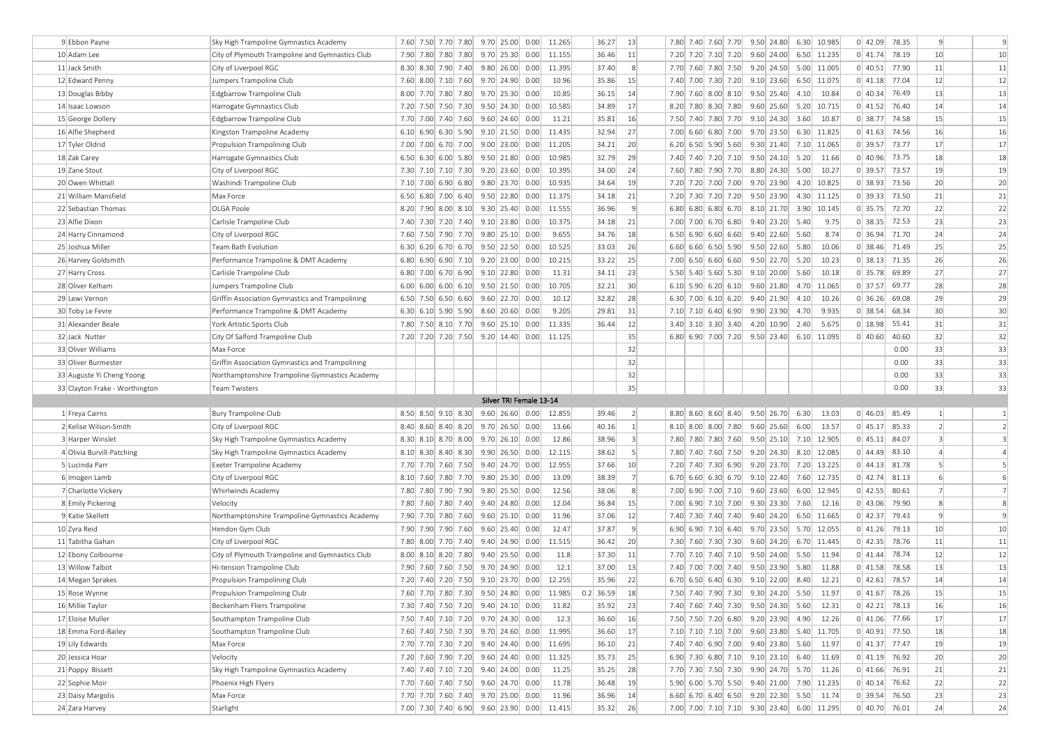| 9 Ebbon Payne                  | Sky High Trampoline Gymnastics Academy                           |  |                                           |  |                                     | 7.60 7.50 7.70 7.80 9.70 25.00 0.00 11.265 | 36.27       | 13              | 7.80 7.40 7.60 7.70 9.50 24.80 6.30 10.985                |  |              |                     |                        |         | $0$   42.09 78.35                  | 9                | $\overline{9}$ |
|--------------------------------|------------------------------------------------------------------|--|-------------------------------------------|--|-------------------------------------|--------------------------------------------|-------------|-----------------|-----------------------------------------------------------|--|--------------|---------------------|------------------------|---------|------------------------------------|------------------|----------------|
| 10 Adam Lee                    | City of Plymouth Trampoline and Gymnastics Club                  |  |                                           |  | 7.90 7.80 7.80 7.80 9.70 25.30 0.00 | 11.155                                     | 36.46       | 11              | 7.20 7.20 7.10 7.20                                       |  |              |                     | 9.60 24.00 6.50 11.235 |         | $0$ 41.74 78.19                    | 10               | 10             |
| 11 Jack Smith                  | City of Liverpool RGC                                            |  |                                           |  | 8.30 8.30 7.90 7.40 9.80 26.00 0.00 | 11.395                                     | 37.40       | 8 <sup>1</sup>  | 7.70 7.60 7.80 7.50                                       |  |              |                     | 9.20 24.50 5.00 11.005 |         | 0 40.51 77.90                      | 11               | 11             |
| 12 Edward Penny                | Jumpers Trampoline Club                                          |  |                                           |  | 7.60 8.00 7.10 7.60 9.70 24.90 0.00 | 10.96                                      | 35.86       | 15              | 7.40 7.00 7.30 7.20                                       |  | 9.10 23.60   |                     | 6.50 11.075            |         | $0$ 41.18 77.04                    | 12               | 12             |
| 13 Douglas Bibby               | Edgbarrow Trampoline Club                                        |  | 8.00 7.70 7.80 7.80                       |  | $9.70$ 25.30 0.00                   | 10.85                                      | 36.15       | 14              | 7.90 7.60 8.00 8.10 9.50 25.40                            |  |              | 4.10                | 10.84                  |         | $0$ 40.34 76.49                    | 13               | 13             |
| 14 Isaac Lowson                | Harrogate Gymnastics Club                                        |  |                                           |  | 7.20 7.50 7.50 7.30 9.50 24.30 0.00 | 10.585                                     | 34.89       | 17              | 8.20 7.80 8.30 7.80                                       |  |              |                     | 9.60 25.60 5.20 10.715 |         | $0$ 41.52 76.40                    | 14               | 14             |
| 15 George Dollery              | Edgbarrow Trampoline Club                                        |  | 7.70 7.00 7.40 7.60                       |  | $9.60$ 24.60 0.00                   | 11.21                                      | 35.81       | 16              | 7.50 7.40 7.80 7.70 9.10 24.30 3.60                       |  |              |                     | 10.87                  |         | $0$ 38.77 74.58                    | 15               | 15             |
| 16 Alfie Shepherd              | Kingston Trampoline Academy                                      |  |                                           |  | 6.10 6.90 6.30 5.90 9.10 21.50 0.00 | 11.435                                     | 32.94       | 27              | 7.00 6.60 6.80 7.00                                       |  |              |                     | 9.70 23.50 6.30 11.825 |         | $0$ 41.63 74.56                    | 16               | 16             |
| 17 Tyler Oldrid                | Propulsion Trampolining Club                                     |  |                                           |  | 7.00 7.00 6.70 7.00 9.00 23.00 0.00 | 11.205                                     | 34.21       | 20              | 6.20 6.50 5.90 5.60 9.30 21.40 7.10 11.065                |  |              |                     |                        |         | $0$ 39.57 73.77                    | 17               | 17             |
| 18 Zak Carey                   | Harrogate Gymnastics Club                                        |  |                                           |  | 6.50 6.30 6.00 5.80 9.50 21.80 0.00 | 10.985                                     | 32.79       | 29              | 7.40 7.40 7.20 7.10 9.50 24.10 5.20                       |  |              |                     | 11.66                  |         | $0$ 40.96 73.75                    | 18               | 18             |
| 19 Zane Stout                  | City of Liverpool RGC                                            |  |                                           |  | 7.30 7.10 7.10 7.30 9.20 23.60 0.00 | 10.395                                     | 34.00       | 24              | 7.60 7.80 7.90 7.70                                       |  |              | 8.80 24.30 5.00     | 10.27                  |         | $0$ 39.57 73.57                    | 19               | 19             |
| 20 Owen Whittall               | Washindi Trampoline Club                                         |  | 7.10 7.00 6.90 6.80                       |  | $9.80$ 23.70 0.00                   | 10.935                                     | 34.64       | 19              | 7.20 7.20 7.00 7.00                                       |  | 9.70 23.90   |                     | 4.20 10.825            |         | $0$ 38.93 73.56                    | 20               | 20             |
| 21 William Mansfield           | Max Force                                                        |  |                                           |  | 6.50 6.80 7.00 6.40 9.50 22.80 0.00 | 11.375                                     | 34.18       | 21              | 7.20 7.30 7.20 7.20                                       |  | $9.50$ 23.90 |                     | 4.30 11.125            |         | $0$ 39.33 73.50                    | 21               | 21             |
| 22 Sebastian Thomas            | OLGA Poole                                                       |  |                                           |  | 8.20 7.90 8.00 8.10 9.30 25.40 0.00 | 11.555                                     | 36.96       | 9               | 6.80 6.80 6.80 6.70 8.10 21.70 3.90 10.145                |  |              |                     |                        |         | $0$ 35.75 72.70                    | 22               | 22             |
| 23 Alfie Dixon                 | Carlisle Trampoline Club                                         |  |                                           |  | 7.40 7.30 7.20 7.40 9.10 23.80 0.00 | 10.375                                     | 34.18       | 21              | 7.00 7.00 6.70 6.80                                       |  |              | $9.40$ 23.20 5.40   | 9.75                   |         | $0$ 38.35 72.53                    | 23               | 23             |
| 24 Harry Cinnamond             | City of Liverpool RGC                                            |  |                                           |  | 7.60 7.50 7.90 7.70 9.80 25.10 0.00 | 9.655                                      | 34.76       | 18              | $6.50$ 6.90 6.60 6.60                                     |  | 9.40 22.60   | 5.60                | 8.74                   |         | 0 36.94 71.70                      | 24               | 24             |
| 25 Joshua Miller               | Team Bath Evolution                                              |  |                                           |  | 6.30 6.20 6.70 6.70 9.50 22.50 0.00 | 10.525                                     | 33.03       | 26              | 6.60 6.60 6.50 5.90 9.50 22.60 5.80                       |  |              |                     | 10.06                  |         | 0 38.46 71.49                      | 25               | 25             |
|                                |                                                                  |  |                                           |  | 6.80 6.90 6.90 7.10 9.20 23.00 0.00 | 10.215                                     | 33.22       | 25              |                                                           |  |              | $9.50$ 22.70 $5.20$ | 10.23                  |         | 0 38.13 71.35                      | 26               | 26             |
| 26 Harvey Goldsmith            | Performance Trampoline & DMT Academy<br>Carlisle Trampoline Club |  |                                           |  |                                     | 11.31                                      |             | 23              | $7.00$ 6.50 6.60 6.60                                     |  |              | 5.60                | 10.18                  |         |                                    | 27               | 27             |
| 27 Harry Cross                 |                                                                  |  |                                           |  | 6.80 7.00 6.70 6.90 9.10 22.80 0.00 |                                            | 34.11       |                 | 5.50 5.40 5.60 5.30 9.10 20.00                            |  |              |                     | 4.70 11.065            |         | $0$ 35.78 69.89                    | 28               |                |
| 28 Oliver Kelham               | Jumpers Trampoline Club                                          |  | $6.00 \mid 6.00 \mid 6.00 \mid 6.10 \mid$ |  | $9.50$ 21.50 0.00                   | 10.705                                     | 32.21       | 30<br>28        | $6.10$ 5.90 6.20 6.10<br>$6.30$ 7.00 6.10 6.20 9.40 21.90 |  | $9.60$ 21.80 |                     |                        |         | $0$ 37.57 69.77<br>$0$ 36.26 69.08 | 29               | 28<br>29       |
| 29 Lewi Vernon                 | Griffin Association Gymnastics and Trampolining                  |  |                                           |  | 6.50 7.50 6.50 6.60 9.60 22.70 0.00 | 10.12                                      | 32.82       |                 |                                                           |  |              | 4.10                | 10.26                  |         |                                    |                  |                |
| 30 Toby Le Fevre               | Performance Trampoline & DMT Academy                             |  | $6.30$ 6.10 5.90 5.90                     |  | 8.60 20.60 0.00                     | 9.205                                      | 29.81       | 31              | $7.10$ $7.10$ 6.40 6.90                                   |  | 9.90 23.90   | 4.70                | 9.935                  | 0 38.54 | 68.34                              | 30               | 30             |
| 31 Alexander Beale             | York Artistic Sports Club                                        |  |                                           |  | 7.80 7.50 8.10 7.70 9.60 25.10 0.00 | 11.335                                     | 36.44       | 12              | $3.40$ $3.10$ $3.30$ $3.40$                               |  | 4.20 10.90   | 2.40                | 5.675                  |         | $0$ 18.98 55.41                    | 31               | 31             |
| 32 Jack Nutter                 | City Of Salford Trampoline Club                                  |  |                                           |  | 7.20 7.20 7.20 7.50 9.20 14.40 0.00 | 11.125                                     |             | 35              | 6.80 6.90 7.00 7.20 9.50 23.40 6.10 11.095                |  |              |                     |                        |         | 0 40.60 40.60                      | 32               | 32             |
| 33 Oliver Williams             | Max Force                                                        |  |                                           |  |                                     |                                            |             | 32              |                                                           |  |              |                     |                        |         | 0.00                               | 33               | 33             |
|                                | Griffin Association Gymnastics and Trampolining                  |  |                                           |  |                                     |                                            |             | 32              |                                                           |  |              |                     |                        |         | 0.00                               | 33               | 33             |
| 33 Oliver Burmester            |                                                                  |  |                                           |  |                                     |                                            |             |                 |                                                           |  |              |                     |                        |         |                                    |                  |                |
| 33 Auguste Yi Cheng Yoong      | Northamptonshire Trampoline Gymnastics Academy                   |  |                                           |  |                                     |                                            |             | 32              |                                                           |  |              |                     |                        |         | 0.00                               | 33               | 33             |
| 33 Clayton Frake - Worthington | <b>Team Twisters</b>                                             |  |                                           |  |                                     |                                            |             | 35              |                                                           |  |              |                     |                        |         | 0.00                               | 33               | 33             |
|                                |                                                                  |  |                                           |  | Silver TRI Female 13-14             |                                            |             |                 |                                                           |  |              |                     |                        |         |                                    |                  |                |
| 1 Freya Cairns                 | <b>Bury Trampoline Club</b>                                      |  |                                           |  | 8.50 8.50 9.10 8.30 9.60 26.60 0.00 | 12.855                                     | 39.46       | 2               | 8.80 8.60 8.60 8.40 9.50 26.70                            |  |              | 6.30                | 13.03                  |         | $0$ 46.03 85.49                    | $\left  \right $ | $\mathbf{1}$   |
| 2 Kelise Wilson-Smith          | City of Liverpool RGC                                            |  | $8.40 \mid 8.60 \mid 8.40 \mid 8.20 \mid$ |  | $9.70$ 26.50 0.00                   | 13.66                                      | 40.16       | 1               | 8.10 8.00 8.00 7.80                                       |  | $9.60$ 25.60 | 6.00                | 13.57                  |         | $0$ 45.17 85.33                    | $\overline{2}$   | $\overline{2}$ |
| 3 Harper Winslet               | Sky High Trampoline Gymnastics Academy                           |  |                                           |  | 8.30 8.10 8.70 8.00 9.70 26.10 0.00 | 12.86                                      | 38.96       | $\vert$ 3       | 7.80 7.80 7.80 7.60 9.50 25.10 7.10 12.905                |  |              |                     |                        |         | $0$ 45.11 84.07                    | $\vert$ 3        | $\overline{3}$ |
| 4 Olivia Burvill-Patching      | Sky High Trampoline Gymnastics Academy                           |  |                                           |  | 8.10 8.30 8.40 8.30 9.90 26.50 0.00 | 12.115                                     | 38.62       | 5 <sup>1</sup>  | 7.80 7.40 7.60 7.50                                       |  |              |                     | 9.20 24.30 8.10 12.085 |         | $0$ 44.49 83.10                    | $\overline{4}$   | $\overline{4}$ |
| 5 Lucinda Parr                 | <b>Exeter Trampoline Academy</b>                                 |  |                                           |  | 7.70 7.70 7.60 7.50 9.40 24.70 0.00 | 12.955                                     | 37.66       | 10 <sup>1</sup> | 7.20 7.40 7.30 6.90                                       |  |              |                     | 9.20 23.70 7.20 13.225 |         | $0$ 44.13 81.78                    | $\vert$          | $\overline{5}$ |
| 6 Imogen Lamb                  | City of Liverpool RGC                                            |  |                                           |  | 8.10 7.60 7.80 7.70 9.80 25.30 0.00 | 13.09                                      | 38.39       | 7               | 6.70 6.60 6.30 6.70 9.10 22.40 7.60 12.735                |  |              |                     |                        |         | $0$ 42.74 81.13                    | 6                | 6              |
| 7 Charlotte Vickery            | Whirlwinds Academy                                               |  | 7.80 7.80 7.90 7.90                       |  | $9.80$ 25.50 0.00                   | 12.56                                      | 38.06       | 8 <sup>1</sup>  | 7.00 6.90 7.00 7.10                                       |  |              |                     | 9.60 23.60 6.00 12.945 |         | $0$ 42.55 80.61                    | $\overline{7}$   | $\overline{7}$ |
| 8 Emily Pickering              | Velocity                                                         |  |                                           |  | 7.80 7.60 7.80 7.40 9.40 24.80 0.00 | 12.04                                      | 36.84       | 15              | 7.00 6.90 7.10 7.00                                       |  | 9.30 23.30   | 7.60                | 12.16                  |         | $0$ 43.06 79.90                    | 8                | 8              |
| 9 Katie Skellett               | Northamptonshire Trampoline Gymnastics Academy                   |  | 7.90 7.70 7.80 7.60                       |  | $9.60$ 25.10 0.00                   | 11.96                                      | 37.06       | 12              | 7.40 7.30 7.40 7.40                                       |  | 9.40 24.20   |                     | 6.50 11.665            |         | $0$ 42.37 79.43                    | 9                | $\overline{9}$ |
| 10 Zyra Reid                   | Hendon Gym Club                                                  |  | 7.90 7.90 7.90 7.60                       |  | $9.60$ 25.40 0.00                   | 12.47                                      | 37.87       | 9               | 6.90 6.90 7.10 6.40 9.70 23.50 5.70 12.055                |  |              |                     |                        |         | $0$ 41.26 79.13                    | 10               | 10             |
| 11 Tabitha Gahan               | City of Liverpool RGC                                            |  | 7.80 8.00 7.70 7.40                       |  | $9.40$ 24.90 0.00                   | 11.515                                     | 36.42       | 20              | 7.30 7.60 7.30 7.30                                       |  | $9.60$ 24.20 |                     | 6.70 11.445            |         | $0$ 42.35 78.76                    | 11               | 11             |
| 12 Ebony Colbourne             | City of Plymouth Trampoline and Gymnastics Club                  |  | 8.00 8.10 8.20 7.80                       |  | $9.40$ 25.50 0.00                   | 11.8                                       | 37.30       | 11              | 7.70 7.10 7.40 7.10                                       |  | 9.50 24.00   | 5.50                | 11.94                  |         | $0$ 41.44 78.74                    | 12               | 12             |
| 13 Willow Talbot               | Hi-tension Trampoline Club                                       |  |                                           |  | 7.90 7.60 7.60 7.50 9.70 24.90 0.00 | 12.1                                       | 37.00       | 13              | 7.40 7.00 7.00 7.40                                       |  | 9.50 23.90   | 5.80                | 11.88                  |         | $0$ 41.58 78.58                    | 13               | 13             |
| 14 Megan Sprakes               | Propulsion Trampolining Club                                     |  |                                           |  |                                     | 7.20 7.40 7.20 7.50 9.10 23.70 0.00 12.255 | 35.96       | 22              | 6.70 6.50 6.40 6.30 9.10 22.00 8.40 12.21                 |  |              |                     |                        |         | $0$ 42.61 78.57                    | 14               | 14             |
| 15 Rose Wynne                  | Propulsion Trampolining Club                                     |  |                                           |  |                                     | 7.60 7.70 7.80 7.30 9.50 24.80 0.00 11.985 | $0.2$ 36.59 | 18              | 7.50 7.40 7.90 7.30 9.30 24.20 5.50 11.97                 |  |              |                     |                        |         | 0 41.67 78.26                      | 15               | 15             |
| 16 Millie Taylor               | Beckenham Fliers Trampoline                                      |  |                                           |  | 7.30 7.40 7.50 7.20 9.40 24.10 0.00 | 11.82                                      | 35.92       | 23              | 7.40 7.60 7.40 7.30 9.50 24.30 5.60 12.31                 |  |              |                     |                        |         | $0$ 42.21 78.13                    | 16               | 16             |
| 17 Eloise Muller               | Southampton Trampoline Club                                      |  |                                           |  | 7.50 7.40 7.10 7.20 9.70 24.30 0.00 | 12.3                                       | 36.60       | 16              | 7.50 7.50 7.20 6.80 9.20 23.90 4.90 12.26                 |  |              |                     |                        |         | $0$ 41.06 77.66                    | 17               | 17             |
| 18 Emma Ford-Bailey            | Southampton Trampoline Club                                      |  |                                           |  |                                     | 7.60 7.40 7.50 7.30 9.70 24.60 0.00 11.995 | 36.60       | 17              | 7.10 7.10 7.10 7.00 9.60 23.80 5.40 11.705                |  |              |                     |                        |         | 0 40.91 77.50                      | 18               | 18             |
| 19 Lily Edwards                | Max Force                                                        |  |                                           |  |                                     | 7.70 7.70 7.30 7.20 9.40 24.40 0.00 11.695 | 36.10       | 21              | 7.40 7.40 6.90 7.00 9.40 23.80 5.60 11.97                 |  |              |                     |                        |         | $0$ 41.37 77.47                    | 19               | 19             |
| 20 Jessica Hoar                | Velocity                                                         |  |                                           |  | 7.20 7.60 7.90 7.20 9.60 24.40 0.00 | 11.325                                     | 35.73       | 25              | 6.90 7.30 6.80 7.10 9.10 23.10 6.40 11.69                 |  |              |                     |                        |         | $0$ 41.19 76.92                    | 20               | 20             |
| 21 Poppy Bissett               | Sky High Trampoline Gymnastics Academy                           |  |                                           |  | 7.40 7.40 7.10 7.20 9.40 24.00 0.00 | 11.25                                      | 35.25       | 28              | 7.70 7.30 7.50 7.30 9.90 24.70 5.70 11.26                 |  |              |                     |                        |         | $0$ 41.66 76.91                    | 21               | 21             |
| 22 Sophie Moir                 | Phoenix High Flyers                                              |  |                                           |  | 7.70 7.60 7.40 7.50 9.60 24.70 0.00 | 11.78                                      | 36.48       | 19              | 5.90 6.00 5.70 5.50 9.40 21.00 7.90 11.235                |  |              |                     |                        |         | $0$ 40.14 76.62                    | 22               | 22             |
| 23 Daisy Margolis              | Max Force                                                        |  |                                           |  | 7.70 7.70 7.60 7.40 9.70 25.00 0.00 | 11.96                                      | 36.96       | 14              | 6.60 6.70 6.40 6.50 9.20 22.30 5.50 11.74                 |  |              |                     |                        |         | $0$ 39.54 76.50                    | 23               | 23             |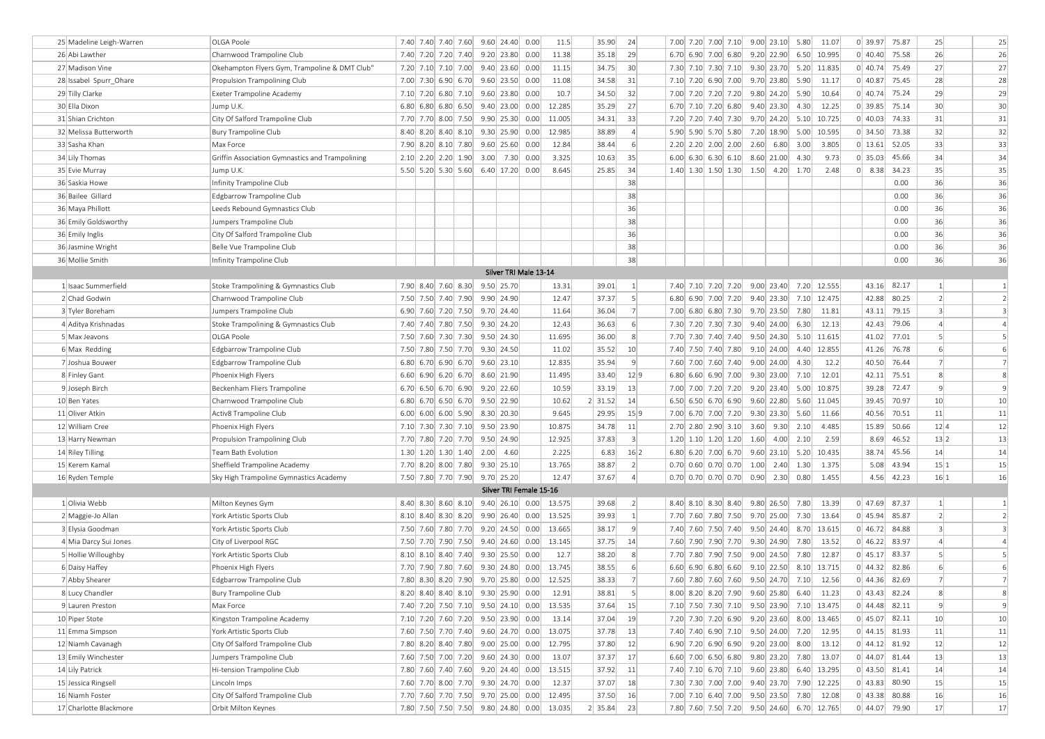| 25 Madeline Leigh-Warren | OLGA Poole                                      | 7.40 7.40 7.40 7.60 9.60 24.40 0.00        |                         | 11.5   | 35.90               | 24               | 7.00 7.20 7.00 7.10 9.00 23.10 5.80                                                                               |                       |               | 11.07 | 0 39.97 75.87           | 25              | 25             |
|--------------------------|-------------------------------------------------|--------------------------------------------|-------------------------|--------|---------------------|------------------|-------------------------------------------------------------------------------------------------------------------|-----------------------|---------------|-------|-------------------------|-----------------|----------------|
| 26 Abi Lawther           | Charnwood Trampoline Club                       | 7.40 7.20 7.20 7.40                        | $9.20$ 23.80 0.00       | 11.38  | 35.18               | 29               | 6.70 6.90 7.00 6.80 9.20 22.90                                                                                    |                       | 6.50 10.995   |       | $0$ 40.40 75.58         | 26              | 26             |
| 27 Madison Vine          | Okehampton Flyers Gym, Trampoline & DMT Club'   | 7.20 7.10 7.10 7.00 9.40 23.60 0.00        |                         | 11.15  | 34.75               | 30               | 7.30 7.10 7.30 7.10 9.30 23.70 5.20 11.835                                                                        |                       |               |       | $0$ 40.74 75.49         | 27              | 27             |
| 28 Issabel Spurr Ohare   | Propulsion Trampolining Club                    | 7.00 7.30 6.90 6.70 9.60 23.50 0.00        |                         | 11.08  | 34.58               | 31               | 7.10 7.20 6.90 7.00 9.70 23.80                                                                                    |                       | 5.90          | 11.17 | $0$ 40.87 75.45         | 28              | 28             |
| 29 Tilly Clarke          | Exeter Trampoline Academy                       | 7.10 7.20 6.80 7.10                        | $9.60$ 23.80 0.00       | 10.7   | 34.50               | 32               | 7.00 7.20 7.20 7.20 9.80 24.20                                                                                    |                       | 5.90          | 10.64 | $0$ 40.74 75.24         | 29              | 29             |
| 30 Ella Dixon            | Jump U.K.                                       | 6.80  6.80  6.80  6.50                     | $9.40$ 23.00 0.00       | 12.285 | 35.29               | 27               | 6.70 7.10 7.20 6.80 9.40 23.30                                                                                    |                       | 4.30          | 12.25 | $0$ 39.85 75.14         | 30              | 30             |
| 31 Shian Crichton        | City Of Salford Trampoline Club                 | 7.70 7.70 8.00 7.50 9.90 25.30 0.00        |                         | 11.005 | 34.31               | 33               | 7.20 7.20 7.40 7.30 9.70 24.20                                                                                    |                       | 5.10 10.725   |       | $0$ 40.03 74.33         | 31              | 31             |
| 32 Melissa Butterworth   | <b>Bury Trampoline Club</b>                     | 8.40 8.20 8.40 8.10 9.30 25.90 0.00        |                         | 12.985 | 38.89               | $\overline{4}$   | 5.90 5.90 5.70 5.80 7.20 18.90                                                                                    |                       | 5.00 10.595   |       | 0 34.50 73.38           | 32              | 32             |
| 33 Sasha Khan            | Max Force                                       | 7.90 8.20 8.10 7.80                        | $9.60$ 25.60 0.00       | 12.84  | 38.44               | 6                | $2.20$ $2.20$ $2.00$ $2.00$                                                                                       | $2.60 \mid 6.80 \mid$ | 3.00          | 3.805 | $0 \mid 13.61$<br>52.05 | 33              | 33             |
| 34 Lily Thomas           | Griffin Association Gymnastics and Trampolining | $2.10$ $2.20$ $2.20$ $1.90$                | $3.00$ 7.30 0.00        | 3.325  | 10.63               | 35               | $6.00 \begin{array}{ c c c c c c } \hline 6.30 & 6.30 & 6.10 & 8.60 & 21.00 \hline \end{array}$                   |                       | 4.30          | 9.73  | 0 35.03 <br>45.66       | 34              | 34             |
| 35 Evie Murray           | Jump U.K.                                       | 5.50 5.20 5.30 5.60 6.40 17.20 0.00        |                         | 8.645  | 25.85               | 34               | $1.40$ $1.30$ $1.50$ $1.30$ $1.50$ $4.20$                                                                         |                       | 1.70          | 2.48  | $0$   8.38  34.23       | 35              | 35             |
| 36 Saskia Howe           | Infinity Trampoline Club                        |                                            |                         |        |                     | 38               |                                                                                                                   |                       |               |       | 0.00                    | 36              | 36             |
| 36 Bailee Gillard        | Edgbarrow Trampoline Club                       |                                            |                         |        |                     | 38               |                                                                                                                   |                       |               |       | 0.00                    | 36              | 36             |
| 36 Maya Phillott         | Leeds Rebound Gymnastics Club                   |                                            |                         |        |                     | 36               |                                                                                                                   |                       |               |       | 0.00                    | 36              | 36             |
| 36 Emily Goldsworthy     | Jumpers Trampoline Club                         |                                            |                         |        |                     | 38               |                                                                                                                   |                       |               |       | 0.00                    | 36              | 36             |
| 36 Emily Inglis          | City Of Salford Trampoline Club                 |                                            |                         |        |                     | 36               |                                                                                                                   |                       |               |       | 0.00                    | 36              | 36             |
| 36 Jasmine Wright        | Belle Vue Trampoline Club                       |                                            |                         |        |                     | 38               |                                                                                                                   |                       |               |       | 0.00                    | 36              | 36             |
| 36 Mollie Smith          | Infinity Trampoline Club                        |                                            |                         |        |                     | 38               |                                                                                                                   |                       |               |       | 0.00                    | 36              | 36             |
|                          |                                                 |                                            | Silver TRI Male 13-14   |        |                     |                  |                                                                                                                   |                       |               |       |                         |                 |                |
| 1 Isaac Summerfield      | Stoke Trampolining & Gymnastics Club            | 7.90 8.40 7.60 8.30                        | 9.50 25.70              | 13.31  | 39.01               | $\vert$ 1        | 7.40 7.10 7.20 7.20 9.00 23.40 7.20 12.555                                                                        |                       |               |       | 43.16 82.17             | $\mathbf{1}$    | <sup>1</sup>   |
| 2 Chad Godwin            | Charnwood Trampoline Club                       | 7.50 7.50 7.40 7.90                        | 9.90 24.90              | 12.47  | 37.37               | $\mathsf{S}$     | 6.80 6.90 7.00 7.20 9.40 23.30                                                                                    |                       | 7.10 12.475   |       | 42.88<br>80.25          | $\overline{2}$  | $\overline{2}$ |
| 3 Tyler Boreham          | Jumpers Trampoline Club                         | 6.90 7.60 7.20 7.50 9.70 24.40             |                         | 11.64  | 36.04               | 7                | 7.00 6.80 6.80 7.30 9.70 23.50                                                                                    |                       | 7.80          | 11.81 | 43.11 79.15             | $\overline{3}$  | $\overline{3}$ |
| 4 Aditya Krishnadas      | Stoke Trampolining & Gymnastics Club            | 7.40 7.40 7.80 7.50                        | 9.30 24.20              | 12.43  | 36.63               | 6                | 7.30 7.20 7.30 7.30 9.40 24.00                                                                                    |                       | 6.30          | 12.13 | 79.06<br>42.43          | $\overline{4}$  | $\overline{4}$ |
| 5 Max Jeavons            | OLGA Poole                                      | 7.50 7.60 7.30 7.30                        | 9.50 24.30              | 11.695 | 36.00               | 8 <sup>1</sup>   | 7.70 7.30 7.40 7.40 9.50 24.30                                                                                    |                       | $5.10$ 11.615 |       | 41.02 77.01             | 5               | 5              |
| 6 Max Redding            | Edgbarrow Trampoline Club                       | 7.50 7.80 7.50 7.70 9.30 24.50             |                         | 11.02  | 35.52               | 10               | 7.40 7.50 7.40 7.80 9.10 24.00                                                                                    |                       | 4.40 12.855   |       | 41.26 76.78             | 6               | 6              |
| 7 Joshua Bouwer          | Edgbarrow Trampoline Club                       | 6.80 6.70 6.90 6.70 9.60 23.10             |                         | 12.835 | 35.94               | 9                | 7.60 7.00 7.60 7.40 9.00 24.00                                                                                    |                       | 4.30          | 12.2  | 40.50<br>76.44          | $\overline{7}$  | $\overline{7}$ |
| 8 Finley Gant            | Phoenix High Flyers                             | $6.60$ 6.90 6.20 6.70                      | 8.60 21.90              | 11.495 | 33.40               | 12 9             | $6.80$ 6.60 6.90 7.00                                                                                             | 9.30 23.00            | 7.10          | 12.01 | 75.51<br>42.11          | 8               | 8              |
| 9 Joseph Birch           | Beckenham Fliers Trampoline                     | 6.70 6.50 6.70 6.90 9.20 22.60             |                         | 10.59  | 33.19               | 13               | 7.00 7.00 7.20 7.20 9.20 23.40                                                                                    |                       | 5.00 10.875   |       | 39.28 72.47             | $\overline{9}$  | $\overline{9}$ |
| 10 Ben Yates             | Charnwood Trampoline Club                       | $6.80 \mid 6.70 \mid 6.50 \mid 6.70 \mid$  | 9.50 22.90              | 10.62  | $2$ 31.52           | 14               | 6.50 6.50 6.70 6.90 9.60 22.80                                                                                    |                       | 5.60 11.045   |       | 70.97<br>39.45          | 10              | 10             |
| 11 Oliver Atkin          | Activ8 Trampoline Club                          | $6.00$ 6.00 6.00 5.90                      | 8.30 20.30              | 9.645  | 29.95               | 15 9             | 7.00 6.70 7.00 7.20 9.30 23.30                                                                                    |                       | 5.60          | 11.66 | 40.56<br>70.51          | $11\,$          | 11             |
| 12 William Cree          | Phoenix High Flyers                             | 7.10 7.30 7.30 7.10 9.50 23.90             |                         | 10.875 | 34.78               | 11               | 2.70 2.80 2.90 3.10 3.60 9.30                                                                                     |                       | 2.10          | 4.485 | 50.66<br>15.89          | 12 4            | 12             |
| 13 Harry Newman          | Propulsion Trampolining Club                    | 7.70 7.80 7.20 7.70 9.50 24.90             |                         | 12.925 | 37.83               | $\vert$ 3        | $1.20$ $1.10$ $1.20$ $1.20$ $1.60$ $4.00$                                                                         |                       | 2.10          | 2.59  | 46.52<br>8.69           | 13 2            | 13             |
| 14 Riley Tilling         | Team Bath Evolution                             | $1.30 \mid 1.20 \mid 1.30 \mid 1.40 \mid$  | $2.00$ 4.60             | 2.225  | 6.83                | 16 2             | 6.80 6.20 7.00 6.70 9.60 23.10                                                                                    |                       | 5.20 10.435   |       | 45.56<br>38.74          | 14              | 14             |
| 15 Kerem Kamal           | Sheffield Trampoline Academy                    | 7.70 8.20 8.00 7.80                        | 9.30 25.10              | 13.765 | 38.87               | $\left  \right $ | $0.70$ 0.60 0.70 0.70 1.00 2.40 1.30                                                                              |                       |               | 1.375 | 5.08<br>43.94           | 15 1            | 15             |
| 16 Ryden Temple          | Sky High Trampoline Gymnastics Academy          | 7.50 7.80 7.70 7.90 9.70 25.20             |                         | 12.47  | 37.67               | $\overline{4}$   | $0.70$ 0.70 0.70 0.70 0.90 2.30 0.80                                                                              |                       |               | 1.455 | 4.56 42.23              | 16 1            | 16             |
|                          |                                                 |                                            | Silver TRI Female 15-16 |        |                     |                  |                                                                                                                   |                       |               |       |                         |                 |                |
| 1 Olivia Webb            | Milton Keynes Gym                               | 8.40 8.30 8.60 8.10 9.40 26.10 0.00        |                         | 13.575 | 39.68               | 2                | 8.40 8.10 8.30 8.40 9.80 26.50                                                                                    |                       | 7.80          | 13.39 | $0$ 47.69 87.37         | $\mathbf{1}$    |                |
| 2 Maggie-Jo Allan        | York Artistic Sports Club                       | 8.10 8.40 8.30 8.20 9.90 26.40 0.00        |                         | 13.525 | 39.93               | $\vert 1 \vert$  | 7.70 7.60 7.80 7.50 9.70 25.00                                                                                    |                       | 7.30          | 13.64 | $0$ 45.94 85.87         | $\overline{2}$  | $\overline{2}$ |
| 3 Elysia Goodman         | York Artistic Sports Club                       | 7.50 7.60 7.80 7.70 9.20 24.50 0.00        |                         | 13.665 | 38.17               | $\mathbf{q}$     | 7.40 7.60 7.50 7.40 9.50 24.40                                                                                    |                       | 8.70 13.615   |       | $0$ 46.72 84.88         | $\overline{3}$  | $\overline{3}$ |
| 4 Mia Darcy Sui Jones    | City of Liverpool RGC                           | 7.50 7.70 7.90 7.50                        | $9.40$ 24.60 0.00       | 13.145 | 37.75               | 14               | 7.60 7.90 7.90 7.70 9.30 24.90                                                                                    |                       | 7.80          | 13.52 | 83.97<br>0   46.22      | $\overline{4}$  | $\overline{4}$ |
| 5 Hollie Willoughby      | York Artistic Sports Club                       | 8.10 8.10 8.40 7.40                        | $9.30$ 25.50 0.00       | 12.7   | 38.20               | 8                | 7.70 7.80 7.90 7.50 9.00 24.50                                                                                    |                       | 7.80          | 12.87 | 83.37<br>0   45.17      | 5               | 5              |
| 6 Daisy Haffey           | Phoenix High Flyers                             | 7.70 7.90 7.80 7.60                        | $9.30$ 24.80 0.00       | 13.745 | 38.55               | $6 \mid$         | 6.60 6.90 6.80 6.60 9.10 22.50                                                                                    |                       | 8.10 13.715   |       | $0$ 44.32 82.86         | 6               | 6              |
| 7 Abby Shearer           | Edgbarrow Trampoline Club                       | 7.80 8.30 8.20 7.90 9.70 25.80 0.00        |                         | 12.525 | 38.33               | $\overline{7}$   | 7.60 7.80 7.60 7.60 9.50 24.70 7.10 12.56                                                                         |                       |               |       | $0$ 44.36 82.69         |                 | $\overline{7}$ |
| 8 Lucy Chandler          | Bury Trampoline Club                            | 8.20 8.40 8.40 8.10 9.30 25.90 0.00        |                         | 12.91  | 38.81               |                  | $\begin{array}{ c c c c c c c c c } \hline 8.20 & 8.20 & 7.90 & 9.60 & 25.80 & 6.40 & 11.23 \ \hline \end{array}$ |                       |               |       | $0$ 43.43 82.24         | -8              |                |
| 9 Lauren Preston         | Max Force                                       | 7.40 7.20 7.50 7.10 9.50 24.10 0.00        |                         | 13.535 | 37.64               | 15               | 7.10 7.50 7.30 7.10 9.50 23.90 7.10 13.475                                                                        |                       |               |       | 0 44.48 82.11           | $\overline{9}$  | $\overline{9}$ |
| 10 Piper Stote           | Kingston Trampoline Academy                     | 7.10 7.20 7.60 7.20 9.50 23.90 0.00        |                         | 13.14  | 37.04               | 19               | 7.20 7.30 7.20 6.90 9.20 23.60 8.00 13.465                                                                        |                       |               |       | $0$ 45.07 82.11         | 10 <sup>1</sup> | 10             |
| 11 Emma Simpson          | York Artistic Sports Club                       | 7.60 7.50 7.70 7.40 9.60 24.70 0.00        |                         | 13.075 | 37.78               | 13               | 7.40 7.40 6.90 7.10 9.50 24.00 7.20 12.95                                                                         |                       |               |       | $0$ 44.15 81.93         | 11              | 11             |
| 12 Niamh Cavanagh        | City Of Salford Trampoline Club                 | 7.80 8.20 8.40 7.80 9.00 25.00 0.00        |                         | 12.795 | 37.80               | 12               | $6.90$ 7.20 6.90 6.90 9.20 23.00                                                                                  |                       | 8.00          | 13.12 | 0 44.12 81.92           | 12              | 12             |
| 13 Emily Winchester      | Jumpers Trampoline Club                         | 7.60 7.50 7.00 7.20 9.60 24.30 0.00        |                         | 13.07  | 37.37               | 17               | $6.60$ 7.00 6.50 6.80 9.80 23.20 7.80                                                                             |                       |               | 13.07 | 0 44.07 81.44           | 13              | 13             |
| 14 Lily Patrick          | Hi-tension Trampoline Club                      | 7.80 7.60 7.40 7.60 9.20 24.40 0.00        |                         | 13.515 | 37.92               | 11               | 7.40 7.10 6.70 7.10 9.60 23.80 6.40 13.295                                                                        |                       |               |       | $0$ 43.50 81.41         | 14              | 14             |
| 15 Jessica Ringsell      | Lincoln Imps                                    | 7.60 7.70 8.00 7.70 9.30 24.70 0.00        |                         | 12.37  | 37.07               | 18               | 7.30 7.30 7.00 7.00 9.40 23.70 7.90 12.225                                                                        |                       |               |       | $0$ 43.83 80.90         | 15              | 15             |
| 16 Niamh Foster          | City Of Salford Trampoline Club                 | 7.70 7.60 7.70 7.50 9.70 25.00 0.00        |                         | 12.495 | 37.50               | 16               | 7.00 7.10 6.40 7.00 9.50 23.50 7.80 12.08                                                                         |                       |               |       | $0$ 43.38 80.88         | 16              | 16             |
| 17 Charlotte Blackmore   | Orbit Milton Keynes                             | 7.80 7.50 7.50 7.50 9.80 24.80 0.00 13.035 |                         |        | $2 \mid 35.84 \mid$ | 23               | 7.80 7.60 7.50 7.20 9.50 24.60 6.70 12.765                                                                        |                       |               |       | $0$ 44.07 79.90         | 17              | 17             |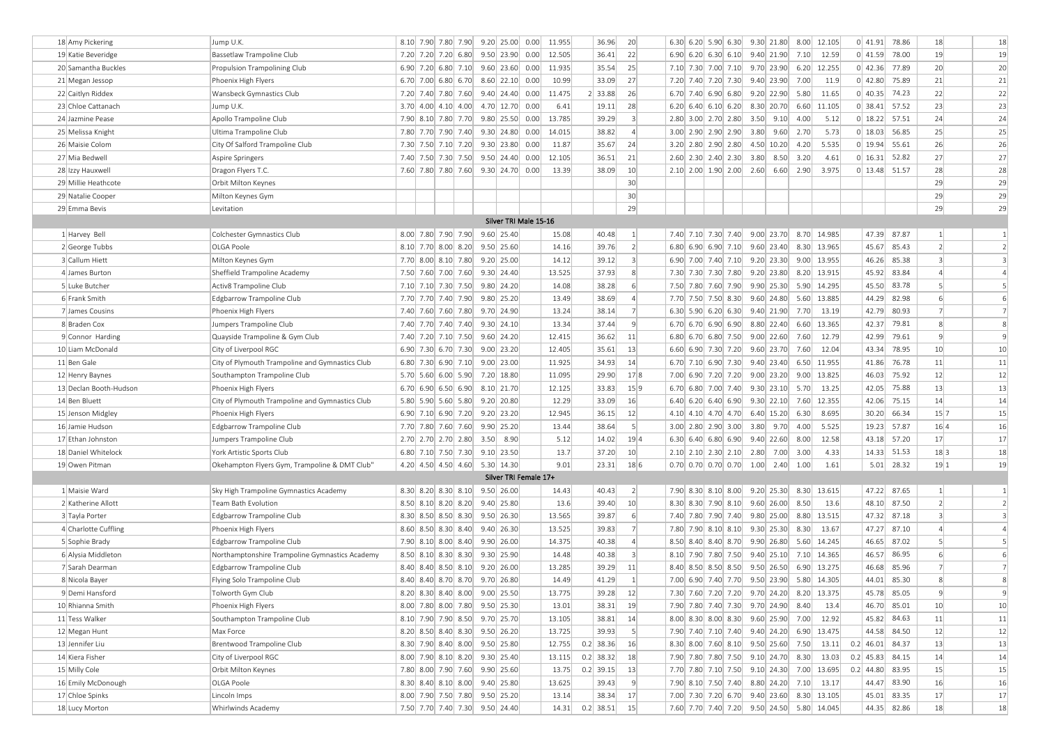| 8.10 7.90 7.80 7.90 9.20 25.00 0.00<br>11.955<br>20<br>6.30 6.20 5.90 6.30 9.30 21.80 8.00 12.105<br>$0$ 41.91 78.86<br>18<br>18 Amy Pickering<br>Jump U.K.<br>36.96<br>22<br>19<br>19 Katie Beveridge<br>12.505<br>36.41<br>$6.90 \mid 6.20 \mid 6.30 \mid 6.10 \mid 9.40 \mid 21.90 \mid$<br>$0$ 41.59 78.00<br>Bassetlaw Trampoline Club<br>7.20 7.20 7.20 6.80 9.50 23.90 0.00<br>7.10<br>12.59<br>25<br>20<br>20 Samantha Buckles<br>Propulsion Trampolining Club<br>6.90 7.20 6.80 7.10 9.60 23.60 0.00<br>11.935<br>35.54<br>7.10 7.30 7.00 7.10 9.70 23.90 6.20 12.255<br>$0$ 42.36 77.89<br>21<br>10.99<br>27<br>7.20 7.40 7.20 7.30 9.40 23.90 7.00<br>0   42.80<br>75.89<br>21 Megan Jessop<br>Phoenix High Flyers<br>6.70 7.00 6.80 6.70 8.60 22.10 0.00<br>33.09<br>11.9<br>22<br>11.475<br>26<br>0   40.35 <br>74.23<br>22 Caitlyn Riddex<br>Wansbeck Gymnastics Club<br>7.20 7.40 7.80 7.60 9.40 24.40 0.00<br>$2$ 33.88<br>$6.70$ 7.40 6.90 6.80<br>$9.20$ 22.90 5.80<br>11.65<br>23<br>28<br>0 38.41 57.52<br>23 Chloe Cattanach<br>Jump U.K.<br>$3.70$ 4.00 4.10 4.00<br>4.70 12.70 0.00<br>6.41<br>19.11<br>$6.20$ 6.40 6.10 6.20<br>8.30 20.70<br>6.60<br>11.105<br>$\vert$ 3<br>24<br>13.785<br>$0$ 18.22 57.51<br>24 Jazmine Pease<br>Apollo Trampoline Club<br>7.90 8.10 7.80 7.70 9.80 25.50 0.00<br>39.29<br>2.80 3.00 2.70 2.80<br>$3.50$ $9.10$ $4.00$<br>5.12<br>25<br>14.015<br>$\left 4\right $<br>5.73<br>$0 \mid 18.03$<br>56.85<br>25 Melissa Knight<br>Ultima Trampoline Club<br>7.80 7.70 7.90 7.40 9.30 24.80 0.00<br>38.82<br>3.00 2.90 2.90 2.90<br>3.80<br>9.60<br>2.70<br>26<br>11.87<br>24<br>5.535<br>0   19.94<br>55.61<br>26 Maisie Colom<br>City Of Salford Trampoline Club<br>7.30 7.50 7.10 7.20 9.30 23.80 0.00<br>35.67<br>3.20 2.80 2.90 2.80<br>4.50 10.20<br>4.20<br>27<br>12.105<br>36.51<br>21<br>3.20<br>$0$ 16.31 52.82<br>27 Mia Bedwell<br>Aspire Springers<br>7.40 7.50 7.30 7.50 9.50 24.40 0.00<br>2.60 2.30 2.40 2.30<br>3.80<br>8.50<br>4.61<br>28<br>10<br>0 13.48 51.57<br>7.60 7.80 7.80 7.60 9.30 24.70 0.00<br>13.39<br>38.09<br>2.10 2.00 1.90 2.00 2.60 6.60 2.90<br>3.975<br>28 Izzy Hauxwell<br>Dragon Flyers T.C.<br>30<br>29<br>29 Millie Heathcote<br>Orbit Milton Keynes<br>29<br>30<br>29 Natalie Cooper<br>Milton Keynes Gym<br>29<br>29<br>29 Emma Bevis<br>Levitation<br>Silver TRI Male 15-16<br>47.39 87.87<br>8.00 7.80 7.90 7.90<br>$9.60$ 25.40<br>40.48<br> 1 <br>7.40 7.10 7.30 7.40 9.00 23.70 8.70 14.985<br>$\mathbf{1}$<br>1 Harvey Bell<br>Colchester Gymnastics Club<br>15.08<br>2<br>OLGA Poole<br>39.76<br>85.43<br>$\overline{2}$<br>2 George Tubbs<br>8.10 7.70 8.00 8.20<br>9.50 25.60<br>14.16<br>6.80 6.90 6.90 7.10 9.60 23.40 8.30 13.965<br>45.67<br>3 <sup>1</sup><br>85.38<br>14.12<br>6.90 7.00 7.40 7.10 9.20 23.30 9.00 13.955<br>$\overline{3}$<br>3 Callum Hiett<br>7.70 8.00 8.10 7.80 9.20 25.00<br>39.12<br>46.26<br>Milton Keynes Gym<br>$\lvert 8 \rvert$<br>13.525<br>37.93<br>45.92<br>83.84<br>4 James Burton<br>Sheffield Trampoline Academy<br>7.50 7.60 7.00 7.60 9.30 24.40<br>7.30 7.30 7.30 7.80<br>9.20 23.80 8.20 13.915<br>$\overline{A}$<br>6<br>5<br>5 Luke Butcher<br>14.08<br>7.50 7.80 7.60 7.90 9.90 25.30 5.90 14.295<br>45.50<br>83.78<br>Activ8 Trampoline Club<br>7.10 7.10 7.30 7.50 9.80 24.20<br>38.28<br>$\left 4\right $<br>44.29<br>82.98<br>6 Frank Smith<br>Edgbarrow Trampoline Club<br>7.70 7.70 7.40 7.90 9.80 25.20<br>13.49<br>38.69<br>7.70 7.50 7.50 8.30 9.60 24.80 5.60 13.885<br>6<br>7 <sup>1</sup><br>80.93<br>$\overline{7}$<br>7 James Cousins<br>Phoenix High Flyers<br>7.40 7.60 7.60 7.80 9.70 24.90<br>13.24<br>38.14<br>6.30 5.90 6.20 6.30 9.40 21.90 7.70<br>13.19<br>42.79<br> 9 <br>79.81<br>8<br>8 Braden Cox<br>7.40 7.70 7.40 7.40 9.30 24.10<br>13.34<br>37.44<br>$6.70$ 6.70 6.90 6.90<br>8.80 22.40<br>6.60<br>13.365<br>42.37<br>Jumpers Trampoline Club<br>11<br>$\overline{9}$<br>79.61<br>9 Connor Harding<br>Quayside Trampoline & Gym Club<br>7.40 7.20 7.10 7.50 9.60 24.20<br>12.415<br>36.62<br>$6.80$ 6.70 6.80 7.50<br>$9.00 \mid 22.60 \mid$<br>7.60<br>12.79<br>42.99<br>10<br>10 Liam McDonald<br>12.405<br>13<br>12.04<br>43.34<br>78.95<br>City of Liverpool RGC<br>6.90 7.30 6.70 7.30 9.00 23.20<br>35.61<br>6.60 6.90 7.30 7.20 9.60 23.70 7.60<br>11<br>11.925<br>14<br>6.50 11.955<br>41.86<br>76.78<br>11 Ben Gale<br>City of Plymouth Trampoline and Gymnastics Club<br>6.80 7.30 6.90 7.10 9.00 23.00<br>34.93<br>$6.70$ 7.10 6.90 7.30<br>9.40 23.40 <br>75.92<br>12<br>11.095<br>17 8<br>13.825<br>46.03<br>12 Henry Baynes<br>Southampton Trampoline Club<br>5.70 5.60 6.00 5.90 7.20 18.80<br>29.90<br>7.00 6.90 7.20 7.20<br>$9.00 \mid 23.20 \mid$<br>9.00<br>15 9<br>13<br>13 Declan Booth-Hudson<br>12.125<br>33.83<br>13.25<br>42.05<br>75.88<br>Phoenix High Flyers<br>6.70 6.90 6.50 6.90 8.10 21.70<br>6.70 6.80 7.00 7.40 9.30 23.10 5.70<br>14<br>16<br>75.15<br>14 Ben Bluett<br>5.80 5.90 5.60 5.80 9.20 20.80<br>12.29<br>33.09<br>12.355<br>42.06<br>City of Plymouth Trampoline and Gymnastics Club<br>12.945<br>12<br>66.34<br>15 7<br>15 Jenson Midgley<br>Phoenix High Flyers<br>6.90 7.10 6.90 7.20 9.20 23.20<br>36.15<br>4.10 4.10 4.70 4.70 6.40 15.20 6.30<br>8.695<br>30.20<br>5<br>57.87<br>5.525<br>19.23<br>16 4<br>16 Jamie Hudson<br>Edgbarrow Trampoline Club<br>7.70 7.80 7.60 7.60 9.90 25.20<br>13.44<br>38.64<br>$3.00$ 2.80 2.90 3.00<br>$3.80$ 9.70<br>4.00<br>17<br>5.12<br>19 4<br>12.58<br>43.18<br>57.20<br>17 Ethan Johnston<br>Jumpers Trampoline Club<br>2.70 2.70 2.70 2.80 3.50 8.90<br>14.02<br>6.30 6.40 6.80 6.90 9.40 22.60 8.00<br>51.53<br>18 3<br>13.7<br>10 <sup>1</sup><br>4.33<br>14.33<br>18 Daniel Whitelock<br>6.80 7.10 7.50 7.30 9.10 23.50<br>37.20<br>$2.10$ $2.10$ $2.30$ $2.10$<br>2.80<br>$7.00$ 3.00<br>York Artistic Sports Club<br>18 6<br>19 1<br>19 Owen Pitman<br>4.20 4.50 4.50 4.60 5.30 14.30<br>9.01<br>23.31<br>$0.70$ 0.70 0.70 0.70 1.00 2.40 1.00<br>1.61<br>5.01 28.32<br>Okehampton Flyers Gym, Trampoline & DMT Club"<br>Silver TRI Female 17+<br>2<br>1 Maisie Ward<br>8.30 8.20 8.30 8.10 9.50 26.00<br>14.43<br>40.43<br>7.90 8.30 8.10 8.00 9.20 25.30 8.30 13.615<br>47.22 87.65<br>Sky High Trampoline Gymnastics Academy<br>$\mathbf{1}$<br>10<br>2 Katherine Allott<br>13.6<br>39.40<br>87.50<br>$\overline{2}$<br>Team Bath Evolution<br>8.50 8.10 8.20 8.20 9.40 25.80<br>8.30 8.30 7.90 8.10 9.60 26.00<br>8.50<br>13.6<br>48.10<br>6<br>$\overline{3}$<br>3 Tayla Porter<br>13.565<br>39.87<br>87.18<br>Edgbarrow Trampoline Club<br>8.30 8.50 8.50 8.30 9.50 26.30<br>7.40 7.80 7.90 7.40 9.80 25.00<br>8.80<br>13.515<br>47.32<br>13.525<br>7 <sup>1</sup><br>47.27<br>87.10<br>4 Charlotte Cuffling<br>Phoenix High Flyers<br>8.60 8.50 8.30 8.40 9.40 26.30<br>39.83<br>7.80 7.90 8.10 8.10 9.30 25.30 8.30<br>13.67<br>$\overline{4}$<br>5<br>87.02<br>14.375<br>$\overline{4}$<br>46.65<br>5 Sophie Brady<br>Edgbarrow Trampoline Club<br>7.90 8.10 8.00 8.40<br>9.90 26.00 <br>40.38<br>8.50 8.40 8.40 8.70<br>9.90 26.80 <br>5.60<br>14.245<br>$\vert$ 3<br>86.95<br>6<br>6 Alysia Middleton<br>8.50 8.10 8.30 8.30 9.30 25.90<br>14.48<br>40.38<br>8.10 7.90 7.80 7.50 9.40 25.10 7.10 14.365<br>46.57<br>Northamptonshire Trampoline Gymnastics Academy<br>85.96<br>7 Sarah Dearman<br>11<br>46.68<br>Edgbarrow Trampoline Club<br>8.40 8.40 8.50 8.10 9.20 26.00<br>13.285<br>39.29<br>8.40 8.50 8.50 8.50<br>13.275<br>$\overline{7}$<br>9.50 26.50 <br>6.90<br>14.49<br>41.29<br>$\mathbf{1}$<br>7.00 6.90 7.40 7.70 9.50 23.90 5.80 14.305<br>85.30<br>8<br>8 Nicola Bayer<br>Flying Solo Trampoline Club<br>8.40 8.40 8.70 8.70 9.70 26.80<br>44.01<br>8.20 8.30 8.40 8.00 9.00 25.50<br>7.30 7.60 7.20 7.20 9.70 24.20 8.20 13.375<br>45.78 85.05<br>13.775<br>9 Demi Hansford<br>Tolworth Gym Club<br>39.28<br>12<br>-9<br>10<br>10 Rhianna Smith<br>Phoenix High Flyers<br>8.00 7.80 8.00 7.80 9.50 25.30<br>38.31<br>19<br>7.90 7.80 7.40 7.30 9.70 24.90 8.40<br>46.70 85.01<br>13.01<br>13.4<br>8.00 8.30 8.00 8.30 9.60 25.90 7.00<br>45.82 84.63<br>11 Tess Walker<br>Southampton Trampoline Club<br>8.10 7.90 7.90 8.50 9.70 25.70<br>13.105<br>38.81<br>14<br>12.92<br>11<br>5 <sup>2</sup><br>44.58 84.50<br>12<br>12 Megan Hunt<br>8.20 8.50 8.40 8.30 9.50 26.20<br>13.725<br>39.93<br>7.90 7.40 7.10 7.40 9.40 24.20 6.90 13.475<br>Max Force<br>$0.2$ 38.36<br>$0.2$ 46.01 84.37<br>13<br>13 Jennifer Liu<br>Brentwood Trampoline Club<br>8.30 7.90 8.40 8.00 9.50 25.80<br>16<br>8.30 8.00 7.60 8.10 9.50 25.60 7.50<br>12.755<br>13.11<br>$0.2$ 38.32<br>$0.2$ 45.83 84.15<br>14<br>14 Kiera Fisher<br>8.00 7.90 8.10 8.20 9.30 25.40<br>13.115<br>18<br>7.90 7.80 7.80 7.50 9.10 24.70 8.30<br>13.03<br>City of Liverpool RGC<br>$0.2$ 39.15<br>$0.2$ 44.80 83.95<br>15<br>15 Milly Cole<br>7.80 8.00 7.90 7.60 9.90 25.60<br>13.75<br>13<br>7.70 7.80 7.10 7.50 9.10 24.30 7.00 13.695<br>Orbit Milton Keynes<br>16<br>16 Emily McDonough<br>8.30 8.40 8.10 8.00 9.40 25.80<br>13.625<br>39.43<br>9<br>7.90 8.10 7.50 7.40 8.80 24.20 7.10 13.17<br>44.47 83.90<br>OLGA Poole<br>17<br>17 Chloe Spinks<br>Lincoln Imps<br>8.00 7.90 7.50 7.80 9.50 25.20<br>13.14<br>38.34<br>17<br>7.00 7.30 7.20 6.70 9.40 23.60 8.30 13.105<br>45.01 83.35<br>7.50 7.70 7.40 7.30 9.50 24.40<br>$14.31$ 0.2 38.51<br>7.60 7.70 7.40 7.20 9.50 24.50 5.80 14.045<br>44.35 82.86 |                |                    |  |  |  |  |    |  |  |  |  |  |  |    |                |
|-------------------------------------------------------------------------------------------------------------------------------------------------------------------------------------------------------------------------------------------------------------------------------------------------------------------------------------------------------------------------------------------------------------------------------------------------------------------------------------------------------------------------------------------------------------------------------------------------------------------------------------------------------------------------------------------------------------------------------------------------------------------------------------------------------------------------------------------------------------------------------------------------------------------------------------------------------------------------------------------------------------------------------------------------------------------------------------------------------------------------------------------------------------------------------------------------------------------------------------------------------------------------------------------------------------------------------------------------------------------------------------------------------------------------------------------------------------------------------------------------------------------------------------------------------------------------------------------------------------------------------------------------------------------------------------------------------------------------------------------------------------------------------------------------------------------------------------------------------------------------------------------------------------------------------------------------------------------------------------------------------------------------------------------------------------------------------------------------------------------------------------------------------------------------------------------------------------------------------------------------------------------------------------------------------------------------------------------------------------------------------------------------------------------------------------------------------------------------------------------------------------------------------------------------------------------------------------------------------------------------------------------------------------------------------------------------------------------------------------------------------------------------------------------------------------------------------------------------------------------------------------------------------------------------------------------------------------------------------------------------------------------------------------------------------------------------------------------------------------------------------------------------------------------------------------------------------------------------------------------------------------------------------------------------------------------------------------------------------------------------------------------------------------------------------------------------------------------------------------------------------------------------------------------------------------------------------------------------------------------------------------------------------------------------------------------------------------------------------------------------------------------------------------------------------------------------------------------------------------------------------------------------------------------------------------------------------------------------------------------------------------------------------------------------------------------------------------------------------------------------------------------------------------------------------------------------------------------------------------------------------------------------------------------------------------------------------------------------------------------------------------------------------------------------------------------------------------------------------------------------------------------------------------------------------------------------------------------------------------------------------------------------------------------------------------------------------------------------------------------------------------------------------------------------------------------------------------------------------------------------------------------------------------------------------------------------------------------------------------------------------------------------------------------------------------------------------------------------------------------------------------------------------------------------------------------------------------------------------------------------------------------------------------------------------------------------------------------------------------------------------------------------------------------------------------------------------------------------------------------------------------------------------------------------------------------------------------------------------------------------------------------------------------------------------------------------------------------------------------------------------------------------------------------------------------------------------------------------------------------------------------------------------------------------------------------------------------------------------------------------------------------------------------------------------------------------------------------------------------------------------------------------------------------------------------------------------------------------------------------------------------------------------------------------------------------------------------------------------------------------------------------------------------------------------------------------------------------------------------------------------------------------------------------------------------------------------------------------------------------------------------------------------------------------------------------------------------------------------------------------------------------------------------------------------------------------------------------------------------------------------------------------------------------------------------------------------------------------------------------------------------------------------------------------------------------------------------------------------------------------------------------------------------------------------------------------------------------------------------------------------------------------------------------------------------------------------------------------------------------------------------------------------------------------------------------------------------------------------------------------------------------------------------------------------------------------------------------------------------------------------------------------------------------------------------------------------------------------------------------------------------------------------------------------------------------------------------------------------------------------------------------------------------------------------------------------------------------------------------------------------------------------------------------------------------------------------------------------------------------------------------------------------------------------------------------------------------------------------------------------------------------------------------------------------------------------------------------------------------------------------------------------------------------------------------------------------------------------------------------------------------------------------------------------------------------------------------------------------------------------------------------------------------------------------------------------------------------------------------------------------------------------------------------------------------------------------------------------------------------------------------------------------------------------------------------------------------------------------------------------------------------------------------------------------------------------------------------------------------------------------------------------------------------------------------------------------------------------------------------------------------------------------------------------------------------------------------------------------------------------------------------------------------------------------------------------------------------------------------------------------------|----------------|--------------------|--|--|--|--|----|--|--|--|--|--|--|----|----------------|
|                                                                                                                                                                                                                                                                                                                                                                                                                                                                                                                                                                                                                                                                                                                                                                                                                                                                                                                                                                                                                                                                                                                                                                                                                                                                                                                                                                                                                                                                                                                                                                                                                                                                                                                                                                                                                                                                                                                                                                                                                                                                                                                                                                                                                                                                                                                                                                                                                                                                                                                                                                                                                                                                                                                                                                                                                                                                                                                                                                                                                                                                                                                                                                                                                                                                                                                                                                                                                                                                                                                                                                                                                                                                                                                                                                                                                                                                                                                                                                                                                                                                                                                                                                                                                                                                                                                                                                                                                                                                                                                                                                                                                                                                                                                                                                                                                                                                                                                                                                                                                                                                                                                                                                                                                                                                                                                                                                                                                                                                                                                                                                                                                                                                                                                                                                                                                                                                                                                                                                                                                                                                                                                                                                                                                                                                                                                                                                                                                                                                                                                                                                                                                                                                                                                                                                                                                                                                                                                                                                                                                                                                                                                                                                                                                                                                                                                                                                                                                                                                                                                                                                                                                                                                                                                                                                                                                                                                                                                                                                                                                                                                                                                                                                                                                                                                                                                                                                                                                                                                                                                                                                                                                                                                                                                                                                                                                                                                                                                                                                                                                                                                                                                                                                                                                                                                                                                                                                                                                                                                                                             |                |                    |  |  |  |  |    |  |  |  |  |  |  |    | 18             |
|                                                                                                                                                                                                                                                                                                                                                                                                                                                                                                                                                                                                                                                                                                                                                                                                                                                                                                                                                                                                                                                                                                                                                                                                                                                                                                                                                                                                                                                                                                                                                                                                                                                                                                                                                                                                                                                                                                                                                                                                                                                                                                                                                                                                                                                                                                                                                                                                                                                                                                                                                                                                                                                                                                                                                                                                                                                                                                                                                                                                                                                                                                                                                                                                                                                                                                                                                                                                                                                                                                                                                                                                                                                                                                                                                                                                                                                                                                                                                                                                                                                                                                                                                                                                                                                                                                                                                                                                                                                                                                                                                                                                                                                                                                                                                                                                                                                                                                                                                                                                                                                                                                                                                                                                                                                                                                                                                                                                                                                                                                                                                                                                                                                                                                                                                                                                                                                                                                                                                                                                                                                                                                                                                                                                                                                                                                                                                                                                                                                                                                                                                                                                                                                                                                                                                                                                                                                                                                                                                                                                                                                                                                                                                                                                                                                                                                                                                                                                                                                                                                                                                                                                                                                                                                                                                                                                                                                                                                                                                                                                                                                                                                                                                                                                                                                                                                                                                                                                                                                                                                                                                                                                                                                                                                                                                                                                                                                                                                                                                                                                                                                                                                                                                                                                                                                                                                                                                                                                                                                                                                             |                |                    |  |  |  |  |    |  |  |  |  |  |  |    | 19             |
|                                                                                                                                                                                                                                                                                                                                                                                                                                                                                                                                                                                                                                                                                                                                                                                                                                                                                                                                                                                                                                                                                                                                                                                                                                                                                                                                                                                                                                                                                                                                                                                                                                                                                                                                                                                                                                                                                                                                                                                                                                                                                                                                                                                                                                                                                                                                                                                                                                                                                                                                                                                                                                                                                                                                                                                                                                                                                                                                                                                                                                                                                                                                                                                                                                                                                                                                                                                                                                                                                                                                                                                                                                                                                                                                                                                                                                                                                                                                                                                                                                                                                                                                                                                                                                                                                                                                                                                                                                                                                                                                                                                                                                                                                                                                                                                                                                                                                                                                                                                                                                                                                                                                                                                                                                                                                                                                                                                                                                                                                                                                                                                                                                                                                                                                                                                                                                                                                                                                                                                                                                                                                                                                                                                                                                                                                                                                                                                                                                                                                                                                                                                                                                                                                                                                                                                                                                                                                                                                                                                                                                                                                                                                                                                                                                                                                                                                                                                                                                                                                                                                                                                                                                                                                                                                                                                                                                                                                                                                                                                                                                                                                                                                                                                                                                                                                                                                                                                                                                                                                                                                                                                                                                                                                                                                                                                                                                                                                                                                                                                                                                                                                                                                                                                                                                                                                                                                                                                                                                                                                                             |                |                    |  |  |  |  |    |  |  |  |  |  |  |    | 20             |
|                                                                                                                                                                                                                                                                                                                                                                                                                                                                                                                                                                                                                                                                                                                                                                                                                                                                                                                                                                                                                                                                                                                                                                                                                                                                                                                                                                                                                                                                                                                                                                                                                                                                                                                                                                                                                                                                                                                                                                                                                                                                                                                                                                                                                                                                                                                                                                                                                                                                                                                                                                                                                                                                                                                                                                                                                                                                                                                                                                                                                                                                                                                                                                                                                                                                                                                                                                                                                                                                                                                                                                                                                                                                                                                                                                                                                                                                                                                                                                                                                                                                                                                                                                                                                                                                                                                                                                                                                                                                                                                                                                                                                                                                                                                                                                                                                                                                                                                                                                                                                                                                                                                                                                                                                                                                                                                                                                                                                                                                                                                                                                                                                                                                                                                                                                                                                                                                                                                                                                                                                                                                                                                                                                                                                                                                                                                                                                                                                                                                                                                                                                                                                                                                                                                                                                                                                                                                                                                                                                                                                                                                                                                                                                                                                                                                                                                                                                                                                                                                                                                                                                                                                                                                                                                                                                                                                                                                                                                                                                                                                                                                                                                                                                                                                                                                                                                                                                                                                                                                                                                                                                                                                                                                                                                                                                                                                                                                                                                                                                                                                                                                                                                                                                                                                                                                                                                                                                                                                                                                                                             |                |                    |  |  |  |  |    |  |  |  |  |  |  |    | 21             |
|                                                                                                                                                                                                                                                                                                                                                                                                                                                                                                                                                                                                                                                                                                                                                                                                                                                                                                                                                                                                                                                                                                                                                                                                                                                                                                                                                                                                                                                                                                                                                                                                                                                                                                                                                                                                                                                                                                                                                                                                                                                                                                                                                                                                                                                                                                                                                                                                                                                                                                                                                                                                                                                                                                                                                                                                                                                                                                                                                                                                                                                                                                                                                                                                                                                                                                                                                                                                                                                                                                                                                                                                                                                                                                                                                                                                                                                                                                                                                                                                                                                                                                                                                                                                                                                                                                                                                                                                                                                                                                                                                                                                                                                                                                                                                                                                                                                                                                                                                                                                                                                                                                                                                                                                                                                                                                                                                                                                                                                                                                                                                                                                                                                                                                                                                                                                                                                                                                                                                                                                                                                                                                                                                                                                                                                                                                                                                                                                                                                                                                                                                                                                                                                                                                                                                                                                                                                                                                                                                                                                                                                                                                                                                                                                                                                                                                                                                                                                                                                                                                                                                                                                                                                                                                                                                                                                                                                                                                                                                                                                                                                                                                                                                                                                                                                                                                                                                                                                                                                                                                                                                                                                                                                                                                                                                                                                                                                                                                                                                                                                                                                                                                                                                                                                                                                                                                                                                                                                                                                                                                             |                |                    |  |  |  |  |    |  |  |  |  |  |  |    | 22             |
|                                                                                                                                                                                                                                                                                                                                                                                                                                                                                                                                                                                                                                                                                                                                                                                                                                                                                                                                                                                                                                                                                                                                                                                                                                                                                                                                                                                                                                                                                                                                                                                                                                                                                                                                                                                                                                                                                                                                                                                                                                                                                                                                                                                                                                                                                                                                                                                                                                                                                                                                                                                                                                                                                                                                                                                                                                                                                                                                                                                                                                                                                                                                                                                                                                                                                                                                                                                                                                                                                                                                                                                                                                                                                                                                                                                                                                                                                                                                                                                                                                                                                                                                                                                                                                                                                                                                                                                                                                                                                                                                                                                                                                                                                                                                                                                                                                                                                                                                                                                                                                                                                                                                                                                                                                                                                                                                                                                                                                                                                                                                                                                                                                                                                                                                                                                                                                                                                                                                                                                                                                                                                                                                                                                                                                                                                                                                                                                                                                                                                                                                                                                                                                                                                                                                                                                                                                                                                                                                                                                                                                                                                                                                                                                                                                                                                                                                                                                                                                                                                                                                                                                                                                                                                                                                                                                                                                                                                                                                                                                                                                                                                                                                                                                                                                                                                                                                                                                                                                                                                                                                                                                                                                                                                                                                                                                                                                                                                                                                                                                                                                                                                                                                                                                                                                                                                                                                                                                                                                                                                                             |                |                    |  |  |  |  |    |  |  |  |  |  |  |    | 23             |
|                                                                                                                                                                                                                                                                                                                                                                                                                                                                                                                                                                                                                                                                                                                                                                                                                                                                                                                                                                                                                                                                                                                                                                                                                                                                                                                                                                                                                                                                                                                                                                                                                                                                                                                                                                                                                                                                                                                                                                                                                                                                                                                                                                                                                                                                                                                                                                                                                                                                                                                                                                                                                                                                                                                                                                                                                                                                                                                                                                                                                                                                                                                                                                                                                                                                                                                                                                                                                                                                                                                                                                                                                                                                                                                                                                                                                                                                                                                                                                                                                                                                                                                                                                                                                                                                                                                                                                                                                                                                                                                                                                                                                                                                                                                                                                                                                                                                                                                                                                                                                                                                                                                                                                                                                                                                                                                                                                                                                                                                                                                                                                                                                                                                                                                                                                                                                                                                                                                                                                                                                                                                                                                                                                                                                                                                                                                                                                                                                                                                                                                                                                                                                                                                                                                                                                                                                                                                                                                                                                                                                                                                                                                                                                                                                                                                                                                                                                                                                                                                                                                                                                                                                                                                                                                                                                                                                                                                                                                                                                                                                                                                                                                                                                                                                                                                                                                                                                                                                                                                                                                                                                                                                                                                                                                                                                                                                                                                                                                                                                                                                                                                                                                                                                                                                                                                                                                                                                                                                                                                                                             |                |                    |  |  |  |  |    |  |  |  |  |  |  |    | 24             |
|                                                                                                                                                                                                                                                                                                                                                                                                                                                                                                                                                                                                                                                                                                                                                                                                                                                                                                                                                                                                                                                                                                                                                                                                                                                                                                                                                                                                                                                                                                                                                                                                                                                                                                                                                                                                                                                                                                                                                                                                                                                                                                                                                                                                                                                                                                                                                                                                                                                                                                                                                                                                                                                                                                                                                                                                                                                                                                                                                                                                                                                                                                                                                                                                                                                                                                                                                                                                                                                                                                                                                                                                                                                                                                                                                                                                                                                                                                                                                                                                                                                                                                                                                                                                                                                                                                                                                                                                                                                                                                                                                                                                                                                                                                                                                                                                                                                                                                                                                                                                                                                                                                                                                                                                                                                                                                                                                                                                                                                                                                                                                                                                                                                                                                                                                                                                                                                                                                                                                                                                                                                                                                                                                                                                                                                                                                                                                                                                                                                                                                                                                                                                                                                                                                                                                                                                                                                                                                                                                                                                                                                                                                                                                                                                                                                                                                                                                                                                                                                                                                                                                                                                                                                                                                                                                                                                                                                                                                                                                                                                                                                                                                                                                                                                                                                                                                                                                                                                                                                                                                                                                                                                                                                                                                                                                                                                                                                                                                                                                                                                                                                                                                                                                                                                                                                                                                                                                                                                                                                                                                             |                |                    |  |  |  |  |    |  |  |  |  |  |  |    | 25             |
|                                                                                                                                                                                                                                                                                                                                                                                                                                                                                                                                                                                                                                                                                                                                                                                                                                                                                                                                                                                                                                                                                                                                                                                                                                                                                                                                                                                                                                                                                                                                                                                                                                                                                                                                                                                                                                                                                                                                                                                                                                                                                                                                                                                                                                                                                                                                                                                                                                                                                                                                                                                                                                                                                                                                                                                                                                                                                                                                                                                                                                                                                                                                                                                                                                                                                                                                                                                                                                                                                                                                                                                                                                                                                                                                                                                                                                                                                                                                                                                                                                                                                                                                                                                                                                                                                                                                                                                                                                                                                                                                                                                                                                                                                                                                                                                                                                                                                                                                                                                                                                                                                                                                                                                                                                                                                                                                                                                                                                                                                                                                                                                                                                                                                                                                                                                                                                                                                                                                                                                                                                                                                                                                                                                                                                                                                                                                                                                                                                                                                                                                                                                                                                                                                                                                                                                                                                                                                                                                                                                                                                                                                                                                                                                                                                                                                                                                                                                                                                                                                                                                                                                                                                                                                                                                                                                                                                                                                                                                                                                                                                                                                                                                                                                                                                                                                                                                                                                                                                                                                                                                                                                                                                                                                                                                                                                                                                                                                                                                                                                                                                                                                                                                                                                                                                                                                                                                                                                                                                                                                                             |                |                    |  |  |  |  |    |  |  |  |  |  |  |    | 26             |
|                                                                                                                                                                                                                                                                                                                                                                                                                                                                                                                                                                                                                                                                                                                                                                                                                                                                                                                                                                                                                                                                                                                                                                                                                                                                                                                                                                                                                                                                                                                                                                                                                                                                                                                                                                                                                                                                                                                                                                                                                                                                                                                                                                                                                                                                                                                                                                                                                                                                                                                                                                                                                                                                                                                                                                                                                                                                                                                                                                                                                                                                                                                                                                                                                                                                                                                                                                                                                                                                                                                                                                                                                                                                                                                                                                                                                                                                                                                                                                                                                                                                                                                                                                                                                                                                                                                                                                                                                                                                                                                                                                                                                                                                                                                                                                                                                                                                                                                                                                                                                                                                                                                                                                                                                                                                                                                                                                                                                                                                                                                                                                                                                                                                                                                                                                                                                                                                                                                                                                                                                                                                                                                                                                                                                                                                                                                                                                                                                                                                                                                                                                                                                                                                                                                                                                                                                                                                                                                                                                                                                                                                                                                                                                                                                                                                                                                                                                                                                                                                                                                                                                                                                                                                                                                                                                                                                                                                                                                                                                                                                                                                                                                                                                                                                                                                                                                                                                                                                                                                                                                                                                                                                                                                                                                                                                                                                                                                                                                                                                                                                                                                                                                                                                                                                                                                                                                                                                                                                                                                                                             |                |                    |  |  |  |  |    |  |  |  |  |  |  |    | 27             |
|                                                                                                                                                                                                                                                                                                                                                                                                                                                                                                                                                                                                                                                                                                                                                                                                                                                                                                                                                                                                                                                                                                                                                                                                                                                                                                                                                                                                                                                                                                                                                                                                                                                                                                                                                                                                                                                                                                                                                                                                                                                                                                                                                                                                                                                                                                                                                                                                                                                                                                                                                                                                                                                                                                                                                                                                                                                                                                                                                                                                                                                                                                                                                                                                                                                                                                                                                                                                                                                                                                                                                                                                                                                                                                                                                                                                                                                                                                                                                                                                                                                                                                                                                                                                                                                                                                                                                                                                                                                                                                                                                                                                                                                                                                                                                                                                                                                                                                                                                                                                                                                                                                                                                                                                                                                                                                                                                                                                                                                                                                                                                                                                                                                                                                                                                                                                                                                                                                                                                                                                                                                                                                                                                                                                                                                                                                                                                                                                                                                                                                                                                                                                                                                                                                                                                                                                                                                                                                                                                                                                                                                                                                                                                                                                                                                                                                                                                                                                                                                                                                                                                                                                                                                                                                                                                                                                                                                                                                                                                                                                                                                                                                                                                                                                                                                                                                                                                                                                                                                                                                                                                                                                                                                                                                                                                                                                                                                                                                                                                                                                                                                                                                                                                                                                                                                                                                                                                                                                                                                                                                             |                |                    |  |  |  |  |    |  |  |  |  |  |  |    | 28             |
|                                                                                                                                                                                                                                                                                                                                                                                                                                                                                                                                                                                                                                                                                                                                                                                                                                                                                                                                                                                                                                                                                                                                                                                                                                                                                                                                                                                                                                                                                                                                                                                                                                                                                                                                                                                                                                                                                                                                                                                                                                                                                                                                                                                                                                                                                                                                                                                                                                                                                                                                                                                                                                                                                                                                                                                                                                                                                                                                                                                                                                                                                                                                                                                                                                                                                                                                                                                                                                                                                                                                                                                                                                                                                                                                                                                                                                                                                                                                                                                                                                                                                                                                                                                                                                                                                                                                                                                                                                                                                                                                                                                                                                                                                                                                                                                                                                                                                                                                                                                                                                                                                                                                                                                                                                                                                                                                                                                                                                                                                                                                                                                                                                                                                                                                                                                                                                                                                                                                                                                                                                                                                                                                                                                                                                                                                                                                                                                                                                                                                                                                                                                                                                                                                                                                                                                                                                                                                                                                                                                                                                                                                                                                                                                                                                                                                                                                                                                                                                                                                                                                                                                                                                                                                                                                                                                                                                                                                                                                                                                                                                                                                                                                                                                                                                                                                                                                                                                                                                                                                                                                                                                                                                                                                                                                                                                                                                                                                                                                                                                                                                                                                                                                                                                                                                                                                                                                                                                                                                                                                                             |                |                    |  |  |  |  |    |  |  |  |  |  |  |    | 29             |
|                                                                                                                                                                                                                                                                                                                                                                                                                                                                                                                                                                                                                                                                                                                                                                                                                                                                                                                                                                                                                                                                                                                                                                                                                                                                                                                                                                                                                                                                                                                                                                                                                                                                                                                                                                                                                                                                                                                                                                                                                                                                                                                                                                                                                                                                                                                                                                                                                                                                                                                                                                                                                                                                                                                                                                                                                                                                                                                                                                                                                                                                                                                                                                                                                                                                                                                                                                                                                                                                                                                                                                                                                                                                                                                                                                                                                                                                                                                                                                                                                                                                                                                                                                                                                                                                                                                                                                                                                                                                                                                                                                                                                                                                                                                                                                                                                                                                                                                                                                                                                                                                                                                                                                                                                                                                                                                                                                                                                                                                                                                                                                                                                                                                                                                                                                                                                                                                                                                                                                                                                                                                                                                                                                                                                                                                                                                                                                                                                                                                                                                                                                                                                                                                                                                                                                                                                                                                                                                                                                                                                                                                                                                                                                                                                                                                                                                                                                                                                                                                                                                                                                                                                                                                                                                                                                                                                                                                                                                                                                                                                                                                                                                                                                                                                                                                                                                                                                                                                                                                                                                                                                                                                                                                                                                                                                                                                                                                                                                                                                                                                                                                                                                                                                                                                                                                                                                                                                                                                                                                                                             |                |                    |  |  |  |  |    |  |  |  |  |  |  |    | 29             |
|                                                                                                                                                                                                                                                                                                                                                                                                                                                                                                                                                                                                                                                                                                                                                                                                                                                                                                                                                                                                                                                                                                                                                                                                                                                                                                                                                                                                                                                                                                                                                                                                                                                                                                                                                                                                                                                                                                                                                                                                                                                                                                                                                                                                                                                                                                                                                                                                                                                                                                                                                                                                                                                                                                                                                                                                                                                                                                                                                                                                                                                                                                                                                                                                                                                                                                                                                                                                                                                                                                                                                                                                                                                                                                                                                                                                                                                                                                                                                                                                                                                                                                                                                                                                                                                                                                                                                                                                                                                                                                                                                                                                                                                                                                                                                                                                                                                                                                                                                                                                                                                                                                                                                                                                                                                                                                                                                                                                                                                                                                                                                                                                                                                                                                                                                                                                                                                                                                                                                                                                                                                                                                                                                                                                                                                                                                                                                                                                                                                                                                                                                                                                                                                                                                                                                                                                                                                                                                                                                                                                                                                                                                                                                                                                                                                                                                                                                                                                                                                                                                                                                                                                                                                                                                                                                                                                                                                                                                                                                                                                                                                                                                                                                                                                                                                                                                                                                                                                                                                                                                                                                                                                                                                                                                                                                                                                                                                                                                                                                                                                                                                                                                                                                                                                                                                                                                                                                                                                                                                                                                             |                |                    |  |  |  |  |    |  |  |  |  |  |  |    | 29             |
|                                                                                                                                                                                                                                                                                                                                                                                                                                                                                                                                                                                                                                                                                                                                                                                                                                                                                                                                                                                                                                                                                                                                                                                                                                                                                                                                                                                                                                                                                                                                                                                                                                                                                                                                                                                                                                                                                                                                                                                                                                                                                                                                                                                                                                                                                                                                                                                                                                                                                                                                                                                                                                                                                                                                                                                                                                                                                                                                                                                                                                                                                                                                                                                                                                                                                                                                                                                                                                                                                                                                                                                                                                                                                                                                                                                                                                                                                                                                                                                                                                                                                                                                                                                                                                                                                                                                                                                                                                                                                                                                                                                                                                                                                                                                                                                                                                                                                                                                                                                                                                                                                                                                                                                                                                                                                                                                                                                                                                                                                                                                                                                                                                                                                                                                                                                                                                                                                                                                                                                                                                                                                                                                                                                                                                                                                                                                                                                                                                                                                                                                                                                                                                                                                                                                                                                                                                                                                                                                                                                                                                                                                                                                                                                                                                                                                                                                                                                                                                                                                                                                                                                                                                                                                                                                                                                                                                                                                                                                                                                                                                                                                                                                                                                                                                                                                                                                                                                                                                                                                                                                                                                                                                                                                                                                                                                                                                                                                                                                                                                                                                                                                                                                                                                                                                                                                                                                                                                                                                                                                                             |                |                    |  |  |  |  |    |  |  |  |  |  |  |    |                |
|                                                                                                                                                                                                                                                                                                                                                                                                                                                                                                                                                                                                                                                                                                                                                                                                                                                                                                                                                                                                                                                                                                                                                                                                                                                                                                                                                                                                                                                                                                                                                                                                                                                                                                                                                                                                                                                                                                                                                                                                                                                                                                                                                                                                                                                                                                                                                                                                                                                                                                                                                                                                                                                                                                                                                                                                                                                                                                                                                                                                                                                                                                                                                                                                                                                                                                                                                                                                                                                                                                                                                                                                                                                                                                                                                                                                                                                                                                                                                                                                                                                                                                                                                                                                                                                                                                                                                                                                                                                                                                                                                                                                                                                                                                                                                                                                                                                                                                                                                                                                                                                                                                                                                                                                                                                                                                                                                                                                                                                                                                                                                                                                                                                                                                                                                                                                                                                                                                                                                                                                                                                                                                                                                                                                                                                                                                                                                                                                                                                                                                                                                                                                                                                                                                                                                                                                                                                                                                                                                                                                                                                                                                                                                                                                                                                                                                                                                                                                                                                                                                                                                                                                                                                                                                                                                                                                                                                                                                                                                                                                                                                                                                                                                                                                                                                                                                                                                                                                                                                                                                                                                                                                                                                                                                                                                                                                                                                                                                                                                                                                                                                                                                                                                                                                                                                                                                                                                                                                                                                                                                             |                |                    |  |  |  |  |    |  |  |  |  |  |  |    | $\mathbf{1}$   |
|                                                                                                                                                                                                                                                                                                                                                                                                                                                                                                                                                                                                                                                                                                                                                                                                                                                                                                                                                                                                                                                                                                                                                                                                                                                                                                                                                                                                                                                                                                                                                                                                                                                                                                                                                                                                                                                                                                                                                                                                                                                                                                                                                                                                                                                                                                                                                                                                                                                                                                                                                                                                                                                                                                                                                                                                                                                                                                                                                                                                                                                                                                                                                                                                                                                                                                                                                                                                                                                                                                                                                                                                                                                                                                                                                                                                                                                                                                                                                                                                                                                                                                                                                                                                                                                                                                                                                                                                                                                                                                                                                                                                                                                                                                                                                                                                                                                                                                                                                                                                                                                                                                                                                                                                                                                                                                                                                                                                                                                                                                                                                                                                                                                                                                                                                                                                                                                                                                                                                                                                                                                                                                                                                                                                                                                                                                                                                                                                                                                                                                                                                                                                                                                                                                                                                                                                                                                                                                                                                                                                                                                                                                                                                                                                                                                                                                                                                                                                                                                                                                                                                                                                                                                                                                                                                                                                                                                                                                                                                                                                                                                                                                                                                                                                                                                                                                                                                                                                                                                                                                                                                                                                                                                                                                                                                                                                                                                                                                                                                                                                                                                                                                                                                                                                                                                                                                                                                                                                                                                                                                             |                |                    |  |  |  |  |    |  |  |  |  |  |  |    | $\overline{2}$ |
|                                                                                                                                                                                                                                                                                                                                                                                                                                                                                                                                                                                                                                                                                                                                                                                                                                                                                                                                                                                                                                                                                                                                                                                                                                                                                                                                                                                                                                                                                                                                                                                                                                                                                                                                                                                                                                                                                                                                                                                                                                                                                                                                                                                                                                                                                                                                                                                                                                                                                                                                                                                                                                                                                                                                                                                                                                                                                                                                                                                                                                                                                                                                                                                                                                                                                                                                                                                                                                                                                                                                                                                                                                                                                                                                                                                                                                                                                                                                                                                                                                                                                                                                                                                                                                                                                                                                                                                                                                                                                                                                                                                                                                                                                                                                                                                                                                                                                                                                                                                                                                                                                                                                                                                                                                                                                                                                                                                                                                                                                                                                                                                                                                                                                                                                                                                                                                                                                                                                                                                                                                                                                                                                                                                                                                                                                                                                                                                                                                                                                                                                                                                                                                                                                                                                                                                                                                                                                                                                                                                                                                                                                                                                                                                                                                                                                                                                                                                                                                                                                                                                                                                                                                                                                                                                                                                                                                                                                                                                                                                                                                                                                                                                                                                                                                                                                                                                                                                                                                                                                                                                                                                                                                                                                                                                                                                                                                                                                                                                                                                                                                                                                                                                                                                                                                                                                                                                                                                                                                                                                                             |                |                    |  |  |  |  |    |  |  |  |  |  |  |    | $\overline{3}$ |
|                                                                                                                                                                                                                                                                                                                                                                                                                                                                                                                                                                                                                                                                                                                                                                                                                                                                                                                                                                                                                                                                                                                                                                                                                                                                                                                                                                                                                                                                                                                                                                                                                                                                                                                                                                                                                                                                                                                                                                                                                                                                                                                                                                                                                                                                                                                                                                                                                                                                                                                                                                                                                                                                                                                                                                                                                                                                                                                                                                                                                                                                                                                                                                                                                                                                                                                                                                                                                                                                                                                                                                                                                                                                                                                                                                                                                                                                                                                                                                                                                                                                                                                                                                                                                                                                                                                                                                                                                                                                                                                                                                                                                                                                                                                                                                                                                                                                                                                                                                                                                                                                                                                                                                                                                                                                                                                                                                                                                                                                                                                                                                                                                                                                                                                                                                                                                                                                                                                                                                                                                                                                                                                                                                                                                                                                                                                                                                                                                                                                                                                                                                                                                                                                                                                                                                                                                                                                                                                                                                                                                                                                                                                                                                                                                                                                                                                                                                                                                                                                                                                                                                                                                                                                                                                                                                                                                                                                                                                                                                                                                                                                                                                                                                                                                                                                                                                                                                                                                                                                                                                                                                                                                                                                                                                                                                                                                                                                                                                                                                                                                                                                                                                                                                                                                                                                                                                                                                                                                                                                                                             |                |                    |  |  |  |  |    |  |  |  |  |  |  |    | $\overline{4}$ |
|                                                                                                                                                                                                                                                                                                                                                                                                                                                                                                                                                                                                                                                                                                                                                                                                                                                                                                                                                                                                                                                                                                                                                                                                                                                                                                                                                                                                                                                                                                                                                                                                                                                                                                                                                                                                                                                                                                                                                                                                                                                                                                                                                                                                                                                                                                                                                                                                                                                                                                                                                                                                                                                                                                                                                                                                                                                                                                                                                                                                                                                                                                                                                                                                                                                                                                                                                                                                                                                                                                                                                                                                                                                                                                                                                                                                                                                                                                                                                                                                                                                                                                                                                                                                                                                                                                                                                                                                                                                                                                                                                                                                                                                                                                                                                                                                                                                                                                                                                                                                                                                                                                                                                                                                                                                                                                                                                                                                                                                                                                                                                                                                                                                                                                                                                                                                                                                                                                                                                                                                                                                                                                                                                                                                                                                                                                                                                                                                                                                                                                                                                                                                                                                                                                                                                                                                                                                                                                                                                                                                                                                                                                                                                                                                                                                                                                                                                                                                                                                                                                                                                                                                                                                                                                                                                                                                                                                                                                                                                                                                                                                                                                                                                                                                                                                                                                                                                                                                                                                                                                                                                                                                                                                                                                                                                                                                                                                                                                                                                                                                                                                                                                                                                                                                                                                                                                                                                                                                                                                                                                             |                |                    |  |  |  |  |    |  |  |  |  |  |  |    | 5              |
|                                                                                                                                                                                                                                                                                                                                                                                                                                                                                                                                                                                                                                                                                                                                                                                                                                                                                                                                                                                                                                                                                                                                                                                                                                                                                                                                                                                                                                                                                                                                                                                                                                                                                                                                                                                                                                                                                                                                                                                                                                                                                                                                                                                                                                                                                                                                                                                                                                                                                                                                                                                                                                                                                                                                                                                                                                                                                                                                                                                                                                                                                                                                                                                                                                                                                                                                                                                                                                                                                                                                                                                                                                                                                                                                                                                                                                                                                                                                                                                                                                                                                                                                                                                                                                                                                                                                                                                                                                                                                                                                                                                                                                                                                                                                                                                                                                                                                                                                                                                                                                                                                                                                                                                                                                                                                                                                                                                                                                                                                                                                                                                                                                                                                                                                                                                                                                                                                                                                                                                                                                                                                                                                                                                                                                                                                                                                                                                                                                                                                                                                                                                                                                                                                                                                                                                                                                                                                                                                                                                                                                                                                                                                                                                                                                                                                                                                                                                                                                                                                                                                                                                                                                                                                                                                                                                                                                                                                                                                                                                                                                                                                                                                                                                                                                                                                                                                                                                                                                                                                                                                                                                                                                                                                                                                                                                                                                                                                                                                                                                                                                                                                                                                                                                                                                                                                                                                                                                                                                                                                                             |                |                    |  |  |  |  |    |  |  |  |  |  |  |    | 6              |
|                                                                                                                                                                                                                                                                                                                                                                                                                                                                                                                                                                                                                                                                                                                                                                                                                                                                                                                                                                                                                                                                                                                                                                                                                                                                                                                                                                                                                                                                                                                                                                                                                                                                                                                                                                                                                                                                                                                                                                                                                                                                                                                                                                                                                                                                                                                                                                                                                                                                                                                                                                                                                                                                                                                                                                                                                                                                                                                                                                                                                                                                                                                                                                                                                                                                                                                                                                                                                                                                                                                                                                                                                                                                                                                                                                                                                                                                                                                                                                                                                                                                                                                                                                                                                                                                                                                                                                                                                                                                                                                                                                                                                                                                                                                                                                                                                                                                                                                                                                                                                                                                                                                                                                                                                                                                                                                                                                                                                                                                                                                                                                                                                                                                                                                                                                                                                                                                                                                                                                                                                                                                                                                                                                                                                                                                                                                                                                                                                                                                                                                                                                                                                                                                                                                                                                                                                                                                                                                                                                                                                                                                                                                                                                                                                                                                                                                                                                                                                                                                                                                                                                                                                                                                                                                                                                                                                                                                                                                                                                                                                                                                                                                                                                                                                                                                                                                                                                                                                                                                                                                                                                                                                                                                                                                                                                                                                                                                                                                                                                                                                                                                                                                                                                                                                                                                                                                                                                                                                                                                                                             |                |                    |  |  |  |  |    |  |  |  |  |  |  |    | $\overline{7}$ |
|                                                                                                                                                                                                                                                                                                                                                                                                                                                                                                                                                                                                                                                                                                                                                                                                                                                                                                                                                                                                                                                                                                                                                                                                                                                                                                                                                                                                                                                                                                                                                                                                                                                                                                                                                                                                                                                                                                                                                                                                                                                                                                                                                                                                                                                                                                                                                                                                                                                                                                                                                                                                                                                                                                                                                                                                                                                                                                                                                                                                                                                                                                                                                                                                                                                                                                                                                                                                                                                                                                                                                                                                                                                                                                                                                                                                                                                                                                                                                                                                                                                                                                                                                                                                                                                                                                                                                                                                                                                                                                                                                                                                                                                                                                                                                                                                                                                                                                                                                                                                                                                                                                                                                                                                                                                                                                                                                                                                                                                                                                                                                                                                                                                                                                                                                                                                                                                                                                                                                                                                                                                                                                                                                                                                                                                                                                                                                                                                                                                                                                                                                                                                                                                                                                                                                                                                                                                                                                                                                                                                                                                                                                                                                                                                                                                                                                                                                                                                                                                                                                                                                                                                                                                                                                                                                                                                                                                                                                                                                                                                                                                                                                                                                                                                                                                                                                                                                                                                                                                                                                                                                                                                                                                                                                                                                                                                                                                                                                                                                                                                                                                                                                                                                                                                                                                                                                                                                                                                                                                                                                             |                |                    |  |  |  |  |    |  |  |  |  |  |  |    | 8              |
|                                                                                                                                                                                                                                                                                                                                                                                                                                                                                                                                                                                                                                                                                                                                                                                                                                                                                                                                                                                                                                                                                                                                                                                                                                                                                                                                                                                                                                                                                                                                                                                                                                                                                                                                                                                                                                                                                                                                                                                                                                                                                                                                                                                                                                                                                                                                                                                                                                                                                                                                                                                                                                                                                                                                                                                                                                                                                                                                                                                                                                                                                                                                                                                                                                                                                                                                                                                                                                                                                                                                                                                                                                                                                                                                                                                                                                                                                                                                                                                                                                                                                                                                                                                                                                                                                                                                                                                                                                                                                                                                                                                                                                                                                                                                                                                                                                                                                                                                                                                                                                                                                                                                                                                                                                                                                                                                                                                                                                                                                                                                                                                                                                                                                                                                                                                                                                                                                                                                                                                                                                                                                                                                                                                                                                                                                                                                                                                                                                                                                                                                                                                                                                                                                                                                                                                                                                                                                                                                                                                                                                                                                                                                                                                                                                                                                                                                                                                                                                                                                                                                                                                                                                                                                                                                                                                                                                                                                                                                                                                                                                                                                                                                                                                                                                                                                                                                                                                                                                                                                                                                                                                                                                                                                                                                                                                                                                                                                                                                                                                                                                                                                                                                                                                                                                                                                                                                                                                                                                                                                                             |                |                    |  |  |  |  |    |  |  |  |  |  |  |    | 9              |
|                                                                                                                                                                                                                                                                                                                                                                                                                                                                                                                                                                                                                                                                                                                                                                                                                                                                                                                                                                                                                                                                                                                                                                                                                                                                                                                                                                                                                                                                                                                                                                                                                                                                                                                                                                                                                                                                                                                                                                                                                                                                                                                                                                                                                                                                                                                                                                                                                                                                                                                                                                                                                                                                                                                                                                                                                                                                                                                                                                                                                                                                                                                                                                                                                                                                                                                                                                                                                                                                                                                                                                                                                                                                                                                                                                                                                                                                                                                                                                                                                                                                                                                                                                                                                                                                                                                                                                                                                                                                                                                                                                                                                                                                                                                                                                                                                                                                                                                                                                                                                                                                                                                                                                                                                                                                                                                                                                                                                                                                                                                                                                                                                                                                                                                                                                                                                                                                                                                                                                                                                                                                                                                                                                                                                                                                                                                                                                                                                                                                                                                                                                                                                                                                                                                                                                                                                                                                                                                                                                                                                                                                                                                                                                                                                                                                                                                                                                                                                                                                                                                                                                                                                                                                                                                                                                                                                                                                                                                                                                                                                                                                                                                                                                                                                                                                                                                                                                                                                                                                                                                                                                                                                                                                                                                                                                                                                                                                                                                                                                                                                                                                                                                                                                                                                                                                                                                                                                                                                                                                                                             |                |                    |  |  |  |  |    |  |  |  |  |  |  |    | 10             |
|                                                                                                                                                                                                                                                                                                                                                                                                                                                                                                                                                                                                                                                                                                                                                                                                                                                                                                                                                                                                                                                                                                                                                                                                                                                                                                                                                                                                                                                                                                                                                                                                                                                                                                                                                                                                                                                                                                                                                                                                                                                                                                                                                                                                                                                                                                                                                                                                                                                                                                                                                                                                                                                                                                                                                                                                                                                                                                                                                                                                                                                                                                                                                                                                                                                                                                                                                                                                                                                                                                                                                                                                                                                                                                                                                                                                                                                                                                                                                                                                                                                                                                                                                                                                                                                                                                                                                                                                                                                                                                                                                                                                                                                                                                                                                                                                                                                                                                                                                                                                                                                                                                                                                                                                                                                                                                                                                                                                                                                                                                                                                                                                                                                                                                                                                                                                                                                                                                                                                                                                                                                                                                                                                                                                                                                                                                                                                                                                                                                                                                                                                                                                                                                                                                                                                                                                                                                                                                                                                                                                                                                                                                                                                                                                                                                                                                                                                                                                                                                                                                                                                                                                                                                                                                                                                                                                                                                                                                                                                                                                                                                                                                                                                                                                                                                                                                                                                                                                                                                                                                                                                                                                                                                                                                                                                                                                                                                                                                                                                                                                                                                                                                                                                                                                                                                                                                                                                                                                                                                                                                             |                |                    |  |  |  |  |    |  |  |  |  |  |  |    | 11             |
|                                                                                                                                                                                                                                                                                                                                                                                                                                                                                                                                                                                                                                                                                                                                                                                                                                                                                                                                                                                                                                                                                                                                                                                                                                                                                                                                                                                                                                                                                                                                                                                                                                                                                                                                                                                                                                                                                                                                                                                                                                                                                                                                                                                                                                                                                                                                                                                                                                                                                                                                                                                                                                                                                                                                                                                                                                                                                                                                                                                                                                                                                                                                                                                                                                                                                                                                                                                                                                                                                                                                                                                                                                                                                                                                                                                                                                                                                                                                                                                                                                                                                                                                                                                                                                                                                                                                                                                                                                                                                                                                                                                                                                                                                                                                                                                                                                                                                                                                                                                                                                                                                                                                                                                                                                                                                                                                                                                                                                                                                                                                                                                                                                                                                                                                                                                                                                                                                                                                                                                                                                                                                                                                                                                                                                                                                                                                                                                                                                                                                                                                                                                                                                                                                                                                                                                                                                                                                                                                                                                                                                                                                                                                                                                                                                                                                                                                                                                                                                                                                                                                                                                                                                                                                                                                                                                                                                                                                                                                                                                                                                                                                                                                                                                                                                                                                                                                                                                                                                                                                                                                                                                                                                                                                                                                                                                                                                                                                                                                                                                                                                                                                                                                                                                                                                                                                                                                                                                                                                                                                                             |                |                    |  |  |  |  |    |  |  |  |  |  |  |    | 12             |
|                                                                                                                                                                                                                                                                                                                                                                                                                                                                                                                                                                                                                                                                                                                                                                                                                                                                                                                                                                                                                                                                                                                                                                                                                                                                                                                                                                                                                                                                                                                                                                                                                                                                                                                                                                                                                                                                                                                                                                                                                                                                                                                                                                                                                                                                                                                                                                                                                                                                                                                                                                                                                                                                                                                                                                                                                                                                                                                                                                                                                                                                                                                                                                                                                                                                                                                                                                                                                                                                                                                                                                                                                                                                                                                                                                                                                                                                                                                                                                                                                                                                                                                                                                                                                                                                                                                                                                                                                                                                                                                                                                                                                                                                                                                                                                                                                                                                                                                                                                                                                                                                                                                                                                                                                                                                                                                                                                                                                                                                                                                                                                                                                                                                                                                                                                                                                                                                                                                                                                                                                                                                                                                                                                                                                                                                                                                                                                                                                                                                                                                                                                                                                                                                                                                                                                                                                                                                                                                                                                                                                                                                                                                                                                                                                                                                                                                                                                                                                                                                                                                                                                                                                                                                                                                                                                                                                                                                                                                                                                                                                                                                                                                                                                                                                                                                                                                                                                                                                                                                                                                                                                                                                                                                                                                                                                                                                                                                                                                                                                                                                                                                                                                                                                                                                                                                                                                                                                                                                                                                                                             |                |                    |  |  |  |  |    |  |  |  |  |  |  |    | 13             |
|                                                                                                                                                                                                                                                                                                                                                                                                                                                                                                                                                                                                                                                                                                                                                                                                                                                                                                                                                                                                                                                                                                                                                                                                                                                                                                                                                                                                                                                                                                                                                                                                                                                                                                                                                                                                                                                                                                                                                                                                                                                                                                                                                                                                                                                                                                                                                                                                                                                                                                                                                                                                                                                                                                                                                                                                                                                                                                                                                                                                                                                                                                                                                                                                                                                                                                                                                                                                                                                                                                                                                                                                                                                                                                                                                                                                                                                                                                                                                                                                                                                                                                                                                                                                                                                                                                                                                                                                                                                                                                                                                                                                                                                                                                                                                                                                                                                                                                                                                                                                                                                                                                                                                                                                                                                                                                                                                                                                                                                                                                                                                                                                                                                                                                                                                                                                                                                                                                                                                                                                                                                                                                                                                                                                                                                                                                                                                                                                                                                                                                                                                                                                                                                                                                                                                                                                                                                                                                                                                                                                                                                                                                                                                                                                                                                                                                                                                                                                                                                                                                                                                                                                                                                                                                                                                                                                                                                                                                                                                                                                                                                                                                                                                                                                                                                                                                                                                                                                                                                                                                                                                                                                                                                                                                                                                                                                                                                                                                                                                                                                                                                                                                                                                                                                                                                                                                                                                                                                                                                                                                             |                |                    |  |  |  |  |    |  |  |  |  |  |  |    | 14             |
|                                                                                                                                                                                                                                                                                                                                                                                                                                                                                                                                                                                                                                                                                                                                                                                                                                                                                                                                                                                                                                                                                                                                                                                                                                                                                                                                                                                                                                                                                                                                                                                                                                                                                                                                                                                                                                                                                                                                                                                                                                                                                                                                                                                                                                                                                                                                                                                                                                                                                                                                                                                                                                                                                                                                                                                                                                                                                                                                                                                                                                                                                                                                                                                                                                                                                                                                                                                                                                                                                                                                                                                                                                                                                                                                                                                                                                                                                                                                                                                                                                                                                                                                                                                                                                                                                                                                                                                                                                                                                                                                                                                                                                                                                                                                                                                                                                                                                                                                                                                                                                                                                                                                                                                                                                                                                                                                                                                                                                                                                                                                                                                                                                                                                                                                                                                                                                                                                                                                                                                                                                                                                                                                                                                                                                                                                                                                                                                                                                                                                                                                                                                                                                                                                                                                                                                                                                                                                                                                                                                                                                                                                                                                                                                                                                                                                                                                                                                                                                                                                                                                                                                                                                                                                                                                                                                                                                                                                                                                                                                                                                                                                                                                                                                                                                                                                                                                                                                                                                                                                                                                                                                                                                                                                                                                                                                                                                                                                                                                                                                                                                                                                                                                                                                                                                                                                                                                                                                                                                                                                                             |                |                    |  |  |  |  |    |  |  |  |  |  |  |    | 15             |
|                                                                                                                                                                                                                                                                                                                                                                                                                                                                                                                                                                                                                                                                                                                                                                                                                                                                                                                                                                                                                                                                                                                                                                                                                                                                                                                                                                                                                                                                                                                                                                                                                                                                                                                                                                                                                                                                                                                                                                                                                                                                                                                                                                                                                                                                                                                                                                                                                                                                                                                                                                                                                                                                                                                                                                                                                                                                                                                                                                                                                                                                                                                                                                                                                                                                                                                                                                                                                                                                                                                                                                                                                                                                                                                                                                                                                                                                                                                                                                                                                                                                                                                                                                                                                                                                                                                                                                                                                                                                                                                                                                                                                                                                                                                                                                                                                                                                                                                                                                                                                                                                                                                                                                                                                                                                                                                                                                                                                                                                                                                                                                                                                                                                                                                                                                                                                                                                                                                                                                                                                                                                                                                                                                                                                                                                                                                                                                                                                                                                                                                                                                                                                                                                                                                                                                                                                                                                                                                                                                                                                                                                                                                                                                                                                                                                                                                                                                                                                                                                                                                                                                                                                                                                                                                                                                                                                                                                                                                                                                                                                                                                                                                                                                                                                                                                                                                                                                                                                                                                                                                                                                                                                                                                                                                                                                                                                                                                                                                                                                                                                                                                                                                                                                                                                                                                                                                                                                                                                                                                                                             |                |                    |  |  |  |  |    |  |  |  |  |  |  |    | 16             |
|                                                                                                                                                                                                                                                                                                                                                                                                                                                                                                                                                                                                                                                                                                                                                                                                                                                                                                                                                                                                                                                                                                                                                                                                                                                                                                                                                                                                                                                                                                                                                                                                                                                                                                                                                                                                                                                                                                                                                                                                                                                                                                                                                                                                                                                                                                                                                                                                                                                                                                                                                                                                                                                                                                                                                                                                                                                                                                                                                                                                                                                                                                                                                                                                                                                                                                                                                                                                                                                                                                                                                                                                                                                                                                                                                                                                                                                                                                                                                                                                                                                                                                                                                                                                                                                                                                                                                                                                                                                                                                                                                                                                                                                                                                                                                                                                                                                                                                                                                                                                                                                                                                                                                                                                                                                                                                                                                                                                                                                                                                                                                                                                                                                                                                                                                                                                                                                                                                                                                                                                                                                                                                                                                                                                                                                                                                                                                                                                                                                                                                                                                                                                                                                                                                                                                                                                                                                                                                                                                                                                                                                                                                                                                                                                                                                                                                                                                                                                                                                                                                                                                                                                                                                                                                                                                                                                                                                                                                                                                                                                                                                                                                                                                                                                                                                                                                                                                                                                                                                                                                                                                                                                                                                                                                                                                                                                                                                                                                                                                                                                                                                                                                                                                                                                                                                                                                                                                                                                                                                                                                             |                |                    |  |  |  |  |    |  |  |  |  |  |  |    | 17             |
|                                                                                                                                                                                                                                                                                                                                                                                                                                                                                                                                                                                                                                                                                                                                                                                                                                                                                                                                                                                                                                                                                                                                                                                                                                                                                                                                                                                                                                                                                                                                                                                                                                                                                                                                                                                                                                                                                                                                                                                                                                                                                                                                                                                                                                                                                                                                                                                                                                                                                                                                                                                                                                                                                                                                                                                                                                                                                                                                                                                                                                                                                                                                                                                                                                                                                                                                                                                                                                                                                                                                                                                                                                                                                                                                                                                                                                                                                                                                                                                                                                                                                                                                                                                                                                                                                                                                                                                                                                                                                                                                                                                                                                                                                                                                                                                                                                                                                                                                                                                                                                                                                                                                                                                                                                                                                                                                                                                                                                                                                                                                                                                                                                                                                                                                                                                                                                                                                                                                                                                                                                                                                                                                                                                                                                                                                                                                                                                                                                                                                                                                                                                                                                                                                                                                                                                                                                                                                                                                                                                                                                                                                                                                                                                                                                                                                                                                                                                                                                                                                                                                                                                                                                                                                                                                                                                                                                                                                                                                                                                                                                                                                                                                                                                                                                                                                                                                                                                                                                                                                                                                                                                                                                                                                                                                                                                                                                                                                                                                                                                                                                                                                                                                                                                                                                                                                                                                                                                                                                                                                                             |                |                    |  |  |  |  |    |  |  |  |  |  |  |    | 18             |
|                                                                                                                                                                                                                                                                                                                                                                                                                                                                                                                                                                                                                                                                                                                                                                                                                                                                                                                                                                                                                                                                                                                                                                                                                                                                                                                                                                                                                                                                                                                                                                                                                                                                                                                                                                                                                                                                                                                                                                                                                                                                                                                                                                                                                                                                                                                                                                                                                                                                                                                                                                                                                                                                                                                                                                                                                                                                                                                                                                                                                                                                                                                                                                                                                                                                                                                                                                                                                                                                                                                                                                                                                                                                                                                                                                                                                                                                                                                                                                                                                                                                                                                                                                                                                                                                                                                                                                                                                                                                                                                                                                                                                                                                                                                                                                                                                                                                                                                                                                                                                                                                                                                                                                                                                                                                                                                                                                                                                                                                                                                                                                                                                                                                                                                                                                                                                                                                                                                                                                                                                                                                                                                                                                                                                                                                                                                                                                                                                                                                                                                                                                                                                                                                                                                                                                                                                                                                                                                                                                                                                                                                                                                                                                                                                                                                                                                                                                                                                                                                                                                                                                                                                                                                                                                                                                                                                                                                                                                                                                                                                                                                                                                                                                                                                                                                                                                                                                                                                                                                                                                                                                                                                                                                                                                                                                                                                                                                                                                                                                                                                                                                                                                                                                                                                                                                                                                                                                                                                                                                                                             |                |                    |  |  |  |  |    |  |  |  |  |  |  |    | 19             |
|                                                                                                                                                                                                                                                                                                                                                                                                                                                                                                                                                                                                                                                                                                                                                                                                                                                                                                                                                                                                                                                                                                                                                                                                                                                                                                                                                                                                                                                                                                                                                                                                                                                                                                                                                                                                                                                                                                                                                                                                                                                                                                                                                                                                                                                                                                                                                                                                                                                                                                                                                                                                                                                                                                                                                                                                                                                                                                                                                                                                                                                                                                                                                                                                                                                                                                                                                                                                                                                                                                                                                                                                                                                                                                                                                                                                                                                                                                                                                                                                                                                                                                                                                                                                                                                                                                                                                                                                                                                                                                                                                                                                                                                                                                                                                                                                                                                                                                                                                                                                                                                                                                                                                                                                                                                                                                                                                                                                                                                                                                                                                                                                                                                                                                                                                                                                                                                                                                                                                                                                                                                                                                                                                                                                                                                                                                                                                                                                                                                                                                                                                                                                                                                                                                                                                                                                                                                                                                                                                                                                                                                                                                                                                                                                                                                                                                                                                                                                                                                                                                                                                                                                                                                                                                                                                                                                                                                                                                                                                                                                                                                                                                                                                                                                                                                                                                                                                                                                                                                                                                                                                                                                                                                                                                                                                                                                                                                                                                                                                                                                                                                                                                                                                                                                                                                                                                                                                                                                                                                                                                             |                |                    |  |  |  |  |    |  |  |  |  |  |  |    |                |
|                                                                                                                                                                                                                                                                                                                                                                                                                                                                                                                                                                                                                                                                                                                                                                                                                                                                                                                                                                                                                                                                                                                                                                                                                                                                                                                                                                                                                                                                                                                                                                                                                                                                                                                                                                                                                                                                                                                                                                                                                                                                                                                                                                                                                                                                                                                                                                                                                                                                                                                                                                                                                                                                                                                                                                                                                                                                                                                                                                                                                                                                                                                                                                                                                                                                                                                                                                                                                                                                                                                                                                                                                                                                                                                                                                                                                                                                                                                                                                                                                                                                                                                                                                                                                                                                                                                                                                                                                                                                                                                                                                                                                                                                                                                                                                                                                                                                                                                                                                                                                                                                                                                                                                                                                                                                                                                                                                                                                                                                                                                                                                                                                                                                                                                                                                                                                                                                                                                                                                                                                                                                                                                                                                                                                                                                                                                                                                                                                                                                                                                                                                                                                                                                                                                                                                                                                                                                                                                                                                                                                                                                                                                                                                                                                                                                                                                                                                                                                                                                                                                                                                                                                                                                                                                                                                                                                                                                                                                                                                                                                                                                                                                                                                                                                                                                                                                                                                                                                                                                                                                                                                                                                                                                                                                                                                                                                                                                                                                                                                                                                                                                                                                                                                                                                                                                                                                                                                                                                                                                                                             |                |                    |  |  |  |  |    |  |  |  |  |  |  |    | $\mathbf{1}$   |
|                                                                                                                                                                                                                                                                                                                                                                                                                                                                                                                                                                                                                                                                                                                                                                                                                                                                                                                                                                                                                                                                                                                                                                                                                                                                                                                                                                                                                                                                                                                                                                                                                                                                                                                                                                                                                                                                                                                                                                                                                                                                                                                                                                                                                                                                                                                                                                                                                                                                                                                                                                                                                                                                                                                                                                                                                                                                                                                                                                                                                                                                                                                                                                                                                                                                                                                                                                                                                                                                                                                                                                                                                                                                                                                                                                                                                                                                                                                                                                                                                                                                                                                                                                                                                                                                                                                                                                                                                                                                                                                                                                                                                                                                                                                                                                                                                                                                                                                                                                                                                                                                                                                                                                                                                                                                                                                                                                                                                                                                                                                                                                                                                                                                                                                                                                                                                                                                                                                                                                                                                                                                                                                                                                                                                                                                                                                                                                                                                                                                                                                                                                                                                                                                                                                                                                                                                                                                                                                                                                                                                                                                                                                                                                                                                                                                                                                                                                                                                                                                                                                                                                                                                                                                                                                                                                                                                                                                                                                                                                                                                                                                                                                                                                                                                                                                                                                                                                                                                                                                                                                                                                                                                                                                                                                                                                                                                                                                                                                                                                                                                                                                                                                                                                                                                                                                                                                                                                                                                                                                                                             |                |                    |  |  |  |  |    |  |  |  |  |  |  |    | $\overline{2}$ |
|                                                                                                                                                                                                                                                                                                                                                                                                                                                                                                                                                                                                                                                                                                                                                                                                                                                                                                                                                                                                                                                                                                                                                                                                                                                                                                                                                                                                                                                                                                                                                                                                                                                                                                                                                                                                                                                                                                                                                                                                                                                                                                                                                                                                                                                                                                                                                                                                                                                                                                                                                                                                                                                                                                                                                                                                                                                                                                                                                                                                                                                                                                                                                                                                                                                                                                                                                                                                                                                                                                                                                                                                                                                                                                                                                                                                                                                                                                                                                                                                                                                                                                                                                                                                                                                                                                                                                                                                                                                                                                                                                                                                                                                                                                                                                                                                                                                                                                                                                                                                                                                                                                                                                                                                                                                                                                                                                                                                                                                                                                                                                                                                                                                                                                                                                                                                                                                                                                                                                                                                                                                                                                                                                                                                                                                                                                                                                                                                                                                                                                                                                                                                                                                                                                                                                                                                                                                                                                                                                                                                                                                                                                                                                                                                                                                                                                                                                                                                                                                                                                                                                                                                                                                                                                                                                                                                                                                                                                                                                                                                                                                                                                                                                                                                                                                                                                                                                                                                                                                                                                                                                                                                                                                                                                                                                                                                                                                                                                                                                                                                                                                                                                                                                                                                                                                                                                                                                                                                                                                                                                             |                |                    |  |  |  |  |    |  |  |  |  |  |  |    | $\overline{3}$ |
|                                                                                                                                                                                                                                                                                                                                                                                                                                                                                                                                                                                                                                                                                                                                                                                                                                                                                                                                                                                                                                                                                                                                                                                                                                                                                                                                                                                                                                                                                                                                                                                                                                                                                                                                                                                                                                                                                                                                                                                                                                                                                                                                                                                                                                                                                                                                                                                                                                                                                                                                                                                                                                                                                                                                                                                                                                                                                                                                                                                                                                                                                                                                                                                                                                                                                                                                                                                                                                                                                                                                                                                                                                                                                                                                                                                                                                                                                                                                                                                                                                                                                                                                                                                                                                                                                                                                                                                                                                                                                                                                                                                                                                                                                                                                                                                                                                                                                                                                                                                                                                                                                                                                                                                                                                                                                                                                                                                                                                                                                                                                                                                                                                                                                                                                                                                                                                                                                                                                                                                                                                                                                                                                                                                                                                                                                                                                                                                                                                                                                                                                                                                                                                                                                                                                                                                                                                                                                                                                                                                                                                                                                                                                                                                                                                                                                                                                                                                                                                                                                                                                                                                                                                                                                                                                                                                                                                                                                                                                                                                                                                                                                                                                                                                                                                                                                                                                                                                                                                                                                                                                                                                                                                                                                                                                                                                                                                                                                                                                                                                                                                                                                                                                                                                                                                                                                                                                                                                                                                                                                                             |                |                    |  |  |  |  |    |  |  |  |  |  |  |    | $\overline{4}$ |
|                                                                                                                                                                                                                                                                                                                                                                                                                                                                                                                                                                                                                                                                                                                                                                                                                                                                                                                                                                                                                                                                                                                                                                                                                                                                                                                                                                                                                                                                                                                                                                                                                                                                                                                                                                                                                                                                                                                                                                                                                                                                                                                                                                                                                                                                                                                                                                                                                                                                                                                                                                                                                                                                                                                                                                                                                                                                                                                                                                                                                                                                                                                                                                                                                                                                                                                                                                                                                                                                                                                                                                                                                                                                                                                                                                                                                                                                                                                                                                                                                                                                                                                                                                                                                                                                                                                                                                                                                                                                                                                                                                                                                                                                                                                                                                                                                                                                                                                                                                                                                                                                                                                                                                                                                                                                                                                                                                                                                                                                                                                                                                                                                                                                                                                                                                                                                                                                                                                                                                                                                                                                                                                                                                                                                                                                                                                                                                                                                                                                                                                                                                                                                                                                                                                                                                                                                                                                                                                                                                                                                                                                                                                                                                                                                                                                                                                                                                                                                                                                                                                                                                                                                                                                                                                                                                                                                                                                                                                                                                                                                                                                                                                                                                                                                                                                                                                                                                                                                                                                                                                                                                                                                                                                                                                                                                                                                                                                                                                                                                                                                                                                                                                                                                                                                                                                                                                                                                                                                                                                                                             |                |                    |  |  |  |  |    |  |  |  |  |  |  |    | 5              |
|                                                                                                                                                                                                                                                                                                                                                                                                                                                                                                                                                                                                                                                                                                                                                                                                                                                                                                                                                                                                                                                                                                                                                                                                                                                                                                                                                                                                                                                                                                                                                                                                                                                                                                                                                                                                                                                                                                                                                                                                                                                                                                                                                                                                                                                                                                                                                                                                                                                                                                                                                                                                                                                                                                                                                                                                                                                                                                                                                                                                                                                                                                                                                                                                                                                                                                                                                                                                                                                                                                                                                                                                                                                                                                                                                                                                                                                                                                                                                                                                                                                                                                                                                                                                                                                                                                                                                                                                                                                                                                                                                                                                                                                                                                                                                                                                                                                                                                                                                                                                                                                                                                                                                                                                                                                                                                                                                                                                                                                                                                                                                                                                                                                                                                                                                                                                                                                                                                                                                                                                                                                                                                                                                                                                                                                                                                                                                                                                                                                                                                                                                                                                                                                                                                                                                                                                                                                                                                                                                                                                                                                                                                                                                                                                                                                                                                                                                                                                                                                                                                                                                                                                                                                                                                                                                                                                                                                                                                                                                                                                                                                                                                                                                                                                                                                                                                                                                                                                                                                                                                                                                                                                                                                                                                                                                                                                                                                                                                                                                                                                                                                                                                                                                                                                                                                                                                                                                                                                                                                                                                             |                |                    |  |  |  |  |    |  |  |  |  |  |  |    | 6              |
|                                                                                                                                                                                                                                                                                                                                                                                                                                                                                                                                                                                                                                                                                                                                                                                                                                                                                                                                                                                                                                                                                                                                                                                                                                                                                                                                                                                                                                                                                                                                                                                                                                                                                                                                                                                                                                                                                                                                                                                                                                                                                                                                                                                                                                                                                                                                                                                                                                                                                                                                                                                                                                                                                                                                                                                                                                                                                                                                                                                                                                                                                                                                                                                                                                                                                                                                                                                                                                                                                                                                                                                                                                                                                                                                                                                                                                                                                                                                                                                                                                                                                                                                                                                                                                                                                                                                                                                                                                                                                                                                                                                                                                                                                                                                                                                                                                                                                                                                                                                                                                                                                                                                                                                                                                                                                                                                                                                                                                                                                                                                                                                                                                                                                                                                                                                                                                                                                                                                                                                                                                                                                                                                                                                                                                                                                                                                                                                                                                                                                                                                                                                                                                                                                                                                                                                                                                                                                                                                                                                                                                                                                                                                                                                                                                                                                                                                                                                                                                                                                                                                                                                                                                                                                                                                                                                                                                                                                                                                                                                                                                                                                                                                                                                                                                                                                                                                                                                                                                                                                                                                                                                                                                                                                                                                                                                                                                                                                                                                                                                                                                                                                                                                                                                                                                                                                                                                                                                                                                                                                                             |                |                    |  |  |  |  |    |  |  |  |  |  |  |    | 7              |
|                                                                                                                                                                                                                                                                                                                                                                                                                                                                                                                                                                                                                                                                                                                                                                                                                                                                                                                                                                                                                                                                                                                                                                                                                                                                                                                                                                                                                                                                                                                                                                                                                                                                                                                                                                                                                                                                                                                                                                                                                                                                                                                                                                                                                                                                                                                                                                                                                                                                                                                                                                                                                                                                                                                                                                                                                                                                                                                                                                                                                                                                                                                                                                                                                                                                                                                                                                                                                                                                                                                                                                                                                                                                                                                                                                                                                                                                                                                                                                                                                                                                                                                                                                                                                                                                                                                                                                                                                                                                                                                                                                                                                                                                                                                                                                                                                                                                                                                                                                                                                                                                                                                                                                                                                                                                                                                                                                                                                                                                                                                                                                                                                                                                                                                                                                                                                                                                                                                                                                                                                                                                                                                                                                                                                                                                                                                                                                                                                                                                                                                                                                                                                                                                                                                                                                                                                                                                                                                                                                                                                                                                                                                                                                                                                                                                                                                                                                                                                                                                                                                                                                                                                                                                                                                                                                                                                                                                                                                                                                                                                                                                                                                                                                                                                                                                                                                                                                                                                                                                                                                                                                                                                                                                                                                                                                                                                                                                                                                                                                                                                                                                                                                                                                                                                                                                                                                                                                                                                                                                                                             |                |                    |  |  |  |  |    |  |  |  |  |  |  |    | 8              |
|                                                                                                                                                                                                                                                                                                                                                                                                                                                                                                                                                                                                                                                                                                                                                                                                                                                                                                                                                                                                                                                                                                                                                                                                                                                                                                                                                                                                                                                                                                                                                                                                                                                                                                                                                                                                                                                                                                                                                                                                                                                                                                                                                                                                                                                                                                                                                                                                                                                                                                                                                                                                                                                                                                                                                                                                                                                                                                                                                                                                                                                                                                                                                                                                                                                                                                                                                                                                                                                                                                                                                                                                                                                                                                                                                                                                                                                                                                                                                                                                                                                                                                                                                                                                                                                                                                                                                                                                                                                                                                                                                                                                                                                                                                                                                                                                                                                                                                                                                                                                                                                                                                                                                                                                                                                                                                                                                                                                                                                                                                                                                                                                                                                                                                                                                                                                                                                                                                                                                                                                                                                                                                                                                                                                                                                                                                                                                                                                                                                                                                                                                                                                                                                                                                                                                                                                                                                                                                                                                                                                                                                                                                                                                                                                                                                                                                                                                                                                                                                                                                                                                                                                                                                                                                                                                                                                                                                                                                                                                                                                                                                                                                                                                                                                                                                                                                                                                                                                                                                                                                                                                                                                                                                                                                                                                                                                                                                                                                                                                                                                                                                                                                                                                                                                                                                                                                                                                                                                                                                                                                             |                |                    |  |  |  |  |    |  |  |  |  |  |  |    |                |
|                                                                                                                                                                                                                                                                                                                                                                                                                                                                                                                                                                                                                                                                                                                                                                                                                                                                                                                                                                                                                                                                                                                                                                                                                                                                                                                                                                                                                                                                                                                                                                                                                                                                                                                                                                                                                                                                                                                                                                                                                                                                                                                                                                                                                                                                                                                                                                                                                                                                                                                                                                                                                                                                                                                                                                                                                                                                                                                                                                                                                                                                                                                                                                                                                                                                                                                                                                                                                                                                                                                                                                                                                                                                                                                                                                                                                                                                                                                                                                                                                                                                                                                                                                                                                                                                                                                                                                                                                                                                                                                                                                                                                                                                                                                                                                                                                                                                                                                                                                                                                                                                                                                                                                                                                                                                                                                                                                                                                                                                                                                                                                                                                                                                                                                                                                                                                                                                                                                                                                                                                                                                                                                                                                                                                                                                                                                                                                                                                                                                                                                                                                                                                                                                                                                                                                                                                                                                                                                                                                                                                                                                                                                                                                                                                                                                                                                                                                                                                                                                                                                                                                                                                                                                                                                                                                                                                                                                                                                                                                                                                                                                                                                                                                                                                                                                                                                                                                                                                                                                                                                                                                                                                                                                                                                                                                                                                                                                                                                                                                                                                                                                                                                                                                                                                                                                                                                                                                                                                                                                                                             |                |                    |  |  |  |  |    |  |  |  |  |  |  |    | 10             |
|                                                                                                                                                                                                                                                                                                                                                                                                                                                                                                                                                                                                                                                                                                                                                                                                                                                                                                                                                                                                                                                                                                                                                                                                                                                                                                                                                                                                                                                                                                                                                                                                                                                                                                                                                                                                                                                                                                                                                                                                                                                                                                                                                                                                                                                                                                                                                                                                                                                                                                                                                                                                                                                                                                                                                                                                                                                                                                                                                                                                                                                                                                                                                                                                                                                                                                                                                                                                                                                                                                                                                                                                                                                                                                                                                                                                                                                                                                                                                                                                                                                                                                                                                                                                                                                                                                                                                                                                                                                                                                                                                                                                                                                                                                                                                                                                                                                                                                                                                                                                                                                                                                                                                                                                                                                                                                                                                                                                                                                                                                                                                                                                                                                                                                                                                                                                                                                                                                                                                                                                                                                                                                                                                                                                                                                                                                                                                                                                                                                                                                                                                                                                                                                                                                                                                                                                                                                                                                                                                                                                                                                                                                                                                                                                                                                                                                                                                                                                                                                                                                                                                                                                                                                                                                                                                                                                                                                                                                                                                                                                                                                                                                                                                                                                                                                                                                                                                                                                                                                                                                                                                                                                                                                                                                                                                                                                                                                                                                                                                                                                                                                                                                                                                                                                                                                                                                                                                                                                                                                                                                             |                |                    |  |  |  |  |    |  |  |  |  |  |  |    | 11             |
|                                                                                                                                                                                                                                                                                                                                                                                                                                                                                                                                                                                                                                                                                                                                                                                                                                                                                                                                                                                                                                                                                                                                                                                                                                                                                                                                                                                                                                                                                                                                                                                                                                                                                                                                                                                                                                                                                                                                                                                                                                                                                                                                                                                                                                                                                                                                                                                                                                                                                                                                                                                                                                                                                                                                                                                                                                                                                                                                                                                                                                                                                                                                                                                                                                                                                                                                                                                                                                                                                                                                                                                                                                                                                                                                                                                                                                                                                                                                                                                                                                                                                                                                                                                                                                                                                                                                                                                                                                                                                                                                                                                                                                                                                                                                                                                                                                                                                                                                                                                                                                                                                                                                                                                                                                                                                                                                                                                                                                                                                                                                                                                                                                                                                                                                                                                                                                                                                                                                                                                                                                                                                                                                                                                                                                                                                                                                                                                                                                                                                                                                                                                                                                                                                                                                                                                                                                                                                                                                                                                                                                                                                                                                                                                                                                                                                                                                                                                                                                                                                                                                                                                                                                                                                                                                                                                                                                                                                                                                                                                                                                                                                                                                                                                                                                                                                                                                                                                                                                                                                                                                                                                                                                                                                                                                                                                                                                                                                                                                                                                                                                                                                                                                                                                                                                                                                                                                                                                                                                                                                                             |                |                    |  |  |  |  |    |  |  |  |  |  |  |    | 12             |
|                                                                                                                                                                                                                                                                                                                                                                                                                                                                                                                                                                                                                                                                                                                                                                                                                                                                                                                                                                                                                                                                                                                                                                                                                                                                                                                                                                                                                                                                                                                                                                                                                                                                                                                                                                                                                                                                                                                                                                                                                                                                                                                                                                                                                                                                                                                                                                                                                                                                                                                                                                                                                                                                                                                                                                                                                                                                                                                                                                                                                                                                                                                                                                                                                                                                                                                                                                                                                                                                                                                                                                                                                                                                                                                                                                                                                                                                                                                                                                                                                                                                                                                                                                                                                                                                                                                                                                                                                                                                                                                                                                                                                                                                                                                                                                                                                                                                                                                                                                                                                                                                                                                                                                                                                                                                                                                                                                                                                                                                                                                                                                                                                                                                                                                                                                                                                                                                                                                                                                                                                                                                                                                                                                                                                                                                                                                                                                                                                                                                                                                                                                                                                                                                                                                                                                                                                                                                                                                                                                                                                                                                                                                                                                                                                                                                                                                                                                                                                                                                                                                                                                                                                                                                                                                                                                                                                                                                                                                                                                                                                                                                                                                                                                                                                                                                                                                                                                                                                                                                                                                                                                                                                                                                                                                                                                                                                                                                                                                                                                                                                                                                                                                                                                                                                                                                                                                                                                                                                                                                                                             |                |                    |  |  |  |  |    |  |  |  |  |  |  |    | 13             |
|                                                                                                                                                                                                                                                                                                                                                                                                                                                                                                                                                                                                                                                                                                                                                                                                                                                                                                                                                                                                                                                                                                                                                                                                                                                                                                                                                                                                                                                                                                                                                                                                                                                                                                                                                                                                                                                                                                                                                                                                                                                                                                                                                                                                                                                                                                                                                                                                                                                                                                                                                                                                                                                                                                                                                                                                                                                                                                                                                                                                                                                                                                                                                                                                                                                                                                                                                                                                                                                                                                                                                                                                                                                                                                                                                                                                                                                                                                                                                                                                                                                                                                                                                                                                                                                                                                                                                                                                                                                                                                                                                                                                                                                                                                                                                                                                                                                                                                                                                                                                                                                                                                                                                                                                                                                                                                                                                                                                                                                                                                                                                                                                                                                                                                                                                                                                                                                                                                                                                                                                                                                                                                                                                                                                                                                                                                                                                                                                                                                                                                                                                                                                                                                                                                                                                                                                                                                                                                                                                                                                                                                                                                                                                                                                                                                                                                                                                                                                                                                                                                                                                                                                                                                                                                                                                                                                                                                                                                                                                                                                                                                                                                                                                                                                                                                                                                                                                                                                                                                                                                                                                                                                                                                                                                                                                                                                                                                                                                                                                                                                                                                                                                                                                                                                                                                                                                                                                                                                                                                                                                             |                |                    |  |  |  |  |    |  |  |  |  |  |  |    | 14             |
|                                                                                                                                                                                                                                                                                                                                                                                                                                                                                                                                                                                                                                                                                                                                                                                                                                                                                                                                                                                                                                                                                                                                                                                                                                                                                                                                                                                                                                                                                                                                                                                                                                                                                                                                                                                                                                                                                                                                                                                                                                                                                                                                                                                                                                                                                                                                                                                                                                                                                                                                                                                                                                                                                                                                                                                                                                                                                                                                                                                                                                                                                                                                                                                                                                                                                                                                                                                                                                                                                                                                                                                                                                                                                                                                                                                                                                                                                                                                                                                                                                                                                                                                                                                                                                                                                                                                                                                                                                                                                                                                                                                                                                                                                                                                                                                                                                                                                                                                                                                                                                                                                                                                                                                                                                                                                                                                                                                                                                                                                                                                                                                                                                                                                                                                                                                                                                                                                                                                                                                                                                                                                                                                                                                                                                                                                                                                                                                                                                                                                                                                                                                                                                                                                                                                                                                                                                                                                                                                                                                                                                                                                                                                                                                                                                                                                                                                                                                                                                                                                                                                                                                                                                                                                                                                                                                                                                                                                                                                                                                                                                                                                                                                                                                                                                                                                                                                                                                                                                                                                                                                                                                                                                                                                                                                                                                                                                                                                                                                                                                                                                                                                                                                                                                                                                                                                                                                                                                                                                                                                                             |                |                    |  |  |  |  |    |  |  |  |  |  |  |    | 15             |
|                                                                                                                                                                                                                                                                                                                                                                                                                                                                                                                                                                                                                                                                                                                                                                                                                                                                                                                                                                                                                                                                                                                                                                                                                                                                                                                                                                                                                                                                                                                                                                                                                                                                                                                                                                                                                                                                                                                                                                                                                                                                                                                                                                                                                                                                                                                                                                                                                                                                                                                                                                                                                                                                                                                                                                                                                                                                                                                                                                                                                                                                                                                                                                                                                                                                                                                                                                                                                                                                                                                                                                                                                                                                                                                                                                                                                                                                                                                                                                                                                                                                                                                                                                                                                                                                                                                                                                                                                                                                                                                                                                                                                                                                                                                                                                                                                                                                                                                                                                                                                                                                                                                                                                                                                                                                                                                                                                                                                                                                                                                                                                                                                                                                                                                                                                                                                                                                                                                                                                                                                                                                                                                                                                                                                                                                                                                                                                                                                                                                                                                                                                                                                                                                                                                                                                                                                                                                                                                                                                                                                                                                                                                                                                                                                                                                                                                                                                                                                                                                                                                                                                                                                                                                                                                                                                                                                                                                                                                                                                                                                                                                                                                                                                                                                                                                                                                                                                                                                                                                                                                                                                                                                                                                                                                                                                                                                                                                                                                                                                                                                                                                                                                                                                                                                                                                                                                                                                                                                                                                                                             |                |                    |  |  |  |  |    |  |  |  |  |  |  |    | 16             |
|                                                                                                                                                                                                                                                                                                                                                                                                                                                                                                                                                                                                                                                                                                                                                                                                                                                                                                                                                                                                                                                                                                                                                                                                                                                                                                                                                                                                                                                                                                                                                                                                                                                                                                                                                                                                                                                                                                                                                                                                                                                                                                                                                                                                                                                                                                                                                                                                                                                                                                                                                                                                                                                                                                                                                                                                                                                                                                                                                                                                                                                                                                                                                                                                                                                                                                                                                                                                                                                                                                                                                                                                                                                                                                                                                                                                                                                                                                                                                                                                                                                                                                                                                                                                                                                                                                                                                                                                                                                                                                                                                                                                                                                                                                                                                                                                                                                                                                                                                                                                                                                                                                                                                                                                                                                                                                                                                                                                                                                                                                                                                                                                                                                                                                                                                                                                                                                                                                                                                                                                                                                                                                                                                                                                                                                                                                                                                                                                                                                                                                                                                                                                                                                                                                                                                                                                                                                                                                                                                                                                                                                                                                                                                                                                                                                                                                                                                                                                                                                                                                                                                                                                                                                                                                                                                                                                                                                                                                                                                                                                                                                                                                                                                                                                                                                                                                                                                                                                                                                                                                                                                                                                                                                                                                                                                                                                                                                                                                                                                                                                                                                                                                                                                                                                                                                                                                                                                                                                                                                                                                             |                |                    |  |  |  |  |    |  |  |  |  |  |  |    | 17             |
|                                                                                                                                                                                                                                                                                                                                                                                                                                                                                                                                                                                                                                                                                                                                                                                                                                                                                                                                                                                                                                                                                                                                                                                                                                                                                                                                                                                                                                                                                                                                                                                                                                                                                                                                                                                                                                                                                                                                                                                                                                                                                                                                                                                                                                                                                                                                                                                                                                                                                                                                                                                                                                                                                                                                                                                                                                                                                                                                                                                                                                                                                                                                                                                                                                                                                                                                                                                                                                                                                                                                                                                                                                                                                                                                                                                                                                                                                                                                                                                                                                                                                                                                                                                                                                                                                                                                                                                                                                                                                                                                                                                                                                                                                                                                                                                                                                                                                                                                                                                                                                                                                                                                                                                                                                                                                                                                                                                                                                                                                                                                                                                                                                                                                                                                                                                                                                                                                                                                                                                                                                                                                                                                                                                                                                                                                                                                                                                                                                                                                                                                                                                                                                                                                                                                                                                                                                                                                                                                                                                                                                                                                                                                                                                                                                                                                                                                                                                                                                                                                                                                                                                                                                                                                                                                                                                                                                                                                                                                                                                                                                                                                                                                                                                                                                                                                                                                                                                                                                                                                                                                                                                                                                                                                                                                                                                                                                                                                                                                                                                                                                                                                                                                                                                                                                                                                                                                                                                                                                                                                                             | 18 Lucy Morton | Whirlwinds Academy |  |  |  |  | 15 |  |  |  |  |  |  | 18 | 18             |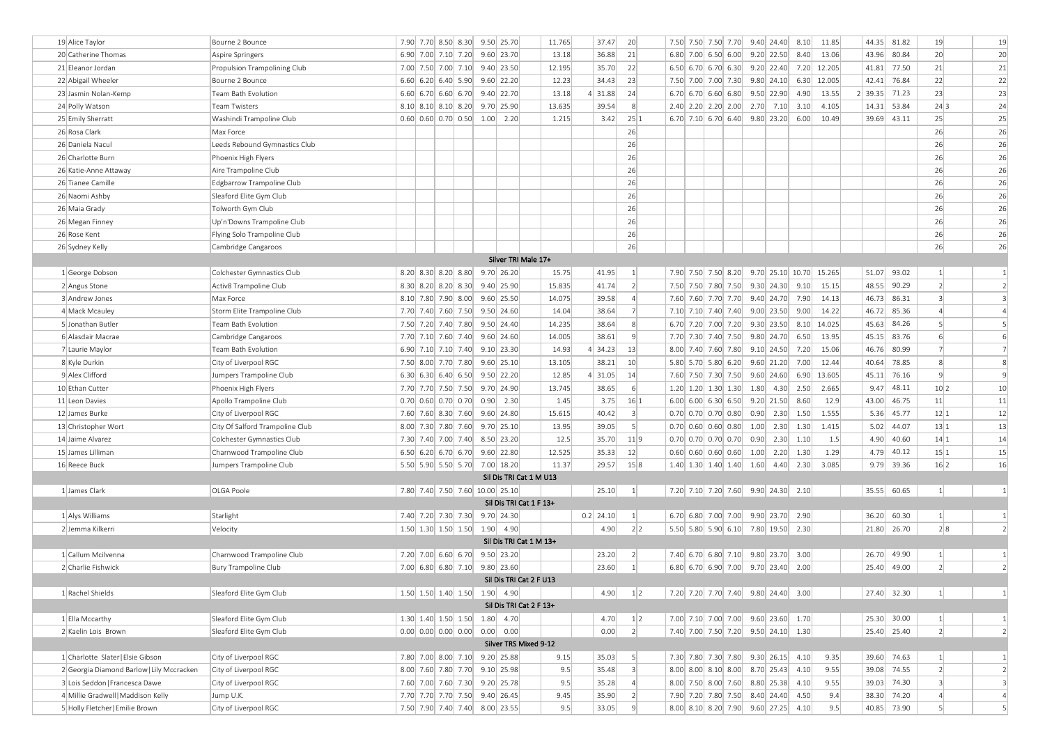| 19 Alice Taylor                           | Bourne 2 Bounce                 | 7.90 7.70 8.50 8.30 9.50 25.70                                   |  |  |                         | 11.765 | 37.47                                                                                                                                                                                                                                                                                                                         | 20               | 7.50 7.50 7.50 7.70 9.40 24.40 8.10 11.85                     |             |      |             |               | 44.35 81.82 | 19               | 19             |
|-------------------------------------------|---------------------------------|------------------------------------------------------------------|--|--|-------------------------|--------|-------------------------------------------------------------------------------------------------------------------------------------------------------------------------------------------------------------------------------------------------------------------------------------------------------------------------------|------------------|---------------------------------------------------------------|-------------|------|-------------|---------------|-------------|------------------|----------------|
| 20 Catherine Thomas                       | Aspire Springers                | 6.90 7.00 7.10 7.20                                              |  |  | $9.60$ 23.70            | 13.18  | 36.88                                                                                                                                                                                                                                                                                                                         | 21               | 6.80 7.00 6.50 6.00 9.20 22.50                                |             | 8.40 | 13.06       |               | 43.96 80.84 | 20               | 20             |
| 21 Eleanor Jordan                         | Propulsion Trampolining Club    | 7.00 7.50 7.00 7.10 9.40 23.50                                   |  |  |                         | 12.195 | 35.70                                                                                                                                                                                                                                                                                                                         | 22               | 6.50 6.70 6.70 6.30 9.20 22.40                                |             |      | 7.20 12.205 |               | 41.81 77.50 | 21               | 21             |
| 22 Abigail Wheeler                        | Bourne 2 Bounce                 | $6.60$ 6.20 6.40 5.90                                            |  |  | $9.60$ 22.20            | 12.23  | 34.43                                                                                                                                                                                                                                                                                                                         | 23               | 7.50 7.00 7.00 7.30 9.80 24.10                                |             |      | 6.30 12.005 | 42.41         | 76.84       | 22               | 22             |
| 23 Jasmin Nolan-Kemp                      | Team Bath Evolution             | 6.60 6.70 6.60 6.70 9.40 22.70                                   |  |  |                         | 13.18  | 4 31.88                                                                                                                                                                                                                                                                                                                       | 24               | 6.70 6.70 6.60 6.80 9.50 22.90                                |             | 4.90 | 13.55       | 2 39.35 71.23 |             | 23               | 23             |
| 24 Polly Watson                           | Team Twisters                   | 8.10 8.10 8.10 8.20 9.70 25.90                                   |  |  |                         | 13.635 | 39.54                                                                                                                                                                                                                                                                                                                         | 8 <sup>1</sup>   | 2.40 2.20 2.20 2.00 2.70 7.10                                 |             | 3.10 | 4.105       |               | 14.31 53.84 | 24 3             | 24             |
| 25 Emily Sherratt                         | Washindi Trampoline Club        | $0.60$ 0.60 0.70 0.50 1.00 2.20                                  |  |  |                         | 1.215  | 3.42                                                                                                                                                                                                                                                                                                                          | 25 1             | 6.70 7.10 6.70 6.40 9.80 23.20 6.00                           |             |      | 10.49       |               | 39.69 43.11 | 25               | 25             |
| 26 Rosa Clark                             | Max Force                       |                                                                  |  |  |                         |        |                                                                                                                                                                                                                                                                                                                               | 26               |                                                               |             |      |             |               |             | 26               | 26             |
| 26 Daniela Nacul                          | Leeds Rebound Gymnastics Club   |                                                                  |  |  |                         |        |                                                                                                                                                                                                                                                                                                                               | 26               |                                                               |             |      |             |               |             | 26               | 26             |
| 26 Charlotte Burn                         | Phoenix High Flyers             |                                                                  |  |  |                         |        |                                                                                                                                                                                                                                                                                                                               | 26               |                                                               |             |      |             |               |             | 26               | 26             |
| 26 Katie-Anne Attaway                     | Aire Trampoline Club            |                                                                  |  |  |                         |        |                                                                                                                                                                                                                                                                                                                               | 26               |                                                               |             |      |             |               |             | 26               | 26             |
| 26 Tianee Camille                         | Edgbarrow Trampoline Club       |                                                                  |  |  |                         |        |                                                                                                                                                                                                                                                                                                                               | 26               |                                                               |             |      |             |               |             | 26               | 26             |
| 26 Naomi Ashby                            | Sleaford Elite Gym Club         |                                                                  |  |  |                         |        |                                                                                                                                                                                                                                                                                                                               | 26               |                                                               |             |      |             |               |             | 26               | 26             |
| 26 Maia Grady                             | Tolworth Gym Club               |                                                                  |  |  |                         |        |                                                                                                                                                                                                                                                                                                                               | 26               |                                                               |             |      |             |               |             | 26               | 26             |
| 26 Megan Finney                           | Up'n'Downs Trampoline Club      |                                                                  |  |  |                         |        |                                                                                                                                                                                                                                                                                                                               | 26               |                                                               |             |      |             |               |             | 26               | 26             |
| 26 Rose Kent                              | Flying Solo Trampoline Club     |                                                                  |  |  |                         |        |                                                                                                                                                                                                                                                                                                                               | 26               |                                                               |             |      |             |               |             | 26               | 26             |
| 26 Sydney Kelly                           | Cambridge Cangaroos             |                                                                  |  |  |                         |        |                                                                                                                                                                                                                                                                                                                               | 26               |                                                               |             |      |             |               |             | 26               | 26             |
|                                           |                                 |                                                                  |  |  | Silver TRI Male 17+     |        |                                                                                                                                                                                                                                                                                                                               |                  |                                                               |             |      |             |               |             |                  |                |
| 1 George Dobson                           | Colchester Gymnastics Club      | $8.20$ $8.30$ $8.20$ $8.80$                                      |  |  | $9.70$ 26.20            | 15.75  | 41.95                                                                                                                                                                                                                                                                                                                         | 1                | 7.90 7.50 7.50 8.20 9.70 25.10 10.70 15.265                   |             |      |             |               | 51.07 93.02 | $\left  \right $ | 1              |
| 2 Angus Stone                             | Activ8 Trampoline Club          | $8.30 \begin{array}{ c c c c c } 8.20 & 8.20 & 8.30 \end{array}$ |  |  | 9.40 25.90              | 15.835 | 41.74                                                                                                                                                                                                                                                                                                                         | $\left  \right $ | 7.50 7.50 7.80 7.50 9.30 24.30 9.10                           |             |      | 15.15       | 48.55         | 90.29       | $\overline{2}$   | $\overline{2}$ |
| 3 Andrew Jones                            | Max Force                       | 8.10 7.80 7.90 8.00 9.60 25.50                                   |  |  |                         | 14.075 | 39.58                                                                                                                                                                                                                                                                                                                         | $\left 4\right $ | 7.60 7.60 7.70 7.70 9.40 24.70 7.90                           |             |      | 14.13       |               | 46.73 86.31 | $\overline{3}$   | 3              |
| 4 Mack Mcauley                            | Storm Elite Trampoline Club     | 7.70 7.40 7.60 7.50 9.50 24.60                                   |  |  |                         | 14.04  | 38.64                                                                                                                                                                                                                                                                                                                         | 7                | 7.10 7.10 7.40 7.40 9.00 23.50                                |             | 9.00 | 14.22       | 46.72         | 85.36       | $\overline{4}$   | $\overline{4}$ |
| 5 Jonathan Butler                         | Team Bath Evolution             | 7.50 7.20 7.40 7.80 9.50 24.40                                   |  |  |                         | 14.235 | 38.64                                                                                                                                                                                                                                                                                                                         | 8 <sup>1</sup>   | 6.70 7.20 7.00 7.20 9.30 23.50 8.10 14.025                    |             |      |             | 45.63         | 84.26       | 5                | 5              |
| 6 Alasdair Macrae                         | Cambridge Cangaroos             | 7.70 7.10 7.60 7.40 9.60 24.60                                   |  |  |                         | 14.005 | 38.61                                                                                                                                                                                                                                                                                                                         | $\overline{9}$   | 7.70 7.30 7.40 7.50 9.80 24.70                                |             | 6.50 | 13.95       | 45.15         | 83.76       | 6                | 6              |
| 7 Laurie Maylor                           | Team Bath Evolution             | 6.90 7.10 7.10 7.40 9.10 23.30                                   |  |  |                         | 14.93  | 4 34.23                                                                                                                                                                                                                                                                                                                       | 13               | 8.00 7.40 7.60 7.80 9.10 24.50                                |             | 7.20 | 15.06       | 46.76         | 80.99       | $\overline{7}$   | $\overline{7}$ |
| 8 Kyle Durkin                             | City of Liverpool RGC           | 7.50 8.00 7.70 7.80 9.60 25.10                                   |  |  |                         | 13.105 | 38.21                                                                                                                                                                                                                                                                                                                         | 10 <sup>1</sup>  | 5.80 5.70 5.80 6.20 9.60 21.20                                |             | 7.00 | 12.44       | 40.64         | 78.85       | 8                | 8              |
| 9 Alex Clifford                           | Jumpers Trampoline Club         | 6.30 6.30 6.40 6.50 9.50 22.20                                   |  |  |                         | 12.85  | $4$ 31.05                                                                                                                                                                                                                                                                                                                     | 14               | 7.60 7.50 7.30 7.50 9.60 24.60                                |             | 6.90 | 13.605      |               | 45.11 76.16 | $\mathbf{q}$     | 9              |
| 10 Ethan Cutter                           | Phoenix High Flyers             | 7.70 7.70 7.50 7.50 9.70 24.90                                   |  |  |                         | 13.745 | 38.65                                                                                                                                                                                                                                                                                                                         | $6 \mid$         | $1.20 \mid 1.20 \mid 1.30 \mid 1.30 \mid 1.80 \mid 4.30 \mid$ |             | 2.50 | 2.665       | 9.47          | 48.11       | 10 2             | 10             |
| 11 Leon Davies                            | Apollo Trampoline Club          | $0.70$ 0.60 0.70 0.70                                            |  |  | 0.90 2.30               | 1.45   | 3.75                                                                                                                                                                                                                                                                                                                          | 16 1             | 6.00 6.00 6.30 6.50 9.20 21.50 8.60                           |             |      | 12.9        | 43.00         | 46.75       | 11               | 11             |
| 12 James Burke                            | City of Liverpool RGC           | 7.60 7.60 8.30 7.60 9.60 24.80                                   |  |  |                         | 15.615 | 40.42                                                                                                                                                                                                                                                                                                                         | $\vert$ 3        | $0.70$ 0.70 0.70 0.80 0.90 2.30                               |             | 1.50 | 1.555       | 5.36          | 45.77       | 12 1             | 12             |
| 13 Christopher Wort                       | City Of Salford Trampoline Club | 8.00 7.30 7.80 7.60 9.70 25.10                                   |  |  |                         | 13.95  | 39.05                                                                                                                                                                                                                                                                                                                         | 5 <sup>1</sup>   | $0.70$ 0.60 0.60 0.80                                         | $1.00$ 2.30 | 1.30 | 1.415       | 5.02          | 44.07       | 13 1             | 13             |
| 14 Jaime Alvarez                          | Colchester Gymnastics Club      | 7.30 7.40 7.00 7.40 8.50 23.20                                   |  |  |                         | 12.5   | 35.70                                                                                                                                                                                                                                                                                                                         | 11 9             | $0.70$ 0.70 0.70 0.70 0.90 2.30 1.10                          |             |      | 1.5         | 4.90          | 40.60       | 14 1             | 14             |
| 15 James Lilliman                         | Charnwood Trampoline Club       | 6.50 6.20 6.70 6.70 9.60 22.80                                   |  |  |                         | 12.525 | 35.33                                                                                                                                                                                                                                                                                                                         | 12               | $0.60$ 0.60 0.60 0.60 1.00 2.20 1.30                          |             |      | 1.29        | 4.79          | 40.12       | 15 1             | 15             |
| 16 Reece Buck                             | Jumpers Trampoline Club         | 5.50 5.90 5.50 5.70 7.00 18.20                                   |  |  |                         | 11.37  | 29.57                                                                                                                                                                                                                                                                                                                         | 15 8             |                                                               |             |      | 3.085       |               | 9.79 39.36  | 16 2             | 16             |
|                                           |                                 |                                                                  |  |  | Sil Dis TRI Cat 1 M U13 |        |                                                                                                                                                                                                                                                                                                                               |                  |                                                               |             |      |             |               |             |                  |                |
| 1 James Clark                             | OLGA Poole                      | 7.80 7.40 7.50 7.60 10.00 25.10                                  |  |  |                         |        | 25.10                                                                                                                                                                                                                                                                                                                         | 1                | 7.20 7.10 7.20 7.60 9.90 24.30 2.10                           |             |      |             |               | 35.55 60.65 | $\vert$ 1        | $\mathbf{1}$   |
|                                           |                                 |                                                                  |  |  | Sil Dis TRI Cat 1 F 13+ |        |                                                                                                                                                                                                                                                                                                                               |                  |                                                               |             |      |             |               |             |                  |                |
| 1 Alys Williams                           | Starlight                       | 7.40 7.20 7.30 7.30 9.70 24.30                                   |  |  |                         |        | $0.2$ 24.10                                                                                                                                                                                                                                                                                                                   | 1                | 6.70 6.80 7.00 7.00 9.90 23.70 2.90                           |             |      |             | 36.20         | 60.30       | 1                | $\mathbf{1}$   |
| 2 Jemma Kilkerri                          | Velocity                        | 1.50 1.30 1.50 1.50 1.90 4.90                                    |  |  |                         |        | 4.90                                                                                                                                                                                                                                                                                                                          | 2 2              | 5.50 5.80 5.90 6.10 7.80 19.50 2.30                           |             |      |             |               | 21.80 26.70 | 2 8              | $\overline{2}$ |
|                                           |                                 |                                                                  |  |  | Sil Dis TRI Cat 1 M 13+ |        |                                                                                                                                                                                                                                                                                                                               |                  |                                                               |             |      |             |               |             |                  |                |
| 1 Callum Mcilvenna                        | Charnwood Trampoline Club       | 7.20 7.00 6.60 6.70 9.50 23.20                                   |  |  |                         |        | 23.20                                                                                                                                                                                                                                                                                                                         | $\left  \right $ | 7.40 6.70 6.80 7.10 9.80 23.70 3.00                           |             |      |             |               | 26.70 49.90 | $\vert$ 1        | 1              |
| 2 Charlie Fishwick                        | <b>Bury Trampoline Club</b>     | 7.00 6.80 6.80 7.10 9.80 23.60                                   |  |  |                         |        | 23.60                                                                                                                                                                                                                                                                                                                         | 1                | 6.80 6.70 6.90 7.00 9.70 23.40 2.00                           |             |      |             |               | 25.40 49.00 | $\overline{2}$   | $\overline{2}$ |
|                                           |                                 |                                                                  |  |  | Sil Dis TRI Cat 2 F U13 |        |                                                                                                                                                                                                                                                                                                                               |                  |                                                               |             |      |             |               |             |                  |                |
| 1 Rachel Shields                          | Sleaford Elite Gym Club         |                                                                  |  |  |                         |        | $\begin{vmatrix} 1.50 & 1.50 & 1.40 & 1.50 & 1.90 & 4.90 \end{vmatrix}$ $\begin{vmatrix} 1 & 0 & 0 & 0 & 0 \\ 0 & 1 & 0 & 0 & 0 \\ 0 & 0 & 0 & 0 & 0 \\ 0 & 0 & 0 & 0 & 0 \\ 0 & 0 & 0 & 0 & 0 \\ 0 & 0 & 0 & 0 & 0 \\ 0 & 0 & 0 & 0 & 0 \\ 0 & 0 & 0 & 0 & 0 \\ 0 & 0 & 0 & 0 & 0 \\ 0 & 0 & 0 & 0 & 0 \\ 0 & 0 & 0 & 0 & 0$ |                  | 7.20 7.20 7.70 7.40 9.80 24.40 3.00                           |             |      |             |               | 27.40 32.30 |                  | $\mathbf{I}$   |
|                                           |                                 |                                                                  |  |  | Sil Dis TRI Cat 2 F 13+ |        |                                                                                                                                                                                                                                                                                                                               |                  |                                                               |             |      |             |               |             |                  |                |
| 1 Ella Mccarthy                           | Sleaford Elite Gym Club         | 1.30 1.40 1.50 1.50 1.80 4.70                                    |  |  |                         |        | 4.70                                                                                                                                                                                                                                                                                                                          | 1 2              | 7.00 7.10 7.00 7.00 9.60 23.60 1.70                           |             |      |             |               | 25.30 30.00 | $\left  \right $ | $\mathbf{1}$   |
| 2 Kaelin Lois Brown                       | Sleaford Elite Gym Club         |                                                                  |  |  |                         |        | 0.00                                                                                                                                                                                                                                                                                                                          | 2                | 7.40 7.00 7.50 7.20 9.50 24.10 1.30                           |             |      |             |               | 25.40 25.40 | $\left 2\right $ | $\overline{2}$ |
|                                           |                                 |                                                                  |  |  | Silver TRS Mixed 9-12   |        |                                                                                                                                                                                                                                                                                                                               |                  |                                                               |             |      |             |               |             |                  |                |
| 1 Charlotte Slater   Elsie Gibson         | City of Liverpool RGC           | 7.80 7.00 8.00 7.10 9.20 25.88                                   |  |  |                         | 9.15   | 35.03                                                                                                                                                                                                                                                                                                                         | 5 <sup>1</sup>   | 7.30 7.80 7.30 7.80 9.30 26.15 4.10                           |             |      | 9.35        |               | 39.60 74.63 | 1                | $\mathbf{1}$   |
| 2 Georgia Diamond Barlow   Lily Mccracken | City of Liverpool RGC           | 8.00 7.60 7.80 7.70 9.10 25.98                                   |  |  |                         | 9.5    | 35.48                                                                                                                                                                                                                                                                                                                         | $\vert$ 3        | 8.00 8.00 8.10 8.00 8.70 25.43 4.10                           |             |      | 9.55        |               | 39.08 74.55 | $\overline{2}$   | $\overline{2}$ |
| 3 Lois Seddon   Francesca Dawe            | City of Liverpool RGC           | 7.60 7.00 7.60 7.30 9.20 25.78                                   |  |  |                         | 9.5    | 35.28                                                                                                                                                                                                                                                                                                                         | $\left 4\right $ | 8.00 7.50 8.00 7.60 8.80 25.38 4.10                           |             |      | 9.55        |               | 39.03 74.30 | $\overline{3}$   | 3              |
|                                           |                                 |                                                                  |  |  |                         |        |                                                                                                                                                                                                                                                                                                                               |                  |                                                               |             |      |             |               |             |                  |                |
| 4 Millie Gradwell   Maddison Kelly        | Jump U.K.                       | 7.70 7.70 7.70 7.50 9.40 26.45                                   |  |  |                         | 9.45   | 35.90                                                                                                                                                                                                                                                                                                                         | 2                | 7.90 7.20 7.80 7.50 8.40 24.40 4.50                           |             |      | 9.4         |               | 38.30 74.20 | $\overline{4}$   | $\overline{4}$ |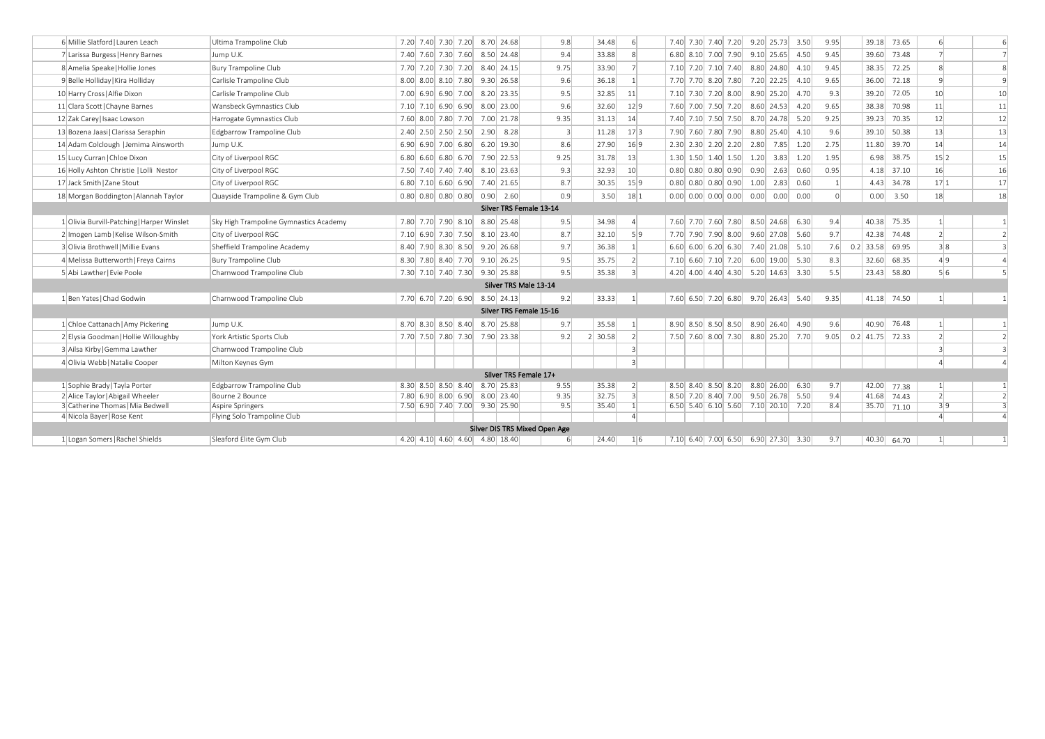| 6 Millie Slatford Lauren Leach             | Ultima Trampoline Club                 | 7.20 7.40 7.30 7.20 8.70 24.68  | 9.8                           | 34.48               | 6               | 7.40 7.30 7.40 7.20 9.20 25.73 3.50 |  |      |             | 9.95    |             | 39.18 73.65       | 6                | 6              |
|--------------------------------------------|----------------------------------------|---------------------------------|-------------------------------|---------------------|-----------------|-------------------------------------|--|------|-------------|---------|-------------|-------------------|------------------|----------------|
| 7 Larissa Burgess   Henry Barnes           | Jump U.K.                              | 7.40 7.60 7.30 7.60 8.50 24.48  | 9.4                           | 33.88               | 8               | 6.80 8.10 7.00 7.90 9.10 25.65      |  |      | 4.50        | 9.45    | 39.60       | 73.48             |                  | $\overline{7}$ |
| 8 Amelia Speake   Hollie Jones             | <b>Bury Trampoline Club</b>            | 7.70 7.20 7.30 7.20 8.40 24.15  | 9.75                          | 33.90               |                 | 7.10 7.20 7.10 7.40 8.80 24.80 4.10 |  |      |             | 9.45    |             | 38.35 72.25       | 8                |                |
| 9 Belle Holliday Kira Holliday             | Carlisle Trampoline Club               | 8.00 8.00 8.10 7.80 9.30 26.58  | 9.6                           | 36.18               |                 | 7.70 7.70 8.20 7.80 7.20 22.25 4.10 |  |      |             | 9.65    |             | 36.00 72.18       | $\mathbf{q}$     | 9              |
| 10 Harry Cross   Alfie Dixon               | Carlisle Trampoline Club               | 7.00 6.90 6.90 7.00 8.20 23.35  | 9.5                           | 32.85               | 11              | 7.10 7.30 7.20 8.00 8.90 25.20      |  |      | 4.70        | 9.3     | 39.20       | 72.05             | 10               | 10             |
| 11 Clara Scott Chayne Barnes               | Wansbeck Gymnastics Club               | 7.10 7.10 6.90 6.90 8.00 23.00  | 9.6                           | 32.60               | 12 9            | 7.60 7.00 7.50 7.20 8.60 24.53      |  |      | 4.20        | 9.65    |             | 38.38 70.98       | 11               | 11             |
| 12 Zak Carey   Isaac Lowson                | Harrogate Gymnastics Club              | 7.60 8.00 7.80 7.70 7.00 21.78  | 9.35                          | 31.13               | 14              | 7.40 7.10 7.50 7.50 8.70 24.78 5.20 |  |      |             | 9.25    |             | 39.23 70.35       | 12               | 12             |
| 13 Bozena Jaasil Clarissa Seraphin         | Edgbarrow Trampoline Club              | 2.40 2.50 2.50 2.50 2.90 8.28   | $\vert$ 3                     | 11.28               | 17 3            | 7.90 7.60 7.80 7.90 8.80 25.40 4.10 |  |      |             | 9.6     | 39.10       | 50.38             | 13               | 13             |
| 14 Adam Colclough   Jemima Ainsworth       | Jump U.K.                              | 6.90 6.90 7.00 6.80 6.20 19.30  | 8.6                           | 27.90               | 16 9            | $2.30$ $2.30$ $2.20$ $2.20$ $2.80$  |  | 7.85 | 1.20        | 2.75    |             | 11.80 39.70       | 14               | 14             |
| 15 Lucy Curran   Chloe Dixon               | City of Liverpool RGC                  | 6.80 6.60 6.80 6.70 7.90 22.53  | 9.25                          | 31.78               | 13              | 1.30 1.50 1.40 1.50 1.20 3.83 1.20  |  |      |             | 1.95    |             | 6.98 38.75        | 15 2             | 15             |
| 16 Holly Ashton Christie   Lolli Nestor    | City of Liverpool RGC                  | 7.50 7.40 7.40 7.40 8.10 23.63  | 9.3                           | 32.93               | 10 <sup>1</sup> | $0.80$ $0.80$ $0.80$ $0.90$ $0.90$  |  |      | $2.63$ 0.60 | 0.95    |             | 4.18 37.10        | 16               | 16             |
| 17 Jack Smith Zane Stout                   | City of Liverpool RGC                  | 6.80 7.10 6.60 6.90 7.40 21.65  | 8.7                           | 30.35               | 15 9            | $0.80$ $0.80$ $0.80$ $0.90$ $1.00$  |  |      | 2.83 0.60   |         |             | 4.43 34.78        | 17 1             | 17             |
| 18 Morgan Boddington   Alannah Taylor      | Quayside Trampoline & Gym Club         | $0.80$ 0.80 0.80 0.80 0.90 2.60 | 0.9                           | 3.50                | 18 1            | 0.00 0.00 0.00 0.00 0.00 0.00 0.00  |  |      |             | $\circ$ |             | $0.00$ 3.50       | 18               | 18             |
|                                            |                                        |                                 | Silver TRS Female 13-14       |                     |                 |                                     |  |      |             |         |             |                   |                  |                |
| 1 Olivia Burvill-Patching   Harper Winslet | Sky High Trampoline Gymnastics Academy | 7.80 7.70 7.90 8.10 8.80 25.48  | 9.5                           | 34.98               | 4 <sup>1</sup>  | 7.60 7.70 7.60 7.80 8.50 24.68 6.30 |  |      |             | 9.4     |             | 40.38 75.35       |                  |                |
| 2 Imogen Lamb   Kelise Wilson-Smith        | City of Liverpool RGC                  | 7.10 6.90 7.30 7.50 8.10 23.40  | 8.7                           | 32.10               | 5 9             | 7.70 7.90 7.90 8.00 9.60 27.08 5.60 |  |      |             | 9.7     |             | 42.38 74.48       | $\overline{2}$   |                |
| 3 Olivia Brothwell   Millie Evans          | Sheffield Trampoline Academy           | 8.40 7.90 8.30 8.50 9.20 26.68  | 9.7                           | 36.38               | 1 <sup>1</sup>  | 6.60 6.00 6.20 6.30 7.40 21.08 5.10 |  |      |             | 7.6     | $0.2$ 33.58 | 69.95             | 3 8              | 3              |
| 4 Melissa Butterworth   Freya Cairns       | Bury Trampoline Club                   | 8.30 7.80 8.40 7.70 9.10 26.25  | 9.5                           | 35.75               | 2               | 7.10 6.60 7.10 7.20 6.00 19.00      |  |      | 5.30        | 8.3     |             | 32.60 68.35       | 4 9              | $\overline{4}$ |
| 5 Abi Lawther   Evie Poole                 | Charnwood Trampoline Club              | 7.30 7.10 7.40 7.30 9.30 25.88  | 9.5                           | 35.38               | 3               | 4.20 4.00 4.40 4.30 5.20 14.63 3.30 |  |      |             | 5.5     |             | 23.43 58.80       | 5 6              | 5              |
|                                            |                                        |                                 | Silver TRS Male 13-14         |                     |                 |                                     |  |      |             |         |             |                   |                  |                |
| 1 Ben Yates   Chad Godwin                  | Charnwood Trampoline Club              | 7.70 6.70 7.20 6.90 8.50 24.13  | 9.2                           | 33.33               | 1               | 7.60 6.50 7.20 6.80 9.70 26.43 5.40 |  |      |             | 9.35    |             | 41.18 74.50       |                  |                |
|                                            |                                        |                                 | Silver TRS Female 15-16       |                     |                 |                                     |  |      |             |         |             |                   |                  |                |
| 1 Chloe Cattanach   Amy Pickering          | Jump U.K.                              | 8.70 8.30 8.50 8.40 8.70 25.88  | 9.7                           | 35.58               | 1               | 8.90 8.50 8.50 8.50 8.90 26.40 4.90 |  |      |             | 9.6     |             | 40.90 76.48       |                  |                |
| 2 Elysia Goodman   Hollie Willoughby       | York Artistic Sports Club              | 7.70 7.50 7.80 7.30 7.90 23.38  | 9.2                           | $2 \mid 30.58 \mid$ | 2               | 7.50 7.60 8.00 7.30 8.80 25.20 7.70 |  |      |             | 9.05    |             | $0.2$ 41.75 72.33 | $\overline{2}$   |                |
| 3 Ailsa Kirby Gemma Lawther                | Charnwood Trampoline Club              |                                 |                               |                     | $\overline{3}$  |                                     |  |      |             |         |             |                   |                  |                |
| 4 Olivia Webb   Natalie Cooper             | Milton Keynes Gym                      |                                 |                               |                     | $\overline{3}$  |                                     |  |      |             |         |             |                   |                  |                |
|                                            |                                        |                                 | Silver TRS Female 17+         |                     |                 |                                     |  |      |             |         |             |                   |                  |                |
| 1 Sophie Brady Tayla Porter                | Edgbarrow Trampoline Club              | 8.30 8.50 8.50 8.40 8.70 25.83  | 9.55                          | 35.38               | 2               | 8.50 8.40 8.50 8.20 8.80 26.00 6.30 |  |      |             | 9.7     |             | 42.00 77.38       | $\left  \right $ |                |
| 2 Alice Taylor   Abigail Wheeler           | Bourne 2 Bounce                        | 7.80 6.90 8.00 6.90 8.00 23.40  | 9.35                          | 32.75               | 3               | 8.50 7.20 8.40 7.00 9.50 26.78 5.50 |  |      |             | 9.4     |             | 41.68 74.43       | $\overline{2}$   | $\overline{2}$ |
| 3 Catherine Thomas   Mia Bedwell           | Aspire Springers                       | 7.50 6.90 7.40 7.00 9.30 25.90  | 9.5                           | 35.40               | 1               | 6.50 5.40 6.10 5.60 7.10 20.10 7.20 |  |      |             | 8.4     |             | 35.70 71.10       | 3 9              | 3              |
| 4 Nicola Bayer   Rose Kent                 | Flying Solo Trampoline Club            |                                 |                               |                     | $\vert$         |                                     |  |      |             |         |             |                   | $\Delta$         | $\overline{4}$ |
|                                            |                                        |                                 | Silver DIS TRS Mixed Open Age |                     |                 |                                     |  |      |             |         |             |                   |                  |                |
| 1 Logan Somers   Rachel Shields            | Sleaford Elite Gym Club                | 4.20 4.10 4.60 4.60 4.80 18.40  | $6 \mid$                      | 24.40               | 1 6             | 7.10 6.40 7.00 6.50 6.90 27.30 3.30 |  |      |             | 9.7     |             | 40.30 64.70       |                  |                |
|                                            |                                        |                                 |                               |                     |                 |                                     |  |      |             |         |             |                   |                  |                |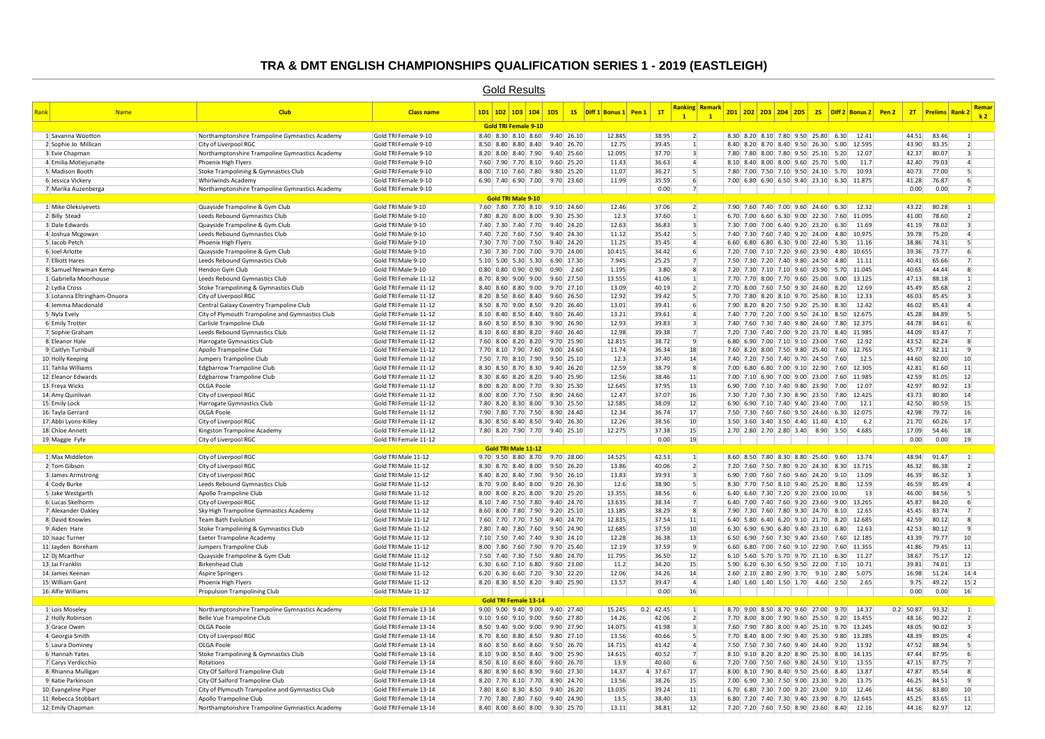#### **TRA & DMT ENGLISH CHAMPIONSHIPS QUALIFICATION SERIES 1 - 2019 (EASTLEIGH)**

|                                          |                                                                       |                                                | Gold Results                                                                              |                         |                                                     |              |                                                                  |                                  |                |                   |                          |
|------------------------------------------|-----------------------------------------------------------------------|------------------------------------------------|-------------------------------------------------------------------------------------------|-------------------------|-----------------------------------------------------|--------------|------------------------------------------------------------------|----------------------------------|----------------|-------------------|--------------------------|
|                                          |                                                                       |                                                |                                                                                           |                         |                                                     |              |                                                                  |                                  |                |                   | Remar                    |
| Rank<br><b>Name</b>                      | <b>Club</b>                                                           | <b>Class name</b>                              | 1D1 1D2 1D3 1D4 1D5                                                                       | 15 Diff 1 Bonus 1 Pen 1 | <b>Ranking Remark</b><br>1T<br>$\mathbf{1}$         | $\mathbf{1}$ | 2D1 2D2 2D3 2D4 2D5                                              | 2S<br>Diff 2 Bonus 2 Pen 2       | 2T Prelims     | Rank <sub>2</sub> | k <sub>2</sub>           |
|                                          |                                                                       |                                                | <b>Gold TRI Female 9-10</b>                                                               |                         |                                                     |              |                                                                  |                                  |                |                   |                          |
| 1 Savanna Wootton                        | Northamptonshire Trampoline Gymnastics Academy                        | Gold TRI Female 9-10                           | $8.40 \begin{array}{ c c c } 8.30 & 8.10 & 8.60 \end{array}$<br>$9.40 \ 26.10$            | 12.845                  | 38.95<br>$\overline{2}$                             |              | 8.30 8.20 8.10 7.80 9.50 25.80                                   | 6.30<br>12.41                    | 44.51          | 83.46             | $\mathbf{1}$             |
| 2 Sophie Jo Millican                     | City of Liverpool RGC                                                 | Gold TRI Female 9-10                           | 8.50 8.80 8.80 8.40<br>$9.40 \, 26.70$                                                    | 12.75                   | 39.45<br>$\mathbf{1}$                               |              | 8.40 8.20 8.70 8.40 9.50 26.30                                   | 5.00<br>12.595                   | 43.90          | 83.35             | $\overline{\phantom{a}}$ |
| 3 Evie Chapman                           | Northamptonshire Trampoline Gymnastics Academy                        | Gold TRI Female 9-10                           | 9.40 25.60<br>8.20 8.00 8.40 7.90                                                         | 12.095                  | 37.70<br>3                                          |              | 7.80 7.80 8.00 7.80 9.50 25.10                                   | 5.20<br>12.07                    | 42.37          | 80.07             | 3                        |
| 4 Emilia Motiejunaite                    | Phoenix High Flyers                                                   | Gold TRI Female 9-10                           | 7.60 7.90 7.70 8.10<br>$9.60$ 25.20                                                       | 11.43                   | 36.63<br>$\overline{4}$                             |              | 8.10 8.40 8.00 8.00 9.60 25.70                                   | 5.00<br>11.7                     | 42.40          | 79.03             | $\vert$                  |
| 5 Madison Booth                          | Stoke Trampolining & Gymnastics Club                                  | Gold TRI Female 9-10                           | 8.00 7.10 7.60 7.80<br>9.80 25.20                                                         | 11.07                   | 36.27<br>5<br>6                                     |              | 7.80 7.00 7.50 7.10 9.50 24.10 5.70                              | 10.93                            | 40.73          | 77.00             | 5                        |
| 6 Jessica Vickery<br>7 Marika Auzenberga | Whirlwinds Academy<br>Northamptonshire Trampoline Gymnastics Academy  | Gold TRI Female 9-10<br>Gold TRI Female 9-10   | 6.90 7.40 6.90 7.00 9.70 23.60                                                            | 11.99                   | 35.59<br>0.00<br>$\overline{7}$                     |              | 7.00 6.80 6.90 6.50 9.40 23.10 6.30 11.875                       |                                  | 41.28<br>0.00  | 76.87<br>0.00     | 6<br>$\overline{7}$      |
|                                          |                                                                       |                                                | <b>Gold TRI Male 9-10</b>                                                                 |                         |                                                     |              |                                                                  |                                  |                |                   |                          |
| 1 Mike Oleksiyevets                      | Quayside Trampoline & Gym Club                                        | Gold TRI Male 9-10                             | 7.60 7.80 7.70 8.10<br>$9.10 \quad 24.60$                                                 | 12.46                   | 37.06<br>$\overline{2}$                             |              | 7.90 7.60 7.40 7.00 9.60 24.60                                   | 6.30<br>12.32                    | 43.22          | 80.28             | 1                        |
| 2 Billy Stead                            | Leeds Rebound Gymnastics Club                                         | Gold TRI Male 9-10                             | 7.80 8.20 8.00 8.00<br>9.30 25.30                                                         | 12.3                    | 37.60<br>$\mathbf{1}$                               |              | 6.70 7.00 6.60 6.30 9.00 22.30                                   | 7.60 11.095                      | 41.00          | 78.60             | $\overline{\phantom{a}}$ |
| 3 Dale Edwards                           | Quayside Trampoline & Gym Club                                        | Gold TRI Male 9-10                             | 7.40 7.30 7.40 7.70<br>9.40 24.20                                                         | 12.63                   | 36.83<br>3                                          |              | 7.30 7.00 7.00 6.40 9.20 23.20                                   | 6.30<br>11.69                    | 41.19          | 78.02             | 3                        |
| 4 Joshua Mcgowan                         | Leeds Rebound Gymnastics Club                                         | Gold TRI Male 9-10                             | 7.40 7.20 7.60 7.50<br>9.40 24.30                                                         | 11.12                   | 35.42<br>5                                          |              | 7.40 7.30 7.60 7.40 9.20 24.00                                   | 4.80 10.975                      | 39.78          | 75.20             | $\overline{4}$           |
| 5 Jacob Petch                            | Phoenix High Flyers                                                   | Gold TRI Male 9-10                             | 7.30 7.70 7.00 7.50<br>$9.40 \mid 24.20$                                                  | 11.25                   | 35.45<br>$\Delta$                                   |              | $6.60$ 6.80 6.80 6.30 9.00 22.40                                 | 5.30<br>11.16                    | 38.86          | 74.31             | 5                        |
| 6 Joel Arlotte                           | Quayside Trampoline & Gym Club                                        | Gold TRI Male 9-10                             | 7.30 7.30 7.00 7.00<br>9.70 24.00                                                         | 10.415                  | 34.42<br>6                                          |              | 7.20 7.00 7.10 7.20 9.60 23.90                                   | 4.80<br>10.655                   | 39.36          | 73.77             | 6                        |
| 7 Elliott Hares                          | Leeds Rebound Gymnastics Club                                         | Gold TRI Male 9-10                             | $5.10$ $5.00$ $5.30$ $5.30$<br>6.90 17.30                                                 | 7.945                   | 25.25                                               |              | 7.50 7.30 7.20 7.40 9.80 24.50                                   | 4.80<br>11.11                    | 40.41          | 65.66             |                          |
| 8 Samuel Newman Kemp                     | Hendon Gvm Club                                                       | Gold TRI Male 9-10                             | $0.80$ $0.80$ $0.90$ $0.90$<br>0.90<br>2.60<br>$8.70$ $8.90$ $9.00$ $9.00$<br>9.60 27.50  | 1.195<br>13.555         | 3.80<br>8<br>41.06<br>1                             |              | 7.20 7.30 7.10 7.10 9.60 23.90<br>7.70 7.70 8.00 7.70 9.60 25.00 | 5.70<br>11.045<br>9.00<br>13.125 | 40.65<br>47.13 | 44.44<br>88.18    | 8<br>$\overline{1}$      |
| 1 Gabriella Moorhouse<br>2 Lydia Cross   | Leeds Rebound Gymnastics Club<br>Stoke Trampolining & Gymnastics Club | Gold TRI Female 11-12<br>Gold TRI Female 11-12 | $8.40 \begin{array}{ c c c c } 8.60 & 8.80 & 9.00 \end{array}$<br>9.70 27.10              | 13.09                   | 40.19<br>$\overline{2}$                             |              | 7.70 8.00 7.60 7.50 9.30 24.60                                   | 8.20<br>12.69                    | 45.49          | 85.68             | $\overline{z}$           |
| 3 Lotanna Eltringham-Onuora              | City of Liverpool RGC                                                 | Gold TRI Female 11-12                          | $8.20$ $8.50$ $8.60$ $8.40$<br>$9.60 \quad 26.50$                                         | 12.92                   | 39.42<br>5                                          |              | 7.70 7.80 8.20 8.10 9.70 25.60                                   | 8.10<br>12.33                    | 46.03          | 85.45             |                          |
| 4 Jemma Macdonald                        | Central Galaxy Coventry Trampoline Club                               | Gold TRI Female 11-12                          | 8.50 8.70 9.00 8.50<br>$9.20 \ 26.40$                                                     | 13.01                   | 39.41<br>$\overline{6}$                             |              | 7.90 8.20 8.20 7.50 9.20 25.30 8.30                              | 12.42                            | 46.02          | 85.43             |                          |
| 5 Nyla Evely                             | City of Plymouth Trampoline and Gymnastics Club                       | Gold TRI Female 11-12                          | $8.10$ $8.40$ $8.50$ $8.40$<br>$9.60$ 26.40                                               | 13.21                   | 39.61<br>$\overline{4}$                             |              | 7.40 7.70 7.20 7.00 9.50 24.10                                   | 8.50 12.675                      | 45.28          | 84.89             |                          |
| 6 Emily Trotter                          | Carlisle Trampoline Club                                              | Gold TRI Female 11-12                          | 8.60 8.50 8.50 8.30<br>9.90 26.90                                                         | 12.93                   | 39.83<br>3                                          |              | 7.40 7.60 7.30 7.40 9.80 24.60                                   | 7.80 12.375                      | 44.78          | 84.61             |                          |
| 7 Sophie Graham                          | Leeds Rebound Gymnastics Club                                         | Gold TRI Female 11-12                          | 8.10 8.60 8.80 8.20<br>9.60 26.40                                                         | 12.98                   | 39.38<br>$\overline{7}$                             |              | 7.20 7.30 7.40 7.00 9.20 23.70                                   | 8.40 11.985                      | 44.09          | 83.47             |                          |
| 8 Eleanor Hale                           | Harrogate Gymnastics Club                                             | Gold TRI Female 11-12                          | 7.60 8.00 8.20 8.20<br>9.70 25.90                                                         | 12.815                  | 38.72<br>9                                          |              | 6.80 6.90 7.00 7.10 9.10 23.00                                   | 7.60<br>12.92                    | 43.52          | 82.24             |                          |
| 9 Caitlyn Turnbull                       | Apollo Trampoline Club                                                | Gold TRI Female 11-12                          | 7.70 8.10 7.90 7.60<br>$9.00 \mid 24.60$                                                  | 11.74                   | 36.34<br>18                                         |              | 7.60 8.20 8.00 7.50 9.80 25.40                                   | 7.60 12.765                      | 45.77          | 82.11             | ٩                        |
| 10 Holly Keeping                         | Jumpers Trampoline Club                                               | Gold TRI Female 11-12                          | 7.50 7.70 8.10 7.90<br>9.50 25.10<br>8.30 8.50 8.70 8.30<br>$9.40 \mid 26.20$             | 12.3<br>12.59           | 37.40<br>14<br>38.79<br>$\mathbf{R}$                |              | 7.40 7.20 7.50 7.40 9.70 24.50<br>7.00 6.80 6.80 7.00 9.10 22.90 | 7.60<br>12.5<br>7.60 12.305      | 44.60<br>42.81 | 82.00<br>81.60    | 10<br>11                 |
| 11 Tahlia Williams<br>12 Eleanor Edwards | Edgbarrow Trampoline Club<br>Edgbarrow Trampoline Club                | Gold TRI Female 11-12<br>Gold TRI Female 11-12 | 8.30 8.40 8.20 8.20<br>9.40 25.90                                                         | 12.56                   | 38.46<br>11                                         |              | 7.00 7.10 6.90 7.00 9.00 23.00                                   | 7.60 11.985                      | 42.59          | 81.05             | 12                       |
| 13 Freya Wicks                           | <b>OLGA Poole</b>                                                     | Gold TRI Female 11-12                          | 8.00 8.20 8.00 7.70<br>9.30 25.30                                                         | 12.645                  | 37.95<br>13                                         |              | 6.90 7.00 7.10 7.40 9.80 23.90                                   | 7.00<br>12.07                    | 42.97          | 80.92             | 13                       |
| 14 Amy Quinlivan                         | City of Liverpool RGC                                                 | Gold TRI Female 11-12                          | 8.00 8.00 7.70 7.50<br>8.90 24.60                                                         | 12.47                   | 37.07<br>16                                         |              | 7.30 7.20 7.30 7.30 8.90 23.50                                   | 7.80<br>12.425                   | 43.73          | 80.80             | 14                       |
| 15 Emily Lock                            | Harrogate Gymnastics Club                                             | Gold TRI Female 11-12                          | 7.80 8.20 8.30 8.00<br>$9.30 \quad 25.50$                                                 | 12.585                  | 38.09<br>12                                         |              | 6.90 6.90 7.10 7.40 9.40 23.40                                   | 7.00<br>12.1                     | 42.50          | 80.59             | 15                       |
| 16 Tayla Gerrard                         | <b>OLGA Poole</b>                                                     | Gold TRI Female 11-12                          | 7.90 7.80 7.70 7.50<br>8.90 24.40                                                         | 12.34                   | 36.74<br>17                                         |              | 7.50 7.30 7.60 7.60 9.50 24.60                                   | 6.30 12.075                      | 42.98          | 79.72             | 16                       |
| 17 Abbi Lyons-Killey                     | City of Liverpool RGC                                                 | Gold TRI Female 11-12                          | 8.30 8.50 8.40 8.50<br>$9.40 \mid 26.30$                                                  | 12.26                   | 38.56<br>10                                         |              | 3.50 3.60 3.40 3.50 4.40 11.40 4.10                              | 6.2                              | 21.70          | 60.26             | 17                       |
| 18 Chloe Annett                          | Kingston Trampoline Academy                                           | Gold TRI Female 11-12                          | 7.80 8.20 7.90 7.70 9.40 25.10                                                            | 12.275                  | 37.38<br>15                                         |              | 2.70 2.80 2.70 2.80 3.40 8.90 3.50 4.685                         |                                  | 17.09          | 54.46             | 18                       |
| 19 Maggie Fyfe                           | City of Liverpool RGC                                                 | Gold TRI Female 11-12                          |                                                                                           |                         | 19<br>0.00                                          |              |                                                                  |                                  | 0.00           | 0.00              | 19                       |
| 1 Max Middleton                          | City of Liverpool RGC                                                 | Gold TRI Male 11-12                            | <b>Gold TRI Male 11-12</b><br>$9.70$ $9.50$ $8.80$ $8.70$<br>9.70 28.00                   | 14.525                  | 42.53<br>1                                          |              | 8.60 8.50 7.80 8.30 8.80 25.60                                   | 9.60<br>13.74                    | 48.94          | 91.47             | $\overline{1}$           |
| 2 Tom Gibson                             | City of Liverpool RGC                                                 | Gold TRI Male 11-12                            | 8.30 8.70 8.40 8.00<br>$9.50 \quad 26.20$                                                 | 13.86                   | 40.06<br>$\overline{2}$                             |              | 7.20 7.60 7.50 7.80 9.20 24.30                                   | 8.30<br>13.715                   | 46.32          | 86.38             |                          |
| 3 James Armstrong                        | City of Liverpool RGC                                                 | Gold TRI Male 11-12                            | 8.40 8.20 8.40 7.90<br>9.50 26.10                                                         | 13.83                   | 39.93<br>$\overline{3}$                             |              | 6.90 7.00 7.60 7.60 9.60 24.20 9.10                              | 13.09                            | 46.39          | 86.32             |                          |
| 4 Cody Burke                             | Leeds Rebound Gymnastics Club                                         | Gold TRI Male 11-12                            | 8.70 9.00 8.40 8.00<br>$9.20 \, 26.30$                                                    | 12.6                    | 38.90<br>5                                          |              | 8.30 7.70 7.50 8.10 9.40 25.20                                   | 8.80<br>12.59                    | 46.59          | 85.49             | $\Delta$                 |
| 5 Jake Westgarth                         | Apollo Trampoline Club                                                | Gold TRI Male 11-12                            | 8.00 8.00 8.20 8.00<br>$9.20$ 25.20                                                       | 13.355                  | 38.56<br>6 <sup>1</sup>                             |              | 6.40 6.60 7.30 7.20 9.20 23.00 10.00                             | 13                               | 46.00          | 84.56             |                          |
| 6 Lucas Skelhorm                         | City of Liverpool RGC                                                 | Gold TRI Male 11-12                            | 8.10 7.40 7.50 7.80<br>9.40 24.70                                                         | 13.635                  | 38.34                                               |              | 6.40 7.00 7.40 7.60 9.20 23.60                                   | 9.00 13.265                      | 45.87          | 84.20             |                          |
| 7 Alexander Oakley                       | Sky High Trampoline Gymnastics Academy                                | Gold TRI Male 11-12                            | 8.60 8.00 7.80 7.90<br>$9.20$ 25.10                                                       | 13.185                  | 38.29<br>$\mathbf{R}$                               |              | 7.90 7.30 7.60 7.80 9.30 24.70                                   | 8.10<br>12.65                    | 45.45          | 83.74             |                          |
| 8 David Knowles                          | <b>Team Bath Evolution</b>                                            | Gold TRI Male 11-12                            | 7.60 7.70 7.70 7.50<br>9.40 24.70                                                         | 12.835                  | 37.54<br>11                                         |              | 6.40 5.80 6.40 6.20 9.10 21.70                                   | 8.20<br>12.685                   | 42.59          | 80.12             |                          |
| 9 Aiden Hare                             | Stoke Trampolining & Gymnastics Club                                  | Gold TRI Male 11-12                            | 7.80 7.40 7.80 7.60<br>9.50 24.90                                                         | 12.685                  | 37.59<br>10                                         |              | $6.30$ 6.90 6.90 6.80 9.40 23.10                                 | 6.80<br>12.63                    | 42.53          | 80.12             | q                        |
| 10 Isaac Turner<br>11 Jayden Boreham     | <b>Exeter Trampoline Academy</b><br>Jumpers Trampoline Club           | Gold TRI Male 11-12<br>Gold TRI Male 11-12     | 7.10 7.50 7.40 7.40<br>9.30 24.10<br>8.00 7.80 7.60 7.90<br>9.70 25.40                    | 12.28<br>12.19          | 36.38<br>13<br>37.59<br>9                           |              | 6.50 6.90 7.60 7.30 9.40 23.60<br>6.60 6.80 7.00 7.60 9.10 22.90 | 7.60 12.185<br>7.60 11.355       | 43.39<br>41.86 | 79.77<br>79.45    | 10<br>11                 |
| 12 Dj Mcarthur                           | Quayside Trampoline & Gym Club                                        | Gold TRI Male 11-12                            | 7.50 7.40 7.30 7.50<br>9.80 24.70                                                         | 11.795                  | 36.50<br>12                                         |              | 6.10 5.60 5.70 5.70 9.70 21.10 6.30                              | 11.27                            | 38.67          | 75.17             | 12                       |
| 13 Jai Franklin                          | <b>Birkenhead Club</b>                                                | Gold TRI Male 11-12                            | $6.30 \begin{array}{ c c c c c c } \hline 6.80 & 7.10 & 6.80 \end{array}$<br>$9.60$ 23.00 | 11.2                    | 34.20<br>15                                         |              | 5.90 6.20 6.30 6.50 9.50 22.00                                   | 7.10<br>10.71                    | 39.81          | 74.01             | 13                       |
| 14 James Keenar                          | Aspire Springers                                                      | Gold TRI Male 11-12                            | $6.20 \mid 6.30 \mid 6.60 \mid 7.20 \mid$<br>$9.30$ 22.20                                 | 12.06                   | 34.26<br>14                                         |              | 2.60 2.10 2.80 2.90 3.70 9.10                                    | 2.80<br>5.075                    | 16.98          | 51.24             | 14 4                     |
| 15 William Gant                          | Phoenix High Flyers                                                   | Gold TRI Male 11-12                            | 8.20 8.30 8.50 8.20<br>$9.40$ 25.90                                                       | 13.57                   | 39.47<br>$\vert$                                    |              | 1.40 1.60 1.40 1.50 1.70 4.60 2.50                               | 2.65                             | 9.75           | 49.22             | $15$ <sup>2</sup>        |
| 16 Alfie Williams                        | Propulsion Trampolining Club                                          | Gold TRI Male 11-12                            |                                                                                           |                         | 0.00<br>16                                          |              |                                                                  |                                  | 0.00           | 0.00              | 16                       |
|                                          |                                                                       |                                                | <b>Gold TRI Female 13-14</b>                                                              |                         |                                                     |              |                                                                  |                                  |                |                   |                          |
| 1 Lois Moseley                           | Northamptonshire Trampoline Gymnastics Academy                        | Gold TRI Female 13-14                          | $9.00$ $9.00$ $9.40$ $9.00$<br>9.40 27.40                                                 | 15.245                  | $0.2$ 42.45<br>$\vert$ 1                            |              | 8.70 9.00 8.50 8.70 9.60 27.00 9.70 14.37                        |                                  | $0.2$ 50.87    | 93.32             | $\vert$ 1                |
| 2 Holly Robinson                         | Belle Vue Trampoline Club                                             | Gold TRI Female 13-14                          | $9.10$ $9.60$ $9.10$ $9.00$<br>9.60 27.80<br>$8.50$ 9.40 9.00 9.00<br>9.90 27.90          | 14.26<br>14.075         | 42.06<br>$\overline{\phantom{a}}$<br>$\overline{3}$ |              | 7.70 8.00 8.00 7.90 9.60 25.50                                   | 9.20 13.455<br>9.70 13.245       | 48.16          | 90.22<br>90.02    | $\overline{\phantom{0}}$ |
| 3 Grace Owen<br>4 Georgia Smith          | <b>OLGA Poole</b><br>City of Liverpool RGC                            | Gold TRI Female 13-14<br>Gold TRI Female 13-14 | 8.70 8.60 8.80 8.50<br>9.80 27.10                                                         | 13.56                   | 41.98<br>40.66<br>5                                 |              | 7.60 7.90 7.80 8.00 9.40 25.10<br>7.70 8.40 8.00 7.90 9.40 25.30 | 9.80 13.285                      | 48.05<br>48.39 | 89.05             | $\Delta$                 |
| 5 Laura Dominey                          | <b>OLGA Poole</b>                                                     | Gold TRI Female 13-14                          | 8.60 8.50 8.60 8.60<br>9.50 26.70                                                         | 14.715                  | 41.42<br>$\overline{4}$                             |              | 7.50 7.50 7.30 7.60 9.40 24.40                                   | 9.20<br>13.92                    | 47.52          | 88.94             | 5                        |
| 6 Hannah Yates                           | Stoke Trampolining & Gymnastics Club                                  | Gold TRI Female 13-14                          | 8.10 9.00 8.50 8.40<br>$9.00 \ 25.90$                                                     | 14.615                  | 40.52                                               |              | 8.10 9.10 8.20 8.20 8.90 25.30                                   | 8.00<br>14.135                   | 47.44          | 87.95             | 6                        |
| 7 Carys Verdicchic                       | Rotations                                                             | Gold TRI Female 13-14                          | $8.50$ $8.10$ $8.60$ $8.60$<br>$9.60 \quad 26.70$                                         | 13.9                    | 40.60<br>6 <sup>1</sup>                             |              | 7.20 7.00 7.50 7.60 9.80 24.50                                   | 9.10<br>13.55                    | 47.15          | 87.75             |                          |
| 8 Rhianna Mulligar                       | City Of Salford Trampoline Club                                       | Gold TRI Female 13-14                          | $8.80$ $8.90$ $8.60$ $8.90$<br>9.60 27.30                                                 | 14.37                   | 4 37.67<br>17                                       |              | 8.00 8.10 7.90 8.40 9.50 25.60                                   | 8.40<br>13.87                    | 47.87          | 85.54             | 8                        |
| 9 Katie Parkinson                        | City Of Salford Trampoline Club                                       | Gold TRI Female 13-14                          | 8.20 7.70 8.10 7.70<br>8.90 24.70                                                         | 13.56                   | 38.26<br>15                                         |              | 7.00 6.90 7.30 7.50 9.00 23.30                                   | 9.20<br>13.75                    | 46.25          | 84.51             | 9                        |
| 10 Evangeline Piper                      | City of Plymouth Trampoline and Gymnastics Club                       | Gold TRI Female 13-14                          | 7.80 8.60 8.30 8.50<br>$9.40 \mid 26.20$                                                  | 13.035                  | 39.24<br>11                                         |              | 6.70 6.80 7.30 7.00 9.20 23.00 9.10                              | 12.46                            | 44.56          | 83.80             | 10                       |
| 11 Rebecca Stobbart                      | Apollo Trampoline Club                                                | Gold TRI Female 13-14                          | 7.70 7.80 7.80 7.60<br>9.40 24.90                                                         | 13.5                    | 38.40<br>13                                         |              | 6.80 7.20 7.40 7.30 9.40 23.90 8.70 12.645                       |                                  | 45.25          | 83.65             | 11                       |
| 12 Emily Chapman                         | Northamptonshire Trampoline Gymnastics Academy                        | Gold TRI Female 13-14                          | 8.40 8.00 8.60 8.00<br>9.30 25.70                                                         | 13.11                   | 38.81<br>12                                         |              | 7.20 7.20 7.60 7.50 8.90 23.60                                   | 8.40<br>12.16                    | 44.16          | 82.97             | 12                       |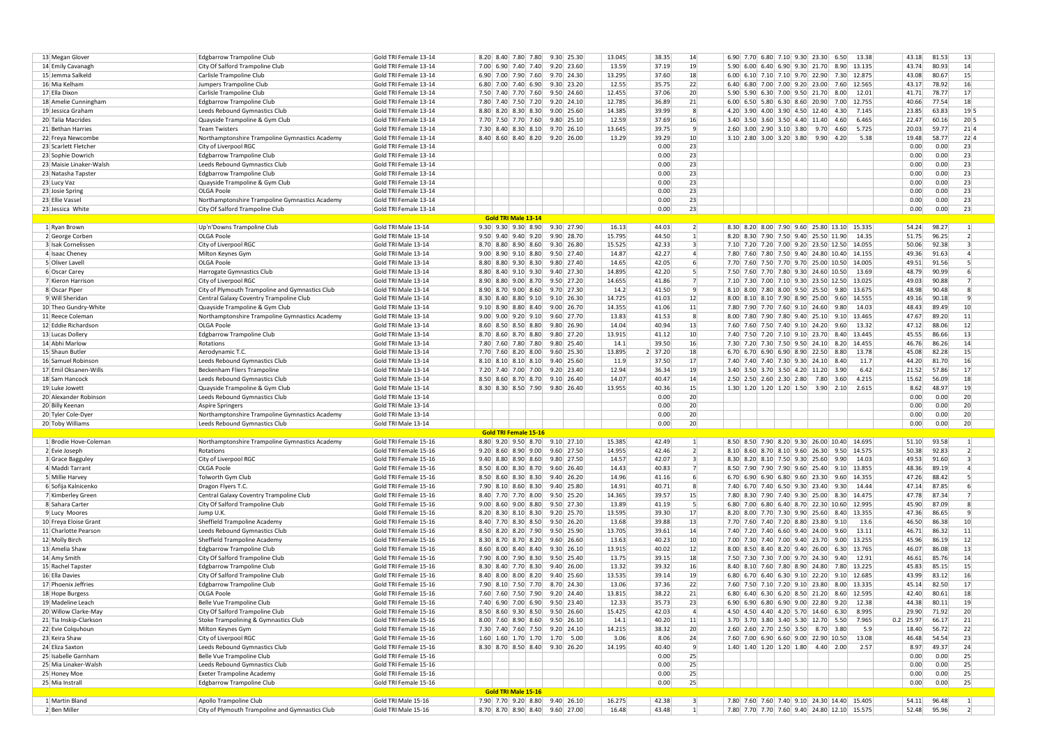| 13 Megan Glover                   | <b>Edgbarrow Trampoline Club</b>                | Gold TRI Female 13-14                      | 8.20 8.40 7.80 7.80                                              | 9.30 25.30                     | 13.045 |         | 38.35 | 14               | 6.90 7.70 6.80 7.10 9.30 23.30                                 |             | 6.50         | 13.38  | 43.18       | 81.53 | 13                      |  |
|-----------------------------------|-------------------------------------------------|--------------------------------------------|------------------------------------------------------------------|--------------------------------|--------|---------|-------|------------------|----------------------------------------------------------------|-------------|--------------|--------|-------------|-------|-------------------------|--|
| 14 Emily Cavanagh                 | City Of Salford Trampoline Club                 | Gold TRI Female 13-14                      | 7.00 6.90 7.40 7.40                                              | $9.20$ 23.60                   | 13.59  |         | 37.19 | 19               | 5.90 6.00 6.40 6.90 9.30 21.70                                 |             | 8.90 13.135  |        | 43.74       | 80.93 | 14                      |  |
| 15 Jemma Salkeld                  | Carlisle Trampoline Club                        | Gold TRI Female 13-14                      | 6.90 7.00 7.90 7.60                                              | 9.70 24.30                     | 13.295 |         | 37.60 | 18               | $6.00$ 6.10 7.10 7.10 9.70 22.90                               |             | 7.30 12.875  |        | 43.08       | 80.67 | 15                      |  |
| 16 Mia Kelham                     | Jumpers Trampoline Club                         | Gold TRI Female 13-14                      | 6.80 7.00 7.40 6.90                                              | $9.30$ 23.20                   | 12.55  |         | 35.75 | 22               | 6.40 6.80 7.00 7.00 9.20 23.00 7.60 12.565                     |             |              |        | 43.17       | 78.92 | 16                      |  |
| 17 Ella Dixon                     | Carlisle Trampoline Club                        | Gold TRI Female 13-14                      | 7.50 7.40 7.70 7.60                                              | 9.50 24.60                     | 12.455 |         | 37.06 | 20               | 5.90 5.90 6.30 7.00 9.50 21.70                                 |             | 8.00         | 12.01  | 41.71       | 78.77 | 17                      |  |
| 18 Amelie Cunningham              | Edgbarrow Trampoline Club                       | Gold TRI Female 13-14                      | 7.80 7.40 7.50 7.20                                              | $9.20$ 24.10                   | 12.785 |         | 36.89 | 21               | $6.00 \mid 6.50 \mid 5.80 \mid 6.30 \mid 8.60 \mid 20.90 \mid$ |             | 7.00 12.755  |        | 40.66       | 77.54 | 18                      |  |
|                                   |                                                 |                                            |                                                                  | $9.00$ 25.60                   | 14.385 |         | 39.99 | -8               | 4.20 3.90 4.00 3.90 4.50 12.40                                 |             | 4.30         | 7.145  |             | 63.83 | 19 5                    |  |
| 19 Jessica Graham                 | Leeds Rebound Gymnastics Club                   | Gold TRI Female 13-14                      | 8.80 8.20 8.30 8.30                                              |                                |        |         |       |                  |                                                                |             |              |        | 23.85       |       |                         |  |
| 20 Talia Macrides                 | Quayside Trampoline & Gym Club                  | Gold TRI Female 13-14                      | 7.70 7.50 7.70 7.60                                              | 9.80 25.10                     | 12.59  |         | 37.69 | 16               | 3.40 3.50 3.60 3.50 4.40 11.40                                 |             | 4.60         | 6.465  | 22.47       | 60.16 | $20\vert 5$             |  |
| 21 Bethan Harries                 | Team Twisters                                   | Gold TRI Female 13-14                      | 7.30 8.40 8.30 8.10                                              | $9.70$ 26.10                   | 13.645 |         | 39.75 | -91              | 2.60 3.00 2.90 3.10 3.80                                       | 9.70        | 4.60         | 5.725  | 20.03       | 59.77 | 21 4                    |  |
| 22 Freya Newcombe                 | Northamptonshire Trampoline Gymnastics Academy  | Gold TRI Female 13-14                      | 8.40 8.60 8.40 8.20                                              | $9.20 \mid 26.00$              | 13.29  |         | 39.29 | 10               | $3.10$ 2.80 3.00 3.20 3.80                                     | 9.90   4.20 |              | 5.38   | 19.48       | 58.77 | 22 4                    |  |
| 23 Scarlett Fletcher              | City of Liverpool RGC                           | Gold TRI Female 13-14                      |                                                                  |                                |        |         | 0.00  | 23               |                                                                |             |              |        | 0.00        | 0.00  | 23                      |  |
| 23 Sophie Dowrich                 | <b>Edgbarrow Trampoline Club</b>                | Gold TRI Female 13-14                      |                                                                  |                                |        |         | 0.00  | 23               |                                                                |             |              |        | 0.00        | 0.00  | 23                      |  |
| 23 Maisie Linaker-Walsh           | Leeds Rebound Gymnastics Club                   | Gold TRI Female 13-14                      |                                                                  |                                |        |         | 0.00  | 23               |                                                                |             |              |        | 0.00        | 0.00  | 23                      |  |
| 23 Natasha Tapster                | Edgbarrow Trampoline Club                       | Gold TRI Female 13-14                      |                                                                  |                                |        |         | 0.00  | 23               |                                                                |             |              |        | 0.00        | 0.00  | 23                      |  |
| 23 Lucy Vaz                       | Quayside Trampoline & Gym Club                  | Gold TRI Female 13-14                      |                                                                  |                                |        |         | 0.00  | 23               |                                                                |             |              |        | 0.00        | 0.00  | 23                      |  |
| 23 Josie Spring                   | <b>OLGA Poole</b>                               | Gold TRI Female 13-14                      |                                                                  |                                |        |         | 0.00  | 23               |                                                                |             |              |        | 0.00        | 0.00  | 23                      |  |
| 23 Ellie Vassel                   | Northamptonshire Trampoline Gymnastics Academy  | Gold TRI Female 13-14                      |                                                                  |                                |        |         | 0.00  | 23               |                                                                |             |              |        | 0.00        | 0.00  | 23                      |  |
| 23 Jessica White                  | City Of Salford Trampoline Club                 | Gold TRI Female 13-14                      |                                                                  |                                |        |         | 0.00  | 23               |                                                                |             |              |        | 0.00        | 0.00  | 23                      |  |
|                                   |                                                 |                                            | <b>Gold TRI Male 13-14</b>                                       |                                |        |         |       |                  |                                                                |             |              |        |             |       |                         |  |
| 1 Ryan Brown                      | Up'n'Downs Trampoline Club                      | Gold TRI Male 13-14                        | $9.30$ $9.30$ $9.30$ $8.90$                                      | 9.30 27.90                     | 16.13  |         | 44.03 | 2                | 8.30 8.20 8.00 7.90 9.60 25.80 13.10 15.335                    |             |              |        | 54.24       | 98.27 | $\vert$ 1               |  |
| 2 George Corben                   | OLGA Poole                                      | Gold TRI Male 13-14                        | $9.50$ $9.40$ $9.40$ $9.20$                                      | 9.90 28.70                     | 15.795 |         | 44.50 | $\mathbf{1}$     | 8.20 8.30 7.90 7.50 9.40 25.50 11.90                           |             |              | 14.35  | 51.75       | 96.25 | $\overline{2}$          |  |
| 3 Isak Cornelissen                |                                                 | Gold TRI Male 13-14                        | 8.70 8.80 8.90 8.60                                              | 9.30 26.80                     | 15.525 |         | 42.33 | $\vert$ 3        | 7.10 7.20 7.20 7.00 9.20 23.50 12.50 14.055                    |             |              |        | 50.06       | 92.38 | 3                       |  |
|                                   | City of Liverpool RGC                           |                                            | $9.00$ 8.90 $9.10$ 8.80                                          | 9.50 27.40                     |        |         | 42.27 |                  | 7.80 7.60 7.80 7.50 9.40 24.80 10.40 14.155                    |             |              |        |             |       | 4                       |  |
| 4 Isaac Cheney                    | Milton Keynes Gym                               | Gold TRI Male 13-14                        |                                                                  |                                | 14.87  |         |       | $\left 4\right $ |                                                                |             |              |        | 49.36       | 91.63 |                         |  |
| 5 Oliver Lavell                   | <b>OLGA Poole</b>                               | Gold TRI Male 13-14                        | 8.80 8.80 9.30 8.30                                              | 9.80 27.40                     | 14.65  |         | 42.05 | 6                | 7.70 7.60 7.50 7.70 9.70 25.00 10.50 14.005                    |             |              |        | 49.51       | 91.56 | 5                       |  |
| 6 Oscar Carey                     | Harrogate Gymnastics Club                       | Gold TRI Male 13-14                        | 8.80 8.40 9.10 9.30                                              | 9.40 27.30                     | 14.895 |         | 42.20 | -51              | 7.50 7.60 7.70 7.80 9.30 24.60 10.50                           |             |              | 13.69  | 48.79       | 90.99 | 6                       |  |
| 7 Kieron Harrison                 | City of Liverpool RGC                           | Gold TRI Male 13-14                        | 8.90 8.80 9.00 8.70                                              | 9.50 27.20                     | 14.655 |         | 41.86 | $\overline{7}$   | 7.10 7.30 7.00 7.10 9.30 23.50 12.50 13.025                    |             |              |        | 49.03       | 90.88 |                         |  |
| 8 Oscar Piper                     | City of Plymouth Trampoline and Gymnastics Club | Gold TRI Male 13-14                        | 8.90 8.70 9.00 8.60                                              | 9.70 27.30                     | 14.2   |         | 41.50 | -9               | 8.10 8.00 7.80 8.00 9.50 25.50                                 |             | 9.80 13.675  |        | 48.98       | 90.48 | 8                       |  |
| 9 Will Sheridan                   | Central Galaxy Coventry Trampoline Club         | Gold TRI Male 13-14                        | 8.30 8.40 8.80 9.10                                              | $9.10$ 26.30                   | 14.725 |         | 41.03 | 12               | 8.00 8.10 8.10 7.90 8.90 25.00                                 |             | 9.60 14.555  |        | 49.16       | 90.18 | 9                       |  |
| 10 Theo Gundry-White              | Quayside Trampoline & Gym Club                  | Gold TRI Male 13-14                        | $9.10$ 8.90 8.80 8.40                                            | $9.00 \mid 26.70$              | 14.355 |         | 41.06 | 11               | 7.80 7.90 7.70 7.60 9.10 24.60                                 |             | 9.80         | 14.03  | 48.43       | 89.49 | 10 <sup>1</sup>         |  |
| 11 Reece Coleman                  | Northamptonshire Trampoline Gymnastics Academy  | Gold TRI Male 13-14                        | $9.00$ $9.00$ $9.20$ $9.10$                                      | 9.60 27.70                     | 13.83  |         | 41.53 | 8                | 8.00 7.80 7.90 7.80 9.40 25.10 9.10 13.465                     |             |              |        | 47.67       | 89.20 | 11                      |  |
| 12 Eddie Richardson               | <b>OLGA Poole</b>                               | Gold TRI Male 13-14                        | 8.60 8.50 8.50 8.80                                              | 9.80 26.90                     | 14.04  |         | 40.94 | 13               | 7.60 7.60 7.50 7.40 9.10 24.20                                 |             | 9.60         | 13.32  | 47.12       | 88.06 | 12                      |  |
| 13 Lucas Dollery                  | <b>Edgbarrow Trampoline Club</b>                | Gold TRI Male 13-14                        | 8.70 8.60 8.70 8.80                                              | 9.80 27.20                     | 13.915 |         | 41.12 | 10               | 7.40 7.50 7.20 7.10 9.10 23.70                                 |             | 8.40 13.445  |        | 45.55       | 86.66 | 13                      |  |
| 14 Abhi Marlow                    | Rotations                                       | Gold TRI Male 13-14                        | 7.80 7.60 7.80 7.80                                              | 9.80 25.40                     | 14.1   |         | 39.50 | 16               | 7.30 7.20 7.30 7.50 9.50 24.10                                 |             | 8.20         | 14.455 | 46.76       | 86.26 | 14                      |  |
| 15 Shaun Butler                   | Aerodynamic T.C.                                | Gold TRI Male 13-14                        | 7.70 7.60 8.20 8.00                                              | $9.60$ 25.30                   | 13.895 | 2 37.20 |       | 18               | 6.70 6.70 6.90 6.90 8.90 22.50                                 |             | 8.80         | 13.78  | 45.08       | 82.28 | 15                      |  |
| 16 Samuel Robinsor                | Leeds Rebound Gymnastics Club                   | Gold TRI Male 13-14                        | $8.10 \begin{array}{ c c c c c } 8.10 & 8.10 & 8.10 \end{array}$ | $9.40 \mid 25.60$              | 11.9   |         | 37.50 | 17               | 7.40 7.40 7.40 7.30 9.30 24.10                                 |             | 8.40         | 11.7   | 44.20       | 81.70 | 16                      |  |
| 17 Emil Oksanen-Wills             | Beckenham Fliers Trampoline                     | Gold TRI Male 13-14                        | 7.20 7.40 7.00 7.00                                              | 9.20 23.40                     | 12.94  |         | 36.34 | 19               | 3.40 3.50 3.70 3.50 4.20 11.20                                 |             | 3.90         | 6.42   | 21.52       | 57.86 | 17                      |  |
| 18 Sam Hancock                    | Leeds Rebound Gymnastics Club                   | Gold TRI Male 13-14                        | 8.50 8.60 8.70 8.70                                              | $9.10 \mid 26.40$              | 14.07  |         | 40.47 | 14               | 2.50 2.50 2.60 2.30 2.80                                       | 7.80        | 3.60         | 4.215  | 15.62       | 56.09 | 18                      |  |
| 19 Luke Jowett                    | Quayside Trampoline & Gym Club                  | Gold TRI Male 13-14                        |                                                                  | 8.30 8.30 8.50 7.90 9.80 26.40 | 13.955 |         | 40.36 | 15               | 1.30 1.20 1.20 1.20 1.50 3.90 2.10 2.615                       |             |              |        | 8.62        | 48.97 | 19                      |  |
| 20 Alexander Robinson             |                                                 |                                            |                                                                  |                                |        |         | 0.00  | 20               |                                                                |             |              |        |             | 0.00  | 20                      |  |
|                                   | Leeds Rebound Gymnastics Club                   | Gold TRI Male 13-14<br>Gold TRI Male 13-14 |                                                                  |                                |        |         | 0.00  | 20               |                                                                |             |              |        | 0.00        |       | 20                      |  |
| 20 Billy Keenan                   | <b>Aspire Springers</b>                         |                                            |                                                                  |                                |        |         |       |                  |                                                                |             |              |        | 0.00        | 0.00  |                         |  |
| 20 Tyler Cole-Dyer                | Northamptonshire Trampoline Gymnastics Academy  | Gold TRI Male 13-14                        |                                                                  |                                |        |         | 0.00  | 20               |                                                                |             |              |        | 0.00        | 0.00  | 20                      |  |
| 20 Toby Williams                  | Leeds Rebound Gymnastics Club                   | Gold TRI Male 13-14                        |                                                                  |                                |        |         | 0.00  | 20               |                                                                |             |              |        | 0.00        | 0.00  | 20                      |  |
|                                   |                                                 |                                            | <b>Gold TRI Female 15-16</b>                                     |                                |        |         |       |                  |                                                                |             |              |        |             |       |                         |  |
| 1 Brodie Hove-Coleman             | Northamptonshire Trampoline Gymnastics Academy  | Gold TRI Female 15-16                      |                                                                  | 8.80 9.20 9.50 8.70 9.10 27.10 | 15.385 |         | 42.49 | $\left  \right $ | 8.50 8.50 7.90 8.20 9.30 26.00 10.40 14.695                    |             |              |        | 51.10       | 93.58 | $\vert$ 1               |  |
| 2 Evie Joseph                     | Rotations                                       | Gold TRI Female 15-16                      | $9.20$ 8.60 8.90 9.00                                            | $9.60$ 27.50                   | 14.955 |         | 42.46 | $\overline{2}$   | 8.10 8.60 8.70 8.10 9.60 26.30                                 |             | 9.50 14.575  |        | 50.38       | 92.83 | $\overline{2}$          |  |
| 3 Grace Bagguley                  | City of Liverpool RGC                           | Gold TRI Female 15-16                      | $9.40$ 8.80 8.90 8.60                                            | 9.80 27.50                     | 14.57  |         | 42.07 | $\vert$ 3        | 8.30 8.20 8.10 7.50 9.30 25.60                                 |             | 9.90         | 14.03  | 49.53       | 91.60 | $\overline{\mathbf{3}}$ |  |
| 4 Maddi Tarrant                   | <b>OLGA Poole</b>                               | Gold TRI Female 15-16                      | 8.50 8.00 8.30 8.70                                              | 9.60 26.40                     | 14.43  |         | 40.83 | 7                | 8.50 7.90 7.90 7.90 9.60 25.40                                 |             | 9.10 13.855  |        | 48.36       | 89.19 | $\overline{4}$          |  |
| 5 Millie Harvey                   | Tolworth Gym Club                               | Gold TRI Female 15-16                      | 8.50 8.60 8.30 8.30                                              | 9.40 26.20                     | 14.96  |         | 41.16 | $6 \mid$         | $6.70$ 6.90 6.90 6.80 9.60 23.30                               |             | 9.60 14.355  |        | 47.26       | 88.42 | 5                       |  |
| 6 Sofija Kalnicenko               | Dragon Flyers T.C.                              | Gold TRI Female 15-16                      | 7.90 8.10 8.60 8.30                                              | $9.40$ 25.80                   | 14.91  |         | 40.71 | -8               | 7.40 6.70 7.40 6.50 9.30 23.40                                 |             | 9.30         | 14.44  | 47.14       | 87.85 | 6                       |  |
| 7 Kimberley Green                 | Central Galaxy Coventry Trampoline Club         | Gold TRI Female 15-16                      | 8.40 7.70 7.70 8.00                                              | 9.50 25.20                     | 14.365 |         | 39.57 | 15               | 7.80 8.30 7.90 7.40 9.30 25.00                                 |             | 8.30 14.475  |        | 47.78       | 87.34 | $\overline{7}$          |  |
| 8 Sahara Carter                   | City Of Salford Trampoline Club                 | Gold TRI Female 15-16                      | $9.00$ $8.60$ $9.00$ $8.80$                                      | 9.50 27.30                     | 13.89  |         | 41.19 | 5 <sup>1</sup>   | 6.80 7.00 6.80 6.40 8.70 22.30 10.60 12.995                    |             |              |        | 45.90       | 87.09 | 8                       |  |
| 9 Lucy Moores                     | Jump U.K.                                       | Gold TRI Female 15-16                      | 8.20 8.30 8.10 8.30                                              | 9.20 25.70                     | 13.595 |         | 39.30 | 17               | 8.20 8.00 7.70 7.30 9.90 25.60                                 |             | 8.40 13.355  |        | 47.36       | 86.65 | 9                       |  |
| 10 Freya Eloise Grant             | Sheffield Trampoline Academy                    | Gold TRI Female 15-16                      | 8.40 7.70 8.30 8.50                                              | 9.50 26.20                     | 13.68  |         | 39.88 | 13               | 7.70 7.60 7.40 7.20 8.80 23.80                                 |             | 9.10         | 13.6   | 46.50       | 86.38 | 10                      |  |
| 11 Charlotte Pearson              | Leeds Rebound Gymnastics Club                   | Gold TRI Female 15-16                      | 8.50 8.20 8.20 7.90                                              | 9.50 25.90                     | 13.705 |         | 39.61 | 14               | 7.40 7.20 7.40 6.60 9.40 24.00                                 |             | 9.60         | 13.11  | 46.71       | 86.32 | 11                      |  |
| 12 Molly Birch                    | Sheffield Trampoline Academy                    | Gold TRI Female 15-16                      | 8.30 8.70 8.70 8.20                                              | $9.60 \mid 26.60$              | 13.63  |         | 40.23 | 10               | 7.00 7.30 7.40 7.00 9.40 23.70 9.00 13.255                     |             |              |        | 45.96       | 86.19 | 12                      |  |
| 13 Amelia Shaw                    | Edgbarrow Trampoline Club                       | Gold TRI Female 15-16                      | $8.60$ $8.00$ $8.40$ $8.40$                                      | $9.30 \ 26.10$                 | 13.915 |         | 40.02 | 12               | 8.00 8.50 8.40 8.20 9.40 26.00                                 |             | 6.30 13.765  |        | 46.07       | 86.08 | 13                      |  |
|                                   | City Of Salford Trampoline Club                 | Gold TRI Female 15-16                      | 7.90 8.00 7.90 8.30                                              | 9.50 25.40                     | 13.75  |         | 39.15 | 18               | 7.50 7.30 7.30 7.00 9.70 24.30                                 |             | 9.40 12.91   |        | 46.61       | 85.76 | 14                      |  |
| 14 Amy Smith<br>15 Rachel Tapster |                                                 |                                            |                                                                  |                                |        |         |       |                  |                                                                |             |              |        |             |       |                         |  |
|                                   | <b>Edgbarrow Trampoline Club</b>                | Gold TRI Female 15-16                      | 8.30 8.40 7.70 8.30                                              | $9.40 \mid 26.00$              | 13.32  |         | 39.32 | 16               | 8.40 8.10 7.60 7.80 8.90 24.80                                 |             | 7.80 13.225  |        | 45.83       | 85.15 | 15                      |  |
| 16 Ella Davies                    | City Of Salford Trampoline Club                 | Gold TRI Female 15-16                      | 8.40 8.00 8.00 8.20                                              | $9.40$ 25.60                   | 13.535 |         | 39.14 | 19               | $6.80$ 6.70 6.40 6.30 9.10 22.20                               |             | 9.10 12.685  |        | 43.99       | 83.12 | 16                      |  |
| 17 Phoenix Jeffries               | Edgbarrow Trampoline Club                       | Gold TRI Female 15-16                      | 7.90 8.10 7.50 7.70                                              | 8.70 24.30                     | 13.06  |         | 37.36 | 22               | 7.60 7.50 7.10 7.20 9.10 23.80                                 |             | 8.00 13.335  |        | 45.14       | 82.50 | 17                      |  |
| 18 Hope Burgess                   | <b>OLGA Poole</b>                               | Gold TRI Female 15-16                      | 7.60 7.60 7.50 7.90                                              | $9.20 \mid 24.40$              | 13.815 |         | 38.22 | 21               | 6.80 6.40 6.30 6.20 8.50 21.20 8.60 12.595                     |             |              |        | 42.40       | 80.61 | 18                      |  |
| 19 Madeline Leach                 | Belle Vue Trampoline Club                       | Gold TRI Female 15-16                      | 7.40 6.90 7.00 6.90                                              | 9.50 23.40                     | 12.33  |         | 35.73 | 23               | $6.90$ 6.90 6.80 6.90 9.00 22.80                               |             | $9.20$ 12.38 |        | 44.38       | 80.11 | 19                      |  |
| 20 Willow Clarke-May              | City Of Salford Trampoline Club                 | Gold TRI Female 15-16                      |                                                                  | 8.50 8.60 9.30 8.50 9.50 26.60 | 15.425 |         | 42.03 | $\left 4\right $ | 4.50 4.50 4.40 4.20 5.70 14.60 6.30 8.995                      |             |              |        | 29.90       | 71.92 | 20                      |  |
| 21 Tia Inskip-Clarkson            | Stoke Trampolining & Gymnastics Club            | Gold TRI Female 15-16                      |                                                                  | 8.00 7.60 8.90 8.60 9.50 26.10 | 14.1   |         | 40.20 | 11               | 3.70 3.70 3.80 3.40 5.30 12.70 5.50 7.965                      |             |              |        | $0.2$ 25.97 | 66.17 | 21                      |  |
| 22 Evie Colquhoun                 | Milton Keynes Gym                               | Gold TRI Female 15-16                      |                                                                  | 7.30 7.40 7.60 7.50 9.20 24.10 | 14.215 |         | 38.32 | 20               | 2.60 2.60 2.70 2.50 3.50 8.70 3.80                             |             |              | 5.9    | 18.40       | 56.72 | 22                      |  |
| 23 Keira Shaw                     | City of Liverpool RGC                           | Gold TRI Female 15-16                      |                                                                  | 1.60 1.60 1.70 1.70 1.70 5.00  | 3.06   |         | 8.06  | 24               | 7.60 7.00 6.90 6.60 9.00 22.90 10.50 13.08                     |             |              |        | 46.48       | 54.54 | 23                      |  |
| 24 Eliza Saxton                   | Leeds Rebound Gymnastics Club                   | Gold TRI Female 15-16                      |                                                                  | 8.30 8.70 8.50 8.40 9.30 26.20 | 14.195 |         | 40.40 | -91              | $1.40$ $1.40$ $1.20$ $1.20$ $1.80$ $4.40$ $2.00$               |             |              | 2.57   | 8.97        | 49.37 | 24                      |  |
| 25 Isabelle Garnham               | Belle Vue Trampoline Club                       | Gold TRI Female 15-16                      |                                                                  |                                |        |         | 0.00  | 25               |                                                                |             |              |        | 0.00        | 0.00  | 25                      |  |
| 25 Mia Linaker-Walsh              | Leeds Rebound Gymnastics Club                   | Gold TRI Female 15-16                      |                                                                  |                                |        |         | 0.00  | 25               |                                                                |             |              |        | 0.00        | 0.00  | 25                      |  |
| 25 Honey Moe                      | <b>Exeter Trampoline Academy</b>                | Gold TRI Female 15-16                      |                                                                  |                                |        |         | 0.00  | 25               |                                                                |             |              |        | 0.00        | 0.00  | 25                      |  |
| 25 Mia Instrall                   | Edgbarrow Trampoline Club                       | Gold TRI Female 15-16                      |                                                                  |                                |        |         | 0.00  | 25               |                                                                |             |              |        | 0.00        | 0.00  | 25                      |  |
|                                   |                                                 |                                            | Gold TRI Male 15-16                                              |                                |        |         |       |                  |                                                                |             |              |        |             |       |                         |  |
|                                   |                                                 |                                            |                                                                  |                                |        |         |       |                  |                                                                |             |              |        |             |       |                         |  |
| 1 Martin Bland                    | Apollo Trampoline Club                          | Gold TRI Male 15-16                        |                                                                  | 7.90 7.70 9.20 8.80 9.40 26.10 | 16.275 |         | 42.38 | $\vert$ 3        | 7.80 7.60 7.60 7.40 9.10 24.30 14.40 15.405                    |             |              |        | 54.11 96.48 |       | $\vert 1 \vert$         |  |
| 2 Ben Miller                      | City of Plymouth Trampoline and Gymnastics Club | Gold TRI Male 15-16                        |                                                                  | 8.70 8.70 8.90 8.40 9.60 27.00 | 16.48  |         | 43.48 | 1                | 7.80 7.70 7.70 7.60 9.40 24.80 12.10 15.575                    |             |              |        | 52.48 95.96 |       | $\overline{2}$          |  |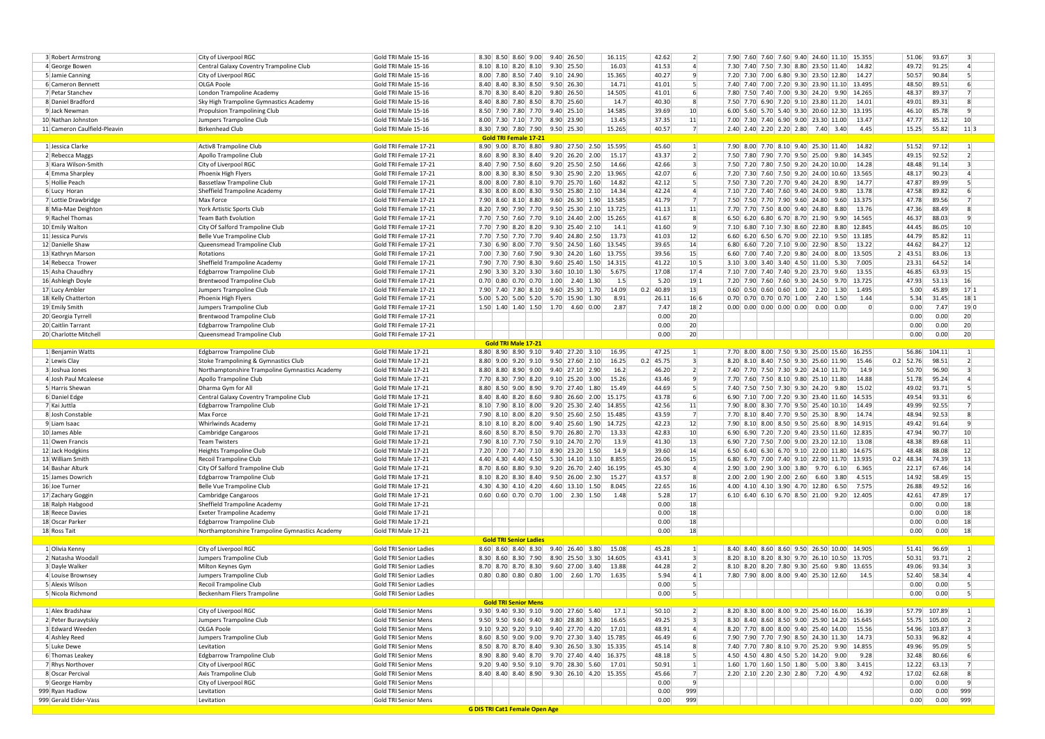| 3 Robert Armstrong           | City of Liverpool RGC                          | Gold TRI Male 15-16    |  |                                           | 8.30 8.50 8.60 9.00 9.40 26.50                                                           |                                                        |                  |                   | 16.115                                     | 42.62       | $\overline{2}$           |                |  |                            |                                      |             | 7.90 7.60 7.60 7.60 9.40 24.60 11.10 15.355 | 51.06          | 93.67        | 3                       |  |
|------------------------------|------------------------------------------------|------------------------|--|-------------------------------------------|------------------------------------------------------------------------------------------|--------------------------------------------------------|------------------|-------------------|--------------------------------------------|-------------|--------------------------|----------------|--|----------------------------|--------------------------------------|-------------|---------------------------------------------|----------------|--------------|-------------------------|--|
| 4 George Bower               | Central Galaxy Coventry Trampoline Club        | Gold TRI Male 15-16    |  | $8.10$ $8.10$ $8.20$ $8.10$               |                                                                                          | 9.30 25.50                                             |                  |                   | 16.03                                      | 41.53       | $\overline{a}$           |                |  |                            | 7.30 7.40 7.50 7.30 8.80 23.50 11.40 |             | 14.82                                       | 49.72          | 91.25        | $\Delta$                |  |
| 5 Jamie Canning              | City of Liverpool RGC                          | Gold TRI Male 15-16    |  | 8.00 7.80 8.50 7.40                       |                                                                                          | 9.10 24.90                                             |                  |                   | 15.365                                     | 40.27       | 9                        |                |  |                            | 7.20 7.30 7.00 6.80 9.30 23.50 12.80 |             | 14.27                                       | 50.57          | 90.84        | 5                       |  |
|                              |                                                |                        |  |                                           |                                                                                          |                                                        |                  |                   |                                            |             |                          |                |  |                            |                                      |             |                                             |                |              | 6                       |  |
| 6 Cameron Bennett            | <b>OLGA Poole</b>                              | Gold TRI Male 15-16    |  | 8.40 8.40 8.30 8.50                       |                                                                                          | 9.50 26.30                                             |                  |                   | 14.71                                      | 41.01       | $\mathbf{5}$             |                |  |                            |                                      |             | 7.40 7.40 7.00 7.20 9.30 23.90 11.10 13.495 | 48.50          | 89.51        |                         |  |
| 7 Petar Stanchev             | London Trampoline Academy                      | Gold TRI Male 15-16    |  | 8.70 8.30 8.40 8.20                       |                                                                                          | 9.80 26.50                                             |                  |                   | 14.505                                     | 41.01       |                          | 6 <sup>1</sup> |  |                            |                                      |             | 7.80 7.50 7.40 7.00 9.30 24.20 9.90 14.265  | 48.37          | 89.37        | 7                       |  |
| 8 Daniel Bradford            | Sky High Trampoline Gymnastics Academy         | Gold TRI Male 15-16    |  | 8.40 8.80 7.80 8.50                       |                                                                                          | 8.70 25.60                                             |                  |                   | 14.7                                       | 40.30       | 8                        |                |  |                            | 7.50 7.70 6.90 7.20 9.10 23.80 11.20 |             | 14.01                                       | 49.01          | 89.31        | 8                       |  |
| 9 Jack Newman                | Propulsion Trampolining Club                   | Gold TRI Male 15-16    |  | 8.50 7.90 7.80 7.70                       |                                                                                          | $9.40$ 25.10                                           |                  |                   | 14.585                                     | 39.69       | 10                       |                |  |                            |                                      |             | 6.00 5.60 5.70 5.40 9.30 20.60 12.30 13.195 | 46.10          | 85.78        | 9                       |  |
| 10 Nathan Johnstor           | Jumpers Trampoline Club                        | Gold TRI Male 15-16    |  | 8.00 7.30 7.10 7.70                       |                                                                                          | 8.90 23.90                                             |                  |                   | 13.45                                      | 37.35       | 11                       |                |  |                            | 7.00 7.30 7.40 6.90 9.00 23.30 11.00 |             | 13.47                                       | 47.77          | 85.12        | 10                      |  |
| 11 Cameron Caulfield-Pleavin | Birkenhead Club                                | Gold TRI Male 15-16    |  |                                           | 8.30 7.90 7.80 7.90 9.50 25.30                                                           |                                                        |                  |                   | 15.265                                     | 40.57       | 7                        |                |  |                            | 2.40 2.40 2.20 2.20 2.80 7.40 3.40   |             | 4.45                                        | 15.25          | 55.82        | $11$ 3                  |  |
|                              |                                                |                        |  | <b>Gold TRI Female 17-21</b>              |                                                                                          |                                                        |                  |                   |                                            |             |                          |                |  |                            |                                      |             |                                             |                |              |                         |  |
| 1 Jessica Clarke             | Activ8 Trampoline Club                         | Gold TRI Female 17-21  |  | 8.90 9.00 8.70 8.80                       |                                                                                          | $9.80$ 27.50 2.50                                      |                  |                   | 15.595                                     | 45.60       | $\vert$ 1                |                |  |                            | 7.90 8.00 7.70 8.10 9.40 25.30 11.40 |             | 14.82                                       | 51.52          | 97.12        | $\vert$ 1               |  |
| 2 Rebecca Maggs              | Apollo Trampoline Club                         | Gold TRI Female 17-21  |  | 8.60 8.90 8.30 8.40                       |                                                                                          | $9.20$ 26.20 2.00                                      |                  |                   | 15.17                                      | 43.37       | $\vert$ 2                |                |  |                            | 7.50 7.80 7.90 7.70 9.50 25.00 9.80  |             | 14.345                                      | 49.15          | 92.52        | $\overline{2}$          |  |
|                              |                                                |                        |  |                                           |                                                                                          |                                                        |                  |                   |                                            |             |                          |                |  |                            |                                      |             |                                             |                |              |                         |  |
| 3 Kiara Wilson-Smith         | City of Liverpool RGC                          | Gold TRI Female 17-21  |  | 8.40 7.90 7.50 8.60                       |                                                                                          | 9.20 25.50 2.50                                        |                  |                   | 14.66                                      | 42.66       | $\overline{\mathbf{3}}$  |                |  |                            | 7.50 7.20 7.80 7.50 9.20 24.20 10.00 |             | 14.28                                       | 48.48          | 91.14        | $\overline{\mathbf{3}}$ |  |
| 4 Emma Sharpley              | Phoenix High Flyers                            | Gold TRI Female 17-21  |  | $8.00$ $8.30$ $8.30$ $8.50$               |                                                                                          | $9.30$ 25.90 2.20                                      |                  |                   | 13.965                                     | 42.07       |                          | 6 <sup>1</sup> |  |                            |                                      |             | 7.20 7.30 7.60 7.50 9.20 24.00 10.60 13.565 | 48.17          | 90.23        | $\overline{4}$          |  |
| 5 Hollie Peach               | <b>Bassetlaw Trampoline Club</b>               | Gold TRI Female 17-21  |  | 8.00 8.00 7.80 8.10                       |                                                                                          | $9.70$ 25.70 1.60                                      |                  |                   | 14.82                                      | 42.12       | -51                      |                |  |                            | 7.50 7.30 7.20 7.70 9.40 24.20 8.90  |             | 14.77                                       | 47.87          | 89.99        | 5                       |  |
| 6 Lucy Horan                 | Sheffield Trampoline Academy                   | Gold TRI Female 17-21  |  | 8.30 8.00 8.00 8.30                       |                                                                                          | $9.50$ 25.80                                           |                  | 2.10              | 14.34                                      | 42.24       | $\overline{4}$           |                |  |                            | 7.10 7.20 7.40 7.60 9.40 24.00       | 9.80        | 13.78                                       | 47.58          | 89.82        |                         |  |
| 7 Lottie Drawbridge          | Max Force                                      | Gold TRI Female 17-21  |  | 7.90 8.60 8.10 8.80                       |                                                                                          | $9.60$ 26.30 1.90                                      |                  |                   | 13.585                                     | 41.79       | -7                       |                |  |                            | 7.50 7.50 7.70 7.90 9.60 24.80       |             | 9.60 13.375                                 | 47.78          | 89.56        |                         |  |
| 8 Mia-Mae Deighton           | York Artistic Sports Club                      | Gold TRI Female 17-21  |  | 8.20 7.90 7.90 7.70                       |                                                                                          | $9.50$ 25.30 2.10                                      |                  |                   | 13.725                                     | 41.13       | 11                       |                |  |                            | 7.70 7.70 7.50 8.00 9.40 24.80       | 8.80        | 13.76                                       | 47.36          | 88.49        | 8                       |  |
| 9 Rachel Thomas              | Team Bath Evolution                            | Gold TRI Female 17-21  |  |                                           | 7.70 7.50 7.60 7.70                                                                      | $9.10 \begin{array}{ c c c } 24.40 & 2.00 \end{array}$ |                  |                   | 15.265                                     | 41.67       | 8                        |                |  |                            |                                      |             | 6.50 6.20 6.80 6.70 8.70 21.90 9.90 14.565  | 46.37          | 88.03        | 9                       |  |
| 10 Emily Walton              | City Of Salford Trampoline Club                | Gold TRI Female 17-21  |  | 7.70 7.90 8.20 8.20                       |                                                                                          | $9.30$ 25.40 2.10                                      |                  |                   | 14.1                                       | 41.60       | -9                       |                |  |                            | 7.10 6.80 7.10 7.30 8.60 22.80       |             | 8.80 12.845                                 | 44.45          | 86.05        | 10                      |  |
| 11 Jessica Purvis            | Belle Vue Trampoline Club                      | Gold TRI Female 17-21  |  | 7.70 7.50 7.70 7.70                       |                                                                                          | $9.40 \mid 24.80 \mid$                                 |                  | 2.50              | 13.73                                      | 41.03       | 12                       |                |  |                            | $6.60$ 6.20 6.50 6.70 9.00 22.10     |             | 9.50 13.185                                 | 44.79          | 85.82        | 11                      |  |
|                              |                                                |                        |  |                                           |                                                                                          |                                                        |                  |                   |                                            |             |                          |                |  |                            |                                      |             |                                             |                |              |                         |  |
| 12 Danielle Shaw             | Queensmead Trampoline Club                     | Gold TRI Female 17-21  |  |                                           | 7.30 6.90 8.00 7.70 9.50 24.50 1.60                                                      |                                                        |                  |                   | 13.545                                     | 39.65       | 14                       |                |  |                            | 6.80 6.60 7.20 7.10 9.00 22.90       | 8.50        | 13.22                                       | 44.62          | 84.27        | 12                      |  |
| 13 Kathryn Marson            | Rotations                                      | Gold TRI Female 17-21  |  |                                           | 7.00 7.30 7.60 7.90                                                                      | $9.30$ 24.20 1.60                                      |                  |                   | 13.755                                     | 39.56       | 15                       |                |  |                            | 6.60 7.00 7.40 7.20 9.80 24.00       |             | 8.00 13.505                                 | $2 \mid 43.51$ | 83.06        | 13                      |  |
| 14 Rebecca Trower            | Sheffield Trampoline Academy                   | Gold TRI Female 17-21  |  | 7.90 7.70 7.90 8.30                       |                                                                                          |                                                        |                  |                   | 9.60 25.40 1.50 14.315                     | 41.22       |                          | 10 5           |  |                            | 3.10 3.00 3.40 3.40 4.50 11.00 5.30  |             | 7.005                                       | 23.31          | 64.52        | 14                      |  |
| 15 Asha Chaudhry             | Edgbarrow Trampoline Club                      | Gold TRI Female 17-21  |  | 2.90 3.30 3.20 3.30                       |                                                                                          | $3.60$ 10.10 1.30                                      |                  |                   | 5.675                                      | 17.08       |                          | 17 4           |  |                            | 7.10 7.00 7.40 7.40 9.20 23.70 9.60  |             | 13.55                                       | 46.85          | 63.93        | 15                      |  |
| 16 Ashleigh Doyle            | Brentwood Trampoline Club                      | Gold TRI Female 17-21  |  | $0.70$ 0.80 0.70 0.70                     |                                                                                          | 1.00                                                   | $2.40 \mid 1.30$ |                   | 1.5                                        | 5.20        |                          | 19 1           |  |                            |                                      |             | 7.20 7.90 7.60 7.60 9.30 24.50 9.70 13.725  | 47.93          | 53.13        | 16                      |  |
| 17 Lucy Ambler               | Jumpers Trampoline Club                        | Gold TRI Female 17-21  |  |                                           | 7.90 7.40 7.80 8.10 9.60 25.30 1.70                                                      |                                                        |                  |                   | 14.09                                      | $0.2$ 40.89 | 13                       |                |  | $0.60$ 0.50 0.60 0.60 1.00 |                                      | 2.20   1.30 | 1.495                                       | 5.00           | 45.89        | 17 1                    |  |
| 18 Kelly Chatterton          | Phoenix High Flyers                            | Gold TRI Female 17-21  |  |                                           | 5.00 5.20 5.00 5.20 5.70 15.90 1.30                                                      |                                                        |                  |                   | 8.91                                       | 26.11       |                          | 16 6           |  | $0.70$ 0.70 0.70 0.70 1.00 |                                      | 2.40 1.50   | 1.44                                        | 5.34           | 31.45        | 18 1                    |  |
| 19 Emily Smith               | Jumpers Trampoline Club                        | Gold TRI Female 17-21  |  |                                           | 1.50 1.40 1.40 1.50 1.70 4.60 0.00                                                       |                                                        |                  |                   | 2.87                                       | 7.47        |                          | 18 2           |  |                            | $0.00$ 0.00 0.00 0.00 0.00 0.00 0.00 |             | $\Omega$                                    | 0.00           | 7.47         | 190                     |  |
| 20 Georgia Tyrrell           |                                                | Gold TRI Female 17-21  |  |                                           |                                                                                          |                                                        |                  |                   |                                            | 0.00        | 20                       |                |  |                            |                                      |             |                                             | 0.00           | 0.00         | 20                      |  |
|                              | Brentwood Trampoline Club                      |                        |  |                                           |                                                                                          |                                                        |                  |                   |                                            |             |                          |                |  |                            |                                      |             |                                             |                |              |                         |  |
| 20 Caitlin Tarrant           | Edgbarrow Trampoline Club                      | Gold TRI Female 17-21  |  |                                           |                                                                                          |                                                        |                  |                   |                                            | 0.00        | 20                       |                |  |                            |                                      |             |                                             | 0.00           | 0.00         | 20                      |  |
| 20 Charlotte Mitchel         | Queensmead Trampoline Club                     | Gold TRI Female 17-21  |  |                                           |                                                                                          |                                                        |                  |                   |                                            | 0.00        | 20                       |                |  |                            |                                      |             |                                             | 0.00           | 0.00         | 20                      |  |
|                              |                                                |                        |  | Gold TRI Male 17-21                       |                                                                                          |                                                        |                  |                   |                                            |             |                          |                |  |                            |                                      |             |                                             |                |              |                         |  |
| 1 Benjamin Watts             | Edgbarrow Trampoline Club                      | Gold TRI Male 17-21    |  |                                           | 8.80 8.90 8.90 9.10 9.40 27.20 3.10                                                      |                                                        |                  |                   | 16.95                                      | 47.25       | $\frac{1}{2}$            |                |  |                            |                                      |             | 7.70 8.00 8.00 7.50 9.30 25.00 15.60 16.255 | 56.86          | 104.11       | $\blacksquare$          |  |
| 2 Lewis Clay                 | Stoke Trampolining & Gymnastics Club           | Gold TRI Male 17-21    |  | 8.80 9.00 9.20 9.10                       |                                                                                          | $9.50$ 27.60 2.10                                      |                  |                   | 16.25                                      | $0.2$ 45.75 | $\vert$ 3                |                |  |                            | 8.20 8.10 8.40 7.50 9.30 25.60 11.90 |             | 15.46                                       | $0.2$ 52.76    | 98.51        | $\overline{2}$          |  |
| 3 Joshua Jones               | Northamptonshire Trampoline Gymnastics Academy | Gold TRI Male 17-21    |  | 8.80 8.80 8.90 9.00                       |                                                                                          | $9.40$ 27.10 2.90                                      |                  |                   | 16.2                                       | 46.20       | $\overline{2}$           |                |  |                            | 7.40 7.70 7.50 7.30 9.20 24.10 11.70 |             | 14.9                                        | 50.70          | 96.90        | $\overline{\mathbf{3}}$ |  |
| 4 Josh Paul Mcaleese         | Apollo Trampoline Club                         | Gold TRI Male 17-21    |  | 7.70 8.30 7.90 8.20                       |                                                                                          |                                                        |                  | $9.10$ 25.20 3.00 | 15.26                                      | 43.46       | 9                        |                |  |                            | 7.70 7.60 7.50 8.10 9.80 25.10 11.80 |             | 14.88                                       | 51.78          | 95.24        | $\overline{a}$          |  |
|                              |                                                |                        |  |                                           |                                                                                          |                                                        |                  |                   |                                            |             |                          |                |  |                            |                                      |             |                                             |                |              |                         |  |
|                              |                                                |                        |  |                                           |                                                                                          |                                                        |                  |                   |                                            |             |                          |                |  |                            |                                      |             |                                             |                |              |                         |  |
| 5 Harris Shewan              | Dharma Gym for All                             | Gold TRI Male 17-21    |  | 8.80 8.50 9.00 8.90                       |                                                                                          | 9.70 27.40 1.80                                        |                  |                   | 15.49                                      | 44.69       | $\mathbf{5}$             |                |  |                            | 7.40 7.50 7.50 7.30 9.30 24.20 9.80  |             | 15.02                                       | 49.02          | 93.71        | 5                       |  |
| 6 Daniel Edge                | Central Galaxy Coventry Trampoline Club        | Gold TRI Male 17-21    |  | 8.40 8.40 8.20 8.60                       |                                                                                          | $9.80 \ 26.60 \ 2.00$                                  |                  |                   | 15.175                                     | 43.78       | 6                        |                |  |                            |                                      |             | 6.90 7.10 7.00 7.20 9.30 23.40 11.60 14.535 | 49.54          | 93.31        |                         |  |
| 7 Kai Juttla                 | <b>Edgbarrow Trampoline Club</b>               | Gold TRI Male 17-21    |  | 8.10 7.90 8.10 8.00                       |                                                                                          | $9.20$ 25.30 2.40                                      |                  |                   | 14.855                                     | 42.56       | 11                       |                |  |                            | 7.90 8.00 8.30 7.70 9.50 25.40 10.10 |             | 14.49                                       | 49.99          | 92.55        | $\overline{7}$          |  |
| 8 Josh Constable             | Max Force                                      | Gold TRI Male 17-21    |  | 7.90 8.10 8.00 8.20                       |                                                                                          | $9.50$ 25.60 2.50                                      |                  |                   | 15.485                                     | 43.59       | $\overline{7}$           |                |  |                            | 7.70 8.10 8.40 7.70 9.50 25.30       | 8.90        | 14.74                                       | 48.94          | 92.53        | 8                       |  |
| 9 Liam Isaac                 | <b>Whirlwinds Academy</b>                      | Gold TRI Male 17-21    |  | $8.10$ $8.10$ $8.20$ $8.00$               |                                                                                          | $9.40$ 25.60 1.90                                      |                  |                   | 14.725                                     | 42.23       | 12                       |                |  |                            |                                      |             | 7.90 8.10 8.00 8.50 9.50 25.60 8.90 14.915  | 49.42          | 91.64        | 9                       |  |
| 10 James Able                | Cambridge Cangaroos                            | Gold TRI Male 17-21    |  | 8.60 8.50 8.70 8.50                       |                                                                                          | $9.70$ 26.80 2.70                                      |                  |                   | 13.33                                      | 42.83       | 10                       |                |  |                            |                                      |             | 6.90 6.90 7.20 7.20 9.40 23.50 11.60 12.835 | 47.94          | 90.77        | 10 <sup>1</sup>         |  |
| 11 Owen Francis              | <b>Team Twisters</b>                           | Gold TRI Male 17-21    |  |                                           | 7.90 8.10 7.70 7.50 9.10 24.70 2.70                                                      |                                                        |                  |                   | 13.9                                       | 41.30       | 13                       |                |  |                            | 6.90 7.20 7.50 7.00 9.00 23.20 12.10 |             | 13.08                                       | 48.38          | 89.68        | 11                      |  |
|                              |                                                | Gold TRI Male 17-21    |  | 7.20 7.00 7.40 7.10                       |                                                                                          | 8.90 23.20 1.50                                        |                  |                   | 14.9                                       | 39.60       | 14                       |                |  |                            |                                      |             | 6.50 6.40 6.30 6.70 9.10 22.00 11.80 14.675 | 48.48          | 88.08        | 12                      |  |
| 12 Jack Hodgkins             | Heights Trampoline Club                        |                        |  |                                           |                                                                                          |                                                        |                  |                   |                                            |             |                          |                |  |                            |                                      |             |                                             |                |              |                         |  |
| 13 William Smith             | Recoil Trampoline Club                         | Gold TRI Male 17-21    |  | 4.40 4.30 4.40 4.50                       |                                                                                          | $5.30$ 14.10 3.10                                      |                  |                   | 8.855                                      | 26.06       | 15                       |                |  |                            |                                      |             | 6.80 6.70 7.00 7.40 9.10 22.90 11.70 13.935 | $0.2$ 48.34    | 74.39        | 13                      |  |
| 14 Bashar Alturk             | City Of Salford Trampoline Club                | Gold TRI Male 17-21    |  | $8.70$ $8.60$ $8.80$ $9.30$               |                                                                                          | $9.20$ 26.70 2.40                                      |                  |                   | 16.195                                     | 45.30       | $\vert$                  |                |  | 2.90 3.00 2.90 3.00 3.80   | 9.70                                 | 6.10        | 6.365                                       | 22.17          | 67.46        | 14                      |  |
| 15 James Dowrich             | Edgbarrow Trampoline Club                      | Gold TRI Male 17-21    |  | $8.10 \mid 8.20 \mid 8.30 \mid 8.40 \mid$ |                                                                                          | $9.50$ 26.00 2.30                                      |                  |                   | 15.27                                      | 43.57       | 8                        |                |  |                            | 2.00 2.00 1.90 2.00 2.60 6.60        | 3.80        | 4.515                                       | 14.92          | 58.49        | 15                      |  |
| 16 Joe Turner                | Belle Vue Trampoline Club                      | Gold TRI Male 17-21    |  |                                           | 4.30 4.30 4.10 4.20 4.60 13.10 1.50                                                      |                                                        |                  |                   | 8.045                                      | 22.65       | 16                       |                |  |                            | 4.00 4.10 4.10 3.90 4.70 12.80 6.50  |             | 7.575                                       | 26.88          | 49.52        | 16                      |  |
| 17 Zachary Goggir            | Cambridge Cangaroos                            | Gold TRI Male 17-21    |  |                                           | $0.60$ 0.60 0.70 0.70 1.00 2.30 1.50                                                     |                                                        |                  |                   | 1.48                                       | 5.28        | 17                       |                |  |                            |                                      |             | 6.10 6.40 6.10 6.70 8.50 21.00 9.20 12.405  | 42.61          | 47.89        | 17                      |  |
| 18 Ralph Habgood             | Sheffield Trampoline Academy                   | Gold TRI Male 17-21    |  |                                           |                                                                                          |                                                        |                  |                   |                                            | 0.00        | 18                       |                |  |                            |                                      |             |                                             | 0.00           | 0.00         | 18                      |  |
| 18 Reece Davies              | <b>Exeter Trampoline Academy</b>               | Gold TRI Male 17-21    |  |                                           |                                                                                          |                                                        |                  |                   |                                            | 0.00        | 18                       |                |  |                            |                                      |             |                                             | 0.00           | 0.00         | 18                      |  |
| 18 Oscar Parker              | Edgbarrow Trampoline Club                      | Gold TRI Male 17-21    |  |                                           |                                                                                          |                                                        |                  |                   |                                            | 0.00        | 18                       |                |  |                            |                                      |             |                                             | 0.00           | 0.00         | 18                      |  |
| 18 Ross Tait                 | Northamptonshire Trampoline Gymnastics Academy | Gold TRI Male 17-21    |  |                                           |                                                                                          |                                                        |                  |                   |                                            | 0.00        | 18                       |                |  |                            |                                      |             |                                             | 0.00           | 0.00         | 18                      |  |
|                              |                                                |                        |  | <b>Gold TRI Senior Ladies</b>             |                                                                                          |                                                        |                  |                   |                                            |             |                          |                |  |                            |                                      |             |                                             |                |              |                         |  |
|                              |                                                |                        |  |                                           |                                                                                          |                                                        |                  |                   | 15.08                                      |             |                          |                |  |                            |                                      |             |                                             |                |              |                         |  |
| 1 Olivia Kenny               | City of Liverpool RGC                          | Gold TRI Senior Ladies |  | $8.60$ $8.60$ $8.40$ $8.30$               |                                                                                          | $9.40 \mid 26.40 \mid 3.80$                            |                  |                   |                                            | 45.28       | 1                        |                |  |                            |                                      |             | 8.40 8.40 8.60 8.60 9.50 26.50 10.00 14.905 | 51.41          | 96.69        | $\vert$ 1               |  |
| 2 Natasha Woodal             | Jumpers Trampoline Club                        | Gold TRI Senior Ladies |  | 8.30 8.60 8.30 7.90                       |                                                                                          | 8.90 25.50 3.30                                        |                  |                   | 14.605                                     | 43.41       | $\overline{\mathbf{3}}$  |                |  |                            |                                      |             | 8.20 8.10 8.20 8.30 9.70 26.10 10.50 13.705 | 50.31          | 93.71        | $\overline{2}$          |  |
| 3 Dayle Walker               | Milton Keynes Gym                              | Gold TRI Senior Ladies |  |                                           | 8.70 8.70 8.70 8.30 9.60 27.00 3.40                                                      |                                                        |                  |                   | 13.88                                      | 44.28       | $\left  \right $         |                |  |                            |                                      |             | 8.10 8.20 8.20 7.80 9.30 25.60 9.80 13.655  | 49.06          | 93.34        | 3                       |  |
| 4 Louise Brownsey            | Jumpers Trampoline Club                        | Gold TRI Senior Ladies |  |                                           | 0.80 0.80 0.80 0.80 1.00 2.60 1.70                                                       |                                                        |                  |                   | 1.635                                      | 5.94        |                          | 4 1            |  |                            | 7.80 7.90 8.00 8.00 9.40 25.30 12.60 |             | 14.5                                        | 52.40          | 58.34        | $\overline{4}$          |  |
| 5 Alexis Wilson              | Recoil Trampoline Club                         | Gold TRI Senior Ladies |  |                                           |                                                                                          |                                                        |                  |                   |                                            | 0.00        | $\mathsf{S}$             |                |  |                            |                                      |             |                                             | 0.00           | 0.00         | 5                       |  |
| 5 Nicola Richmond            | Beckenham Fliers Trampoline                    | Gold TRI Senior Ladies |  |                                           |                                                                                          |                                                        |                  |                   |                                            | 0.00        | $\mathsf{S}$             |                |  |                            |                                      |             |                                             | 0.00           | 0.00         | -5                      |  |
|                              |                                                |                        |  | <b>Gold TRI Senior Mens</b>               |                                                                                          |                                                        |                  |                   |                                            |             |                          |                |  |                            |                                      |             |                                             |                |              |                         |  |
| 1 Alex Bradshaw              | City of Liverpool RGC                          | Gold TRI Senior Mens   |  |                                           | 9.30 9.40 9.30 9.10 9.00 27.60 5.40                                                      |                                                        |                  |                   | 17.1                                       | 50.10       | $\overline{\phantom{a}}$ |                |  |                            |                                      |             | 8.20 8.30 8.00 8.00 9.20 25.40 16.00 16.39  |                | 57.79 107.89 | $\vert$ 1               |  |
| 2 Peter Buravytskiy          | Jumpers Trampoline Club                        | Gold TRI Senior Mens   |  |                                           | $9.50$ $9.50$ $9.60$ $9.40$ $9.80$ $28.80$ $3.80$                                        |                                                        |                  |                   | 16.65                                      | 49.25       | $\vert$ 3                |                |  |                            |                                      |             | 8.30 8.40 8.60 8.50 9.00 25.90 14.20 15.645 |                | 55.75 105.00 | $\overline{2}$          |  |
| 3 Edward Weeden              | <b>OLGA Poole</b>                              | Gold TRI Senior Mens   |  |                                           | $9.10 \begin{array}{ c c c c c c } 9.20 & 9.20 & 9.10 & 9.40 & 27.70 & 4.20 \end{array}$ |                                                        |                  |                   | 17.01                                      | 48.91       |                          | $\vert$        |  |                            |                                      |             | 8.20 7.70 8.00 8.00 9.40 25.40 14.00 15.56  |                | 54.96 103.87 | $\overline{3}$          |  |
| 4 Ashley Reed                | Jumpers Trampoline Club                        | Gold TRI Senior Mens   |  |                                           |                                                                                          |                                                        |                  |                   | 8.60 8.50 9.00 9.00 9.70 27.30 3.40 15.785 | 46.49       | 6 <sup>1</sup>           |                |  |                            |                                      |             | 7.90 7.90 7.70 7.90 8.50 24.30 11.30 14.73  | 50.33          | 96.82        | $\vert$                 |  |
| 5 Luke Dewe                  | Levitation                                     | Gold TRI Senior Mens   |  |                                           |                                                                                          |                                                        |                  |                   | 8.50 8.70 8.70 8.40 9.30 26.50 3.30 15.335 | 45.14       | 8                        |                |  |                            |                                      |             | 7.40 7.70 7.80 8.10 9.70 25.20 9.90 14.855  | 49.96          | 95.09        | 5                       |  |
|                              |                                                |                        |  |                                           |                                                                                          |                                                        |                  |                   |                                            |             | $\vert$                  |                |  |                            |                                      |             |                                             |                |              | -61                     |  |
| 6 Thomas Leakey              | Edgbarrow Trampoline Club                      | Gold TRI Senior Mens   |  |                                           |                                                                                          |                                                        |                  |                   | 8.90 8.80 9.40 8.70 9.70 27.40 4.40 16.375 | 48.18       |                          |                |  |                            | 4.50 4.50 4.80 4.50 5.20 14.20 9.00  |             | 9.28                                        | 32.48          | 80.66        |                         |  |
| 7 Rhys Northover             | City of Liverpool RGC                          | Gold TRI Senior Mens   |  |                                           |                                                                                          |                                                        |                  |                   | 9.20 9.40 9.50 9.10 9.70 28.30 5.60 17.01  | 50.91       |                          | $1\vert$       |  |                            |                                      |             | 1.60 1.70 1.60 1.50 1.80 5.00 3.80 3.415    | 12.22          | 63.13        | 7                       |  |
| 8 Oscar Percival             | Axis Trampoline Club                           | Gold TRI Senior Mens   |  |                                           |                                                                                          |                                                        |                  |                   | 8.40 8.40 8.40 8.90 9.30 26.10 4.20 15.355 | 45.66       | $\overline{7}$           |                |  |                            | 2.20 2.10 2.20 2.30 2.80 7.20 4.90   |             | 4.92                                        | 17.02          | 62.68        | 8                       |  |
| 9 George Hamby               | City of Liverpool RGC                          | Gold TRI Senior Mens   |  |                                           |                                                                                          |                                                        |                  |                   |                                            | 0.00        | -9                       |                |  |                            |                                      |             |                                             | 0.00           | 0.00         | 9                       |  |
| 999 Ryan Hadlow              | Levitation                                     | Gold TRI Senior Mens   |  |                                           |                                                                                          |                                                        |                  |                   |                                            | 0.00        | 999                      |                |  |                            |                                      |             |                                             | 0.00           | 0.00         | 999                     |  |
| 999 Gerald Elder-Vass        | Levitation                                     | Gold TRI Senior Mens   |  |                                           | <b>G DIS TRI Cat1 Female Open Age</b>                                                    |                                                        |                  |                   |                                            | 0.00        | 999                      |                |  |                            |                                      |             |                                             | 0.00           | 0.00         | 999                     |  |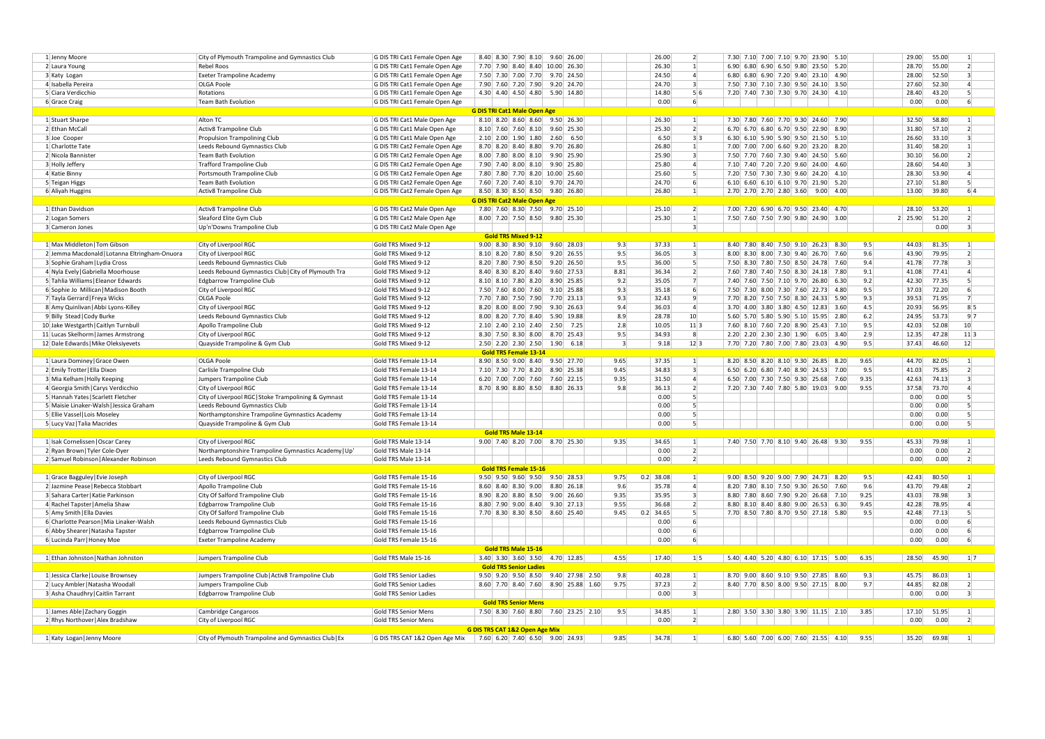| 1 Jenny Moore                                 | City of Plymouth Trampoline and Gymnastics Club      | G DIS TRI Cat1 Female Open Age | 8.40 8.30 7.90 8.10 9.60 26.00                |                     | 26.00<br>$\overline{2}$         | 7.30 7.10 7.00 7.10 9.70 23.90 5.10            | 29.00<br>55.00<br>-11              |
|-----------------------------------------------|------------------------------------------------------|--------------------------------|-----------------------------------------------|---------------------|---------------------------------|------------------------------------------------|------------------------------------|
| 2 Laura Young                                 | <b>Rebel Roos</b>                                    | G DIS TRI Cat1 Female Open Age | 7.70 7.90 8.40 8.40 10.00 26.30               |                     | 26.30<br>1                      | 6.90 6.80 6.90 6.50 9.80 23.50 5.20            | 28.70<br>55.00<br>$\overline{2}$   |
| 3 Katy Logan                                  | <b>Exeter Trampoline Academy</b>                     | G DIS TRI Cat1 Female Open Age | 7.50 7.30 7.00 7.70 9.70 24.50                |                     | 24.50<br>$\vert$                | 6.80 6.80 6.90 7.20 9.40 23.10 4.90            | 52.50<br>28.00<br>$\vert$ 3        |
|                                               |                                                      |                                | 7.90 7.60 7.20 7.90 9.20 24.70                |                     | 24.70<br>$\overline{3}$         | 7.50 7.30 7.10 7.30 9.50 24.10 3.50            | 52.30<br>$\overline{4}$            |
| 4 Isabella Pereira                            | <b>OLGA Poole</b>                                    | G DIS TRI Cat1 Female Open Age |                                               |                     |                                 |                                                | 27.60                              |
| 5 Ciara Verdicchio                            | Rotations                                            | G DIS TRI Cat1 Female Open Age | 4.30 4.40 4.50 4.80 5.90 14.80                |                     | 14.80<br>5 6                    | 7.20 7.40 7.30 7.30 9.70 24.30 4.10            | 28.40<br>43.20<br>-5               |
| 6 Grace Craig                                 | <b>Team Bath Evolution</b>                           | G DIS TRI Cat1 Female Open Age |                                               |                     | 0.00<br>6                       |                                                | 0.00<br>0.00<br>-6                 |
|                                               |                                                      |                                | <b>G DIS TRI Cat1 Male Open Age</b>           |                     |                                 |                                                |                                    |
| 1 Stuart Sharpe                               | Alton TC                                             | G DIS TRI Cat1 Male Open Age   | 8.10 8.20 8.60 8.60 9.50 26.30                |                     | 26.30<br>$\mathbf{1}$           | 7.30 7.80 7.60 7.70 9.30 24.60 7.90            | 32.50<br>58.80<br>-11              |
| 2 Ethan McCall                                | Activ8 Trampoline Club                               | G DIS TRI Cat1 Male Open Age   | 8.10 7.60 7.60 8.10<br>9.60 25.30             |                     | 25.30<br>$\overline{2}$         | 6.70 6.70 6.80 6.70 9.50 22.90 8.90            | 31.80<br>57.10<br>$\overline{2}$   |
| 3 Joe Cooper                                  | Propulsion Trampolining Club                         | G DIS TRI Cat1 Male Open Age   | $2.10$ $2.00$ $1.90$ $1.80$<br>$2.60 \ 6.50$  |                     | 6.50<br>3 3                     | 6.30 6.10 5.90 5.90 9.50 21.50 5.10            | 33.10<br>26.60<br>-31              |
| 1 Charlotte Tate                              | Leeds Rebound Gymnastics Club                        | G DIS TRI Cat2 Female Open Age | 8.70 8.20 8.40 8.80<br>9.70 26.80             |                     | 26.80<br>$\vert$ 1              | 7.00 7.00 7.00 6.60 9.20 23.20 8.20            | 31.40<br>58.20<br>$\vert$ 1        |
| 2 Nicola Bannister                            | Team Bath Evolution                                  | G DIS TRI Cat2 Female Open Age | 8.00 7.80 8.00 8.10 9.90 25.90                |                     | 25.90<br>$\vert$ 3              | 7.50 7.70 7.60 7.30 9.40 24.50 5.60            | 30.10<br>56.00<br>$\overline{2}$   |
|                                               |                                                      |                                |                                               |                     |                                 |                                                |                                    |
| 3 Holly Jeffery                               | <b>Trafford Trampoline Club</b>                      | G DIS TRI Cat2 Female Open Age | 7.90 7.40 8.00 8.10<br>9.90 25.80             |                     | 25.80<br>$\vert$                | 7.10 7.40 7.20 7.20 9.60 24.00 4.60            | 28.60<br>54.40<br>$\vert$ 3        |
| 4 Katie Binny                                 | Portsmouth Trampoline Club                           | G DIS TRI Cat2 Female Open Age | 7.80 7.80 7.70 8.20 10.00 25.60               |                     | $\vert$<br>25.60                | 7.20 7.50 7.30 7.30 9.60 24.20 4.10            | 53.90<br>28.30<br>$\Delta$         |
| 5 Teigan Higgs                                | Team Bath Evolution                                  | G DIS TRI Cat2 Female Open Age | 7.60 7.20 7.40 8.10 9.70 24.70                |                     | 24.70<br>6                      | 6.10 6.60 6.10 6.10 9.70 21.90 5.20            | 27.10<br>51.80<br>-5               |
| 6 Aliyah Huggins                              | Activ8 Trampoline Club                               | G DIS TRI Cat2 Female Open Age | 8.50 8.30 8.50 8.50 9.80 26.80                |                     | 26.80<br>$\vert$ 1              | 2.70 2.70 2.70 2.80 3.60 9.00 4.00             | 39.80<br>6 4<br>13.00              |
|                                               |                                                      |                                | <b>G DIS TRI Cat2 Male Open Age</b>           |                     |                                 |                                                |                                    |
| 1 Ethan Davidson                              | Activ8 Trampoline Club                               | G DIS TRI Cat2 Male Open Age   | 7.80 7.60 8.30 7.50<br>$9.70$ 25.10           |                     | $\overline{2}$<br>25.10         | 7.00 7.20 6.90 6.70 9.50 23.40 4.70            | 28.10<br>53.20<br>$\left  \right $ |
| 2 Logan Somers                                | Sleaford Elite Gym Club                              | G DIS TRI Cat2 Male Open Age   | 8.00 7.20 7.50 8.50 9.80 25.30                |                     | 25.30<br>$\mathbf{1}$           | 7.50 7.60 7.50 7.90 9.80 24.90 3.00            | 2 25.90<br>51.20<br>$\overline{2}$ |
|                                               |                                                      |                                |                                               |                     | $\vert$ 3                       |                                                | 0.00<br>$\vert$ 3                  |
| 3 Cameron Jones                               | Up'n'Downs Trampoline Club                           | G DIS TRI Cat2 Male Open Age   |                                               |                     |                                 |                                                |                                    |
|                                               |                                                      |                                | <b>Gold TRS Mixed 9-12</b>                    |                     |                                 |                                                |                                    |
| 1 Max Middleton   Tom Gibson                  | City of Liverpool RGC                                | Gold TRS Mixed 9-12            | $9.00$ 8.30 8.90 9.10 9.60 28.03              | 9.3                 | 37.33<br>1                      | 8.40 7.80 8.40 7.50 9.10 26.23 8.30<br>9.5     | 44.03<br>81.35<br>$\vert$ 1        |
| 2 Jemma Macdonald   Lotanna Eltringham-Onuora | City of Liverpool RGC                                | Gold TRS Mixed 9-12            | 8.10 8.20 7.80 8.50<br>$9.20 \ 26.55$         | 9.5                 | 36.05<br>$\overline{3}$         | 8.00 8.30 8.00 7.30 9.40 26.70<br>9.6<br>7.60  | 43.90<br>79.95<br>$\overline{2}$   |
| 3 Sophie Graham   Lydia Cross                 | Leeds Rebound Gymnastics Club                        | Gold TRS Mixed 9-12            | 8.20 7.80 7.90 8.50<br>$9.20$ 26.50           | 9.5                 | 36.00<br>-51                    | 7.50 8.30 7.80 7.50 8.50 24.78 7.60<br>9.4     | 41.78<br>77.78<br>-31              |
| 4 Nyla Evely   Gabriella Moorhouse            | Leeds Rebound Gymnastics Club   City of Plymouth Tra | Gold TRS Mixed 9-12            | 8.40 8.30 8.20 8.40<br>$9.60$ 27.53           | 8.81                | 36.34<br>2 <sup>1</sup>         | 7.60 7.80 7.40 7.50 8.30 24.18 7.80<br>9.1     | 41.08<br>77.41<br>$\Delta$         |
| 5 Tahlia Williams   Eleanor Edwards           | Edgbarrow Trampoline Club                            | Gold TRS Mixed 9-12            | 8.10 8.10 7.80 8.20<br>8.90 25.85             | 9.2                 | 35.05<br>7                      | 7.40 7.60 7.50 7.10 9.70 26.80<br>9.2<br>6.30  | 42.30<br>77.35<br>-51              |
| 6 Sophie Jo Millican   Madison Booth          | City of Liverpool RGC                                | Gold TRS Mixed 9-12            | 7.50 7.60 8.00 7.60<br>$9.10 \ 25.88$         | 9.3                 | 35.18<br>-6                     | 7.50 7.30 8.00 7.30 7.60 22.73 4.80<br>9.5     | 72.20<br>37.03<br>-6               |
| 7 Tayla Gerrard   Freya Wicks                 | <b>OLGA Poole</b>                                    | Gold TRS Mixed 9-12            | 7.70 7.80 7.50 7.90<br>7.70 23.13             | 9.3                 | 32.43<br>-91                    | 7.70 8.20 7.50 7.50 8.30 24.33 5.90<br>9.3     | 39.53<br>71.95<br>-71              |
|                                               |                                                      |                                | $9.30 \mid 26.63$                             | 9.4                 | 36.03<br>$\overline{4}$         | 3.70 4.00 3.80 3.80 4.50 12.83<br>4.5<br>3.60  | $8\vert 5$<br>20.93<br>56.95       |
| 8 Amy Quinlivan   Abbi Lyons-Killey           | City of Liverpool RGC                                | Gold TRS Mixed 9-12            | 8.20 8.00 8.00 7.90                           |                     |                                 |                                                |                                    |
| 9 Billy Stead   Cody Burke                    | Leeds Rebound Gymnastics Club                        | Gold TRS Mixed 9-12            | 8.00 8.20 7.70 8.40<br>5.90 19.88             | 8.9                 | 28.78<br>10 <sup>1</sup>        | 5.60 5.70 5.80 5.90 5.10 15.95 2.80<br>6.2     | 24.95<br>53.73<br>9 7              |
| 10 Jake Westgarth   Caitlyn Turnbull          | Apollo Trampoline Club                               | Gold TRS Mixed 9-12            | $2.10$ 2.40 2.10 2.40<br>2.50<br>7.25         | 2.8                 | 10.05<br>11 3                   | 7.60 8.10 7.60 7.20 8.90 25.43 7.10<br>9.5     | 42.03<br>52.08<br>10 <sup>1</sup>  |
| 11 Lucas Skelhorm   James Armstrong           | City of Liverpool RGC                                | Gold TRS Mixed 9-12            | 8.30 7.50 8.30 8.00<br>8.70 25.43             | 9.5                 | 34.93<br>$\mathbf{g}$           | 2.20 2.20 2.30 2.30 1.90 6.05 3.40<br>2.9      | 47.28<br>12.35<br>$11$ 3           |
| 12 Dale Edwards   Mike Oleksiyevets           | Quayside Trampoline & Gym Club                       | Gold TRS Mixed 9-12            | 2.50 2.20 2.30 2.50<br>$1.90 \mid 6.18$       | -31                 | 9.18<br>12 3                    | 7.70 7.20 7.80 7.00 7.80 23.03 4.90<br>9.5     | 46.60<br>12<br>37.43               |
|                                               |                                                      |                                | <b>Gold TRS Female 13-14</b>                  |                     |                                 |                                                |                                    |
| 1 Laura Dominey Grace Owen                    | OLGA Poole                                           | Gold TRS Female 13-14          | 8.90 8.50 9.00 8.40 9.50 27.70                | 9.65                | 37.35<br>$\mathbf{1}$           | 8.20 8.50 8.20 8.10 9.30 26.85 8.20<br>9.65    | 44.70<br>82.05<br>$\vert$ 1        |
| 2 Emily Trotter   Ella Dixon                  | Carlisle Trampoline Club                             | Gold TRS Female 13-14          | 7.10 7.30 7.70 8.20<br>8.90 25.38             | 9.45                | 34.83<br>$\vert$ 3              | 6.50 6.20 6.80 7.40 8.90 24.53<br>7.00<br>9.5  | 41.03<br>75.85<br>$\overline{2}$   |
| 3 Mia Kelham   Holly Keeping                  | Jumpers Trampoline Club                              | Gold TRS Female 13-14          | 6.20 7.00 7.00 7.60<br>7.60 22.15             | 9.35                | 31.50<br>$\overline{4}$         | 6.50 7.00 7.30 7.50 9.30 25.68<br>9.35<br>7.60 | 42.63<br>74.13<br>-31              |
|                                               | City of Liverpool RGC                                | Gold TRS Female 13-14          | 8.70 8.90 8.80 8.50 8.80 26.33                | 9.8                 | 36.13<br>$\overline{2}$         | 7.20 7.30 7.40 7.80 5.80 19.03 9.00<br>9.55    | 37.58<br>73.70<br>$\overline{4}$   |
|                                               |                                                      |                                |                                               |                     |                                 |                                                |                                    |
| 4 Georgia Smith   Carys Verdicchio            |                                                      |                                |                                               |                     |                                 |                                                |                                    |
| 5 Hannah Yates   Scarlett Fletcher            | City of Liverpool RGC Stoke Trampolining & Gymnast   | Gold TRS Female 13-14          |                                               |                     | 0.00<br>-51                     |                                                | 0.00<br>0.00<br>-51                |
| 5 Maisie Linaker-Walsh   Jessica Graham       | Leeds Rebound Gymnastics Club                        | Gold TRS Female 13-14          |                                               |                     | 0.00<br>-51                     |                                                | 0.00<br>0.00<br>-51                |
| 5 Ellie Vassel   Lois Moseley                 | Northamptonshire Trampoline Gymnastics Academy       | Gold TRS Female 13-14          |                                               |                     | 0.00<br>-51                     |                                                | 0.00<br>0.00<br>-5                 |
| 5 Lucy Vaz   Talia Macrides                   | Quayside Trampoline & Gym Club                       | Gold TRS Female 13-14          |                                               |                     | 0.00<br>-51                     |                                                | 0.00<br>0.00<br>-51                |
|                                               |                                                      |                                | Gold TRS Male 13-14                           |                     |                                 |                                                |                                    |
|                                               | City of Liverpool RGC                                | Gold TRS Male 13-14            | 9.00 7.40 8.20 7.00 8.70 25.30                | 9.35                | 34.65<br>1 <sup>1</sup>         | 7.40 7.50 7.70 8.10 9.40 26.48 9.30<br>9.55    | 45.33<br>79.98<br>-11              |
| 1 Isak Cornelissen   Oscar Carey              |                                                      |                                |                                               |                     | $\overline{2}$                  |                                                | $\overline{2}$                     |
| 2 Ryan Brown   Tyler Cole-Dyer                | Northamptonshire Trampoline Gymnastics Academy   Up  | Gold TRS Male 13-14            |                                               |                     | 0.00                            |                                                | 0.00<br>0.00                       |
| 2 Samuel Robinson   Alexander Robinson        | Leeds Rebound Gymnastics Club                        | Gold TRS Male 13-14            |                                               |                     | 0.00<br>2                       |                                                | 0.00<br>0.00<br>$\overline{2}$     |
|                                               |                                                      |                                | <b>Gold TRS Female 15-16</b>                  |                     |                                 |                                                |                                    |
| 1 Grace Bagguley   Evie Joseph                | City of Liverpool RGC                                | Gold TRS Female 15-16          | $9.50$ $9.50$ $9.60$ $9.50$ $9.50$ $28.53$    | $0.2$ 38.08<br>9.75 | 1                               | 9.00 8.50 9.20 9.00 7.90 24.73 8.20<br>9.5     | 42.43<br>80.50<br>$\overline{1}$   |
| 2 Jazmine Pease   Rebecca Stobbart            | Apollo Trampoline Club                               | Gold TRS Female 15-16          | $8.60$ $8.40$ $8.30$ $9.00$<br>8.80 26.18     | 9.6                 | 35.78<br>$\vert$                | 8.20 7.80 8.10 7.50 9.30 26.50<br>9.6<br>7.60  | 43.70<br>79.48<br>$\overline{2}$   |
| 3 Sahara Carter   Katie Parkinson             | City Of Salford Trampoline Club                      | Gold TRS Female 15-16          | 8.90 8.20 8.80 8.50<br>$9.00 \mid 26.60 \mid$ | 9.35                | 35.95<br>$\vert$ 3              | 8.80 7.80 8.60 7.90 9.20 26.68 7.10<br>9.25    | 78.98<br>43.03<br>-31              |
| 4 Rachel Tapster   Amelia Shaw                | Edgbarrow Trampoline Club                            | Gold TRS Female 15-16          | 8.80 7.90 9.00 8.40<br>$9.30 \mid 27.13$      | 9.55                | 36.68<br>$\overline{2}$         | 8.80 8.10 8.40 8.80 9.00 26.53 6.30<br>9.45    | 42.28<br>78.95<br>$\vert$ 4        |
| 5 Amy Smith   Ella Davies                     | City Of Salford Trampoline Club                      | Gold TRS Female 15-16          | 7.70 8.30 8.30 8.50 8.60 25.40                | 9.45<br>$0.2$ 34.65 | -51                             | 7.70 8.50 7.80 8.70 9.50 27.18 5.80<br>9.5     | 42.48<br>77.13<br>-51              |
| 6 Charlotte Pearson   Mia Linaker-Walsh       | Leeds Rebound Gymnastics Club                        | Gold TRS Female 15-16          |                                               |                     | 0.00                            |                                                | 0.00<br>0.00                       |
| 6 Abby Shearer   Natasha Tapster              | Edgbarrow Trampoline Club                            | Gold TRS Female 15-16          |                                               |                     | 0.00                            |                                                | 0.00<br>0.00<br>-6                 |
|                                               |                                                      | Gold TRS Female 15-16          |                                               |                     | 0.00<br>6 <sup>1</sup>          |                                                | 0.00<br>0.00<br>-6                 |
| 6 Lucinda Parr   Honey Moe                    | <b>Exeter Trampoline Academy</b>                     |                                |                                               |                     |                                 |                                                |                                    |
|                                               |                                                      |                                | Gold TRS Male 15-16                           |                     |                                 |                                                |                                    |
| 1 Ethan Johnston   Nathan Johnston            | Jumpers Trampoline Club                              | Gold TRS Male 15-16            | 3.40 3.30 3.60 3.50 4.70 12.85                | 4.55                | 17.40<br>1 5                    | 5.40 4.40 5.20 4.80 6.10 17.15 5.00<br>6.35    | 45.90<br>28.50<br>$1 \vert 7$      |
|                                               |                                                      |                                | <b>Gold TRS Senior Ladies</b>                 |                     |                                 |                                                |                                    |
| 1 Jessica Clarke   Louise Brownsey            | Jumpers Trampoline Club   Activ8 Trampoline Club     | Gold TRS Senior Ladies         | 9.50 9.20 9.50 8.50 9.40 27.98 2.50           | 9.8                 | 40.28<br>1                      | 8.70 9.00 8.60 9.10 9.50 27.85 8.60<br>9.3     | 45.75<br>86.03<br>-11              |
| 2 Lucy Ambler   Natasha Woodal                | Jumpers Trampoline Club                              | Gold TRS Senior Ladies         | 8.60 7.70 8.40 7.60<br>8.90 25.88 1.60        | 9.75                | 37.23<br>2 <sup>1</sup>         | 8.40 7.70 8.50 8.00 9.50 27.15 8.00<br>9.7     | 82.08<br>44.85<br>$\overline{2}$   |
| 3 Asha Chaudhry   Caitlin Tarrant             | Edgbarrow Trampoline Club                            | Gold TRS Senior Ladies         |                                               |                     | 0.00<br>$\overline{\mathbf{3}}$ |                                                | 0.00<br>0.00<br>$\vert$ 3          |
|                                               |                                                      |                                | <b>Gold TRS Senior Mens</b>                   |                     |                                 |                                                |                                    |
| 1 James Able   Zachary Goggin                 | Cambridge Cangaroos                                  | Gold TRS Senior Mens           | 7.50 8.30 7.60 8.80 7.60 23.25 2.10           | 9.5                 | 34.85<br>1                      | 2.80 3.50 3.30 3.80 3.90 11.15 2.10<br>3.85    | 17.10<br>51.95<br>$\vert$ 1        |
| 2 Rhys Northover   Alex Bradshaw              | City of Liverpool RGC                                | Gold TRS Senior Mens           |                                               |                     | 0.00<br>2                       |                                                | 0.00<br>0.00<br>$\overline{2}$     |
|                                               |                                                      |                                | G DIS TRS CAT 1&2 Open Age Mix                |                     |                                 |                                                |                                    |
| 1 Katy Logan   Jenny Moore                    | City of Plymouth Trampoline and Gymnastics Club   Ex | G DIS TRS CAT 1&2 Open Age Mix | $7.60$ 6.20 7.40 6.50 9.00 24.93              | 9.85                | 34.78<br>$\vert$ 1              | 6.80 5.60 7.00 6.00 7.60 21.55 4.10<br>9.55    | 35.20<br>69.98<br>$\vert$ 1        |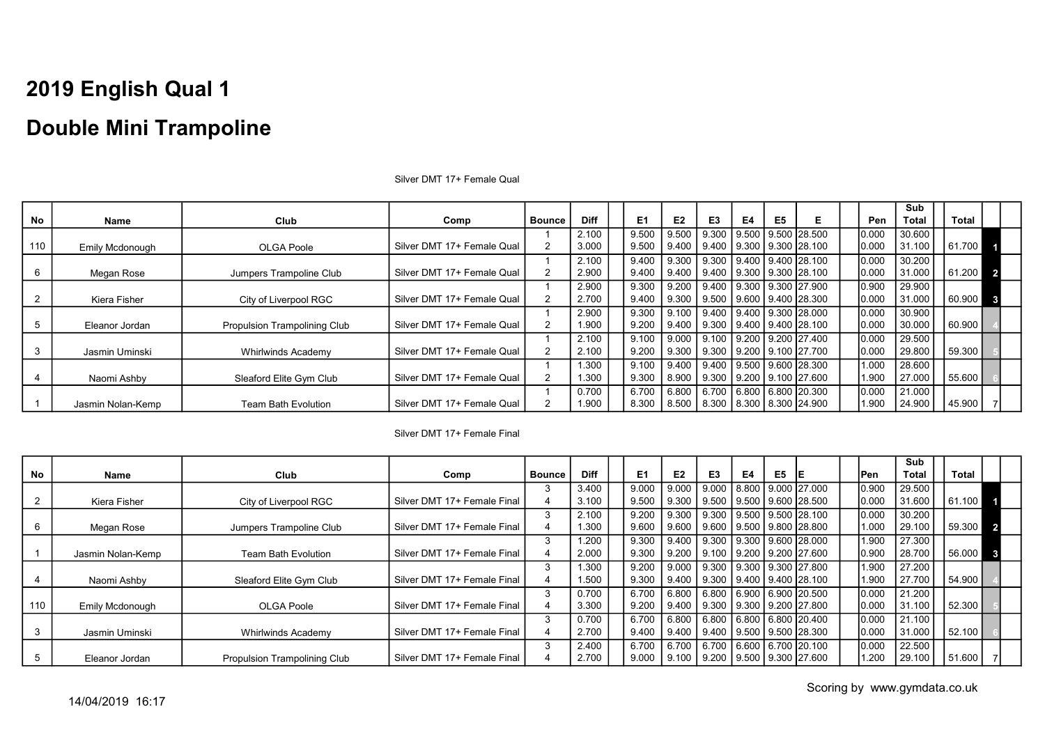|     |                   |                              |                            |               |             |                |                |                                         |    |    |                         |       | <b>Sub</b>   |        |                |
|-----|-------------------|------------------------------|----------------------------|---------------|-------------|----------------|----------------|-----------------------------------------|----|----|-------------------------|-------|--------------|--------|----------------|
| No  | Name              | Club                         | Comp                       | <b>Bounce</b> | <b>Diff</b> | E <sub>1</sub> | E <sub>2</sub> | E3                                      | E4 | E5 | Е                       | Pen   | <b>Total</b> | Total  |                |
|     |                   |                              |                            |               | 2.100       | 9.500          | 9.500          | 9.300                                   |    |    | 9.500 9.500 28.500      | 0.000 | 30.600       |        |                |
| 110 | Emily Mcdonough   | OLGA Poole                   | Silver DMT 17+ Female Qual | 2             | 3.000       | 9.500          |                | 9.400 9.400                             |    |    | l 9.300 l 9.300 l28.100 | 0.000 | 31.100       | 61.700 |                |
|     |                   |                              |                            |               | 2.100       | 9.400          |                | 9.300 9.300 1                           |    |    | 9.400   9.400   28.100  | 0.000 | 30.200       |        |                |
|     | Megan Rose        | Jumpers Trampoline Club      | Silver DMT 17+ Female Qual | 2             | 2.900       | 9.400          |                | 9.400   9.400   9.300   9.300   28.100  |    |    |                         | 0.000 | 31.000       | 61.200 | $\overline{2}$ |
|     |                   |                              |                            |               | 2.900       | 9.300          |                | 9.200 9.400 9.300 9.300 27.900          |    |    |                         | 0.900 | 29.900       |        |                |
|     | Kiera Fisher      | City of Liverpool RGC        | Silver DMT 17+ Female Qual | 2             | 2.700       | 9.400          |                | 9.300   9.500                           |    |    | l 9.600 l 9.400 l28.300 | 0.000 | 31.000       | 60.900 |                |
|     |                   |                              |                            |               | 2.900       | 9.300          |                | Ⅰ 9.100 Ⅰ 9.400 Ⅰ 9.400 Ⅰ 9.300 Ⅰ28.000 |    |    |                         | 0.000 | 30.900       |        |                |
|     | Eleanor Jordan    | Propulsion Trampolining Club | Silver DMT 17+ Female Qual | 2             | 1.900       | 9.200          |                | 9.400   9.300   9.400   9.400   28.100  |    |    |                         | 0.000 | 30.000       | 60.900 |                |
|     |                   |                              |                            |               | 2.100       | 9.100          |                | $9.000$   9.100                         |    |    | 9.200   9.200   27.400  | 0.000 | 29.500       |        |                |
|     | Jasmin Uminski    | Whirlwinds Academy           | Silver DMT 17+ Female Qual | 2             | 2.100       | 9.200          |                | 9.300   9.300   9.200   9.100   27.700  |    |    |                         | 0.000 | 29.800       | 59.300 |                |
|     |                   |                              |                            |               | 1.300       | 9.100          |                | │ 9.400 │ 9.400 │ 9.500 │ 9.600 │28.300 |    |    |                         | 1.000 | 28.600       |        |                |
|     | Naomi Ashby       | Sleaford Elite Gym Club      | Silver DMT 17+ Female Qual | 2             | 1.300       | 9.300          |                | 8.900   9.300                           |    |    | 9.200   9.100   27.600  | 1.900 | 27.000       | 55.600 |                |
|     |                   |                              |                            |               | 0.700       | 6.700          |                | 6.800   6.700   6.800   6.800   20.300  |    |    |                         | 0.000 | 21.000       |        |                |
|     | Jasmin Nolan-Kemp | <b>Team Bath Evolution</b>   | Silver DMT 17+ Female Qual |               | 1.900       | 8.300          |                | 8.500   8.300   8.300   8.300   24.900  |    |    |                         | 1.900 | 24.900       | 45.900 |                |

Silver DMT 17+ Female Qual

#### Silver DMT 17+ Female Final

|     |                        |                                     |                             |               |             |       |                |                                 |    |                |                                        |       | Sub          |        |                |  |
|-----|------------------------|-------------------------------------|-----------------------------|---------------|-------------|-------|----------------|---------------------------------|----|----------------|----------------------------------------|-------|--------------|--------|----------------|--|
| No  | Name                   | Club                                | Comp                        | <b>Bounce</b> | <b>Diff</b> | E1    | E <sub>2</sub> | E <sub>3</sub>                  | E4 | E <sub>5</sub> |                                        | lPen. | <b>Total</b> | Total  |                |  |
|     |                        |                                     |                             | 3             | 3.400       | 9.000 | 9.000          |                                 |    |                | 9.000   8.800   9.000   27.000         | 0.900 | 29.500       |        |                |  |
|     | Kiera Fisher           | City of Liverpool RGC               | Silver DMT 17+ Female Final |               | 3.100       | 9.500 | 9.300          | 9.500 9.500 9.600 28.500        |    |                |                                        | 0.000 | 31.600       | 61.100 |                |  |
|     |                        |                                     |                             | 3             | 2.100       | 9.200 | 9.300          |                                 |    |                | 9.300 9.500 9.500 28.100               | 0.000 | 30.200       |        |                |  |
|     | Megan Rose             | Jumpers Trampoline Club             | Silver DMT 17+ Female Final |               | 1.300       | 9.600 | 9.600          |                                 |    |                | 9.600   9.500   9.800   28.800         | 1.000 | 29.100       | 59.300 | $\overline{2}$ |  |
|     |                        |                                     |                             | 3             | 1.200       | 9.300 | 9.400          |                                 |    |                | $9.300$   $9.300$   $9.600$   $28.000$ | 1.900 | 27.300       |        |                |  |
|     | Jasmin Nolan-Kemp      | <b>Team Bath Evolution</b>          | Silver DMT 17+ Female Final |               | 2.000       | 9.300 | l 9.200        | l 9.100 l 9.200 l 9.200 l27.600 |    |                |                                        | 0.900 | 28.700       | 56.000 | -31            |  |
|     |                        |                                     |                             |               | 1.300       | 9.200 | 9.000          | 9.300 9.300 9.300 27.800        |    |                |                                        | 1.900 | 27.200       |        |                |  |
|     | Naomi Ashby            | Sleaford Elite Gym Club             | Silver DMT 17+ Female Final |               | 1.500       | 9.300 | 9.400          | l 9.300 l 9.400 l 9.400 l28.100 |    |                |                                        | 1.900 | 27.700       | 54.900 |                |  |
|     |                        |                                     |                             | 3             | 0.700       | 6.700 | 6.800          | 6.800 6.900 6.900 20.500        |    |                |                                        | 0.000 | 21.200       |        |                |  |
| 110 | <b>Emily Mcdonough</b> | OLGA Poole                          | Silver DMT 17+ Female Final |               | 3.300       | 9.200 | 9.400          | 9.300 9.300 9.200 27.800        |    |                |                                        | 0.000 | 31.100       | 52.300 |                |  |
|     |                        |                                     |                             | 3             | 0.700       | 6.700 | 6.800          |                                 |    |                | 6.800 6.800 6.800 20.400               | 0.000 | 21.100       |        |                |  |
|     | Jasmin Uminski         | Whirlwinds Academy                  | Silver DMT 17+ Female Final |               | 2.700       | 9.400 | 9.400          | 9.400   9.500   9.500  28.300   |    |                |                                        | 0.000 | 31.000       | 52.100 |                |  |
|     |                        |                                     |                             | 3             | 2.400       | 6.700 | 6.700          | 6.700 6.600 6.700 20.100        |    |                |                                        | 0.000 | 22.500       |        |                |  |
|     | Eleanor Jordan         | <b>Propulsion Trampolining Club</b> | Silver DMT 17+ Female Final |               | 2.700       | 9.000 | 9.100          | 9.200 9.500 9.300 27.600        |    |                |                                        | 1.200 | 29.100       | 51.600 |                |  |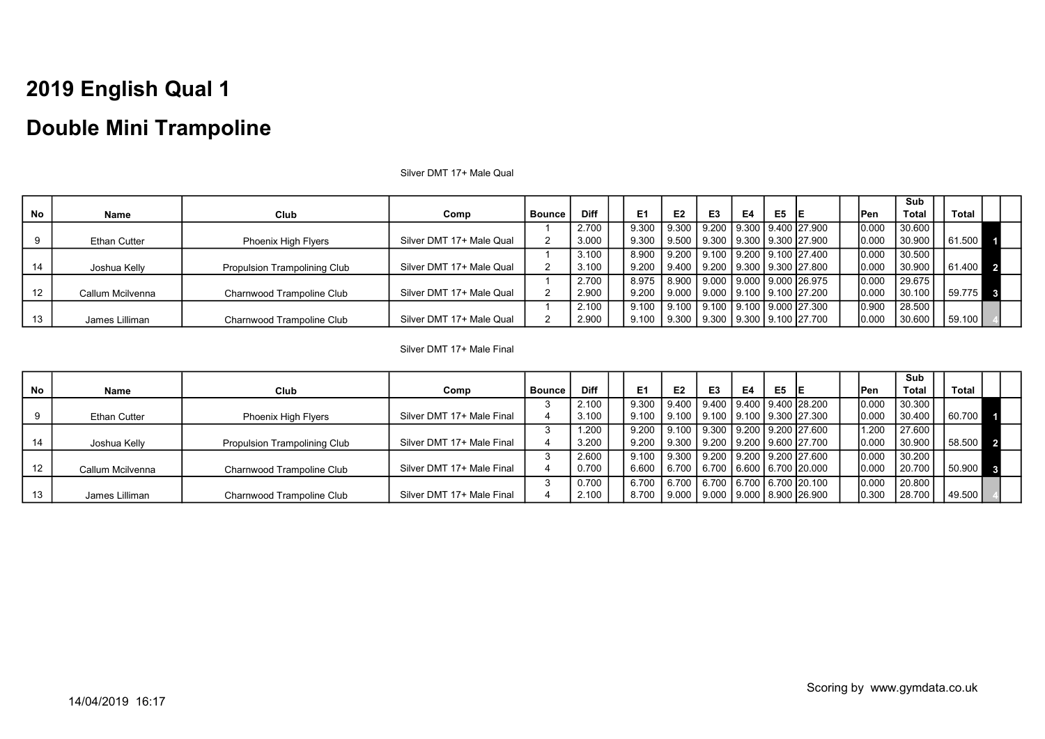|           |                     |                                     |                          |               |             |                |                                                   |                                 |    |                |    |             | Sub    |              |  |
|-----------|---------------------|-------------------------------------|--------------------------|---------------|-------------|----------------|---------------------------------------------------|---------------------------------|----|----------------|----|-------------|--------|--------------|--|
| <b>No</b> | Name                | Club                                | Comp                     | <b>Bounce</b> | <b>Diff</b> | E <sub>1</sub> | E <sub>2</sub>                                    | E <sub>3</sub>                  | E4 | E <sub>5</sub> | IΕ | <b>IPen</b> | Total  | <b>Total</b> |  |
|           |                     |                                     |                          |               | 2.700       | 9.300          | 9.300                                             | l 9.200 l 9.300 l 9.400 l27.900 |    |                |    | 0.000       | 30.600 |              |  |
|           | <b>Ethan Cutter</b> | Phoenix High Flyers                 | Silver DMT 17+ Male Qual |               | 3.000       | 9.300          | Ⅰ 9.500 Ⅰ 9.300 Ⅰ 9.300 Ⅰ 9.300 Ⅰ27.900           |                                 |    |                |    | 0.000       | 30.900 | 61.500       |  |
|           |                     |                                     |                          |               | 3.100       | 8.900          | <u>  9.200   9.100   9.200   9.100   27.400  </u> |                                 |    |                |    | 0.000       | 30.500 |              |  |
| 14        | Joshua Kelly        | <b>Propulsion Trampolining Club</b> | Silver DMT 17+ Male Qual |               | 3.100       | 9.200          | Ⅰ9.400 Ⅰ9.200 Ⅰ9.300 Ⅰ9.300 Ⅰ27.800               |                                 |    |                |    | 0.000       | 30.900 | 61.400       |  |
|           |                     |                                     |                          |               | 2.700       | 8.975          | 8.900   9.000   9.000   9.000   26.975            |                                 |    |                |    | 0.000       | 29.675 |              |  |
| 12        | Callum Mcilvenna    | Charnwood Trampoline Club           | Silver DMT 17+ Male Qual |               | 2.900       | 9.200          | 9.000   9.000   9.100   9.100   27.200            |                                 |    |                |    | 0.000       | 30.100 | 59.775       |  |
|           |                     |                                     |                          |               | 2.100       | 9.100          | 9.100                                             | Ⅰ 9.100 Ⅰ 9.100 Ⅰ 9.000 Ⅰ27.300 |    |                |    | 0.900       | 28.500 |              |  |
| 13        | James Lilliman      | Charnwood Trampoline Club           | Silver DMT 17+ Male Qual |               | 2.900       | 9.100          | 9.300                                             | 9.300   9.300   9.100   27.700  |    |                |    | 0.000       | 30.600 | 59.100       |  |

Silver DMT 17+ Male Qual

| Silver DMT 17+ Male Final |  |  |  |  |
|---------------------------|--|--|--|--|
|---------------------------|--|--|--|--|

|           |                  |                                     |                           |               |             |                                                |                                         |    |    |    |                                           |        | Sub          |              |  |
|-----------|------------------|-------------------------------------|---------------------------|---------------|-------------|------------------------------------------------|-----------------------------------------|----|----|----|-------------------------------------------|--------|--------------|--------------|--|
| <b>No</b> | Name             | Club                                | Comp                      | <b>Bounce</b> | <b>Diff</b> | E <sub>1</sub>                                 | E <sub>2</sub>                          | E3 | E4 | E5 | - IE                                      | lPen   | <b>Total</b> | <b>Total</b> |  |
|           |                  |                                     |                           | د.            | 2.100       | 9.300                                          |                                         |    |    |    | 9.400   9.400   9.400   9.400  28.200     | 0.000  | 30.300       |              |  |
|           | Ethan Cutter     | Phoenix High Flyers                 | Silver DMT 17+ Male Final | 4             | 3.100       | 9.100   9.100   9.100   9.100   9.300   27.300 |                                         |    |    |    |                                           | 0.000  | 30.400       | 60.700       |  |
|           |                  |                                     |                           |               | 1.200       | 9.200                                          | Ⅰ 9.100 Ⅰ 9.300 Ⅰ 9.200 Ⅰ 9.200 Ⅰ27.600 |    |    |    |                                           | 1.200  | 27.600       |              |  |
| 14        | Joshua Kelly     | <b>Propulsion Trampolining Club</b> | Silver DMT 17+ Male Final | 4             | 3.200       | 9.200                                          |                                         |    |    |    | l 9.300 l 9.200 l 9.200 l 9.600 l27.700 l | 10.000 | 30.900       | 58.500 2     |  |
|           |                  |                                     |                           |               | 2.600       | 9.100                                          |                                         |    |    |    | l 9.300 l 9.200 l 9.200 l 9.200 l27.600 l | 0.000  | 30.200       |              |  |
|           | Callum Mcilvenna | Charnwood Trampoline Club           | Silver DMT 17+ Male Final | 4             | 0.700       | 6.600                                          | 6.700   6.700   6.600   6.700   20.000  |    |    |    |                                           | 0.000  | 20.700       | $50.900$ 3   |  |
|           |                  |                                     |                           |               | 0.700       | 6.700                                          |                                         |    |    |    | 6.700   6.700   6.700   6.700   20.100    | 0.000  | 20.800       |              |  |
|           | James Lilliman   | Charnwood Trampoline Club           | Silver DMT 17+ Male Final |               | 2.100       | 8.700                                          | l 9.000 l 9.000 l 9.000 l 8.900 l26.900 |    |    |    |                                           | 0.300  | 28.700       | 49.500       |  |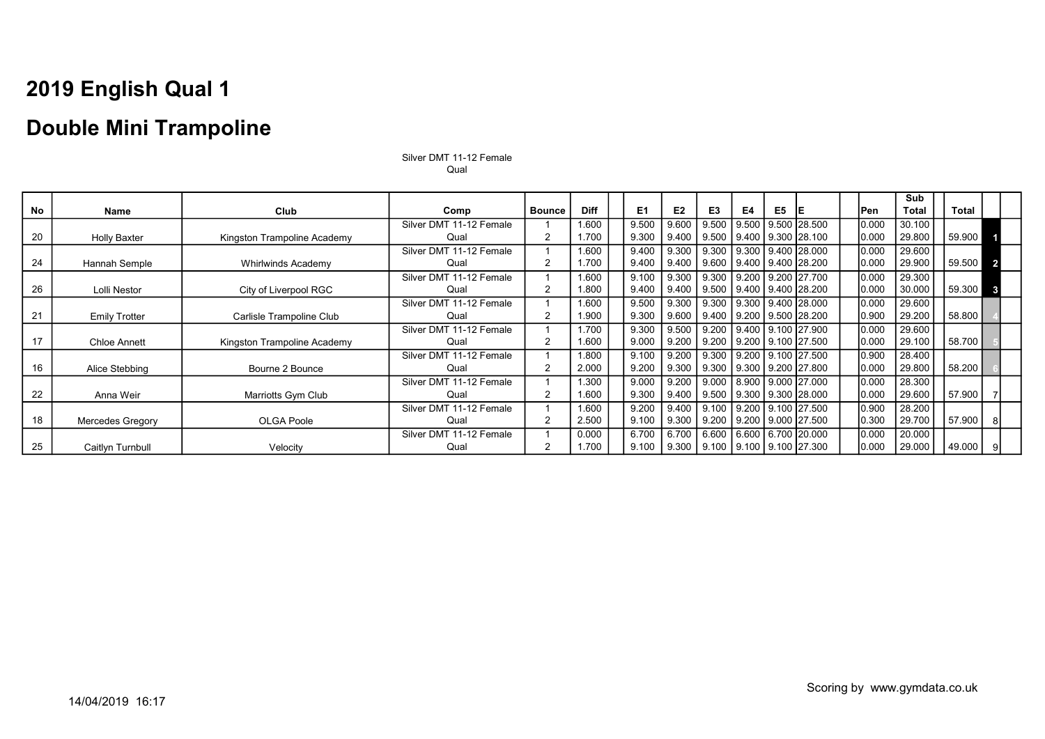### Double Mini Trampoline

|    |                         |                             |                         |                |             |                |                |                                                  |    |                |                                      |       | Sub          |        |  |
|----|-------------------------|-----------------------------|-------------------------|----------------|-------------|----------------|----------------|--------------------------------------------------|----|----------------|--------------------------------------|-------|--------------|--------|--|
| No | Name                    | Club                        | Comp                    | <b>Bounce</b>  | <b>Diff</b> | E <sub>1</sub> | E <sub>2</sub> | E <sub>3</sub>                                   | E4 | E <sub>5</sub> | IE                                   | lPen  | <b>Total</b> | Total  |  |
|    |                         |                             | Silver DMT 11-12 Female |                | 1.600       | 9.500          | 9.600          | 9.500                                            |    |                | 9.500 9.500 28.500                   | 0.000 | 30.100       |        |  |
| 20 | <b>Holly Baxter</b>     | Kingston Trampoline Academy | Qual                    | 2              | 1.700       | 9.300          |                | 9.400   9.500   9.400   9.300   28.100           |    |                |                                      | 0.000 | 29.800       | 59.900 |  |
|    |                         |                             | Silver DMT 11-12 Female |                | 1.600       | 9.400          |                | 9.300   9.300   9.300   9.400   28.000           |    |                |                                      | 0.000 | 29.600       |        |  |
| 24 | Hannah Semple           | Whirlwinds Academy          | Qual                    | 2              | 1.700       | 9.400          | 9.400          |                                                  |    |                | 9.600   9.400   9.400   28.200       | 0.000 | 29.900       | 59.500 |  |
|    |                         |                             | Silver DMT 11-12 Female |                | 1.600       | 9.100          | $9.300$        | 9.300                                            |    |                | 9.200 9.200 27.700                   | 0.000 | 29.300       |        |  |
| 26 | Lolli Nestor            | City of Liverpool RGC       | Qual                    | 2              | 1.800       | 9.400          |                | $9.400$   $9.500$                                |    |                | 9.400 9.400 28.200                   | 0.000 | 30.000       | 59.300 |  |
|    |                         |                             | Silver DMT 11-12 Female |                | 1.600       | 9.500          |                | 9.300   9.300   9.300   9.400   28.000           |    |                |                                      | 0.000 | 29.600       |        |  |
| 21 | <b>Emily Trotter</b>    | Carlisle Trampoline Club    | Qual                    | $\overline{2}$ | 1.900       | 9.300          |                | $9.600$   $9.400$   $9.200$   $9.500$   $28.200$ |    |                |                                      | 0.900 | 29.200       | 58.800 |  |
|    |                         |                             | Silver DMT 11-12 Female |                | 1.700       | 9.300          |                | $9.500$   $9.200$   $9.400$   $9.100$   27.900   |    |                |                                      | 0.000 | 29.600       |        |  |
| 17 | <b>Chloe Annett</b>     | Kingston Trampoline Academy | Qual                    | 2              | 1.600       | 9.000          | 9.200          |                                                  |    |                | $9.200$   $9.200$   $9.100$   27.500 | 0.000 | 29.100       | 58.700 |  |
|    |                         |                             | Silver DMT 11-12 Female |                | 1.800       | 9.100          |                | $9.200$   $9.300$                                |    |                | 9.200 9.100 27.500                   | 0.900 | 28.400       |        |  |
| 16 | Alice Stebbing          | Bourne 2 Bounce             | Qual                    | 2              | 2.000       | 9.200          |                | 9.300   9.300   9.300   9.200   27.800           |    |                |                                      | 0.000 | 29.800       | 58.200 |  |
|    |                         |                             | Silver DMT 11-12 Female |                | 1.300       | 9.000          |                | 9.200   9.000   8.900   9.000   27.000           |    |                |                                      | 0.000 | 28.300       |        |  |
| 22 | Anna Weir               | Marriotts Gym Club          | Qual                    | 2              | 1.600       | 9.300          |                | $9.400$   $9.500$   $9.300$   $9.300$   $28.000$ |    |                |                                      | 0.000 | 29.600       | 57.900 |  |
|    |                         |                             | Silver DMT 11-12 Female |                | 1.600       | 9.200          |                | 9.400 9.100 9.200 9.100 27.500                   |    |                |                                      | 0.900 | 28.200       |        |  |
| 18 | <b>Mercedes Gregory</b> | OLGA Poole                  | Qual                    | 2              | 2.500       | 9.100          | 9.300          |                                                  |    |                | $9.200$   $9.200$   $9.000$   27.500 | 0.300 | 29.700       | 57.900 |  |
|    |                         |                             | Silver DMT 11-12 Female |                | 0.000       | 6.700          |                | 6.700   6.600   6.600   6.700   20.000           |    |                |                                      | 0.000 | 20.000       |        |  |
| 25 | Caitlyn Turnbull        | Velocity                    | Qual                    | 2              | 1.700       | 9.100          |                | $9.300$   $9.100$   $9.100$   $9.100$   $27.300$ |    |                |                                      | 0.000 | 29.000       | 49.000 |  |

Silver DMT 11-12 Female Qual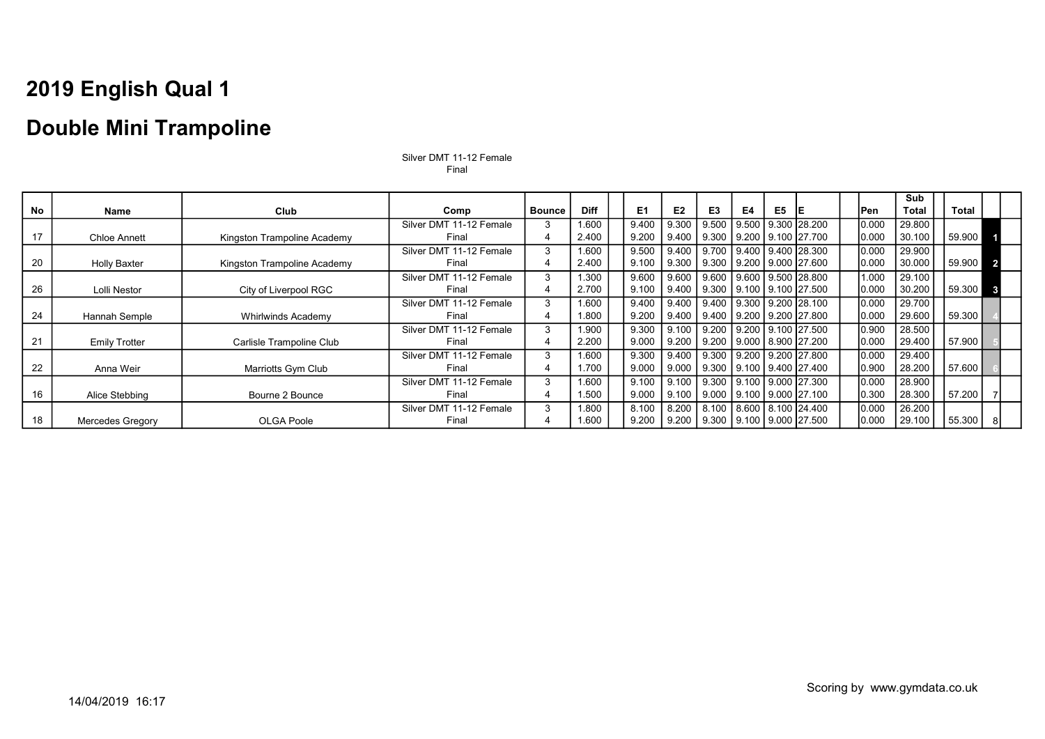### Double Mini Trampoline

|    |                         |                             |                         |               |             |                |                        |                                |    |                |                                      |       | <b>Sub</b>   |              |  |
|----|-------------------------|-----------------------------|-------------------------|---------------|-------------|----------------|------------------------|--------------------------------|----|----------------|--------------------------------------|-------|--------------|--------------|--|
| No | Name                    | Club                        | Comp                    | <b>Bounce</b> | <b>Diff</b> | E <sub>1</sub> | E <sub>2</sub>         | E <sub>3</sub>                 | E4 | E <sub>5</sub> | IE                                   | Pen   | <b>Total</b> | <b>Total</b> |  |
|    |                         |                             | Silver DMT 11-12 Female | 3             | 1.600       | 9.400          | 9.300                  | 9.500                          |    |                | 9.500 9.300 28.200                   | 0.000 | 29.800       |              |  |
| 17 | <b>Chloe Annett</b>     | Kingston Trampoline Academy | Final                   | 4             | 2.400       | 9.200          | 9.400                  |                                |    |                | 9.300   9.200   9.100   27.700       | 0.000 | 30.100       | 59.900       |  |
|    |                         |                             | Silver DMT 11-12 Female | 3             | 1.600       | 9.500          | $9.400 \text{ L}$      | 9.700                          |    |                | 9.400   9.400   28.300               | 0.000 | 29.900       |              |  |
| 20 | <b>Holly Baxter</b>     | Kingston Trampoline Academy | Final                   | 4             | 2.400       | 9.100          | 9.300                  | 9.300                          |    |                | 9.200   9.000   27.600               | 0.000 | 30.000       | 59.900       |  |
|    |                         |                             | Silver DMT 11-12 Female | 3             | .300        | 9.600          | 9.600   9.600          |                                |    |                | 9.600   9.500   28.800               | 1.000 | 29.100       |              |  |
| 26 | Lolli Nestor            | City of Liverpool RGC       | Final                   |               | 2.700       | 9.100          | 9.400                  | 9.300                          |    |                | 9.100   9.100   27.500               | 0.000 | 30.200       | 59.300       |  |
|    |                         |                             | Silver DMT 11-12 Female | 3             | 1.600       | 9.400          | 9.400                  |                                |    |                | 9.400 9.300 9.200 28.100             | 0.000 | 29.700       |              |  |
| 24 | Hannah Semple           | <b>Whirlwinds Academy</b>   | Final                   |               | 1.800       | 9.200          | 9.400                  |                                |    |                | $9.400$   $9.200$   $9.200$   27.800 | 0.000 | 29.600       | 59.300       |  |
|    |                         |                             | Silver DMT 11-12 Female | 3             | 1.900       | 9.300          | 9.100                  |                                |    |                | 9.200 9.200 9.100 27.500             | 0.900 | 28.500       |              |  |
| 21 | <b>Emily Trotter</b>    | Carlisle Trampoline Club    | Final                   |               | 2.200       | 9.000          | 9.200                  |                                |    |                | $9.200$   $9.000$   $8.900$   27.200 | 0.000 | 29.400       | 57.900       |  |
|    |                         |                             | Silver DMT 11-12 Female | 3             | 1.600       | 9.300          | 9.400                  | 9.300                          |    |                | <u> Ⅰ 9.200 Ⅰ 9.200 Ⅰ 27.800 </u>    | 0.000 | 29.400       |              |  |
| 22 | Anna Weir               | Marriotts Gym Club          | Final                   |               | .700        | 9.000          | $9.000$ $\blacksquare$ | 9.300                          |    |                | 9.100 9.400 27.400                   | 0.900 | 28.200       | 57.600       |  |
|    |                         |                             | Silver DMT 11-12 Female | 3             | 1.600       | 9.100          |                        | 9.100 9.300 9.100 9.000 27.300 |    |                |                                      | 0.000 | 28.900       |              |  |
| 16 | Alice Stebbing          | Bourne 2 Bounce             | Final                   |               | 1.500       | 9.000          | 9.100                  | 9.000                          |    |                | 9.100 9.000 27.100                   | 0.300 | 28.300       | 57.200       |  |
|    |                         |                             | Silver DMT 11-12 Female | 3             | .800        | 8.100          | 8.200                  | 8.100                          |    |                | 8.600 8.100 24.400                   | 0.000 | 26.200       |              |  |
| 18 | <b>Mercedes Gregory</b> | OLGA Poole                  | Final                   |               | 1.600       | 9.200          | 9.200                  | $9.300$ $\vert$                |    |                | 9.100   9.000  27.500                | 0.000 | 29.100       | 55.300       |  |

Silver DMT 11-12 Female Final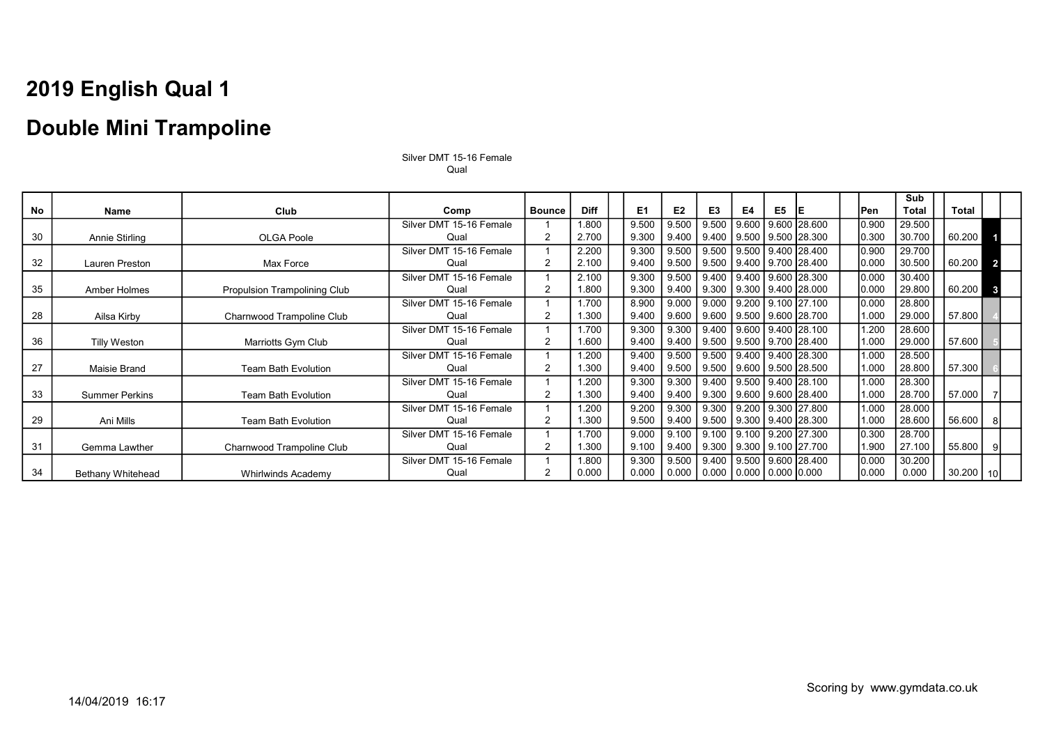### Double Mini Trampoline

|    |                       |                                     |                         |                |             |                |                        |                                                               |       |                |                                        |       | Sub          |              |                 |
|----|-----------------------|-------------------------------------|-------------------------|----------------|-------------|----------------|------------------------|---------------------------------------------------------------|-------|----------------|----------------------------------------|-------|--------------|--------------|-----------------|
| No | Name                  | Club                                | Comp                    | <b>Bounce</b>  | <b>Diff</b> | E <sub>1</sub> | E <sub>2</sub>         | E3                                                            | E4    | E <sub>5</sub> | IE                                     | Pen   | <b>Total</b> | <b>Total</b> |                 |
|    |                       |                                     | Silver DMT 15-16 Female |                | 1.800       | 9.500          | 9.500                  | 9.500                                                         | 9.600 |                | 9.600 28.600                           | 0.900 | 29.500       |              |                 |
| 30 | Annie Stirling        | OLGA Poole                          | Qual                    | 2              | 2.700       | 9.300          | $9.400$ $\blacksquare$ |                                                               |       |                | $9.400$   $9.500$   $9.500$   $28.300$ | 0.300 | 30.700       | 60.200       |                 |
|    |                       |                                     | Silver DMT 15-16 Female |                | 2.200       | 9.300          | 9.500                  | 9.500                                                         |       |                | 9.500 9.400 28.400                     | 0.900 | 29.700       |              |                 |
| 32 | Lauren Preston        | Max Force                           | Qual                    | $\overline{2}$ | 2.100       | 9.400          | 9.500                  | 9.500                                                         |       |                | 9.400 9.700 28.400                     | 0.000 | 30.500       | 60.200       |                 |
|    |                       |                                     | Silver DMT 15-16 Female |                | 2.100       | 9.300          | 9.500                  | 9.400                                                         |       |                | 9.400 9.600 28.300                     | 0.000 | 30.400       |              |                 |
| 35 | Amber Holmes          | <b>Propulsion Trampolining Club</b> | Qual                    | $\overline{2}$ | 1.800       | 9.300          | 9.400                  | 9.300                                                         |       |                | 9.300   9.400   28.000                 | 0.000 | 29.800       | 60.200       | $\mathbf{3}$    |
|    |                       |                                     | Silver DMT 15-16 Female |                | 1.700       | 8.900          | 9.000                  | 9.000                                                         |       |                | 9.200 9.100 27.100                     | 0.000 | 28.800       |              |                 |
| 28 | Ailsa Kirby           | Charnwood Trampoline Club           | Qual                    | 2              | .300        | 9.400          | 9.600                  |                                                               |       |                | 9.600 9.500 9.600 28.700               | 1.000 | 29.000       | 57.800       |                 |
|    |                       |                                     | Silver DMT 15-16 Female |                | 1.700       | 9.300          | 9.300                  | 9.400                                                         |       |                | 9.600 9.400 28.100                     | 1.200 | 28.600       |              |                 |
| 36 | <b>Tilly Weston</b>   | Marriotts Gym Club                  | Qual                    | 2              | 1.600       | 9.400          | 9.400                  | $9.500$                                                       |       |                | 9.500   9.700   28.400                 | 1.000 | 29.000       | 57.600       |                 |
|    |                       |                                     | Silver DMT 15-16 Female |                | .200        | 9.400          | 9.500                  | 9.500                                                         |       |                | 9.400 9.400 28.300                     | 1.000 | 28.500       |              |                 |
| 27 | <b>Maisie Brand</b>   | <b>Team Bath Evolution</b>          | Qual                    | $\overline{2}$ | .300        | 9.400          | 9.500                  | 9.500                                                         |       |                | 9.600 9.500 28.500                     | 1.000 | 28.800       | 57.300       |                 |
|    |                       |                                     | Silver DMT 15-16 Female |                | .200        | 9.300          | 9.300                  | 9.400                                                         |       |                | 9.500 9.400 28.100                     | 1.000 | 28.300       |              |                 |
| 33 | <b>Summer Perkins</b> | <b>Team Bath Evolution</b>          | Qual                    | 2              | .300        | 9.400          | 9.400                  |                                                               |       |                | $9.300$   $9.600$   $9.600$   $28.400$ | 1.000 | 28.700       | 57.000       |                 |
|    |                       |                                     | Silver DMT 15-16 Female |                | .200        | 9.200          | 9.300                  | 9.300                                                         |       |                | 9.200 9.300 27.800                     | 1.000 | 28.000       |              |                 |
| 29 | Ani Mills             | <b>Team Bath Evolution</b>          | Qual                    | 2              | .300        | 9.500          | 9.400                  |                                                               |       |                | $9.500$   $9.300$   $9.400$   $28.300$ | 1.000 | 28.600       | 56.600       |                 |
|    |                       |                                     | Silver DMT 15-16 Female |                | .700        | 9.000          | 9.100                  | 9.100                                                         |       |                | 9.100 9.200 27.300                     | 0.300 | 28.700       |              |                 |
| 31 | Gemma Lawther         | Charnwood Trampoline Club           | Qual                    | 2              | .300        | 9.100          | 9.400                  | 9.300                                                         |       |                | 9.300 9.100 27.700                     | 1.900 | 27.100       | 55.800       |                 |
|    |                       |                                     | Silver DMT 15-16 Female |                | 1.800       | 9.300          | 9.500                  | 9.400                                                         |       |                | $9.500$   $9.600$   $28.400$           | 0.000 | 30.200       |              |                 |
| 34 | Bethany Whitehead     | Whirlwinds Academy                  | Qual                    | 2              | 0.000       | 0.000          |                        | $\vert 0.000 \vert 0.000 \vert 0.000 \vert 0.000 \vert 0.000$ |       |                |                                        | 0.000 | 0.000        | 30.200       | 10 <sup>1</sup> |

Silver DMT 15-16 Female Qual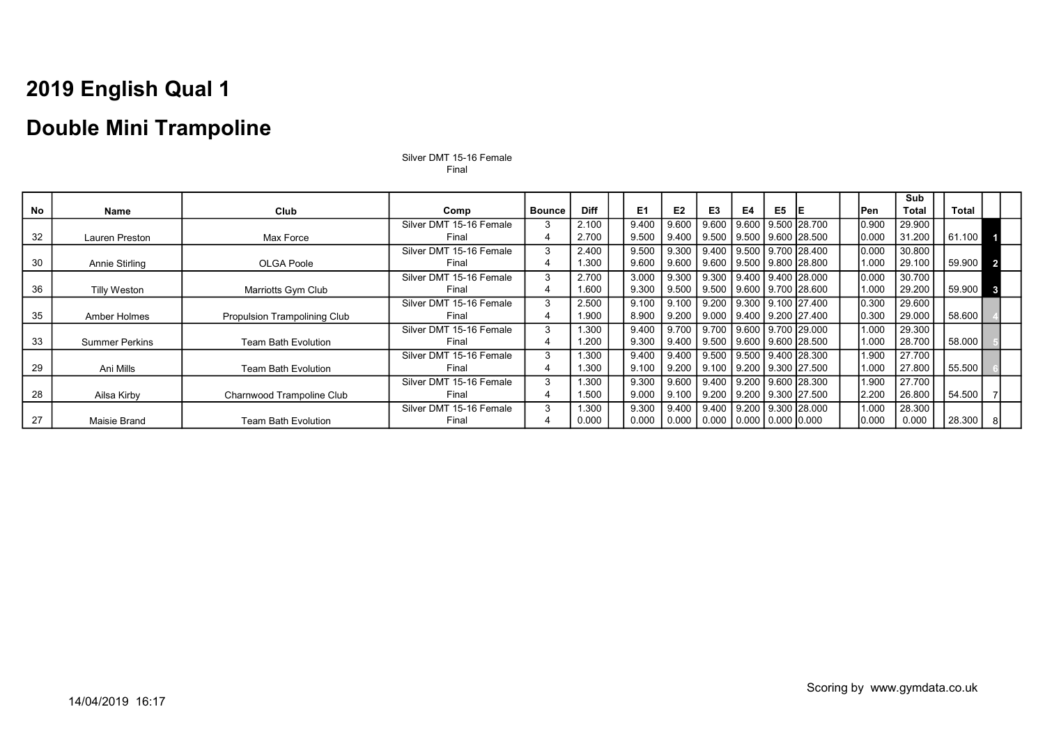### Double Mini Trampoline

|    |                       |                                     |                         |               |             |                |                |                                 |    |    |                                        |       | Sub          |          |              |
|----|-----------------------|-------------------------------------|-------------------------|---------------|-------------|----------------|----------------|---------------------------------|----|----|----------------------------------------|-------|--------------|----------|--------------|
| No | Name                  | Club                                | Comp                    | <b>Bounce</b> | <b>Diff</b> | E <sub>1</sub> | E <sub>2</sub> | E3                              | E4 | E5 | IE.                                    | Pen   | <b>Total</b> | Total    |              |
|    |                       |                                     | Silver DMT 15-16 Female |               | 2.100       | 9.400          | 9.600          | 9.600                           |    |    | 9.600 9.500 28.700                     | 0.900 | 29.900       |          |              |
| 32 | Lauren Preston        | Max Force                           | Final                   |               | 2.700       | 9.500          | 9.400          |                                 |    |    | $9.500$   $9.500$   $9.600$   $28.500$ | 0.000 | 31.200       | 61.100   |              |
|    |                       |                                     | Silver DMT 15-16 Female | 3             | 2.400       | 9.500          | 9.300          |                                 |    |    | 9.400 9.500 9.700 28.400               | 0.000 | 30.800       |          |              |
| 30 | Annie Stirling        | <b>OLGA Poole</b>                   | Final                   |               | 1.300       | 9.600          | 9.600          |                                 |    |    | 9.600 9.500 9.800 28.800               | 1.000 | 29.100       | 59.900 2 |              |
|    |                       |                                     | Silver DMT 15-16 Female | 3             | 2.700       | 3.000          | 9.300          |                                 |    |    | 9.300   9.400   9.400   28.000         | 0.000 | 30.700       |          |              |
| 36 | <b>Tilly Weston</b>   | Marriotts Gym Club                  | Final                   |               | 1.600       | 9.300          | 9.500          |                                 |    |    | 9.500   9.600   9.700   28.600         | 1.000 | 29.200       | 59.900   | $\mathbf{3}$ |
|    |                       |                                     | Silver DMT 15-16 Female | 3             | 2.500       | 9.100          | 9.100          |                                 |    |    | 9.200   9.300   9.100   27.400         | 0.300 | 29.600       |          |              |
| 35 | Amber Holmes          | <b>Propulsion Trampolining Club</b> | Final                   |               | 1.900       | 8.900          | 9.200          |                                 |    |    | 9.000 9.400 9.200 27.400               | 0.300 | 29.000       | 58.600   |              |
|    |                       |                                     | Silver DMT 15-16 Female | 3             | 1.300       | 9.400          | 9.700          | 9.700                           |    |    | 9.600 9.700 29.000                     | 1.000 | 29.300       |          |              |
| 33 | <b>Summer Perkins</b> | <b>Team Bath Evolution</b>          | Final                   |               | 1.200       | 9.300          | 9.400          |                                 |    |    | 9.500   9.600   9.600   28.500         | 1.000 | 28.700       | 58.000   |              |
|    |                       |                                     | Silver DMT 15-16 Female | 3             | 1.300       | 9.400          | 9.400          |                                 |    |    | 9.500 9.500 9.400 28.300               | 1.900 | 27.700       |          |              |
| 29 | Ani Mills             | <b>Team Bath Evolution</b>          | Final                   |               | 1.300       | 9.100          | 9.200          |                                 |    |    | 9.100 9.200 9.300 27.500               | 1.000 | 27.800       | 55.500   |              |
|    |                       |                                     | Silver DMT 15-16 Female | 3             | 1.300       | 9.300          | 9.600          |                                 |    |    | 9.400 9.200 9.600 28.300               | 1.900 | 27.700       |          |              |
| 28 | Ailsa Kirby           | Charnwood Trampoline Club           | Final                   |               | 1.500       | 9.000          | 9.100          | 9.200                           |    |    | 9.200   9.300   27.500                 | 2.200 | 26.800       | 54.500   |              |
|    |                       |                                     | Silver DMT 15-16 Female | 3             | 1.300       | 9.300          | 9.400          | 9.400                           |    |    | 9.200   9.300   28.000                 | 1.000 | 28.300       |          |              |
| 27 | Maisie Brand          | <b>Team Bath Evolution</b>          | Final                   |               | 0.000       | 0.000          | 0.000          | $0.000$   0.000   0.000   0.000 |    |    |                                        | 0.000 | 0.000        | 28.300   | -81          |

Silver DMT 15-16 Female Final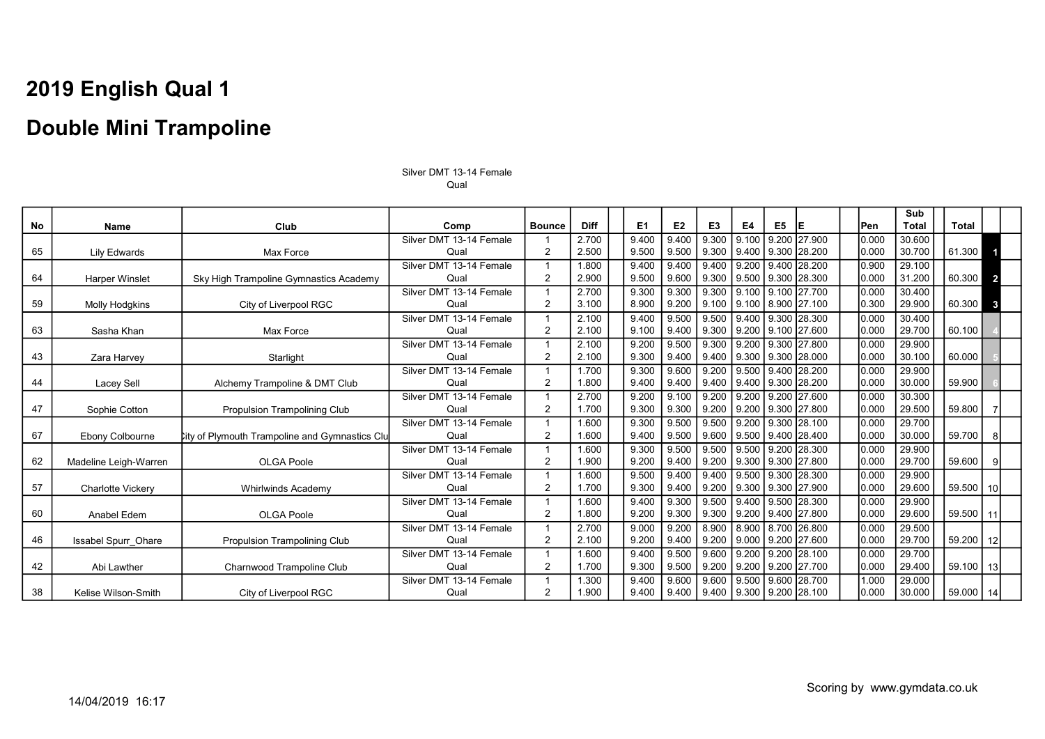Silver DMT 13-14 Female Qual

|           |                            |                                                       |                         |                |             |                |                |                                        |       |    |                                        |       | Sub    |        |                 |
|-----------|----------------------------|-------------------------------------------------------|-------------------------|----------------|-------------|----------------|----------------|----------------------------------------|-------|----|----------------------------------------|-------|--------|--------|-----------------|
| <b>No</b> | Name                       | Club                                                  | Comp                    | <b>Bounce</b>  | <b>Diff</b> | E <sub>1</sub> | E <sub>2</sub> | E3                                     | E4    | E5 | IE.                                    | lPen. | Total  | Total  |                 |
|           |                            |                                                       | Silver DMT 13-14 Female |                | 2.700       | 9.400          | 9.400          | 9.300                                  | 9.100 |    | 9.200 27.900                           | 0.000 | 30.600 |        |                 |
| 65        | <b>Lily Edwards</b>        | Max Force                                             | Qual                    | 2              | 2.500       | 9.500          | 9.500          |                                        |       |    | $9.300$   $9.400$   $9.300$   $28.200$ | 0.000 | 30.700 | 61.300 | 4               |
|           |                            |                                                       | Silver DMT 13-14 Female |                | 1.800       | 9.400          | 9.400          | 9.400                                  | 9.200 |    | 9.400 28.200                           | 0.900 | 29.100 |        |                 |
| 64        | <b>Harper Winslet</b>      | Sky High Trampoline Gymnastics Academy                | Qual                    | 2              | 2.900       | 9.500          | 9.600          |                                        |       |    | $9.300$   $9.500$   $9.300$   $28.300$ | 0.000 | 31.200 | 60.300 | $\overline{2}$  |
|           |                            |                                                       | Silver DMT 13-14 Female |                | 2.700       | 9.300          | 9.300          | 9.300                                  | 9.100 |    | 9.100 27.700                           | 0.000 | 30.400 |        |                 |
| 59        | <b>Molly Hodgkins</b>      | City of Liverpool RGC                                 | Qual                    | 2              | 3.100       | 8.900          | 9.200          |                                        |       |    | $9.100$   $9.100$   $8.900$   27.100   | 0.300 | 29.900 | 60.300 | $\mathbf{3}$    |
|           |                            |                                                       | Silver DMT 13-14 Female |                | 2.100       | 9.400          | 9.500          | 9.500                                  | 9.400 |    | 9.300 28.300                           | 0.000 | 30.400 |        |                 |
| 63        | Sasha Khan                 | Max Force                                             | Qual                    | 2              | 2.100       | 9.100          | 9.400          |                                        |       |    | $9.300$   $9.200$   $9.100$   27.600   | 0.000 | 29.700 | 60.100 |                 |
|           |                            |                                                       | Silver DMT 13-14 Female |                | 2.100       | 9.200          | 9.500          | 9.300                                  | 9.200 |    | 9.300 27.800                           | 0.000 | 29.900 |        |                 |
| 43        | Zara Harvey                | Starlight                                             | Qual                    | 2              | 2.100       | 9.300          | 9.400          |                                        |       |    | $9.400$   $9.300$   $9.300$   $28.000$ | 0.000 | 30.100 | 60.000 |                 |
|           |                            |                                                       | Silver DMT 13-14 Female |                | 1.700       | 9.300          | 9.600          |                                        |       |    | 9.200 9.500 9.400 28.200               | 0.000 | 29.900 |        |                 |
| 44        | Lacey Sell                 | Alchemy Trampoline & DMT Club                         | Qual                    | 2              | 1.800       | 9.400          | 9.400          |                                        |       |    | $9.400$   $9.400$   $9.300$   $28.200$ | 0.000 | 30.000 | 59.900 |                 |
|           |                            |                                                       | Silver DMT 13-14 Female |                | 2.700       | 9.200          | 9.100          | 9.200                                  | 9.200 |    | 9.200 27.600                           | 0.000 | 30.300 |        |                 |
| 47        | Sophie Cotton              | <b>Propulsion Trampolining Club</b>                   | Qual                    | 2              | 1.700       | 9.300          | 9.300          |                                        |       |    | $9.200$   $9.200$   $9.300$   27.800   | 0.000 | 29.500 | 59.800 |                 |
|           |                            |                                                       | Silver DMT 13-14 Female |                | 1.600       | 9.300          | 9.500          | 9.500                                  | 9.200 |    | 9.300 28.100                           | 0.000 | 29.700 |        |                 |
| 67        | Ebony Colbourne            | <b>City of Plymouth Trampoline and Gymnastics Clu</b> | Qual                    | $\overline{2}$ | 1.600       | 9.400          | 9.500          |                                        |       |    | 9.600   9.500   9.400   28.400         | 0.000 | 30.000 | 59.700 | 81              |
|           |                            |                                                       | Silver DMT 13-14 Female |                | 1.600       | 9.300          | 9.500          | 9.500                                  | 9.500 |    | $9.200$ 28.300                         | 0.000 | 29.900 |        |                 |
| 62        | Madeline Leigh-Warren      | <b>OLGA Poole</b>                                     | Qual                    | 2              | 1.900       | 9.200          | 9.400          | 9.200                                  |       |    | 9.300 9.300 27.800                     | 0.000 | 29.700 | 59.600 | 9               |
|           |                            |                                                       | Silver DMT 13-14 Female |                | 1.600       | 9.500          | 9.400          | 9.400                                  | 9.500 |    | 9.300 28.300                           | 0.000 | 29.900 |        |                 |
| 57        | <b>Charlotte Vickery</b>   | <b>Whirlwinds Academy</b>                             | Qual                    | 2              | 1.700       | 9.300          | 9.400          |                                        |       |    | $9.200$   $9.300$   $9.300$   27.900   | 0.000 | 29.600 | 59.500 | 10 <sup>1</sup> |
|           |                            |                                                       | Silver DMT 13-14 Female | 1              | 1.600       | 9.400          | 9.300          | 9.500                                  | 9.400 |    | 9.500 28.300                           | 0.000 | 29.900 |        |                 |
| 60        | Anabel Edem                | OLGA Poole                                            | Qual                    | 2              | 1.800       | 9.200          | 9.300          | 9.300                                  | 9.200 |    | 9.400 27.800                           | 0.000 | 29.600 | 59.500 | 11              |
|           |                            |                                                       | Silver DMT 13-14 Female | 1              | 2.700       | 9.000          | 9.200          | 8.900 8.900                            |       |    | 8.700 26.800                           | 0.000 | 29.500 |        |                 |
| 46        | <b>Issabel Spurr Ohare</b> | <b>Propulsion Trampolining Club</b>                   | Qual                    | 2              | 2.100       | 9.200          | 9.400          |                                        |       |    | 9.200   9.000   9.200   27.600         | 0.000 | 29.700 | 59.200 | 12              |
|           |                            |                                                       | Silver DMT 13-14 Female | 1              | 1.600       | 9.400          | 9.500          | 9.600                                  | 9.200 |    | $9.200$ 28.100                         | 0.000 | 29.700 |        |                 |
| 42        | Abi Lawther                | Charnwood Trampoline Club                             | Qual                    | 2              | 1.700       | 9.300          | 9.500          | 9.200                                  |       |    | 9.200 9.200 27.700                     | 0.000 | 29.400 | 59.100 | 13              |
|           |                            |                                                       | Silver DMT 13-14 Female |                | 1.300       | 9.400          | 9.600          | $9.600$   $9.500$                      |       |    | 9.600 28.700                           | 1.000 | 29.000 |        |                 |
| 38        | Kelise Wilson-Smith        | City of Liverpool RGC                                 | Qual                    | 2              | .900        | 9.400          |                | 9.400   9.400   9.300   9.200   28.100 |       |    |                                        | 0.000 | 30.000 | 59.000 | 14              |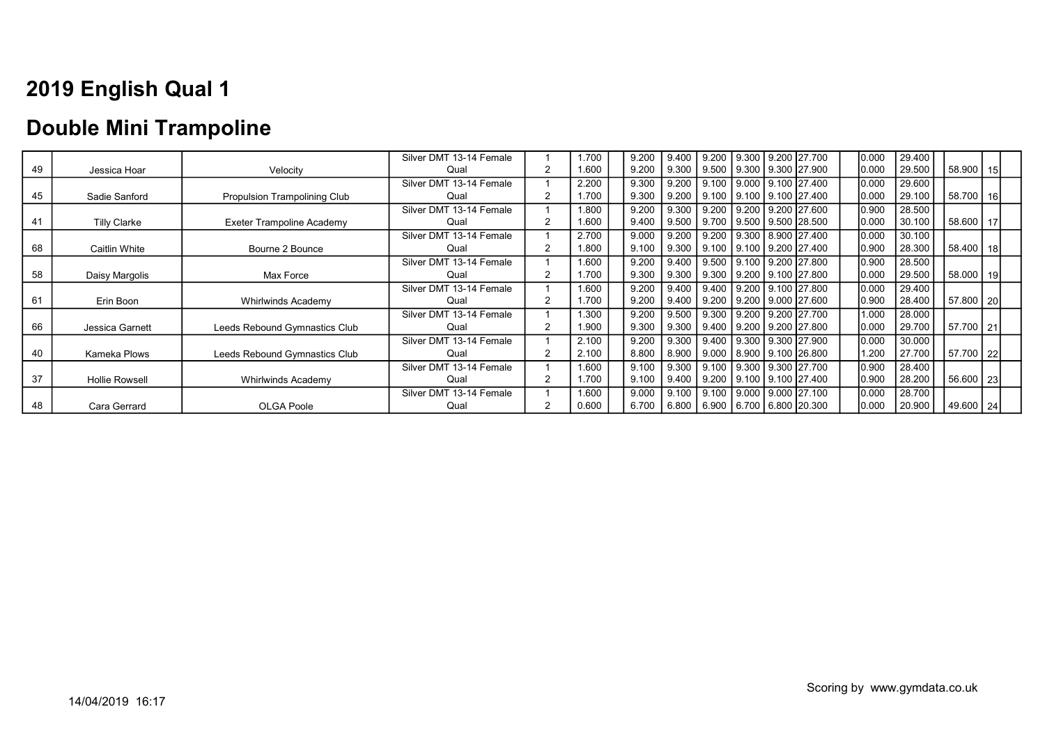### Double Mini Trampoline

|    |                       |                               | Silver DMT 13-14 Female |                | 1.700 | 9.200 | 9.400 |  | 9.200   9.300   9.200   27.700         | 0.000 | 29.400 |               |  |
|----|-----------------------|-------------------------------|-------------------------|----------------|-------|-------|-------|--|----------------------------------------|-------|--------|---------------|--|
| 49 | Jessica Hoar          | Velocity                      | Qual                    | $\overline{2}$ | 1.600 | 9.200 | 9.300 |  | 9.500   9.300   9.300   27.900         | 0.000 | 29.500 | 58.900 15     |  |
|    |                       |                               | Silver DMT 13-14 Female |                | 2.200 | 9.300 | 9.200 |  | 9.100 9.000 9.100 27.400               | 0.000 | 29.600 |               |  |
| 45 | Sadie Sanford         | Propulsion Trampolining Club  | Qual                    |                | 1.700 | 9.300 | 9.200 |  | 9.100   9.100   9.100   27.400         | 0.000 | 29.100 | 58.700   16   |  |
|    |                       |                               | Silver DMT 13-14 Female |                | 1.800 | 9.200 | 9.300 |  | 9.200 9.200 9.200 27.600               | 0.900 | 28.500 |               |  |
| 41 | <b>Tilly Clarke</b>   | Exeter Trampoline Academy     | Qual                    |                | 1.600 | 9.400 | 9.500 |  | 9.700   9.500   9.500   28.500         | 0.000 | 30.100 | 58.600   17   |  |
|    |                       |                               | Silver DMT 13-14 Female |                | 2.700 | 9.000 | 9.200 |  | 9.200 9.300 8.900 27.400               | 0.000 | 30.100 |               |  |
| 68 | Caitlin White         | Bourne 2 Bounce               | Qual                    | 2              | 1.800 | 9.100 | 9.300 |  | 9.100 9.100 9.200 27.400               | 0.900 | 28.300 | $58.400$   18 |  |
|    |                       |                               | Silver DMT 13-14 Female |                | 1.600 | 9.200 | 9.400 |  | 9.500 9.100 9.200 27.800               | 0.900 | 28.500 |               |  |
| 58 | Daisy Margolis        | Max Force                     | Qual                    |                | 1.700 | 9.300 | 9.300 |  | 9.300 9.200 9.100 27.800               | 0.000 | 29.500 | 58.000   19   |  |
|    |                       |                               | Silver DMT 13-14 Female |                | 1.600 | 9.200 | 9.400 |  | 9.400 9.200 9.100 27.800               | 0.000 | 29.400 |               |  |
| 61 | Erin Boon             | Whirlwinds Academy            | Qual                    |                | 1.700 | 9.200 | 9.400 |  | 9.200   9.200   9.000   27.600         | 0.900 | 28.400 | 57.800   20   |  |
|    |                       |                               | Silver DMT 13-14 Female |                | 1.300 | 9.200 | 9.500 |  | 9.300 9.200 9.200 27.700               | 1.000 | 28.000 |               |  |
| 66 | Jessica Garnett       | Leeds Rebound Gymnastics Club | Qual                    |                | 1.900 | 9.300 | 9.300 |  | 9.400   9.200   9.200   27.800         | 0.000 | 29.700 | 57.700 21     |  |
|    |                       |                               | Silver DMT 13-14 Female |                | 2.100 | 9.200 | 9.300 |  | 9.400 9.300 9.300 27.900               | 0.000 | 30.000 |               |  |
| 40 | Kameka Plows          | Leeds Rebound Gymnastics Club | Qual                    |                | 2.100 | 8.800 | 8.900 |  | 9.000   8.900   9.100   26.800         | 1.200 | 27.700 | 57.700   22   |  |
|    |                       |                               | Silver DMT 13-14 Female |                | 1.600 | 9.100 | 9.300 |  | 9.100 9.300 9.300 27.700               | 0.900 | 28.400 |               |  |
| 37 | <b>Hollie Rowsell</b> | <b>Whirlwinds Academy</b>     | Qual                    | 2              | 1.700 | 9.100 | 9.400 |  | 9.200   9.100   9.100   27.400         | 0.900 | 28.200 | 56.600 23     |  |
|    |                       |                               | Silver DMT 13-14 Female |                | 1.600 | 9.000 | 9.100 |  | 9.100 9.000 9.000 27.100               | 0.000 | 28.700 |               |  |
| 48 | Cara Gerrard          | <b>OLGA Poole</b>             | Qual                    |                | 0.600 | 6.700 |       |  | 6.800   6.900   6.700   6.800   20.300 | 0.000 | 20.900 | 49.600   24   |  |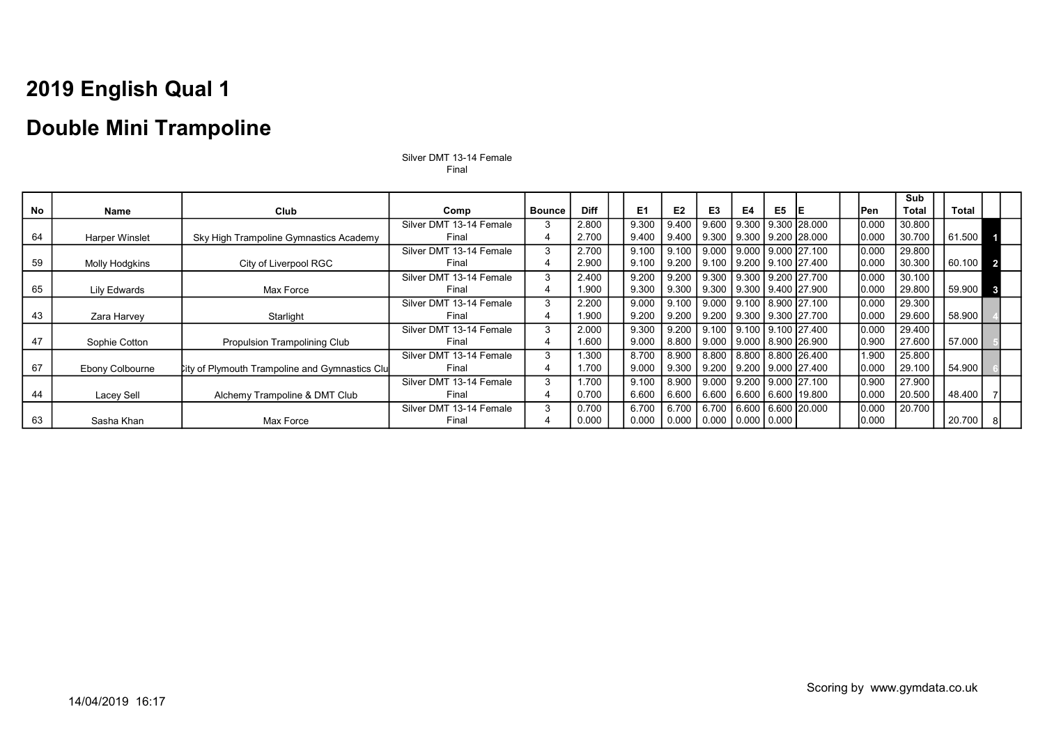### Double Mini Trampoline

|           |                       |                                                       |                         |               |             |                |                |                               |    |                |                                           |       | Sub          |              |  |
|-----------|-----------------------|-------------------------------------------------------|-------------------------|---------------|-------------|----------------|----------------|-------------------------------|----|----------------|-------------------------------------------|-------|--------------|--------------|--|
| <b>No</b> | Name                  | Club                                                  | Comp                    | <b>Bounce</b> | <b>Diff</b> | E <sub>1</sub> | E <sub>2</sub> | E <sub>3</sub>                | E4 | E <sub>5</sub> | ΙE                                        | Pen   | <b>Total</b> | <b>Total</b> |  |
|           |                       |                                                       | Silver DMT 13-14 Female | 3             | 2.800       | 9.300          | 9.400          | 9.600                         |    |                | 9.300   9.300   28.000                    | 0.000 | 30.800       |              |  |
| 64        | <b>Harper Winslet</b> | Sky High Trampoline Gymnastics Academy                | Final                   | 4             | 2.700       | 9.400          | 9.400          | 9.300                         |    |                | $\vert$ 9.300   9.200   28.000            | 0.000 | 30.700       | 61.500       |  |
|           |                       |                                                       | Silver DMT 13-14 Female | 3             | 2.700       | 9.100          | 9.100          | 9.000                         |    |                | <u> Ⅰ 9.000 Ⅰ 9.000 Ⅰ 27.100</u>          | 0.000 | 29.800       |              |  |
| 59        | Molly Hodgkins        | City of Liverpool RGC                                 | Final                   | 4             | 2.900       | 9.100          | 9.200          | 9.100                         |    |                | 9.200 9.100 27.400                        | 0.000 | 30.300       | 60.100       |  |
|           |                       |                                                       | Silver DMT 13-14 Female | 3             | 2.400       | 9.200          | 9.200          | 9.300                         |    |                | 9.300   9.200   27.700                    | 0.000 | 30.100       |              |  |
| 65        | <b>Lily Edwards</b>   | Max Force                                             | Final                   | 4             | 1.900       | 9.300          | 9.300          |                               |    |                | 9.300   9.300   9.400   27.900            | 0.000 | 29.800       | 59.900       |  |
|           |                       |                                                       | Silver DMT 13-14 Female | 3             | 2.200       | 9.000          | 9.100          |                               |    |                | 9.000 9.100 8.900 27.100                  | 0.000 | 29.300       |              |  |
| 43        | Zara Harvey           | Starlight                                             | Final                   | 4             | 1.900       | 9.200          | 9.200          | 9.200                         |    |                | 9.300   9.300   27.700                    | 0.000 | 29.600       | 58.900       |  |
|           |                       |                                                       | Silver DMT 13-14 Female | 3             | 2.000       | 9.300          | $9.200$ I      | 9.100                         |    |                | 9.100   9.100   27.400                    | 0.000 | 29.400       |              |  |
| 47        | Sophie Cotton         | <b>Propulsion Trampolining Club</b>                   | Final                   | 4             | 1.600       | 9.000          | 8.800          |                               |    |                | 9.000   9.000   8.900   26.900            | 0.900 | 27.600       | 57.000       |  |
|           |                       |                                                       | Silver DMT 13-14 Female | 3             | .300        | 8.700          | 8.900          | 8.800                         |    |                | 8.800 8.800 26.400                        | 1.900 | 25.800       |              |  |
| 67        | Ebony Colbourne       | <b>City of Plymouth Trampoline and Gymnastics Clu</b> | Final                   |               | .700        | 9.000          | 9.300          | 9.200                         |    |                | 9.200   9.000   27.400                    | 0.000 | 29.100       | 54.900       |  |
|           |                       |                                                       | Silver DMT 13-14 Female | 3             | 1.700       | 9.100          | 8.900          |                               |    |                | <u>  9.000   9.200   9.000   27.100  </u> | 0.900 | 27.900       |              |  |
| 44        | Lacey Sell            | Alchemy Trampoline & DMT Club                         | Final                   |               | 0.700       | 6.600          | 6.600          | 6.600                         |    |                | 6.600   6.600   19.800                    | 0.000 | 20.500       | 48.400       |  |
|           |                       |                                                       | Silver DMT 13-14 Female | 3             | 0.700       | 6.700          | 6.700          | 6.700                         |    |                | 6.600   6.600   20.000                    | 0.000 | 20.700       |              |  |
| 63        | Sasha Khan            | Max Force                                             | Final                   |               | 0.000       | 0.000          |                | 0.000   0.000   0.000   0.000 |    |                |                                           | 0.000 |              | 20.700       |  |

Silver DMT 13-14 Female Final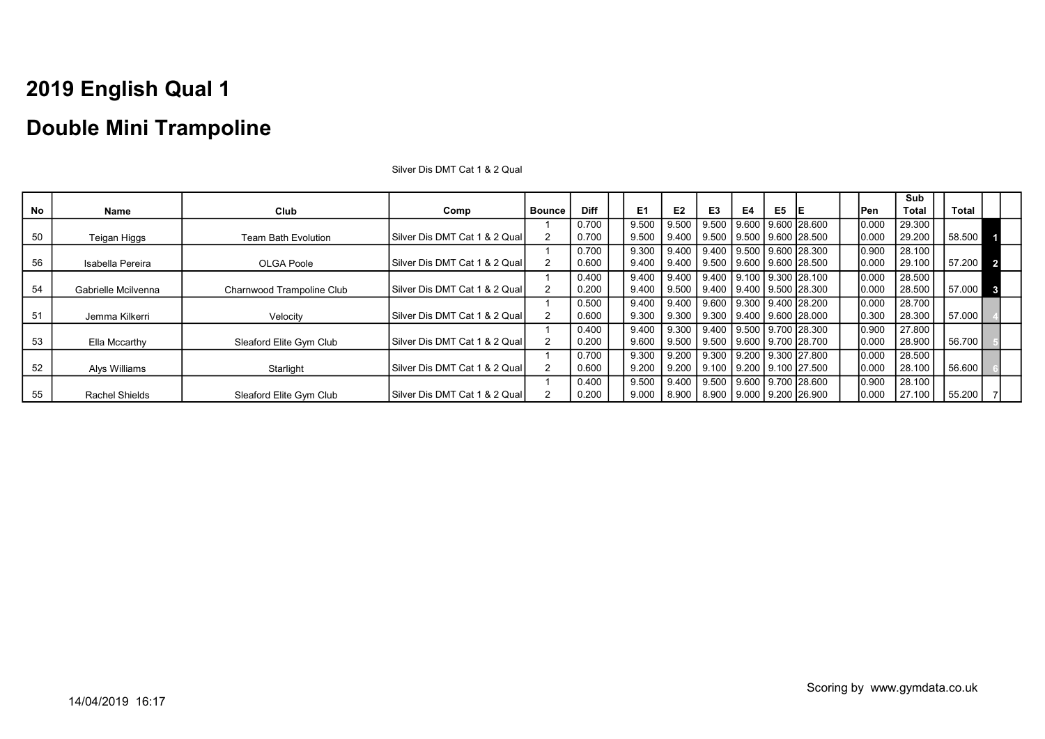|           |                       |                           |                                  |                |             |       |                |                                        |    |                |                        |       | Sub          |        |                         |
|-----------|-----------------------|---------------------------|----------------------------------|----------------|-------------|-------|----------------|----------------------------------------|----|----------------|------------------------|-------|--------------|--------|-------------------------|
| <b>No</b> | Name                  | Club                      | Comp                             | <b>Bounce</b>  | <b>Diff</b> | E1    | E <sub>2</sub> | E <sub>3</sub>                         | E4 | E <sub>5</sub> | IE                     | lPen  | <b>Total</b> | Total  |                         |
|           |                       |                           |                                  |                | 0.700       | 9.500 | 9.500          | 9.500                                  |    |                | 9.600   9.600   28.600 | 0.000 | 29.300       |        |                         |
| 50        | Teigan Higgs          | Team Bath Evolution       | Silver Dis DMT Cat 1 & 2 Qual    | $\overline{2}$ | 0.700       | 9.500 | 9.400          | 9.500   9.500   9.600   28.500         |    |                |                        | 0.000 | 29.200       | 58.500 |                         |
|           |                       |                           |                                  |                | 0.700       | 9.300 | 9.400          | $9.400$   $9.500$   $9.600$   $28.300$ |    |                |                        | 0.900 | 28.100       |        |                         |
| 56        | Isabella Pereira      | <b>OLGA Poole</b>         | Silver Dis DMT Cat 1 & 2 Qual    |                | 0.600       | 9.400 | 9.400          | 9.500   9.600   9.600   28.500         |    |                |                        | 0.000 | 29.100       | 57.200 | $\overline{\mathbf{2}}$ |
|           |                       |                           |                                  |                | 0.400       | 9.400 | 9.400          | 9.400 9.100 9.300 28.100               |    |                |                        | 0.000 | 28.500       |        |                         |
| 54        | Gabrielle Mcilvenna   | Charnwood Trampoline Club | Silver Dis DMT Cat 1 & 2 Qual    | $\overline{2}$ | 0.200       | 9.400 | 9.500          | 9.400 9.400 9.500 28.300               |    |                |                        | 0.000 | 28.500       | 57.000 | - 3                     |
|           |                       |                           |                                  |                | 0.500       | 9.400 | 9.400          | 9.600 9.300 9.400 28.200               |    |                |                        | 0.000 | 28.700       |        |                         |
| 51        | Jemma Kilkerri        | Velocity                  | Silver Dis DMT Cat 1 & 2 Qual    |                | 0.600       | 9.300 | 9.300          | 9.300 9.400 9.600 28.000               |    |                |                        | 0.300 | 28.300       | 57.000 |                         |
|           |                       |                           |                                  |                | 0.400       | 9.400 | 9.300          | 9.400 9.500 9.700 28.300               |    |                |                        | 0.900 | 27.800       |        |                         |
| 53        | Ella Mccarthy         | Sleaford Elite Gym Club   | ISilver Dis DMT Cat 1 & 2 Qual I | $\overline{2}$ | 0.200       | 9.600 | 9.500          | 9.500 9.600 9.700 28.700               |    |                |                        | 0.000 | 28.900       | 56.700 |                         |
|           |                       |                           |                                  |                | 0.700       | 9.300 | 9.200          | 9.300 9.200 9.300 27.800               |    |                |                        | 0.000 | 28.500       |        |                         |
| 52        | Alys Williams         | Starlight                 | ISilver Dis DMT Cat 1 & 2 Qual I | $\overline{2}$ | 0.600       | 9.200 | 9.200          | 9.100 9.200 9.100 27.500               |    |                |                        | 0.000 | 28.100       | 56.600 |                         |
|           |                       |                           |                                  |                | 0.400       | 9.500 | 9.400          | 9.500   9.600   9.700   28.600         |    |                |                        | 0.900 | 28.100       |        |                         |
| 55        | <b>Rachel Shields</b> | Sleaford Elite Gym Club   | ISilver Dis DMT Cat 1 & 2 Qual I |                | 0.200       | 9.000 | 8.900          | 8.900 9.000 9.200 26.900               |    |                |                        | 0.000 | 27.100       | 55.200 |                         |

Silver Dis DMT Cat 1 & 2 Qual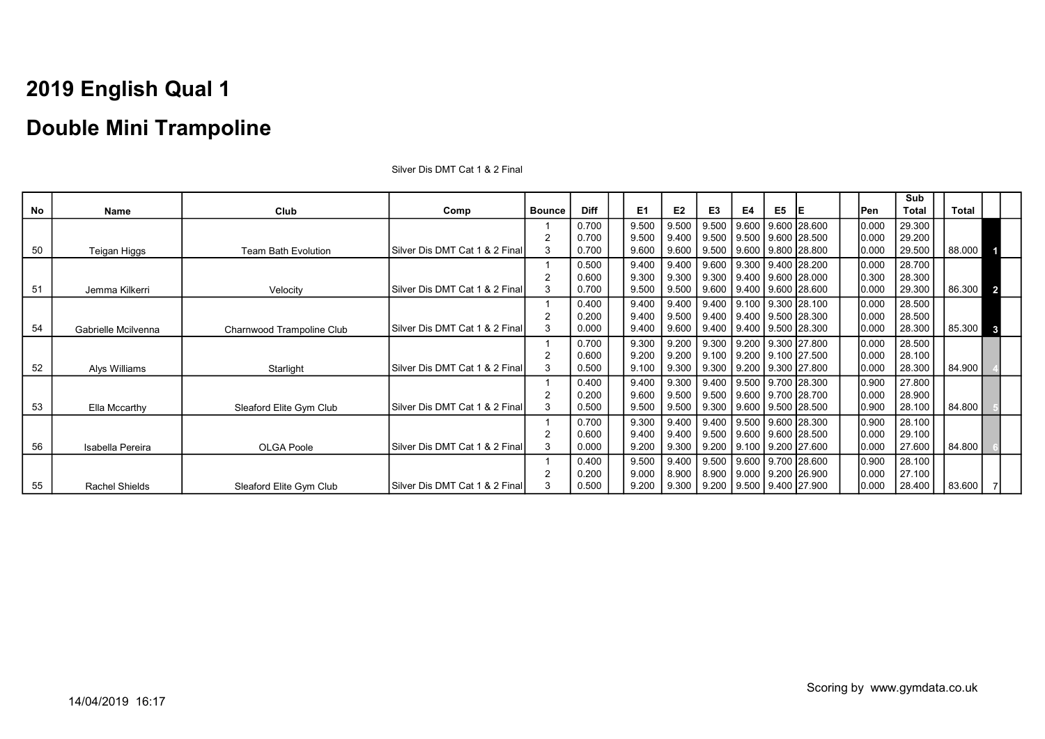### Double Mini Trampoline

|    |                       |                            |                                |               |             |       |                |       |    |    |                                        |       | Sub    |        |                |
|----|-----------------------|----------------------------|--------------------------------|---------------|-------------|-------|----------------|-------|----|----|----------------------------------------|-------|--------|--------|----------------|
| No | Name                  | Club                       | Comp                           | <b>Bounce</b> | <b>Diff</b> | E1    | E <sub>2</sub> | E3    | E4 | E5 | IΕ                                     | lPen  | Total  | Total  |                |
|    |                       |                            |                                |               | 0.700       | 9.500 | 9.500          | 9.500 |    |    | 9.600   9.600   28.600                 | 0.000 | 29.300 |        |                |
|    |                       |                            |                                |               | 0.700       | 9.500 | 9.400          |       |    |    | $9.500$   $9.500$   $9.600$   $28.500$ | 0.000 | 29.200 |        |                |
| 50 | Teigan Higgs          | <b>Team Bath Evolution</b> | Silver Dis DMT Cat 1 & 2 Final | 3             | 0.700       | 9.600 | 9.600          |       |    |    | $9.500$   $9.600$   $9.800$   $28.800$ | 0.000 | 29.500 | 88.000 |                |
|    |                       |                            |                                |               | 0.500       | 9.400 | 9.400          | 9.600 |    |    | $9.300$   9.400 28.200                 | 0.000 | 28.700 |        |                |
|    |                       |                            |                                |               | 0.600       | 9.300 | 9.300          |       |    |    | $9.300$   $9.400$   $9.600$   $28.000$ | 0.300 | 28.300 |        |                |
| 51 | Jemma Kilkerri        | Velocity                   | Silver Dis DMT Cat 1 & 2 Final | 3             | 0.700       | 9.500 | 9.500          |       |    |    | $9.600$   $9.400$   $9.600$   28.600   | 0.000 | 29.300 | 86.300 | $\overline{2}$ |
|    |                       |                            |                                |               | 0.400       | 9.400 | 9.400          | 9.400 |    |    | l 9.100 l 9.300 l28.100                | 0.000 | 28.500 |        |                |
|    |                       |                            |                                |               | 0.200       | 9.400 | 9.500          |       |    |    | $9.400$   $9.400$   $9.500$   $28.300$ | 0.000 | 28.500 |        |                |
| 54 | Gabrielle Mcilvenna   | Charnwood Trampoline Club  | Silver Dis DMT Cat 1 & 2 Final | 3             | 0.000       | 9.400 | 9.600          |       |    |    | $9.400$   $9.400$   $9.500$   $28.300$ | 0.000 | 28.300 | 85.300 | $\mathbf{3}$   |
|    |                       |                            |                                |               | 0.700       | 9.300 | 9.200          | 9.300 |    |    | 9.200 9.300 27.800                     | 0.000 | 28.500 |        |                |
|    |                       |                            |                                |               | 0.600       | 9.200 | 9.200          |       |    |    | $9.100$   $9.200$   $9.100$   27.500   | 0.000 | 28.100 |        |                |
| 52 | Alys Williams         | Starlight                  | Silver Dis DMT Cat 1 & 2 Final | 3             | 0.500       | 9.100 | 9.300          |       |    |    | $9.300$   $9.200$   $9.300$   27.800   | 0.000 | 28.300 | 84.900 |                |
|    |                       |                            |                                |               | 0.400       | 9.400 | 9.300          |       |    |    | $9.400$   $9.500$   $9.700$   $28.300$ | 0.900 | 27.800 |        |                |
|    |                       |                            |                                |               | 0.200       | 9.600 | 9.500          |       |    |    | 9.500 9.600 9.700 28.700               | 0.000 | 28.900 |        |                |
| 53 | Ella Mccarthy         | Sleaford Elite Gym Club    | Silver Dis DMT Cat 1 & 2 Final |               | 0.500       | 9.500 | 9.500          |       |    |    | $9.300$   $9.600$   $9.500$   $28.500$ | 0.900 | 28.100 | 84.800 |                |
|    |                       |                            |                                |               | 0.700       | 9.300 | 9.400          |       |    |    | 9.400 9.500 9.600 28.300               | 0.900 | 28.100 |        |                |
|    |                       |                            |                                |               | 0.600       | 9.400 | 9.400          |       |    |    | $9.500$   $9.600$   $9.600$   $28.500$ | 0.000 | 29.100 |        |                |
| 56 | Isabella Pereira      | <b>OLGA Poole</b>          | Silver Dis DMT Cat 1 & 2 Final | 3             | 0.000       | 9.200 | 9.300          |       |    |    | $9.200$   $9.100$   $9.200$   27.600   | 0.000 | 27.600 | 84.800 |                |
|    |                       |                            |                                |               | 0.400       | 9.500 | 9.400          |       |    |    | 9.500   9.600   9.700   28.600         | 0.900 | 28.100 |        |                |
|    |                       |                            |                                |               | 0.200       | 9.000 | 8.900          |       |    |    | 8.900   9.000   9.200   26.900         | 0.000 | 27.100 |        |                |
| 55 | <b>Rachel Shields</b> | Sleaford Elite Gym Club    | Silver Dis DMT Cat 1 & 2 Final | 3             | 0.500       | 9.200 | 9.300          |       |    |    | $9.200$   $9.500$   $9.400$   27.900   | 0.000 | 28.400 | 83.600 |                |

Silver Dis DMT Cat 1 & 2 Final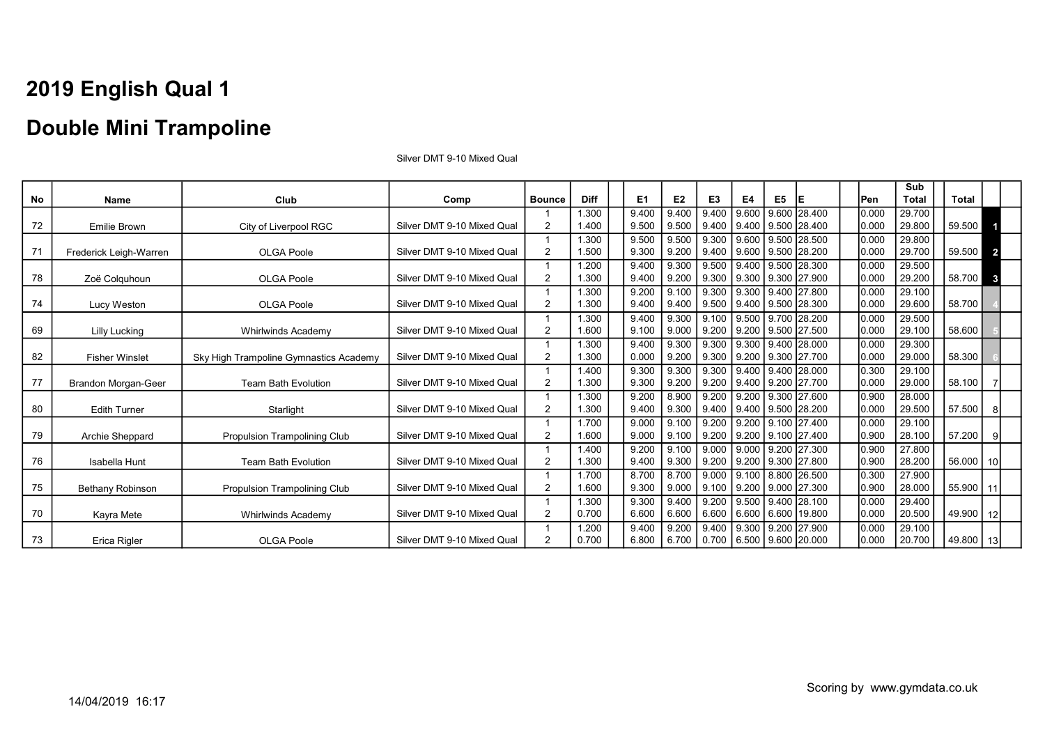#### Double Mini Trampoline

No | Name | Club | Comp |Bounce | Diff | E1 E2 | E3 | E4 | E5 |E | |Pen Sub Total Total 72 Emilie Brown City of Liverpool RGC Silver DMT 9-10 Mixed Qual 1  $\mathfrak{p}$ 1.300 1.400 9.400 9.500 9.400 9.500 9.400 9.400 9.600 9.400 9.600 9.500 28.400 28.400 0.000 0.000 29.700  $29.800$  59.500 1 71 Frederick Leigh-Warren OLGA Poole Silver DMT 9-10 Mixed Qual 1  $\mathfrak{p}$ 1.300 1.500 9.500 9.300 9.500 9.200 9.300 9.400 9.600 9.600 9.500 9.500 28.500 28.200 0.000  $0.000$ 29.800 59.500 2 78 Zoë Colquhoun OLGA Poole Silver DMT 9-10 Mixed Qual 1 2 1.200 1.300 9.400 9.400 9.300 9.200 9.500 9.300 9.400 9.300 9.500 9.300 28.300 27.900 0.000 0.000 29.500 29.200 58.700 3 T4 Lucy Weston **CLGA Poole** Silver DMT 9-10 Mixed Qual 1 2 1.300 1.300 9.200 9.400 9.100 9.400 9.300 9.500 9.300 9.400 9.400 9.500 27.800 28.300 0.000 0.000 29.100 29.600 | 58.700 69 Lilly Lucking Whirlwinds Academy Silver DMT 9-10 Mixed Qual 1 2 1.300 1.600 9.400 9.100 9.300 9.000 9.100 9.200 9.500 9.200 9.700 9.500 28.200 27.500 0.000 0.000 29.500  $29.100 \mid$  58.600 82 **Fisher Winslet** Sky High Trampoline Gymnastics Academy Silver DMT 9-10 Mixed Qual 1 2 1.300 1.300 9.400 0.000 9.300 9.200 9.300 9.300 9.300 9.200 9.400 9.300 28.000 27.700 0.000 0.000 29.300  $29.000 \mid$  58.300 77 Brandon Morgan-Geer Team Bath Evolution Silver DMT 9-10 Mixed Qual 1  $\mathfrak{p}$ 1.400 1.300 9.300 9.300 9.300 9.200 9.300 9.200 9.400 9.400 9.400 9.200 28.000 27.700 0.300 0.000 29.100 29.000 58.100  $\overline{1}$ 80 Edith Turner No. 31 Starlight Silver DMT 9-10 Mixed Qual 1  $\mathfrak{p}$ 1.300 1.300 9.200 9.400 8.900 9.300 9.200 9.400 9.200 9.400  $9.300$ 9.500 27.600 28.200 0.900 0.000 28.000  $29.500 \mid 57.500 \mid s$ 79 Archie Sheppard Propulsion Trampolining Club Silver DMT 9-10 Mixed Qual 1 2 1.700 1.600 9.000 9.000 9.100 9.100 9.200 9.200 9.200 9.200 9.100 9.100 27.400 27.400 0.000 0.900 29.100  $28.100$  | 57.200 | 9 76 Isabella Hunt Team Bath Evolution Silver DMT 9-10 Mixed Qual  $\overline{1}$ 2 1.400 1.300 9.200 9.400 9.100 9.300 9.000 9.200 9.000 9.200  $9.200$ 9.300 27.300 27.800 0.900 0.900 27.800 28.200 | 56.000 | 10 75 Bethany Robinson | Propulsion Trampolining Club | Silver DMT 9-10 Mixed Qual 1 2 1.700 1.600 8.700 9.300 8.700 9.000 9.000 9.100 9.100 9.200 8.800 9.000 26.500 27.300 0.300 0.900 27.900 28.000 | 55.900 | 11 70 Kayra Mete Networks Academy Silver DMT 9-10 Mixed Qual 1 2 1.300 0.700 9.300 6.600 9.400 6.600 9.200 6.600 9.500 6.600 9.400 6.600 28.100 19.800 0.000 0.000 29.400 20.500 | 49.900 | 12 T3 | Erica Rigler | OLGA Poole | Silver DMT 9-10 Mixed Qual  $\overline{1}$  $\mathfrak{p}$ 1.200 0.700 9.400 6.800 9.200 6.700 9.400 0.700 9.300 6.500 9.200 9.600 20.000 27.900 0.000 0.000 29.100 20.700 49.800 13

Silver DMT 9-10 Mixed Qual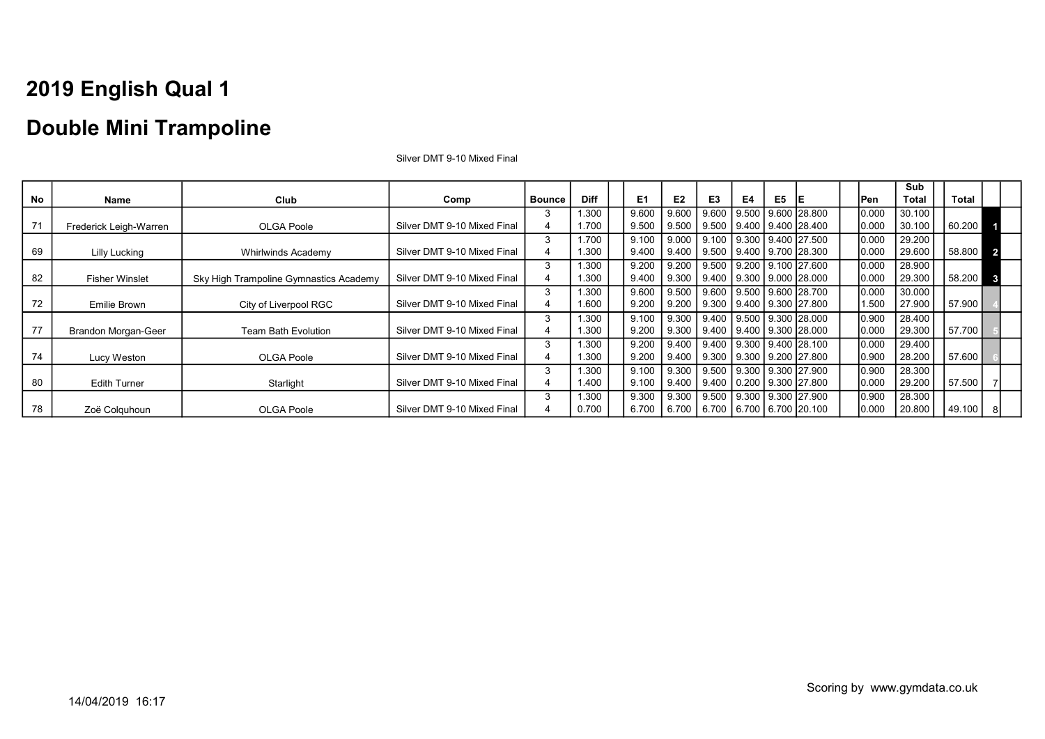### Double Mini Trampoline

|    |                        |                                        |                             |               |             |                |                |                                        |           |    |                                |       | Sub          |        |                         |
|----|------------------------|----------------------------------------|-----------------------------|---------------|-------------|----------------|----------------|----------------------------------------|-----------|----|--------------------------------|-------|--------------|--------|-------------------------|
| No | Name                   | Club                                   | Comp                        | <b>Bounce</b> | <b>Diff</b> | E <sub>1</sub> | E <sub>2</sub> | E3                                     | E4        | E5 | IE                             | lPen  | <b>Total</b> | Total  |                         |
|    |                        |                                        |                             |               | 1.300       | 9.600          | 9.600          | 9.600                                  | l 9.500 l |    | 9.600 28.800                   | 0.000 | 30.100       |        |                         |
| 71 | Frederick Leigh-Warren | OLGA Poole                             | Silver DMT 9-10 Mixed Final |               | 1.700       | 9.500          | 9.500          | 9.500 9.400 9.400 28.400               |           |    |                                | 0.000 | 30.100       | 60.200 |                         |
|    |                        |                                        |                             | 3             | 1.700       | 9.100          | 9.000          | 9.100 9.300 9.400 27.500               |           |    |                                | 0.000 | 29.200       |        |                         |
| 69 | Lilly Lucking          | <b>Whirlwinds Academy</b>              | Silver DMT 9-10 Mixed Final |               | 1.300       | 9.400          | 9.400          | 9.500                                  |           |    | 9.400   9.700   28.300         | 0.000 | 29.600       | 58.800 | $\overline{\mathbf{2}}$ |
|    |                        |                                        |                             | 3             | 1.300       | 9.200          | 9.200          | 9.500 9.200 9.100 27.600               |           |    |                                | 0.000 | 28.900       |        |                         |
| 82 | <b>Fisher Winslet</b>  | Sky High Trampoline Gymnastics Academy | Silver DMT 9-10 Mixed Final |               | 1.300       | 9.400          | 9.300          | 9.400   9.300   9.000   28.000         |           |    |                                | 0.000 | 29.300       | 58.200 | $\mathbf{3}$            |
|    |                        |                                        |                             |               | 1.300       | 9.600          | 9.500          | 9.600   9.500   9.600   28.700         |           |    |                                | 0.000 | 30.000       |        |                         |
| 72 | Emilie Brown           | City of Liverpool RGC                  | Silver DMT 9-10 Mixed Final |               | 1.600       | 9.200          | 9.200          | 9.300 9.400 9.300 27.800               |           |    |                                | .500  | 27.900       | 57.900 |                         |
|    |                        |                                        |                             | 3             | 1.300       | 9.100          | 9.300          | 9.400   9.500   9.300   28.000         |           |    |                                | 0.900 | 28.400       |        |                         |
| 77 | Brandon Morgan-Geer    | <b>Team Bath Evolution</b>             | Silver DMT 9-10 Mixed Final |               | 1.300       | 9.200          | 9.300          | 9.400 9.400 9.300 28.000               |           |    |                                | 0.000 | 29.300       | 57.700 |                         |
|    |                        |                                        |                             | 3             | 1.300       | 9.200          | 9.400          |                                        |           |    | 9.400 9.300 9.400 28.100       | 0.000 | 29.400       |        |                         |
| 74 | Lucy Weston            | <b>OLGA Poole</b>                      | Silver DMT 9-10 Mixed Final | 4             | 1.300       | 9.200          | 9.400          |                                        |           |    | 9.300   9.300   9.200   27.800 | 0.900 | 28.200       | 57.600 |                         |
|    |                        |                                        |                             | 3             | 1.300       | 9.100          | 9.300          | 9.500 9.300 9.300 27.900               |           |    |                                | 0.900 | 28.300       |        |                         |
| 80 | <b>Edith Turner</b>    | Starlight                              | Silver DMT 9-10 Mixed Final | 4             | 1.400       | 9.100          | 9.400          |                                        |           |    | 9.400   0.200   9.300   27.800 | 0.000 | 29.200       | 57.500 |                         |
|    |                        |                                        |                             | 3             | 1.300       | 9.300          | 9.300          | 9.500 9.300 9.300 27.900               |           |    |                                | 0.900 | 28.300       |        |                         |
| 78 | Zoë Colquhoun          | OLGA Poole                             | Silver DMT 9-10 Mixed Final |               | 0.700       | 6.700          |                | 6.700   6.700   6.700   6.700   20.100 |           |    |                                | 0.000 | 20.800       | 49.100 |                         |

Silver DMT 9-10 Mixed Final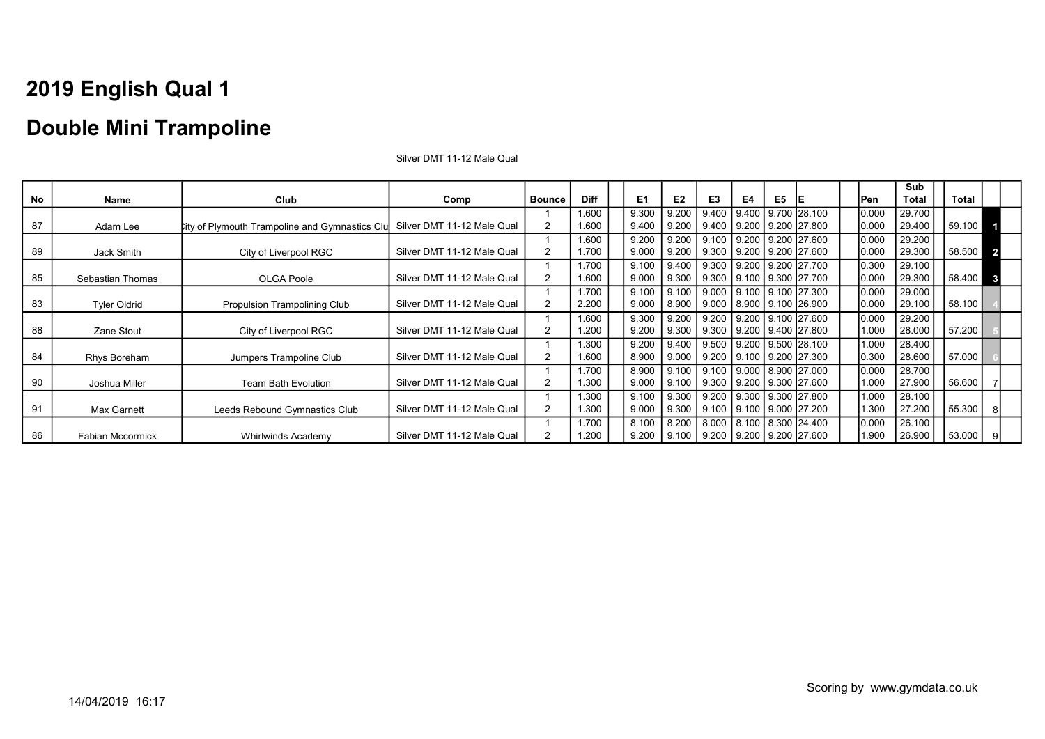### Double Mini Trampoline

|    |                     |                                                       |                            |                |             |                |                |                                      |    |    |                                      |       | Sub          |              |                         |
|----|---------------------|-------------------------------------------------------|----------------------------|----------------|-------------|----------------|----------------|--------------------------------------|----|----|--------------------------------------|-------|--------------|--------------|-------------------------|
| No | Name                | Club                                                  | Comp                       | <b>Bounce</b>  | <b>Diff</b> | E <sub>1</sub> | E <sub>2</sub> | E <sub>3</sub>                       | E4 | E5 | IE                                   | Pen   | <b>Total</b> | <b>Total</b> |                         |
|    |                     |                                                       |                            |                | 1.600       | 9.300          | 9.200          | 9.400                                |    |    | 9.400 9.700 28.100                   | 0.000 | 29.700       |              |                         |
| 87 | Adam Lee            | <b>City of Plymouth Trampoline and Gymnastics Clu</b> | Silver DMT 11-12 Male Qual |                | 1.600       | 9.400          | 9.200          |                                      |    |    | $9.400$   $9.200$   $9.200$   27.800 | 0.000 | 29.400       | 59.100       |                         |
|    |                     |                                                       |                            |                | 1.600       | 9.200          | 9.200          | 9.100 9.200 9.200 27.600             |    |    |                                      | 0.000 | 29.200       |              |                         |
| 89 | Jack Smith          | City of Liverpool RGC                                 | Silver DMT 11-12 Male Qual |                | 1.700       | 9.000          | 9.200          | 9.300 9.200 9.200 27.600             |    |    |                                      | 0.000 | 29.300       | 58.500       | $\overline{\mathbf{2}}$ |
|    |                     |                                                       |                            |                | 1.700       | 9.100          | 9.400          |                                      |    |    | 9.300 9.200 9.200 27.700             | 0.300 | 29.100       |              |                         |
| 85 | Sebastian Thomas    | OLGA Poole                                            | Silver DMT 11-12 Male Qual |                | 1.600       | 9.000          | 9.300          |                                      |    |    | 9.300   9.100   9.300   27.700       | 0.000 | 29.300       | 58.400       | $\mathbf{3}$            |
|    |                     |                                                       |                            |                | 1.700       | 9.100          | 9.100          | 9.000 9.100 9.100 27.300             |    |    |                                      | 0.000 | 29.000       |              |                         |
| 83 | <b>Tyler Oldrid</b> | Propulsion Trampolining Club                          | Silver DMT 11-12 Male Qual |                | 2.200       | 9.000          | 8.900          | 9.000   8.900   9.100   26.900       |    |    |                                      | 0.000 | 29.100       | 58.100       |                         |
|    |                     |                                                       |                            |                | 1.600       | 9.300          | 9.200          |                                      |    |    | 9.200 9.200 9.100 27.600             | 0.000 | 29.200       |              |                         |
| 88 | Zane Stout          | City of Liverpool RGC                                 | Silver DMT 11-12 Male Qual |                | 1.200       | 9.200          | 9.300          |                                      |    |    | $9.300$   $9.200$   $9.400$   27.800 | 1.000 | 28.000       | 57.200       |                         |
|    |                     |                                                       |                            |                | 1.300       | 9.200          | 9.400          | 9.500 9.200 9.500 28.100             |    |    |                                      | 1.000 | 28.400       |              |                         |
| 84 | Rhys Boreham        | Jumpers Trampoline Club                               | Silver DMT 11-12 Male Qual | $\overline{2}$ | 1.600       | 8.900          | 9.000          | 9.200   9.100   9.200   27.300       |    |    |                                      | 0.300 | 28.600       | 57.000       |                         |
|    |                     |                                                       |                            |                | 1.700       | 8.900          | 9.100          | 9.100 9.000 8.900 27.000             |    |    |                                      | 0.000 | 28.700       |              |                         |
| 90 | Joshua Miller       | <b>Team Bath Evolution</b>                            | Silver DMT 11-12 Male Qual | 2              | 1.300       | 9.000          | 9.100          | 9.300 9.200 9.300 27.600             |    |    |                                      | 1.000 | 27.900       | 56.600       |                         |
|    |                     |                                                       |                            |                | 1.300       | 9.100          | 9.300          |                                      |    |    | 9.200 9.300 9.300 27.800             | 1.000 | 28.100       |              |                         |
| 91 | Max Garnett         | Leeds Rebound Gymnastics Club                         | Silver DMT 11-12 Male Qual |                | 1.300       | 9.000          | 9.300          | $9.100$   $9.100$   $9.000$   27.200 |    |    |                                      | 1.300 | 27.200       | 55.300       |                         |
|    |                     |                                                       |                            |                | 1.700       | 8.100          | 8.200          | 8.000 8.100 8.300 24.400             |    |    |                                      | 0.000 | 26.100       |              |                         |
| 86 | Fabian Mccormick    | <b>Whirlwinds Academy</b>                             | Silver DMT 11-12 Male Qual |                | 1.200       | 9.200          | 9.100          | $9.200$   $9.200$   $9.200$   27.600 |    |    |                                      | 1.900 | 26.900       | 53.000       |                         |

Silver DMT 11-12 Male Qual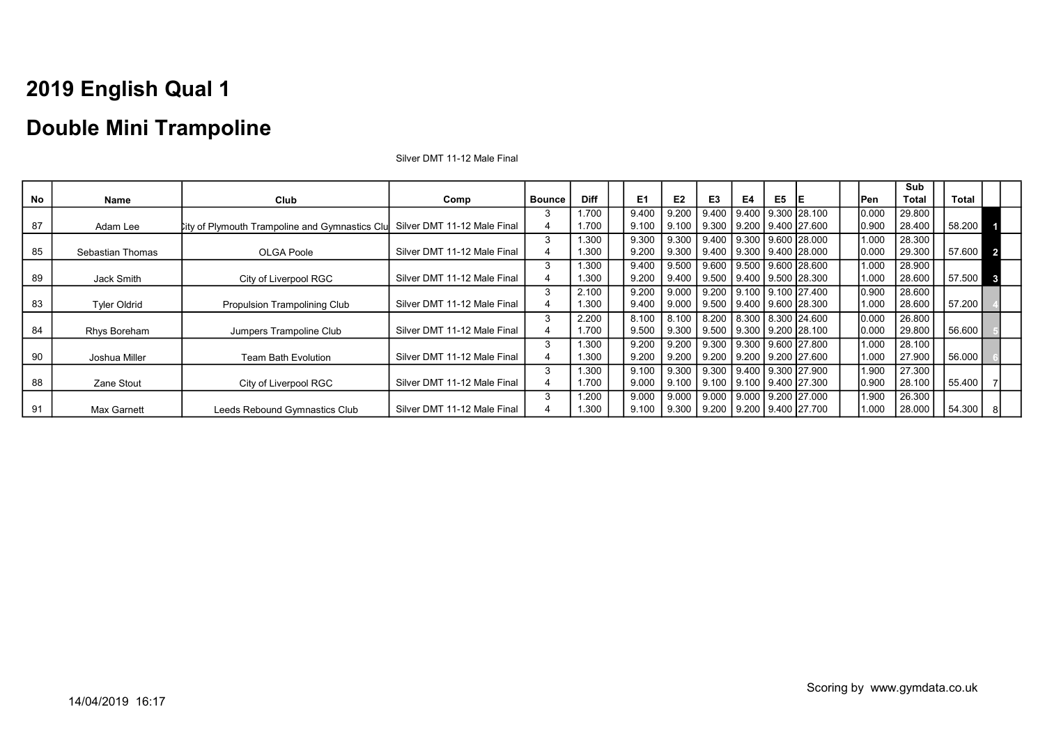### Double Mini Trampoline

|    |                     |                                                                            |                             |               |             |                |                |                                                  |    |    |                          |       | Sub          |        |                         |
|----|---------------------|----------------------------------------------------------------------------|-----------------------------|---------------|-------------|----------------|----------------|--------------------------------------------------|----|----|--------------------------|-------|--------------|--------|-------------------------|
| No | Name                | Club                                                                       | Comp                        | <b>Bounce</b> | <b>Diff</b> | E <sub>1</sub> | E <sub>2</sub> | E <sub>3</sub>                                   | E4 | E5 | IE                       | Pen   | <b>Total</b> | Total  |                         |
|    |                     |                                                                            |                             |               | 1.700       | 9.400          | 9.200          | $9.400$   $9.400$   $9.300$   $28.100$           |    |    |                          | 0.000 | 29.800       |        |                         |
| 87 | Adam Lee            | City of Plymouth Trampoline and Gymnastics Clu Silver DMT 11-12 Male Final |                             |               | 1.700       | 9.100          | 9.100          | $9.300$   $9.200$   $9.400$   27.600             |    |    |                          | 0.900 | 28.400       | 58.200 |                         |
|    |                     |                                                                            |                             |               | 1.300       | 9.300          | 9.300          | 9.400 9.300 9.600 28.000                         |    |    |                          | 1.000 | 28.300       |        |                         |
| 85 | Sebastian Thomas    | <b>OLGA Poole</b>                                                          | Silver DMT 11-12 Male Final |               | 1.300       | 9.200          | 9.300          | 9.400 9.300 9.400 28.000                         |    |    |                          | 0.000 | 29.300       | 57.600 | $\overline{\mathbf{2}}$ |
|    |                     |                                                                            |                             | 3             | 1.300       | 9.400          | 9.500          | 9.600 9.500 9.600 28.600                         |    |    |                          | 1.000 | 28.900       |        |                         |
| 89 | Jack Smith          | City of Liverpool RGC                                                      | Silver DMT 11-12 Male Final |               | 1.300       | 9.200          | 9.400          | 9.500 9.400 9.500 28.300                         |    |    |                          | 1.000 | 28.600       | 57.500 | $\mathbf{3}$            |
|    |                     |                                                                            |                             |               | 2.100       | 9.200          |                | 9.000 9.200 9.100 9.100 27.400                   |    |    |                          | 0.900 | 28.600       |        |                         |
| 83 | <b>Tyler Oldrid</b> | Propulsion Trampolining Club                                               | Silver DMT 11-12 Male Final |               | 1.300       | 9.400          |                | $9.000$   $9.500$   $9.400$   $9.600$   $28.300$ |    |    |                          | 1.000 | 28.600       | 57.200 |                         |
|    |                     |                                                                            |                             | 3             | 2.200       | 8.100          | 8.100          | 8.200 8.300 8.300 24.600                         |    |    |                          | 0.000 | 26.800       |        |                         |
| 84 | Rhys Boreham        | Jumpers Trampoline Club                                                    | Silver DMT 11-12 Male Final | 4             | 1.700       | 9.500          | 9.300          | 9.500 9.300 9.200 28.100                         |    |    |                          | 0.000 | 29.800       | 56.600 |                         |
|    |                     |                                                                            |                             |               | 1.300       | 9.200          | 9.200          |                                                  |    |    | 9.300 9.300 9.600 27.800 | 1.000 | 28.100       |        |                         |
| 90 | Joshua Miller       | <b>Team Bath Evolution</b>                                                 | Silver DMT 11-12 Male Final | 4             | 1.300       | 9.200          | 9.200          | 9.200 9.200 9.200 27.600                         |    |    |                          | 1.000 | 27.900       | 56.000 |                         |
|    |                     |                                                                            |                             | 3             | 1.300       | 9.100          | 9.300          | 9.300 9.400 9.300 27.900                         |    |    |                          | 1.900 | 27.300       |        |                         |
| 88 | Zane Stout          | City of Liverpool RGC                                                      | Silver DMT 11-12 Male Final |               | 1.700       | 9.000          | 9.100          | 9.100 9.100 9.400 27.300                         |    |    |                          | 0.900 | 28.100       | 55.400 |                         |
|    |                     |                                                                            |                             |               | 1.200       | 9.000          |                | 9.000   9.000   9.000   9.200   27.000           |    |    |                          | 1.900 | 26.300       |        |                         |
| 91 | Max Garnett         | Leeds Rebound Gymnastics Club                                              | Silver DMT 11-12 Male Final |               | 1.300       | 9.100          |                | $9.300$   $9.200$   $9.200$   $9.400$   27.700   |    |    |                          | 1.000 | 28.000       | 54.300 |                         |

Silver DMT 11-12 Male Final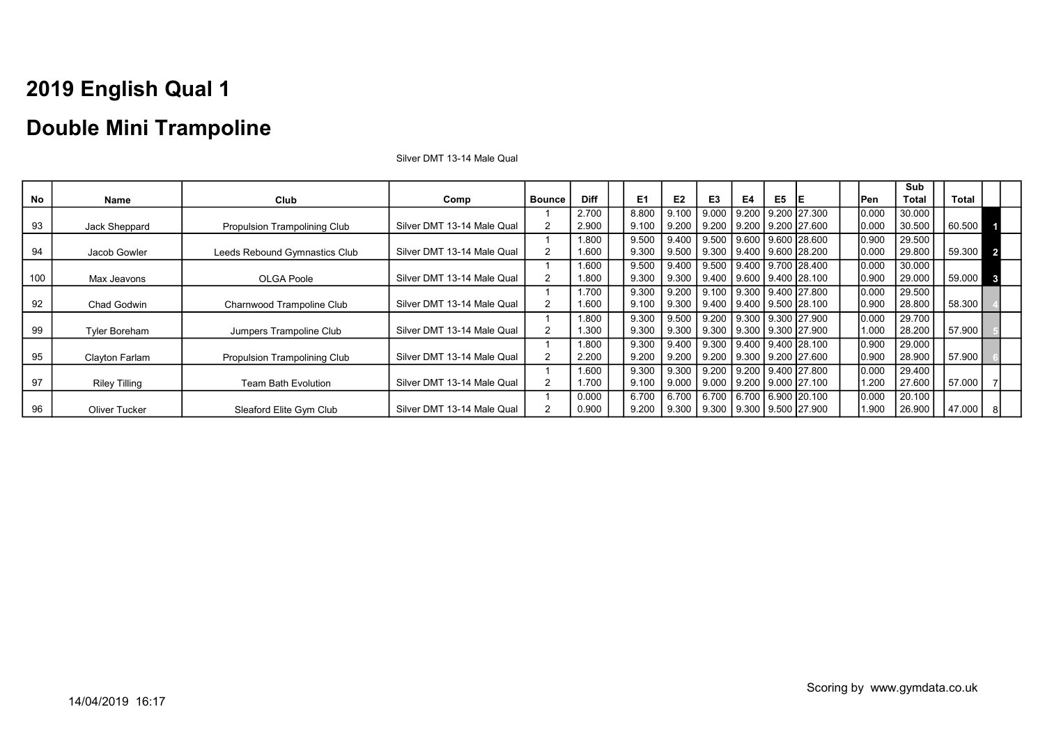### Double Mini Trampoline

|     |                      |                               |                            |                |             |       |       |                                      |       |    |                                      |       | Sub          |        |                         |
|-----|----------------------|-------------------------------|----------------------------|----------------|-------------|-------|-------|--------------------------------------|-------|----|--------------------------------------|-------|--------------|--------|-------------------------|
| No  | Name                 | Club                          | Comp                       | <b>Bounce</b>  | <b>Diff</b> | E1    | E2    | E <sub>3</sub>                       | E4    | E5 | IE                                   | lPen  | <b>Total</b> | Total  |                         |
|     |                      |                               |                            |                | 2.700       | 8.800 | 9.100 | 9.000                                | 9.200 |    | 9.200 27.300                         | 0.000 | 30.000       |        |                         |
| 93  | Jack Sheppard        | Propulsion Trampolining Club  | Silver DMT 13-14 Male Qual |                | 2.900       | 9.100 | 9.200 | 9.200                                |       |    | 9.200   9.200   27.600               | 0.000 | 30.500       | 60.500 |                         |
|     |                      |                               |                            |                | 1.800       | 9.500 | 9.400 | 9.500 9.600 9.600 28.600             |       |    |                                      | 0.900 | 29.500       |        |                         |
| 94  | Jacob Gowler         | Leeds Rebound Gymnastics Club | Silver DMT 13-14 Male Qual |                | 1.600       | 9.300 | 9.500 | 9.300 9.400 9.600 28.200             |       |    |                                      | 0.000 | 29.800       | 59.300 | $\overline{\mathbf{2}}$ |
|     |                      |                               |                            |                | 1.600       | 9.500 | 9.400 | 9.500 9.400 9.700 28.400             |       |    |                                      | 0.000 | 30.000       |        |                         |
| 100 | Max Jeavons          | <b>OLGA Poole</b>             | Silver DMT 13-14 Male Qual |                | 1.800       | 9.300 | 9.300 | 9.400 9.600 9.400 28.100             |       |    |                                      | 0.900 | 29.000       | 59.000 | $\overline{\mathbf{3}}$ |
|     |                      |                               |                            |                | 1.700       | 9.300 | 9.200 | 9.100 9.300 9.400 27.800             |       |    |                                      | 0.000 | 29.500       |        |                         |
| 92  | Chad Godwin          | Charnwood Trampoline Club     | Silver DMT 13-14 Male Qual |                | 1.600       | 9.100 | 9.300 |                                      |       |    | 9.400   9.400   9.500   28.100       | 0.900 | 28.800       | 58.300 |                         |
|     |                      |                               |                            |                | 1.800       | 9.300 | 9.500 |                                      |       |    | 9.200   9.300   9.300   27.900       | 0.000 | 29.700       |        |                         |
| 99  | <b>Tyler Boreham</b> | Jumpers Trampoline Club       | Silver DMT 13-14 Male Qual |                | 1.300       | 9.300 | 9.300 | 9.300 9.300 9.300 27.900             |       |    |                                      | 1.000 | 28.200       | 57.900 |                         |
|     |                      |                               |                            |                | 1.800       | 9.300 | 9.400 |                                      |       |    | 9.300 9.400 9.400 28.100             | 0.900 | 29.000       |        |                         |
| 95  | Clayton Farlam       | Propulsion Trampolining Club  | Silver DMT 13-14 Male Qual | $\overline{2}$ | 2.200       | 9.200 | 9.200 |                                      |       |    | 9.200   9.300   9.200   27.600       | 0.900 | 28.900       | 57.900 |                         |
|     |                      |                               |                            |                | 1.600       | 9.300 | 9.300 | $9.200$   $9.200$   $9.400$   27.800 |       |    |                                      | 0.000 | 29.400       |        |                         |
| 97  | <b>Riley Tilling</b> | Team Bath Evolution           | Silver DMT 13-14 Male Qual |                | 1.700       | 9.100 | 9.000 |                                      |       |    | $9.000$   $9.200$   $9.000$   27.100 | .200  | 27.600       | 57.000 |                         |
|     |                      |                               |                            |                | 0.000       | 6.700 | 6.700 | 6.700 6.700 6.900 20.100             |       |    |                                      | 0.000 | 20.100       |        |                         |
| 96  | Oliver Tucker        | Sleaford Elite Gym Club       | Silver DMT 13-14 Male Qual |                | 0.900       | 9.200 | 9.300 | 9.300   9.300   9.500   27.900       |       |    |                                      | .900  | 26.900       | 47.000 |                         |

Silver DMT 13-14 Male Qual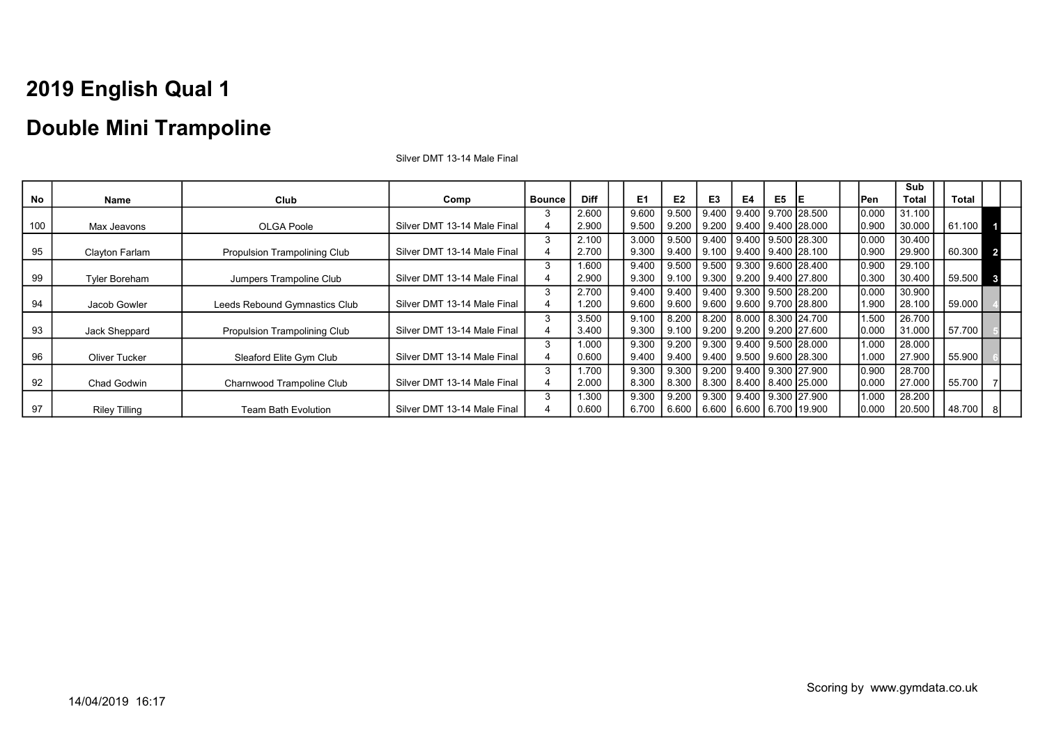### Double Mini Trampoline

|     |                      |                                     |                             |               |             |       |                |                                        |    |    |                                |            | Sub    |              |                         |
|-----|----------------------|-------------------------------------|-----------------------------|---------------|-------------|-------|----------------|----------------------------------------|----|----|--------------------------------|------------|--------|--------------|-------------------------|
| No  | Name                 | Club                                | Comp                        | <b>Bounce</b> | <b>Diff</b> | E1    | E <sub>2</sub> | E3                                     | E4 | E5 | IE.                            | <b>Pen</b> | Total  | <b>Total</b> |                         |
|     |                      |                                     |                             | 3             | 2.600       | 9.600 | 9.500          | 9.400                                  |    |    | 9.400   9.700   28.500         | 0.000      | 31.100 |              |                         |
| 100 | Max Jeavons          | OLGA Poole                          | Silver DMT 13-14 Male Final | 4             | 2.900       | 9.500 | 9.200          | 9.200                                  |    |    | l 9.400 l 9.400 l28.000        | 0.900      | 30.000 | 61.100       |                         |
|     |                      |                                     |                             | 3             | 2.100       | 3.000 | 9.500          |                                        |    |    |                                | 0.000      | 30.400 |              |                         |
| 95  | Clayton Farlam       | <b>Propulsion Trampolining Club</b> | Silver DMT 13-14 Male Final | 4             | 2.700       | 9.300 | 9.400          | 9.100   9.400   9.400   28.100         |    |    |                                | 0.900      | 29.900 | 60.300 2     |                         |
|     |                      |                                     |                             | 3             | 1.600       | 9.400 |                | 9.500   9.500   9.300   9.600   28.400 |    |    |                                | 0.900      | 29.100 |              |                         |
| 99  | <b>Tyler Boreham</b> | Jumpers Trampoline Club             | Silver DMT 13-14 Male Final |               | 2.900       | 9.300 | 9.100          | $\vert$ 9.300   9.200   9.400   27.800 |    |    |                                | 0.300      | 30.400 | 59.500       | $\overline{\mathbf{3}}$ |
|     |                      |                                     |                             | 3             | 2.700       | 9.400 | 9.400          | $\vert$ 9.400   9.300   9.500   28.200 |    |    |                                | 0.000      | 30.900 |              |                         |
| 94  | Jacob Gowler         | Leeds Rebound Gymnastics Club       | Silver DMT 13-14 Male Final | 4             | 1.200       | 9.600 |                | 9.600   9.600   9.600   9.700   28.800 |    |    |                                | 1.900      | 28.100 | 59.000       |                         |
|     |                      |                                     |                             | 3             | 3.500       | 9.100 | 8.200          |                                        |    |    | 8.200   8.000   8.300   24.700 | 1.500      | 26.700 |              |                         |
| 93  | Jack Sheppard        | <b>Propulsion Trampolining Club</b> | Silver DMT 13-14 Male Final | 4             | 3.400       | 9.300 | 9.100          | 9.200   9.200   9.200   27.600         |    |    |                                | 0.000      | 31.000 | 57.700       |                         |
|     |                      |                                     |                             | 3             | 1.000       | 9.300 | 9.200          | 9.300 9.400 9.500 28.000               |    |    |                                | 1.000      | 28.000 |              |                         |
| 96  | <b>Oliver Tucker</b> | Sleaford Elite Gym Club             | Silver DMT 13-14 Male Final | 4             | 0.600       | 9.400 | 9.400          | 9.400   9.500   9.600   28.300         |    |    |                                | 1.000      | 27.900 | 55.900       |                         |
|     |                      |                                     |                             | 3             | 1.700       | 9.300 | 9.300          | 9.200   9.400   9.300   27.900         |    |    |                                | 0.900      | 28.700 |              |                         |
| 92  | Chad Godwin          | Charnwood Trampoline Club           | Silver DMT 13-14 Male Final | 4             | 2.000       | 8.300 | 8.300          | 8.300   8.400   8.400   25.000         |    |    |                                | 0.000      | 27.000 | 55.700       |                         |
|     |                      |                                     |                             | 3             | 1.300       | 9.300 |                | 9.200   9.300   9.400   9.300   27.900 |    |    |                                | 1.000      | 28.200 |              |                         |
| 97  | <b>Riley Tilling</b> | Team Bath Evolution                 | Silver DMT 13-14 Male Final |               | 0.600       | 6.700 | 6.600          | 6.600   6.600   6.700   19.900         |    |    |                                | 0.000      | 20.500 | 48.700       |                         |

Silver DMT 13-14 Male Final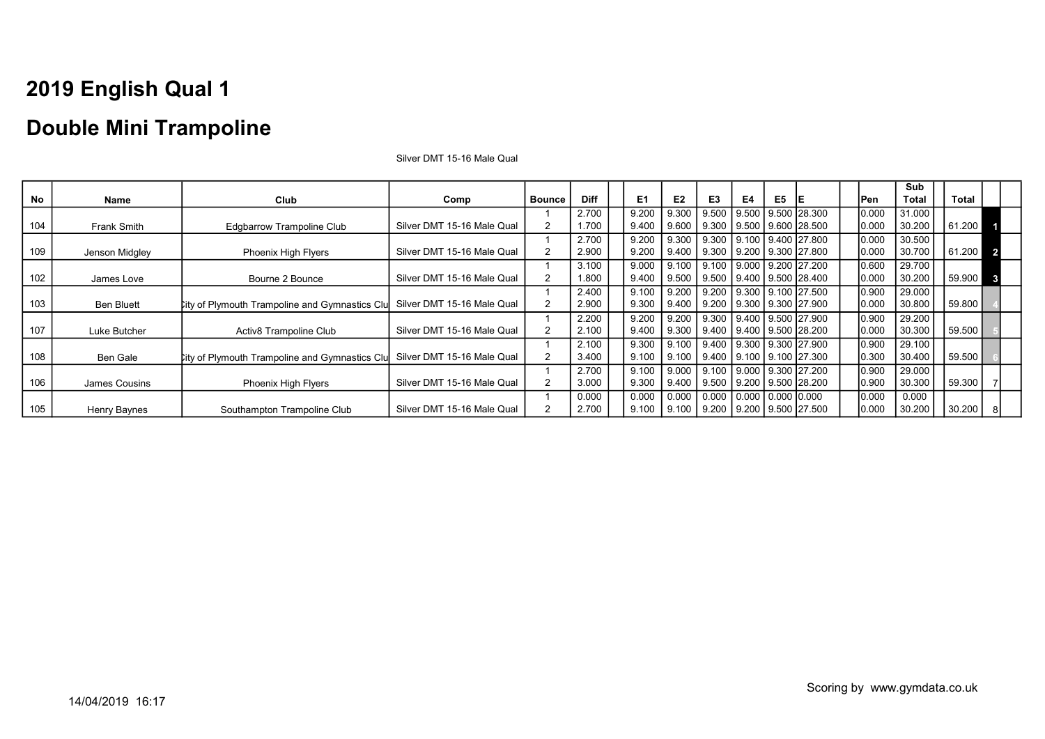### Double Mini Trampoline

|     |                   |                                                        |                            |                |             |                |                |                                                  |    |    |      |             | Sub          |              |                         |
|-----|-------------------|--------------------------------------------------------|----------------------------|----------------|-------------|----------------|----------------|--------------------------------------------------|----|----|------|-------------|--------------|--------------|-------------------------|
| No  | Name              | Club                                                   | Comp                       | <b>Bounce</b>  | <b>Diff</b> | E <sub>1</sub> | E <sub>2</sub> | E <sub>3</sub>                                   | E4 | E5 | - IE | <b>IPen</b> | <b>Total</b> | <b>Total</b> |                         |
|     |                   |                                                        |                            |                | 2.700       | 9.200          | 9.300          | 9.500   9.500   9.500   28.300                   |    |    |      | 0.000       | 31.000       |              |                         |
| 104 | Frank Smith       | <b>Edgbarrow Trampoline Club</b>                       | Silver DMT 15-16 Male Qual | 2              | 1.700       | 9.400          | 9.600          | 9.300 9.500 9.600 28.500                         |    |    |      | 0.000       | 30.200       | 61.200       |                         |
|     |                   |                                                        |                            |                | 2.700       | 9.200          |                | 9.300 9.300 9.100 9.400 27.800                   |    |    |      | 0.000       | 30.500       |              |                         |
| 109 | Jenson Midgley    | <b>Phoenix High Flyers</b>                             | Silver DMT 15-16 Male Qual | 2              | 2.900       | 9.200          | 9.400          | 9.300   9.200   9.300   27.800                   |    |    |      | 0.000       | 30.700       | 61.200 2     |                         |
|     |                   |                                                        |                            |                | 3.100       | 9.000          |                | 9.100   9.100   9.000   9.200   27.200           |    |    |      | 0.600       | 29.700       |              |                         |
| 102 | James Love        | Bourne 2 Bounce                                        | Silver DMT 15-16 Male Qual | 2              | 1.800       | 9.400          |                | 9.500   9.500   9.400   9.500   28.400           |    |    |      | 0.000       | 30.200       | 59.900       | $\overline{\mathbf{3}}$ |
|     |                   |                                                        |                            |                | 2.400       | 9.100          | 9.200          | $9.200$   9.300   9.100   27.500                 |    |    |      | 0.900       | 29.000       |              |                         |
| 103 | <b>Ben Bluett</b> | <b>City of Plymouth Trampoline and Gymnastics Clul</b> | Silver DMT 15-16 Male Qual | $\overline{2}$ | 2.900       | 9.300          |                | 9.400   9.200   9.300   9.300   27.900           |    |    |      | 0.000       | 30.800       | 59.800       |                         |
|     |                   |                                                        |                            |                | 2.200       | 9.200          | 9.200          | 9.300 9.400 9.500 27.900                         |    |    |      | 0.900       | 29.200       |              |                         |
| 107 | Luke Butcher      | Activ8 Trampoline Club                                 | Silver DMT 15-16 Male Qual | 2              | 2.100       | 9.400          |                | 9.300   9.400   9.400   9.500   28.200           |    |    |      | 0.000       | 30.300       | 59.500       |                         |
|     |                   |                                                        |                            |                | 2.100       | 9.300          | 9.100          | $9.400$   $9.300$   $9.300$   27.900             |    |    |      | 0.900       | 29.100       |              |                         |
| 108 | Ben Gale          | <b>City of Plymouth Trampoline and Gymnastics Clu</b>  | Silver DMT 15-16 Male Qual | 2              | 3.400       | 9.100          | 9.100          | 9.400 9.100 9.100 27.300                         |    |    |      | 0.300       | 30.400       | 59.500       |                         |
|     |                   |                                                        |                            |                | 2.700       | 9.100          |                | 9.000   9.100   9.000   9.300   27.200           |    |    |      | 0.900       | 29.000       |              |                         |
| 106 | James Cousins     | <b>Phoenix High Flyers</b>                             | Silver DMT 15-16 Male Qual | $\overline{2}$ | 3.000       | 9.300          |                | $9.400$   $9.500$   $9.200$   $9.500$   $28.200$ |    |    |      | 0.900       | 30.300       | 59.300       |                         |
|     |                   |                                                        |                            |                | 0.000       | 0.000          |                | $0.000$   0.000   0.000   0.000 0.000            |    |    |      | 0.000       | 0.000        |              |                         |
| 105 | Henry Baynes      | Southampton Trampoline Club                            | Silver DMT 15-16 Male Qual |                | 2.700       | 9.100          |                | $9.100$   $9.200$   $9.200$   $9.500$   27.500   |    |    |      | 0.000       | 30.200       | 30.200       |                         |

Silver DMT 15-16 Male Qual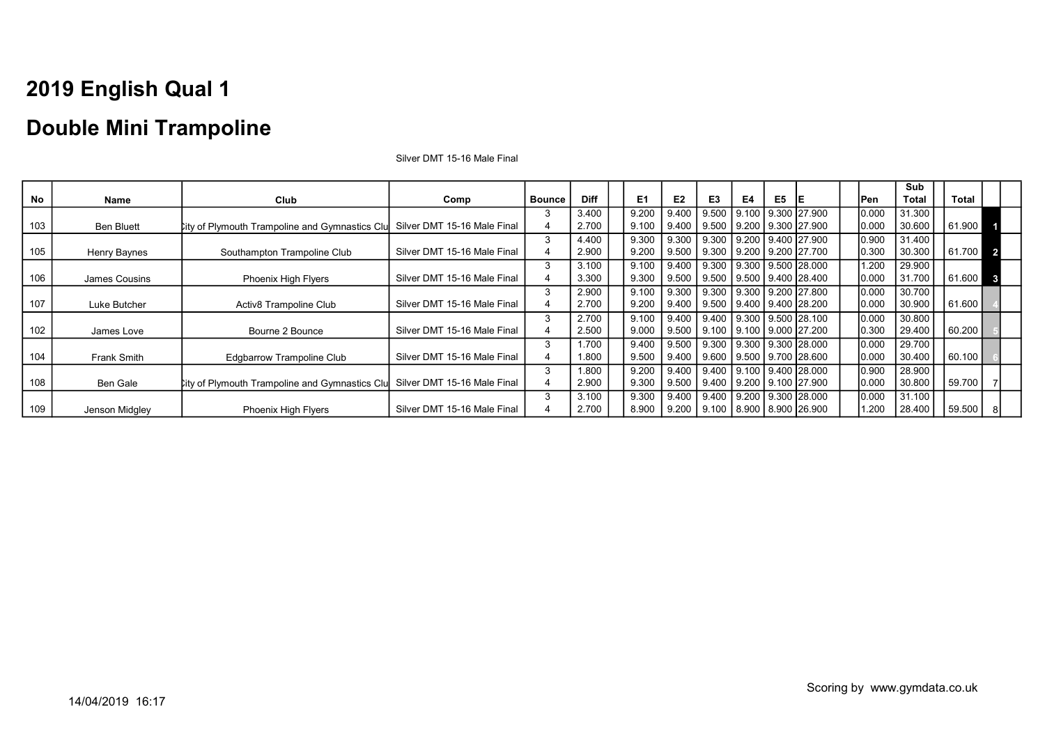### Double Mini Trampoline

|     |                   |                                                       |                             |               |             |       |                 |                                        |       |    |                                |            | Sub          |          |              |
|-----|-------------------|-------------------------------------------------------|-----------------------------|---------------|-------------|-------|-----------------|----------------------------------------|-------|----|--------------------------------|------------|--------------|----------|--------------|
| No  | Name              | Club                                                  | Comp                        | <b>Bounce</b> | <b>Diff</b> | E1    | E2              | E3                                     | E4    | E5 | IE                             | <b>Pen</b> | <b>Total</b> | Total    |              |
|     |                   |                                                       |                             |               | 3.400       | 9.200 | 9.400           | 9.500                                  | 9.100 |    | 9.300 27.900                   | 0.000      | 31.300       |          |              |
| 103 | <b>Ben Bluett</b> | <b>City of Plymouth Trampoline and Gymnastics Clu</b> | Silver DMT 15-16 Male Final |               | 2.700       | 9.100 | 9.400           | 9.500 9.200 9.300 27.900               |       |    |                                | 0.000      | 30.600       | 61.900   |              |
|     |                   |                                                       |                             | 3             | 4.400       | 9.300 | 9.300           | 9.300 9.200 9.400 27.900               |       |    |                                | 0.900      | 31.400       |          |              |
| 105 | Henry Baynes      | Southampton Trampoline Club                           | Silver DMT 15-16 Male Final |               | 2.900       | 9.200 | 9.500           | 9.300 9.200 9.200 27.700               |       |    |                                | 0.300      | 30.300       | 61.700 2 |              |
|     |                   |                                                       |                             |               | 3.100       | 9.100 | 9.400           |                                        |       |    | 9.300 9.300 9.500 28.000       | 1.200      | 29.900       |          |              |
| 106 | James Cousins     | <b>Phoenix High Flyers</b>                            | Silver DMT 15-16 Male Final |               | 3.300       | 9.300 | 9.500           | 9.500   9.500   9.400   28.400         |       |    |                                | 0.000      | 31.700       | 61.600   | $\mathbf{3}$ |
|     |                   |                                                       |                             |               | 2.900       | 9.100 | 9.300           | 9.300 9.300 9.200 27.800               |       |    |                                | 0.000      | 30.700       |          |              |
| 107 | Luke Butcher      | Activ8 Trampoline Club                                | Silver DMT 15-16 Male Final |               | 2.700       | 9.200 | 9.400           | 9.500   9.400   9.400   28.200         |       |    |                                | 0.000      | 30.900       | 61.600   |              |
|     |                   |                                                       |                             |               | 2.700       | 9.100 | 9.400           |                                        |       |    | 9.400 9.300 9.500 28.100       | 0.000      | 30.800       |          |              |
| 102 | James Love        | Bourne 2 Bounce                                       | Silver DMT 15-16 Male Final | 4             | 2.500       | 9.000 | 9.500           |                                        |       |    | 9.100 9.100 9.000 27.200       | 0.300      | 29.400       | 60.200   |              |
|     |                   |                                                       |                             | 3             | 1.700       | 9.400 | 9.500           | $9.300$   $9.300$   $9.300$   $28.000$ |       |    |                                | 0.000      | 29.700       |          |              |
| 104 | Frank Smith       | Edgbarrow Trampoline Club                             | Silver DMT 15-16 Male Final |               | 1.800       | 9.500 | 9.400           |                                        |       |    | 9.600   9.500   9.700   28.600 | 0.000      | 30.400       | 60.100   |              |
|     |                   |                                                       |                             | 3             | 1.800       | 9.200 | 9.400           |                                        |       |    | 9.400 9.100 9.400 28.000       | 0.900      | 28.900       |          |              |
| 108 | Ben Gale          | <b>City of Plymouth Trampoline and Gymnastics Clu</b> | Silver DMT 15-16 Male Final |               | 2.900       | 9.300 | 9.500           | 9.400   9.200   9.100   27.900         |       |    |                                | 0.000      | 30.800       | 59.700   |              |
|     |                   |                                                       |                             |               | 3.100       | 9.300 | 9.400           | 9.400 9.200 9.300 28.000               |       |    |                                | 0.000      | 31.100       |          |              |
| 109 | Jenson Midgley    | <b>Phoenix High Flyers</b>                            | Silver DMT 15-16 Male Final |               | 2.700       | 8.900 | $9.200$ $\vert$ | 9.100   8.900   8.900   26.900         |       |    |                                | .200       | 28.400       | 59.500   |              |

Silver DMT 15-16 Male Final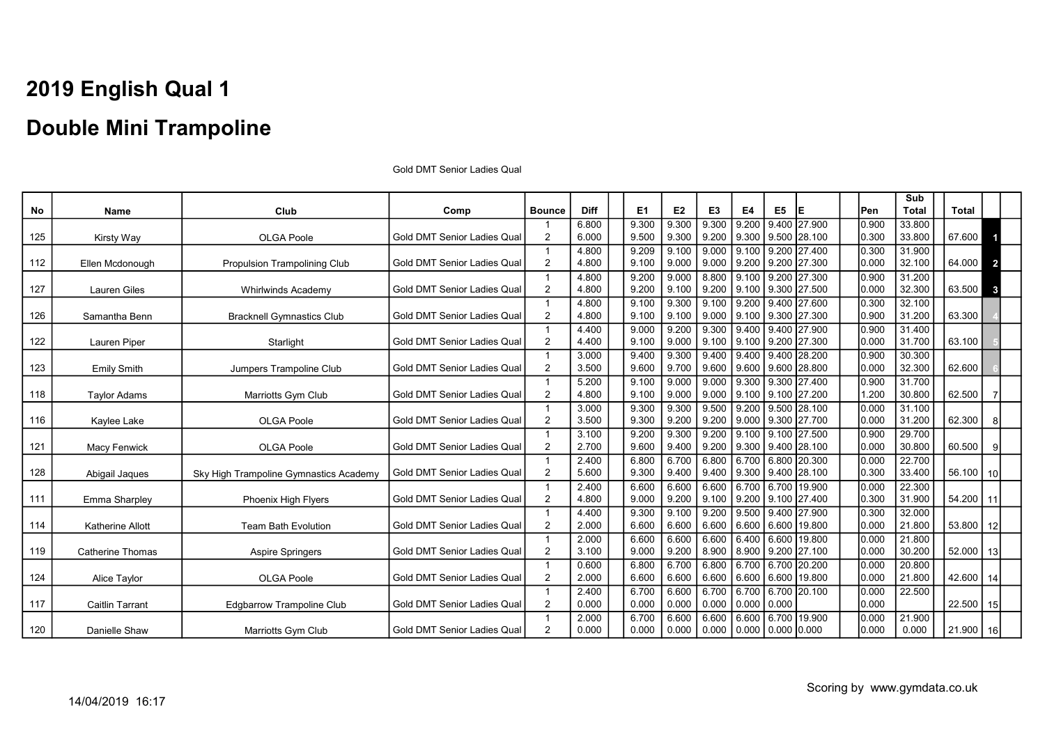No | Name | Club | Comp |Bounce | Diff | E1 | E2 | E3 | E4 | E5 |E | | | Pen Sub Total Total 125 Kirsty Way **COLGA Poole** Gold DMT Senior Ladies Quality Research Color Color Color DMT Senior Ladies Quality 1  $\mathfrak{p}$ 6.800 6.000 9.300 9.500 9.300 9.300 9.300 9.200 9.200 9.300 9.400 27.900 9.500 28.100 0.900 0.300 33.800 67.600 112 **Ellen Mcdonough Propulsion Trampolining Club Gold DMT Senior Ladies Qual** 1 2 4.800 4.800 9.209 9.100 9.100 9.000 9.000 9.000 9.100 9.200 9.200 9.200 27.400 27.300 0.300 0.000 31.900<br>32.100 64.000 2 127 Lauren Giles Whirlwinds Academy Gold DMT Senior Ladies Qual 1 2 4.800 4.800 9.200 9.200 9.000 9.100 8.800 9.200 9.100 9.100 9.200 9.300 27.300 27.500 0.900 0.000 31.200  $32.300$  63.500 3 126 Samantha Benn Bracknell Gymnastics Club Gold DMT Senior Ladies Qual 1 2 4.800 4.800  $9.100$ 9.100 9.300 9.100 9.100 9.000 9.200 9.100 9.400 9.300 27.600 27.300 0.300 0.900 32.100  $31.200$  63.300 122 Lauren Piper Starlight Gold DMT Senior Ladies Qual 1 2 4.400 4.400 9.000 9.100 9.200 9.000 9.300 9.100 9.400 9.100 9.400 9.200 27.900 27.300 0.900 0.000 31.400  $31.700 \mid$  63.100 123 Emily Smith Jumpers Trampoline Club Gold DMT Senior Ladies Qual 1  $\mathfrak{p}$ 3.000 3.500 9.400 9.600 9.300 9.700 9.400 9.600 9.400 9.600 9.400 9.600 28.200 28.800 0.900 0.000 30.300  $32.300 \mid \cdot \mid 62.600$ 118 Taylor Adams Taylor Adams Natriotts Gym Club Gold DMT Senior Ladies Qual  $\overline{1}$  $\mathfrak{p}$ 5.200 4.800  $9.100$ 9.100  $9.000$ 9.000 9.000 9.000  $9.300$ 9.100 9.300 9.100  $\frac{27}{27.400}$ 27.200 0.900 1.200 31.700  $30.800 \mid \; 162.500$ 116 | Kaylee Lake | OLGA Poole | Gold DMT Senior Ladies Qual 1 2 3.000 3.500 9.300 9.300 9.300 9.200 9.500 9.200 9.200 9.000 9.500 9.300 28.100 27.700 0.000 0.000 31.100  $31.200$  62.300 8 121 Macy Fenwick **Number 121 Studies Auch 121 Macy Fenwick** Cual 1 2 3.100 2.700 9.200 9.600 9.300 9.400 9.200 9.200 9.100 9.300  $9.100$ 9.400 27.500 28.100 0.900 0.000 29.700  $30.800$  60.500  $\frac{1}{9}$ 128 Abigail Jaques Sky High Trampoline Gymnastics Academy Gold DMT Senior Ladies Qual 1 2 2.400 5.600 6.800 9.300 6.700 9.400 6.800 9.400 6.700 9.300 6.800 9.400 20.300 28.100 0.000 0.300 22.700  $33.400 \mid$  56.100 10 111 Emma Sharpley **Phoenix High Flyers** Gold DMT Senior Ladies Qual 1 2 2.400 4.800 6.600 9.000 6.600 9.200 6.600 9.100 6.700 9.200 6.700 9.100 19.900 27.400 0.000 0.300 22.300 31.900 | 54.200 | 11 114 | Katherine Allott | Team Bath Evolution | Gold DMT Senior Ladies Qual 1 2 4.400 2.000 9.300 6.600  $9.100$ 6.600 9.200 6.600 9.500 6.600 9.400 6.600 27.900 19.800 0.300 0.000 32.000  $21.800$  | 53.800 | 12 119 Catherine Thomas **Aspire Springers** Gold DMT Senior Ladies Qual 1 2 2.000 3.100 6.600 9.000 6.600 9.200 6.600 8.900  $6.400$ 8.900 6.600 9.200 19.800 27.100 0.000 0.000 21.800  $30.200$  | 52.000 | 13 124 Alice Taylor **Colombia Alice Taylor Colombia Alice Taylor Colombia Alice Taylor Gold DMT Senior Ladies Qual** 1 2 0.600 2.000 6.800 6.600 6.700 6.600 6.800 6.600 6.700 6.600 6.700 6.600 20.200 19.800 0.000 0.000 20.800 21.800 | 42.600 | 14 117 | Caitlin Tarrant | Edgbarrow Trampoline Club | Gold DMT Senior Ladies Qual 1 2 2.400 0.000 6.700 0.000 6.600 0.000 6.700 0.000 6.700 0.000 6.700 0.000  $20.100$   $0.000$ 0.000 22.500 22.500 15 120 Danielle Shaw Marriotts Gym Club Gold DMT Senior Ladies Qual 1 2 2.000 0.000 6.700 0.000 6.600 0.000 6.600 0.000 6.600 0.000 6.700 0.000 0.000 19.900 0.000 0.000 21.900  $0.000$  | 21.900 16

Gold DMT Senior Ladies Qual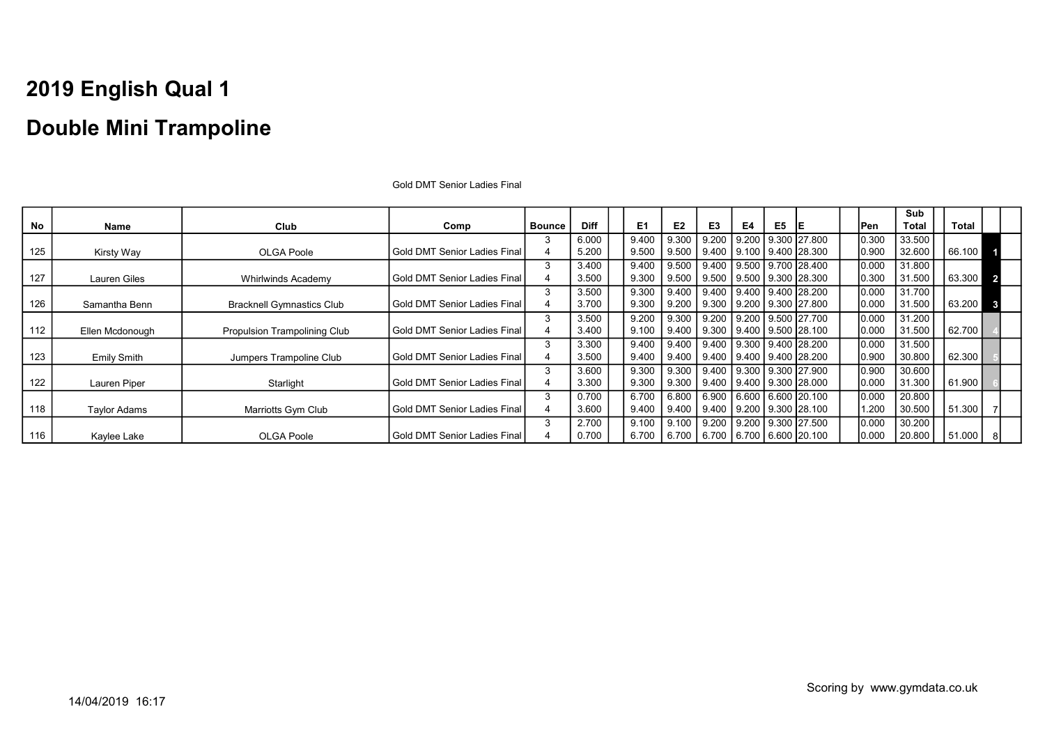No | Name | Club | Comp |Bounce | Diff | E1 | E2 | E3 | E4 | E5 |E | | | Pen **Sub** Total Total 125 Kirsty Way **COLGA Poole** Gold DMT Senior Ladies Final 3 4 6.000 5.200 9.400 9.500 9.300 9.500 9.200 9.400 9.200 9.100 9.300 27.800 9.400 28.300 0.300 0.900 33.500<br>32.600 66.100 127 Lauren Giles Whirlwinds Academy Gold DMT Senior Ladies Final 3 4 3.400 3.500 9.400 9.300 9.500 9.500 9.400 9.500 9.500 9.500 9.700 9.300 28.400 28.300 0.000 0.300 31.800<br>31.500 63.300 2 126 Samantha Benn Bracknell Gymnastics Club Gold DMT Senior Ladies Final 3 4 3.500 3.700 9.300 9.300 9.400 9.200 9.400 9.300 9.400 9.200  $9.400$ 9.300 28.200 27.800 0.000 0.000 31.700  $31.500$  63.200 3 112 | Ellen Mcdonough | Propulsion Trampolining Club | Gold DMT Senior Ladies Final 3 4 3.500 3.400 9.200 9.100 9.300 9.400 9.200 9.300 9.200 9.400 9.500 9.500 27.700 28.100 0.000 0.000 31.200  $31.500$   $\bigcup$  62.700 123 Emily Smith Jumpers Trampoline Club Gold DMT Senior Ladies Final 3 4 3.300 3.500 9.400 9.400 9.400 9.400 9.400 9.400 9.300 9.400 9.400 9.400 28.200 28.200 0.000 0.900 31.500  $30.800 \mid$  62.300 122 Lauren Piper Starlight Gold DMT Senior Ladies Final 3 4 3.600 3.300 9.300 9.300 9.300 9.300 9.400 9.400 9.300 9.400 9.300 9.300 27.900 28.000 0.900 0.000 30.600  $31.300 \mid$  61.900 118 Taylor Adams **Marriotts Gym Club** Gold DMT Senior Ladies Final 3 4 0.700 3.600 6.700 9.400 6.800 9.400 6.900 9.400 6.600 9.200  $6.600$ 9.300 20.100 28.100 0.000 1.200 20.800  $30.500 \mid$  51.300 116 | Kaylee Lake | OLGA Poole | Gold DMT Senior Ladies Final 3 4 2.700 0.700 9.100 6.700 9.100 6.700 9.200 6.700 9.200 6.700 9.300 27.500 6.600 20.100 0.000 0.000 30.200  $20.800$  | 51.000 | 8

Gold DMT Senior Ladies Final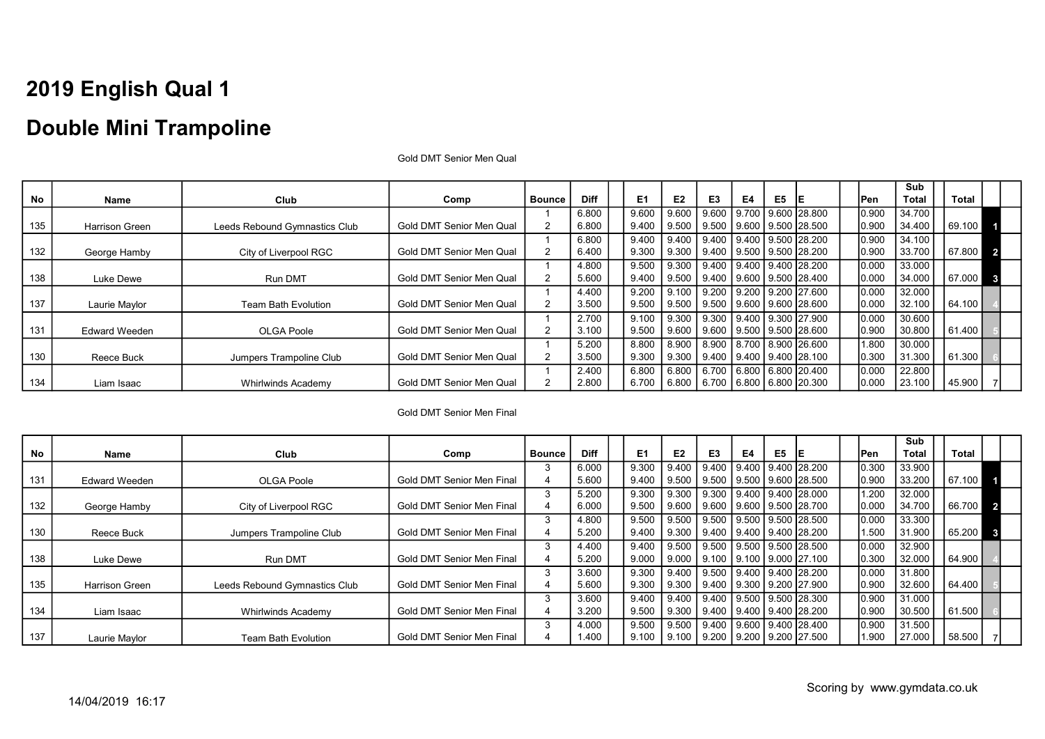### Double Mini Trampoline

|           |                       |                               |                          |               |             |                |       |                          |    |    |                                        |        | Sub          |        |                         |
|-----------|-----------------------|-------------------------------|--------------------------|---------------|-------------|----------------|-------|--------------------------|----|----|----------------------------------------|--------|--------------|--------|-------------------------|
| <b>No</b> | Name                  | Club                          | Comp                     | <b>Bounce</b> | <b>Diff</b> | E <sub>1</sub> | E2    | E3                       | E4 | E5 |                                        | lPen.  | <b>Total</b> | Total  |                         |
|           |                       |                               |                          |               | 6.800       | 9.600          | 9.600 |                          |    |    | 9.600 9.700 9.600 28.800               | 0.900  | 34.700       |        |                         |
| 135       | <b>Harrison Green</b> | Leeds Rebound Gymnastics Club | Gold DMT Senior Men Qual |               | 6.800       | 9.400          | 9.500 | 9.500 9.600 9.500 28.500 |    |    |                                        | 0.900  | 34.400       | 69.100 |                         |
|           |                       |                               |                          |               | 6.800       | 9.400          | 9.400 | 9.400 9.400 9.500 28.200 |    |    |                                        | 0.900  | 34.100       |        |                         |
| 132       | George Hamby          | City of Liverpool RGC         | Gold DMT Senior Men Qual | 2             | 6.400       | 9.300          | 9.300 |                          |    |    | 9.400   9.500   9.500   28.200         | 0.900  | 33.700       | 67.800 | $\overline{\mathbf{2}}$ |
|           |                       |                               |                          |               | 4.800       | 9.500          | 9.300 |                          |    |    | 9.400 9.400 9.400 28.200               | 10.000 | 33.000       |        |                         |
| 138       | Luke Dewe             | Run DMT                       | Gold DMT Senior Men Qual |               | 5.600       | 9.400          | 9.500 |                          |    |    | $9.400$   $9.600$   $9.500$   $28.400$ | 0.000  | 34.000       | 67.000 | $\mathbf{3}$            |
|           |                       |                               |                          |               | 4.400       | 9.200          | 9.100 |                          |    |    | 9.200   9.200   9.200   27.600         | 0.000  | 32.000       |        |                         |
| 137       | Laurie Maylor         | <b>Team Bath Evolution</b>    | Gold DMT Senior Men Qual |               | 3.500       | 9.500          | 9.500 | 9.500 9.600 9.600 28.600 |    |    |                                        | 0.000  | 32.100       | 64.100 |                         |
|           |                       |                               |                          |               | 2.700       | 9.100          | 9.300 | 9.300 9.400 9.300 27.900 |    |    |                                        | 0.000  | 30.600       |        |                         |
| 131       | <b>Edward Weeden</b>  | OLGA Poole                    | Gold DMT Senior Men Qual | 2             | 3.100       | 9.500          | 9.600 |                          |    |    | 9.600 9.500 9.500 28.600               | 10.900 | 30.800       | 61.400 |                         |
|           |                       |                               |                          |               | 5.200       | 8.800          | 8.900 |                          |    |    | 8.900   8.700   8.900   26.600         | 1.800  | 30.000       |        |                         |
| 130       | Reece Buck            | Jumpers Trampoline Club       | Gold DMT Senior Men Qual |               | 3.500       | 9.300          | 9.300 |                          |    |    | 9.400   9.400   9.400   28.100         | 0.300  | 31.300       | 61.300 |                         |
|           |                       |                               |                          |               | 2.400       | 6.800          | 6.800 |                          |    |    | 6.700 6.800 6.800 20.400               | 0.000  | 22.800       |        |                         |
| 134       | Liam Isaac            | <b>Whirlwinds Academy</b>     | Gold DMT Senior Men Qual |               | 2.800       | 6.700          | 6.800 | 6.700 6.800 6.800 20.300 |    |    |                                        | 0.000  | 23.100       | 45.900 |                         |

Gold DMT Senior Men Qual

#### Gold DMT Senior Men Final

|     |                      |                               |                           |        |             |                |                        |                |           |                |                                        |       | Sub    |        |                  |
|-----|----------------------|-------------------------------|---------------------------|--------|-------------|----------------|------------------------|----------------|-----------|----------------|----------------------------------------|-------|--------|--------|------------------|
| No  | Name                 | Club                          | Comp                      | Bounce | <b>Diff</b> | E <sub>1</sub> | E <sub>2</sub>         | E <sub>3</sub> | <b>E4</b> | E <sub>5</sub> | IE                                     | 'Pen  | Total  | Total  |                  |
|     |                      |                               |                           |        | 6.000       | 9.300          | 9.400                  | 9.400          |           |                | 9.400   9.400   28.200                 | 0.300 | 33.900 |        |                  |
| 131 | <b>Edward Weeden</b> | OLGA Poole                    | Gold DMT Senior Men Final |        | 5.600       | 9.400          | 9.500                  | 9.500          |           |                | 9.500   9.600   28.500                 | 0.900 | 33.200 | 67.100 |                  |
|     |                      |                               |                           |        | 5.200       | 9.300          | 9.300                  |                |           |                | 9.300 9.400 9.400 28.000               | 1.200 | 32.000 |        |                  |
| 132 | George Hamby         | City of Liverpool RGC         | Gold DMT Senior Men Final |        | 6.000       | 9.500          |                        |                |           |                | 9.600   9.600   9.600   9.500   28.700 | 0.000 | 34.700 | 66.700 | $\blacksquare$ 2 |
|     |                      |                               |                           |        | 4.800       | 9.500          |                        |                |           |                | 9.500 9.500 9.500 9.500 28.500         | 0.000 | 33.300 |        |                  |
| 130 | Reece Buck           | Jumpers Trampoline Club       | Gold DMT Senior Men Final |        | 5.200       | 9.400          | 9.300                  |                |           |                | 9.400 9.400 9.400 28.200               | 1.500 | 31.900 | 65.200 |                  |
|     |                      |                               |                           |        | 4.400       | 9.400          |                        |                |           |                | 9.500   9.500   9.500   9.500   28.500 | 0.000 | 32.900 |        |                  |
| 138 | Luke Dewe            | <b>Run DMT</b>                | Gold DMT Senior Men Final |        | 5.200       | 9.000          |                        |                |           |                | 9.000   9.100   9.100   9.000   27.100 | 0.300 | 32.000 | 64.900 |                  |
|     |                      |                               |                           | 3      | 3.600       | 9.300          | 9.400                  |                |           |                | 9.500 9.400 9.400 28.200               | 0.000 | 31.800 |        |                  |
| 135 | Harrison Green       | Leeds Rebound Gymnastics Club | Gold DMT Senior Men Final |        | 5.600       | 9.300          | 9.300                  |                |           |                | 9.400 9.300 9.200 27.900               | 0.900 | 32.600 | 64.400 |                  |
|     |                      |                               |                           |        | 3.600       | 9.400          | 9.400                  |                |           |                | Ⅰ 9.400 Ⅰ 9.500 Ⅰ 9.500 Ⅰ 28.300       | 0.900 | 31.000 |        |                  |
| 134 | Liam Isaac           | Whirlwinds Academy            | Gold DMT Senior Men Final |        | 3.200       | 9.500          | 9.300                  |                |           |                | 9.400 9.400 9.400 28.200               | 0.900 | 30.500 | 61.500 |                  |
|     |                      |                               |                           |        | 4.000       | 9.500          | 9.500                  | 9.400          |           |                | 9.600   9.400   28.400                 | 0.900 | 31.500 |        |                  |
| 137 | Laurie Maylor        | <b>Team Bath Evolution</b>    | Gold DMT Senior Men Final |        | 1.400       | 9.100          | $9.100$ $\blacksquare$ |                |           |                | 9.200 9.200 9.200 27.500               | 1.900 | 27.000 | 58.500 |                  |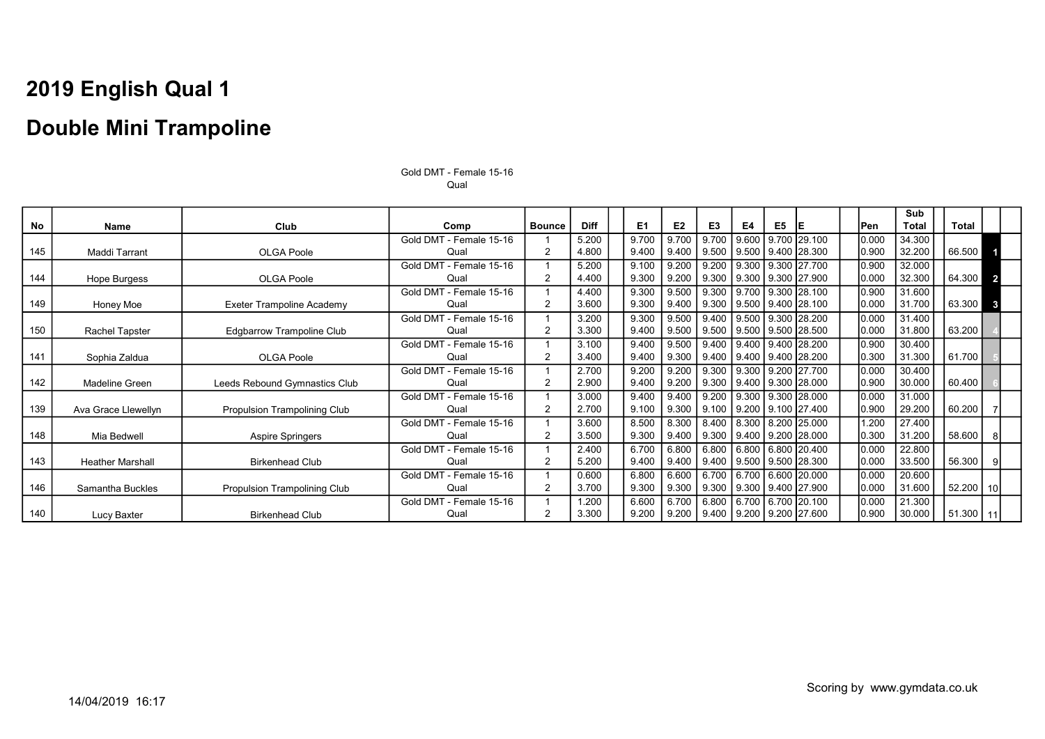No | Name | Club | Comp |Bounce | Diff | E1 | E2 | E3 | E4 | E5 |E | | | Pen **Sub** Total Total 145 Maddi Tarrant OLGA Poole Gold DMT - Female 15-16 Qual 1 2 5.200 4.800 9.700 9.400 9.700 9.400 9.700 9.500 9.600 9.500 9.700 29.100  $9.400$ 28.300 0.000 0.900 34.300<br>32.200 66.500 144 Hope Burgess OLGA Poole Gold DMT - Female 15-16 Qual 1 2 5.200 4.400 9.100 9.300 9.200 9.200 9.200 9.300 9.300 9.300 9.300 9.300 27.700 27.900 0.900 0.000 32.000  $32.300$  64.300 2 149 | Honey Moe | Exeter Trampoline Academy Gold DMT - Female 15-16 Qual 1 2 4.400 3.600 9.300 9.300 9.500 9.400 9.300 9.300 9.700 9.500 9.300 9.400 28.100 28.100 0.900 0.000 31.600  $31.700$  63.300 3 150 Rachel Tapster | Edgbarrow Trampoline Club Gold DMT - Female 15-16 Qual 1 2 3.200 3.300 9.300 9.400 9.500 9.500 9.400 9.500 9.500 9.500 9.300 9.500 28.200 28.500 0.000 0.000 31.400  $31.800 \mid$  63.200 141 Sophia Zaldua (CDCA Poole) Gold DMT - Female 15-16 Qual 1 2 3.100 3.400 9.400 9.400 9.500 9.300 9.400 9.400 9.400 9.400 9.400 9.400 28.200 28.200 0.900 0.300 30.400  $31.300 \mid$  61.700 142 Madeline Green **Leeds Rebound Gymnastics Club** Gold DMT - Female 15-16 Qual 1  $\mathfrak{p}$ 2.700 2.900 9.200 9.400 9.200 9.200 9.300 9.300 9.300 9.400 9.200 9.300 27.700 28.000 0.000 0.900 30.400  $30.000 \mid$  60.400 139 Ava Grace Llewellyn I Propulsion Trampolining Club Gold DMT - Female 15-16 Qual 1  $\mathfrak{p}$ 3.000 2.700  $9.400$ 9.100  $9.400$ 9.300 9.200 9.100  $9.300$ 9.200 9.300 9.100 28.000 27.400 0.000 0.900 31.000 60.200 148 Mia Bedwell Number 2016 Aspire Springers Gold DMT - Female 15-16 Qual 1 2 3.600 3.500 8.500 9.300 8.300 9.400 8.400 9.300 8.300 9.400 8.200 9.200 25.000 28.000 1.200 0.300 27.400  $31.200$  58.600 8 143 Heather Marshall **Heather Marshall** Birkenhead Club Gold DMT - Female 15-16 Qual  $\overline{1}$ 2 2.400 5.200 6.700 9.400 6.800 9.400 6.800 9.400 6.800 9.500 6.800 9.500 20.400 28.300 0.000 0.000 22.800  $33.500$   $\overline{)$  56.300  $\overline{)}$ 146 Samantha Buckles | Propulsion Trampolining Club Gold DMT - Female 15-16 Qual 1 2 0.600 3.700 6.800 9.300 6.600 9.300 6.700 9.300 6.700 9.300 6.600 9.400 20.000 27.900 0.000 0.000 20.600  $31.600$  52.200 10 140 Lucy Baxter **Birkenhead Club** Gold DMT - Female 15-16 Qual 1 2 1.200 3.300 6.600 9.200 6.700 9.200 6.800 9.400 6.700 9.200 6.700 9.200 27.600 20.100 0.000 0.900 21.300 30.000 | 51.300 | 11

Gold DMT - Female 15-16 Qual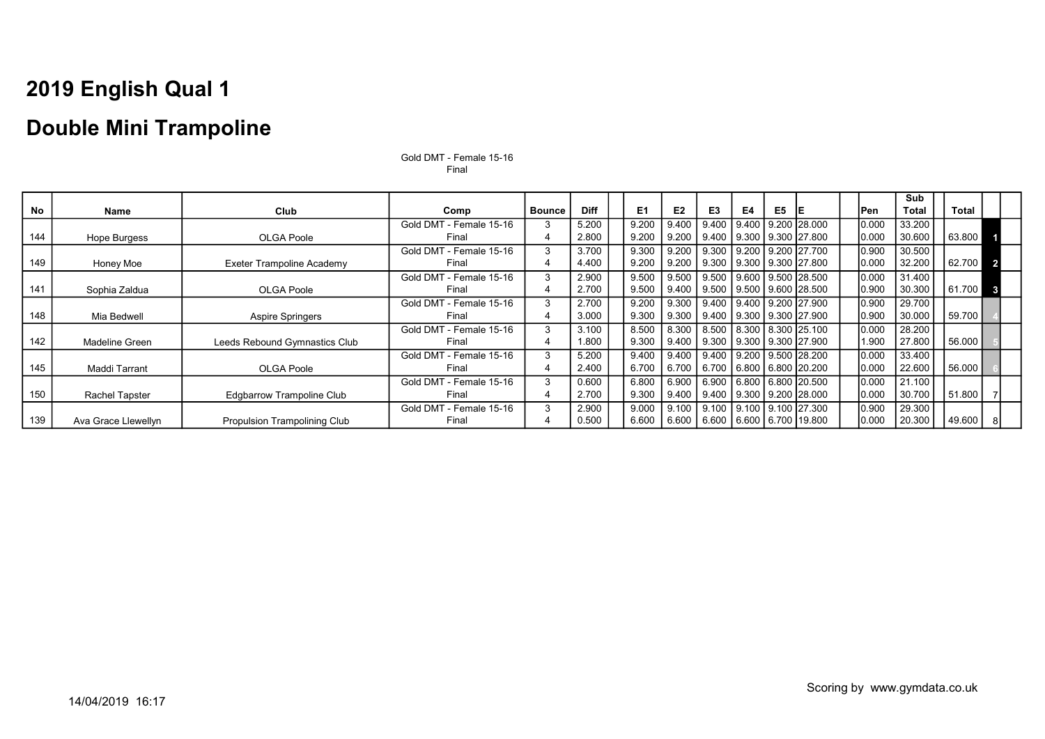### Double Mini Trampoline

|     |                       |                                     |                         |               |             |                |                |                |    |    |                                |       | Sub          |          |              |
|-----|-----------------------|-------------------------------------|-------------------------|---------------|-------------|----------------|----------------|----------------|----|----|--------------------------------|-------|--------------|----------|--------------|
| No  | Name                  | Club                                | Comp                    | <b>Bounce</b> | <b>Diff</b> | E <sub>1</sub> | E <sub>2</sub> | E <sub>3</sub> | E4 | E5 | IE.                            | lPen  | <b>Total</b> | Total    |              |
|     |                       |                                     | Gold DMT - Female 15-16 |               | 5.200       | 9.200          | 9.400          | 9.400          |    |    | l 9.400 l 9.200 l28.000        | 0.000 | 33.200       |          |              |
| 144 | Hope Burgess          | <b>OLGA Poole</b>                   | Final                   |               | 2.800       | 9.200          | 9.200          | 9.400          |    |    | 9.300   9.300   27.800         | 0.000 | 30.600       | 63.800   |              |
|     |                       |                                     | Gold DMT - Female 15-16 |               | 3.700       | 9.300          | 9.200          | 9.300          |    |    | 9.200   9.200   27.700         | 0.900 | 30.500       |          |              |
| 149 | Honey Moe             | <b>Exeter Trampoline Academy</b>    | Final                   |               | 4.400       | 9.200          | 9.200          | 9.300          |    |    | 9.300   9.300   27.800         | 0.000 | 32.200       | 62.700 2 |              |
|     |                       |                                     | Gold DMT - Female 15-16 |               | 2.900       | 9.500          | 9.500          | 9.500          |    |    | l 9.600 l 9.500 l28.500        | 0.000 | 31.400       |          |              |
| 141 | Sophia Zaldua         | OLGA Poole                          | Final                   |               | 2.700       | 9.500          | 9.400          |                |    |    | 9.500   9.500   9.600   28.500 | 0.900 | 30.300       | 61.700   | $\mathbf{3}$ |
|     |                       |                                     | Gold DMT - Female 15-16 |               | 2.700       | 9.200          | 9.300          | 9.400          |    |    | 9.400 9.200 27.900             | 0.900 | 29.700       |          |              |
| 148 | Mia Bedwell           | <b>Aspire Springers</b>             | Final                   |               | 3.000       | 9.300          | 9.300          |                |    |    | 9.400   9.300   9.300   27.900 | 0.900 | 30.000       | 59.700   |              |
|     |                       |                                     | Gold DMT - Female 15-16 | 3             | 3.100       | 8.500          | 8.300          | 8.500          |    |    | 8.300 8.300 25.100             | 0.000 | 28.200       |          |              |
| 142 | Madeline Green        | Leeds Rebound Gymnastics Club       | Final                   |               | 1.800       | 9.300          | 9.400          |                |    |    | 9.300   9.300   9.300   27.900 | 1.900 | 27.800       | 56.000   |              |
|     |                       |                                     | Gold DMT - Female 15-16 |               | 5.200       | 9.400          | 9.400          | 9.400          |    |    | l 9.200 l 9.500 l28.200        | 0.000 | 33.400       |          |              |
| 145 | Maddi Tarrant         | OLGA Poole                          | Final                   |               | 2.400       | 6.700          | 6.700          |                |    |    | 6.700 6.800 6.800 20.200       | 0.000 | 22.600       | 56.000   |              |
|     |                       |                                     | Gold DMT - Female 15-16 | 3             | 0.600       | 6.800          | 6.900          | 6.900          |    |    | 16.800 6.800 20.500            | 0.000 | 21.100       |          |              |
| 150 | <b>Rachel Tapster</b> | <b>Edgbarrow Trampoline Club</b>    | Final                   |               | 2.700       | 9.300          | 9.400          | 9.400          |    |    | 9.300   9.200   28.000         | 0.000 | 30.700       | 51.800   |              |
|     |                       |                                     | Gold DMT - Female 15-16 | 3             | 2.900       | 9.000          | 9.100          | 9.100          |    |    | l 9.100 l 9.100 l27.300        | 0.900 | 29.300       |          |              |
| 139 | Ava Grace Llewellyn   | <b>Propulsion Trampolining Club</b> | Final                   |               | 0.500       | 6.600          | 6.600          | 6.600          |    |    | 6.600   6.700   19.800         | 0.000 | 20.300       | 49.600   |              |

Gold DMT - Female 15-16 Final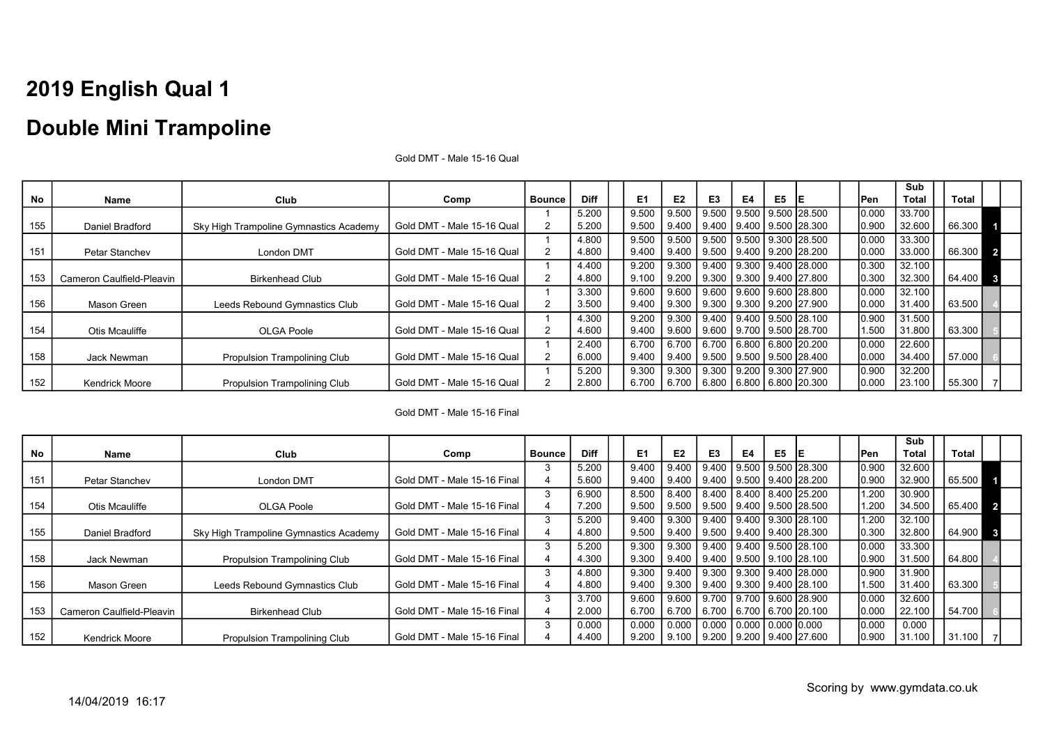### Double Mini Trampoline

|     |                           |                                        |                            |               |             |                |       |                                |    |                |                                |       | Sub          |        |                |
|-----|---------------------------|----------------------------------------|----------------------------|---------------|-------------|----------------|-------|--------------------------------|----|----------------|--------------------------------|-------|--------------|--------|----------------|
| No  | <b>Name</b>               | Club                                   | Comp                       | <b>Bounce</b> | <b>Diff</b> | E <sub>1</sub> | E2    | E3                             | E4 | E <sub>5</sub> |                                | lPen  | <b>Total</b> | Total  |                |
|     |                           |                                        |                            |               | 5.200       | 9.500          | 9.500 |                                |    |                | 9.500 9.500 9.500 28.500       | 0.000 | 33.700       |        |                |
| 155 | Daniel Bradford           | Sky High Trampoline Gymnastics Academy | Gold DMT - Male 15-16 Qual |               | 5.200       | 9.500          | 9.400 | 9.400 9.400 9.500 28.300       |    |                |                                | 0.900 | 32.600       | 66.300 |                |
|     |                           |                                        |                            |               | 4.800       | 9.500          | 9.500 |                                |    |                | 9.500 9.500 9.300 28.500       | 0.000 | 33.300       |        |                |
| 151 | Petar Stanchev            | London DMT                             | Gold DMT - Male 15-16 Qual | 2             | 4.800       | 9.400          | 9.400 | 9.500   9.400   9.200   28.200 |    |                |                                | 0.000 | 33.000       | 66.300 | $\overline{2}$ |
|     |                           |                                        |                            |               | 4.400       | 9.200          | 9.300 |                                |    |                | 9.400 9.300 9.400 28.000       | 0.300 | 32.100       |        |                |
| 153 | Cameron Caulfield-Pleavin | <b>Birkenhead Club</b>                 | Gold DMT - Male 15-16 Qual |               | 4.800       | 9.100          | 9.200 |                                |    |                | 9.300   9.300   9.400   27.800 | 0.300 | 32.300       | 64.400 | $\mathbf{3}$   |
|     |                           |                                        |                            |               | 3.300       | 9.600          | 9.600 |                                |    |                | 9.600 9.600 9.600 28.800       | 0.000 | 32.100       |        |                |
| 156 | Mason Green               | Leeds Rebound Gymnastics Club          | Gold DMT - Male 15-16 Qual |               | 3.500       | 9.400          | 9.300 |                                |    |                | 9.300 9.300 9.200 27.900       | 0.000 | 31.400       | 63.500 |                |
|     |                           |                                        |                            |               | 4.300       | 9.200          | 9.300 |                                |    |                | 9.400 9.400 9.500 28.100       | 0.900 | 31.500       |        |                |
| 154 | Otis Mcauliffe            | OLGA Poole                             | Gold DMT - Male 15-16 Qual | 2             | 4.600       | 9.400          | 9.600 |                                |    |                | 9.600 9.700 9.500 28.700       | 1.500 | 31.800       | 63.300 |                |
|     |                           |                                        |                            |               | 2.400       | 6.700          | 6.700 |                                |    |                | 6.700 6.800 6.800 20.200       | 0.000 | 22.600       |        |                |
| 158 | Jack Newman               | Propulsion Trampolining Club           | Gold DMT - Male 15-16 Qual |               | 6.000       | 9.400          | 9.400 |                                |    |                | 9.500   9.500   9.500   28.400 | 0.000 | 34.400       | 57.000 |                |
|     |                           |                                        |                            |               | 5.200       | 9.300          | 9.300 |                                |    |                | 9.300 9.200 9.300 27.900       | 0.900 | 32.200       |        |                |
| 152 | <b>Kendrick Moore</b>     | Propulsion Trampolining Club           | Gold DMT - Male 15-16 Qual |               | 2.800       | 6.700          | 6.700 | 6.800 6.800 6.800 20.300       |    |                |                                | 0.000 | 23.100       | 55.300 |                |

Gold DMT - Male 15-16 Qual

Gold DMT - Male 15-16 Final

|     |                           |                                        |                             |               |             |                |                |                                         |    |    |                                        |             | Sub          |          |  |
|-----|---------------------------|----------------------------------------|-----------------------------|---------------|-------------|----------------|----------------|-----------------------------------------|----|----|----------------------------------------|-------------|--------------|----------|--|
| No  | Name                      | Club                                   | Comp                        | <b>Bounce</b> | <b>Diff</b> | E <sub>1</sub> | E <sub>2</sub> | E3                                      | E4 | E5 |                                        | <b>IPen</b> | <b>Total</b> | Total    |  |
|     |                           |                                        |                             |               | 5.200       | 9.400          | 9.400          |                                         |    |    | 9.400 9.500 9.500 28.300               | 0.900       | 32.600       |          |  |
| 151 | Petar Stanchev            | London DMT                             | Gold DMT - Male 15-16 Final | 4             | 5.600       | 9.400          | 9.400          | 9.400 9.500 9.400 28.200                |    |    |                                        | 0.900       | 32.900       | 65.500   |  |
|     |                           |                                        |                             |               | 6.900       | 8.500          | 8.400          |                                         |    |    | ∣ 8.400   8.400   8.400  25.200        | 1.200       | 30.900       |          |  |
| 154 | Otis Mcauliffe            | OLGA Poole                             | Gold DMT - Male 15-16 Final | 4             | 7.200       | 9.500          | 9.500          | I 9.500 I 9.400 I 9.500 I28.500         |    |    |                                        | 1.200       | 34.500       | 65.400 2 |  |
|     |                           |                                        |                             | 3             | 5.200       | 9.400          | 9.300          |                                         |    |    | 9.400 9.400 9.300 28.100               | 1.200       | 32.100       |          |  |
| 155 | Daniel Bradford           | Sky High Trampoline Gymnastics Academy | Gold DMT - Male 15-16 Final |               | 4.800       | 9.500          | 9.400          | 9.500 9.400 9.400 28.300                |    |    |                                        | 0.300       | 32.800       | 64.900 3 |  |
|     |                           |                                        |                             | 3             | 5.200       | 9.300          | 9.300          |                                         |    |    | $9.400$   $9.400$   $9.500$   $28.100$ | 0.000       | 33.300       |          |  |
| 158 | Jack Newman               | Propulsion Trampolining Club           | Gold DMT - Male 15-16 Final |               | 4.300       | 9.300          |                | 9.400   9.400   9.500   9.100  28.100   |    |    |                                        | 0.900       | 31.500       | 64.800   |  |
|     |                           |                                        |                             |               | 4.800       | 9.300          |                | 9.400   9.300   9.300   9.400   28.000  |    |    |                                        | 0.900       | 31.900       |          |  |
| 156 | Mason Green               | Leeds Rebound Gymnastics Club          | Gold DMT - Male 15-16 Final | 4             | 4.800       | 9.400          | 9.300          | 9.400   9.300   9.400   28.100          |    |    |                                        | 1.500       | 31.400       | 63.300   |  |
|     |                           |                                        |                             |               | 3.700       | 9.600          | 9.600          |                                         |    |    | ∃ 9.700 I 9.700 I 9.600 I28.900        | 0.000       | 32.600       |          |  |
| 153 | Cameron Caulfield-Pleavin | <b>Birkenhead Club</b>                 | Gold DMT - Male 15-16 Final | 4             | 2.000       | 6.700          | 6.700          | 6.700 6.700 6.700 20.100                |    |    |                                        | 0.000       | 22.100       | 54.700   |  |
|     |                           |                                        |                             |               | 0.000       | 0.000          | 0.000          | $\,$ 0.000   0.000   0.000   0.000 $\,$ |    |    |                                        | 0.000       | 0.000        |          |  |
| 152 | <b>Kendrick Moore</b>     | Propulsion Trampolining Club           | Gold DMT - Male 15-16 Final |               | 4.400       | 9.200          |                | 9.100   9.200   9.200   9.400   27.600  |    |    |                                        | 0.900       | 31.100       | 31.100   |  |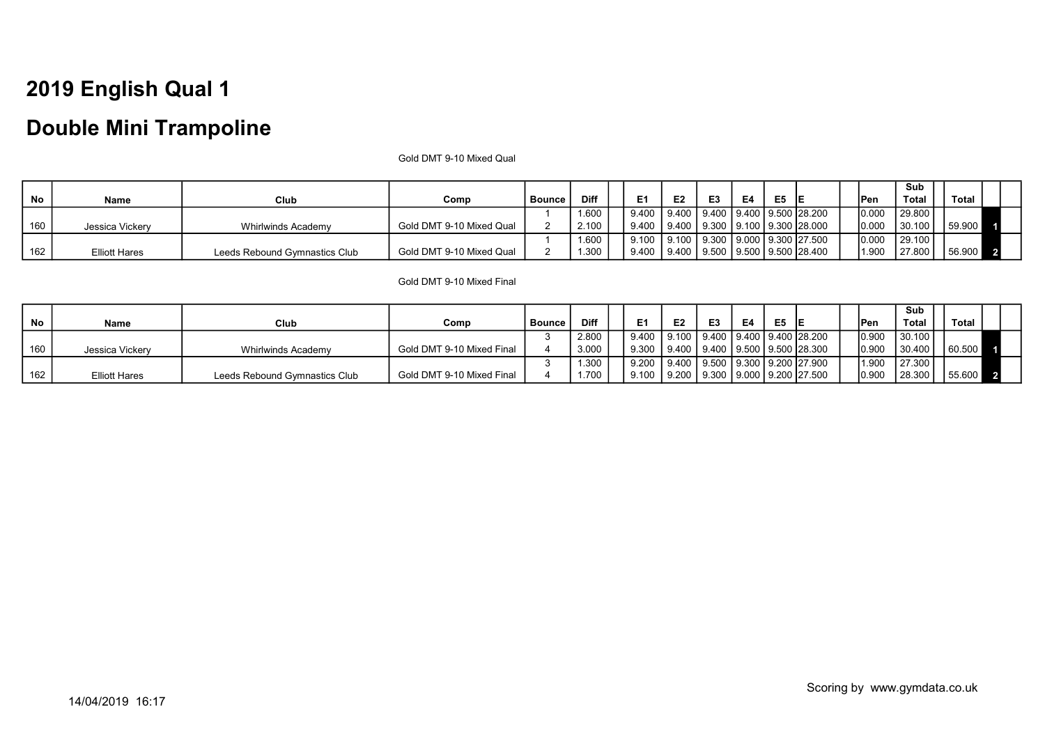### Double Mini Trampoline

Gold DMT 9-10 Mixed Qual

|     |                      |                               |                          |        |       |                |                                        |                |    |    |  |             | Sub    |              |  |
|-----|----------------------|-------------------------------|--------------------------|--------|-------|----------------|----------------------------------------|----------------|----|----|--|-------------|--------|--------------|--|
| No  | Name                 | Club                          | Comp                     | Bounce | Diff  | E <sub>1</sub> | E2                                     | E <sub>3</sub> | E4 | E5 |  | <b>IPen</b> | Total  | <b>Total</b> |  |
|     |                      |                               |                          |        | 1.600 | 9.400          | 9.400   9.400   9.400   9.500   28.200 |                |    |    |  | 10.000      | 29.800 |              |  |
| 160 | Jessica Vickerv      | Whirlwinds Academy            | Gold DMT 9-10 Mixed Qual |        | 2.100 | 9.400          | 9.400   9.300   9.100   9.300   28.000 |                |    |    |  | 10.000      | 30.100 | 59,900       |  |
|     |                      |                               |                          |        | 1.600 | 9.100          | 9.100   9.300   9.000   9.300   27.500 |                |    |    |  | 0.000       | 29.100 |              |  |
| 162 | <b>Elliott Hares</b> | Leeds Rebound Gymnastics Club | Gold DMT 9-10 Mixed Qual |        | 1.300 | 9.400          | 9.400   9.500   9.500   9.500   28.400 |                |    |    |  | 1.900       | 27.800 | 56.900       |  |

#### Gold DMT 9-10 Mixed Final

|     |                      |                               |                           |               |             |                                                |                |    |    |                |  |             | Sub     |         |  |
|-----|----------------------|-------------------------------|---------------------------|---------------|-------------|------------------------------------------------|----------------|----|----|----------------|--|-------------|---------|---------|--|
| No  | Name                 | Club                          | Comp                      | <b>Bounce</b> | <b>Diff</b> | E <sub>1</sub>                                 | E <sub>2</sub> | E3 | E4 | E <sub>5</sub> |  | <b>IPen</b> | Total   | Total   |  |
|     |                      |                               |                           |               | 2.800       | 9.400   9.100   9.400   9.400   9.400   28.200 |                |    |    |                |  | 0.900       | 130.100 |         |  |
| 160 | Jessica Vickerv      | Whirlwinds Academy            | Gold DMT 9-10 Mixed Final |               | 3.000       | 9.300   9.400   9.400   9.500   9.500   28.300 |                |    |    |                |  | 0.900       | 30.400  | 60.500  |  |
|     |                      |                               |                           |               | 1.300       | 9.200   9.400   9.500   9.300   9.200  27.900  |                |    |    |                |  | 1.900       | 127.300 |         |  |
| 162 | <b>Elliott Hares</b> | Leeds Rebound Gymnastics Club | Gold DMT 9-10 Mixed Final |               | 1.700       | 9.100   9.200   9.300   9.000   9.200   27.500 |                |    |    |                |  | 0.900       | 28.300  | 155.600 |  |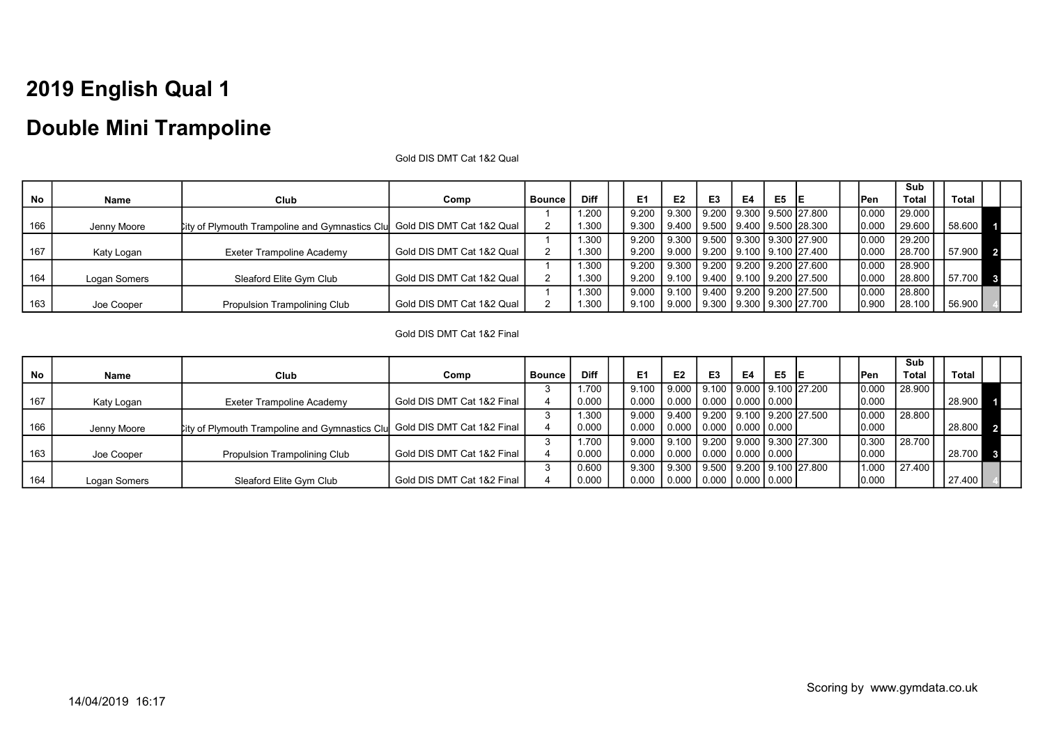### Double Mini Trampoline

Gold DIS DMT Cat 1&2 Qual

|     |              |                                                                          |                           |        |             |                |                |                                                 |    |    |    |       | Sub          |        |  |
|-----|--------------|--------------------------------------------------------------------------|---------------------------|--------|-------------|----------------|----------------|-------------------------------------------------|----|----|----|-------|--------------|--------|--|
| No  | Name         | Club                                                                     | Comp                      | Bounce | <b>Diff</b> | E <sub>1</sub> | E <sub>2</sub> | E <sub>3</sub>                                  | E4 | E5 | ΙE | 'Pen  | <b>Total</b> | Total  |  |
|     |              |                                                                          |                           |        | 1.200       | 9.200          |                | $\vert$ 9.300   9.200   9.300   9.500   27.800  |    |    |    | 0.000 | 29.000       |        |  |
| 166 | Jenny Moore  | Lity of Plymouth Trampoline and Gymnastics Clu Gold DIS DMT Cat 1&2 Qual |                           |        | 1.300       | 9.300          |                | 9.400   9.500   9.400   9.500   28.300          |    |    |    | 0.000 | 29.600       | 58.600 |  |
|     |              |                                                                          |                           |        | 1.300       | 9.200          |                | $\vert$ 9.300   9.500   9.300   9.300   27.900  |    |    |    | 0.000 | 29.200       |        |  |
| 167 | Katy Logan   | Exeter Trampoline Academy                                                | Gold DIS DMT Cat 1&2 Qual |        | 1.300       | 9.200          |                | <u>  9.000   9.200   9.100   9.100   27.400</u> |    |    |    | 0.000 | 28.700       | 57.900 |  |
|     |              |                                                                          |                           |        | 1.300       | 9.200          |                | $\vert$ 9.300   9.200   9.200   9.200   27.600  |    |    |    | 0.000 | 28.900       |        |  |
| 164 | Logan Somers | Sleaford Elite Gym Club                                                  | Gold DIS DMT Cat 1&2 Qual |        | 1.300       | 9.200          |                | 9.100   9.400   9.100   9.200   27.500          |    |    |    | 0.000 | 28.800       | 57.700 |  |
|     |              |                                                                          |                           |        | 1.300       | 9.000          |                | $\vert$ 9.100   9.400   9.200   9.200   27.500  |    |    |    | 0.000 | 28.800       |        |  |
| 163 | Joe Cooper   | Propulsion Trampolining Club                                             | Gold DIS DMT Cat 1&2 Qual |        | 1.300       | 9.100          | $\vert$ 9.000  | $\vert$ 9.300   9.300   9.300   27.700          |    |    |    | 0.900 | 28.100       | 56.900 |  |

#### Gold DIS DMT Cat 1&2 Final

|           |              |                                                                          |                            |          |             |                |                                                                 |                          |    |    |  |       | Sub          |          |  |
|-----------|--------------|--------------------------------------------------------------------------|----------------------------|----------|-------------|----------------|-----------------------------------------------------------------|--------------------------|----|----|--|-------|--------------|----------|--|
| <b>No</b> | Name         | <b>Club</b>                                                              | Comp                       | l Bounce | <b>Diff</b> | E <sub>1</sub> | E <sub>2</sub>                                                  | E3                       | E4 | E5 |  | lPen  | <b>Total</b> | Total    |  |
|           |              |                                                                          |                            |          | 1.700       | 9.100          | 19.000                                                          |                          |    |    |  | 0.000 | 28.900       |          |  |
| 167       | Katy Logan   | Exeter Trampoline Academy                                                | Gold DIS DMT Cat 1&2 Final |          | 0.000       | 0.000          | <u>  0.000   0.000   0.000   0.000  </u>                        |                          |    |    |  | 0.000 |              | 28.900   |  |
|           |              |                                                                          |                            |          | 1.300       | 9.000          | 9.400   9.200   9.100   9.200   27.500                          |                          |    |    |  | 0.000 | 28.800       |          |  |
| 166       | Jenny Moore  | ity of Plymouth Trampoline and Gymnastics Clu Gold DIS DMT Cat 1&2 Final |                            |          | 0.000       | 0.000          | Ⅰ0.000 Ⅰ0.000 Ⅰ0.000 Ⅰ0.000 Ⅰ                                   |                          |    |    |  | 0.000 |              | 28.800 2 |  |
|           |              |                                                                          |                            |          | 1.700       | 9.000          | $\vert$ 9.100   9.200   9.000   9.300   27.300                  |                          |    |    |  | 0.300 | 28.700       |          |  |
| 163       | Joe Cooper   | <b>Propulsion Trampolining Club</b>                                      | Gold DIS DMT Cat 1&2 Final |          | 0.000       | 0.000          | 0.000   0.000   0.000   0.000                                   |                          |    |    |  | 0.000 |              | 28.700 3 |  |
|           |              |                                                                          |                            |          | 0.600       | 9.300          | 9.300                                                           | 9.500 9.200 9.100 27.800 |    |    |  | 1.000 | 27.400       |          |  |
| 164       | Logan Somers | Sleaford Elite Gym Club                                                  | Gold DIS DMT Cat 1&2 Final |          | 0.000       | 0.000          | $\vert$ 0.000 $\vert$ 0.000 $\vert$ 0.000 $\vert$ 0.000 $\vert$ |                          |    |    |  | 0.000 |              | 27.400   |  |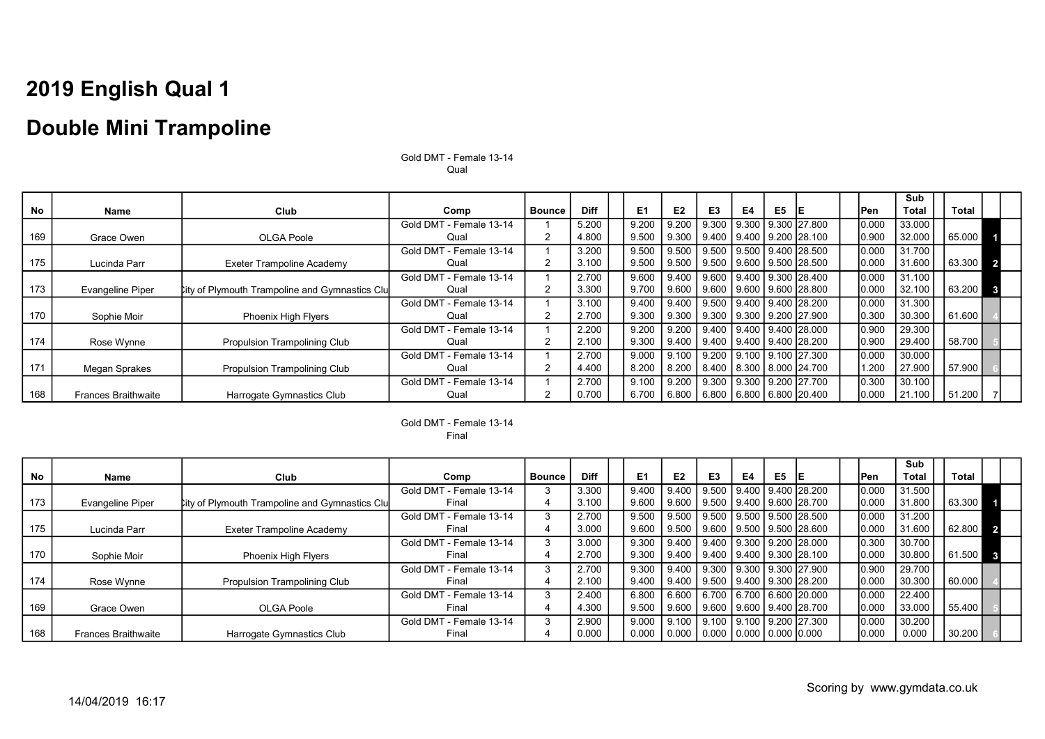### Double Mini Trampoline

|           |                            |                                                       |                         |               |             |                |                |                          |    |                |                                |       | <b>Sub</b>   |        |                |
|-----------|----------------------------|-------------------------------------------------------|-------------------------|---------------|-------------|----------------|----------------|--------------------------|----|----------------|--------------------------------|-------|--------------|--------|----------------|
| <b>No</b> | <b>Name</b>                | Club                                                  | Comp                    | <b>Bounce</b> | <b>Diff</b> | E <sub>1</sub> | E <sub>2</sub> | E <sub>3</sub>           | E4 | E <sub>5</sub> | IE.                            | lPen  | <b>Total</b> | Total  |                |
|           |                            |                                                       | Gold DMT - Female 13-14 |               | 5.200       | 9.200          | 9.200          |                          |    |                | 9.300 9.300 9.300 27.800       | 0.000 | 33.000       |        |                |
| 169       | Grace Owen                 | <b>OLGA Poole</b>                                     | Qual                    |               | 4.800       | 9.500          | 9.300          |                          |    |                | 9.400 9.400 9.200 28.100       | 0.900 | 32.000       | 65.000 |                |
|           |                            |                                                       | Gold DMT - Female 13-14 |               | 3.200       | 9.500          | 9.500          |                          |    |                | 9.500 9.500 9.400 28.500       | 0.000 | 31.700       |        |                |
| 175       | Lucinda Parr               | Exeter Trampoline Academy                             | Qual                    |               | 3.100       | 9.500          | 9.500          |                          |    |                | 9.500   9.600   9.500   28.500 | 0.000 | 31.600       | 63.300 | 2 <sup>1</sup> |
|           |                            |                                                       | Gold DMT - Female 13-14 |               | 2.700       | 9.600          | 9.400          |                          |    |                | 9.600 9.400 9.300 28.400       | 0.000 | 31.100       |        |                |
| 173       | <b>Evangeline Piper</b>    | <b>City of Plymouth Trampoline and Gymnastics Clu</b> | Qual                    |               | 3.300       | 9.700          | 9.600          | 9.600 9.600 9.600 28.800 |    |                |                                | 0.000 | 32.100       | 63.200 | $\mathbf{3}$   |
|           |                            |                                                       | Gold DMT - Female 13-14 |               | 3.100       | 9.400          | 9.400          |                          |    |                | 9.500 9.400 9.400 28.200       | 0.000 | 31.300       |        |                |
| 170       | Sophie Moir                | <b>Phoenix High Flyers</b>                            | Qual                    | $\mathcal{P}$ | 2.700       | 9.300          | 9.300          | 9.300 9.300 9.200 27.900 |    |                |                                | 0.300 | 30.300       | 61.600 |                |
|           |                            |                                                       | Gold DMT - Female 13-14 |               | 2.200       | 9.200          | 9.200          |                          |    |                | 9.400 9.400 9.400 28.000       | 0.900 | 29.300       |        |                |
| 174       | Rose Wynne                 | Propulsion Trampolining Club                          | Qual                    | 2             | 2.100       | 9.300          | 9.400          |                          |    |                | 9.400 9.400 9.400 28.200       | 0.900 | 29.400       | 58.700 |                |
|           |                            |                                                       | Gold DMT - Female 13-14 |               | 2.700       | 9.000          | 9.100          |                          |    |                | 9.200 9.100 9.100 27.300       | 0.000 | 30.000       |        |                |
| 171       | Megan Sprakes              | <b>Propulsion Trampolining Club</b>                   | Qual                    | $\mathcal{P}$ | 4.400       | 8.200          | 8.200          |                          |    |                | 8.400   8.300   8.000   24.700 | 1.200 | 27.900       | 57.900 |                |
|           |                            |                                                       | Gold DMT - Female 13-14 |               | 2.700       | 9.100          | 9.200          |                          |    |                | 9.300 9.300 9.200 27.700       | 0.300 | 30.100       |        |                |
| 168       | <b>Frances Braithwaite</b> | Harrogate Gymnastics Club                             | Qual                    |               | 0.700       | 6.700          | 6.800          |                          |    |                | 6.800 6.800 6.800 20.400       | 0.000 | 21.100       | 51.200 |                |

Gold DMT - Female 13-14 Qual

Gold DMT - Female 13-14 Final

|           |                            |                                                       |                         |               |             |                |                |                                                     |    |    |                                           |       | Sub          |        |              |  |
|-----------|----------------------------|-------------------------------------------------------|-------------------------|---------------|-------------|----------------|----------------|-----------------------------------------------------|----|----|-------------------------------------------|-------|--------------|--------|--------------|--|
| <b>No</b> | Name                       | Club                                                  | Comp                    | <b>Bounce</b> | <b>Diff</b> | E <sub>1</sub> | E <sub>2</sub> | E <sub>3</sub>                                      | E4 | E5 |                                           | lPen. | <b>Total</b> | Total  |              |  |
|           |                            |                                                       | Gold DMT - Female 13-14 | 3             | 3.300       | 9.400          | 9.400          |                                                     |    |    |                                           | 0.000 | 31.500       |        |              |  |
| 173       | <b>Evangeline Piper</b>    | <b>City of Plymouth Trampoline and Gymnastics Clu</b> | Final                   | 4             | 3.100       | 9.600          | 9.600          | l 9.500 l 9.400 l 9.600 l28.700                     |    |    |                                           | 0.000 | 31.800       | 63.300 |              |  |
|           |                            |                                                       | Gold DMT - Female 13-14 | 3             | 2.700       | 9.500          | 9.500          |                                                     |    |    | <u>l 9.500   9.500   9.500   28.500  </u> | 0.000 | 31.200       |        |              |  |
| 175       | Lucinda Parr               | Exeter Trampoline Academy                             | Final                   | 4             | 3.000       | 9.600          | 9.500          | <u>   9.600   9.500   9.500   28.600  </u>          |    |    |                                           | 0.000 | 31.600       | 62.800 |              |  |
|           |                            |                                                       | Gold DMT - Female 13-14 | 3             | 3.000       | 9.300          |                |                                                     |    |    | │ 9.400 │ 9.400 │ 9.300 │ 9.200 │28.000 │ | 0.300 | 30.700       |        |              |  |
| 170       | Sophie Moir                | Phoenix High Flyers                                   | Final                   |               | 2.700       | 9.300          |                | Ⅰ 9.400 Ⅰ 9.400 Ⅰ 9.400 Ⅰ 9.300 Ⅰ28.100             |    |    |                                           | 0.000 | 30.800       | 61.500 | $\mathbf{3}$ |  |
|           |                            |                                                       | Gold DMT - Female 13-14 | 3             | 2.700       | 9.300          | 9.400          |                                                     |    |    | <u>l 9.300   9.300   9.300   27.900  </u> | 0.900 | 29.700       |        |              |  |
| 174       | Rose Wynne                 | <b>Propulsion Trampolining Club</b>                   | Final                   | 4             | 2.100       | 9.400          | l 9.400        | 9.500   9.400   9.300   28.200                      |    |    |                                           | 0.000 | 30.300       | 60.000 |              |  |
|           |                            |                                                       | Gold DMT - Female 13-14 | 3             | 2.400       | 6.800          | 6.600          |                                                     |    |    | 6.700 6.700 6.600 20.000                  | 0.000 | 22.400       |        |              |  |
| 169       | Grace Owen                 | OLGA Poole                                            | Final                   | 4             | 4.300       | 9.500          | 9.600          | l 9.600 l 9.600 l 9.400 l28.700                     |    |    |                                           | 0.000 | 33.000       | 55.400 |              |  |
|           |                            |                                                       | Gold DMT - Female 13-14 | 3             | 2.900       | 9.000          | 9.100          | l 9.100 l 9.100 l 9.200 l27.300                     |    |    |                                           | 0.000 | 30.200       |        |              |  |
| 168       | <b>Frances Braithwaite</b> | Harrogate Gymnastics Club                             | Final                   |               | 0.000       | 0.000          | 0.000          | $\mid$ 0.000 $\mid$ 0.000 $\mid$ 0.000 $\mid$ 0.000 |    |    |                                           | 0.000 | 0.000        | 30.200 |              |  |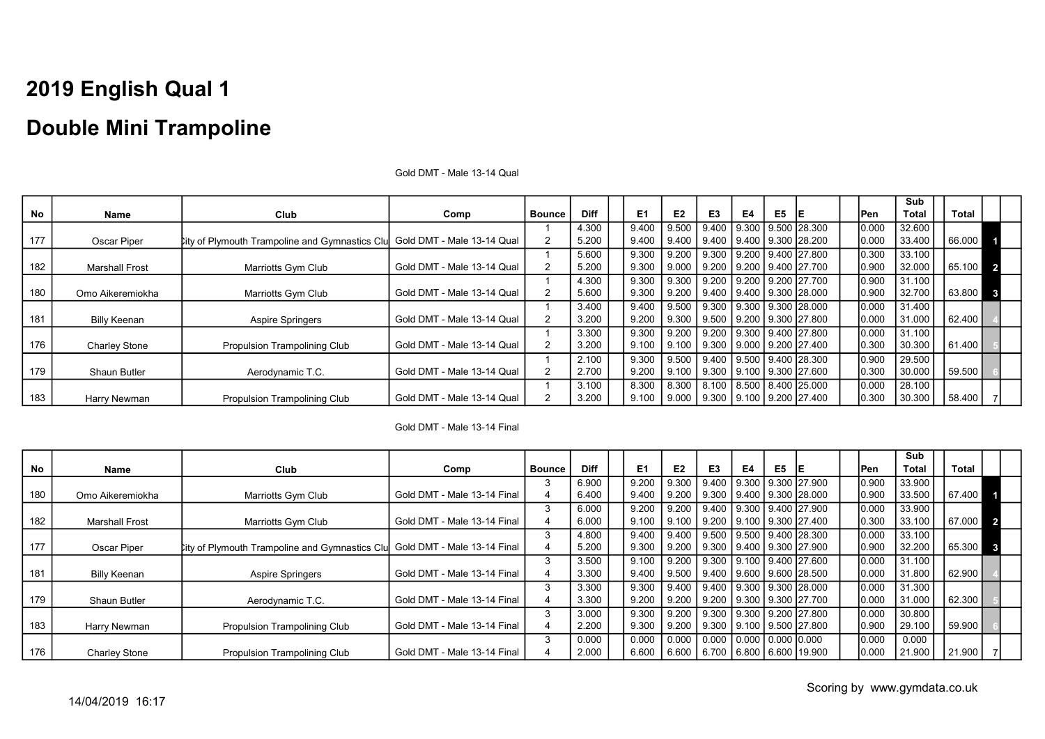|     |                       |                                                                           |                            |               |             |       |                |                          |    |    |                                        |       | Sub    |          |              |
|-----|-----------------------|---------------------------------------------------------------------------|----------------------------|---------------|-------------|-------|----------------|--------------------------|----|----|----------------------------------------|-------|--------|----------|--------------|
| No  | Name                  | Club                                                                      | Comp                       | <b>Bounce</b> | <b>Diff</b> | E1    | E <sub>2</sub> | E <sub>3</sub>           | E4 | E5 |                                        | Pen   | Total  | Total    |              |
|     |                       |                                                                           |                            |               | 4.300       | 9.400 | 9.500          | 9.400                    |    |    | 9.300   9.500   28.300                 | 0.000 | 32.600 |          |              |
| 177 | Oscar Piper           | City of Plymouth Trampoline and Gymnastics Clu Gold DMT - Male 13-14 Qual |                            |               | 5.200       | 9.400 | 9.400          | 9.400 9.400 9.300 28.200 |    |    |                                        | 0.000 | 33.400 | 66.000   |              |
|     |                       |                                                                           |                            |               | 5.600       | 9.300 | 9.200          |                          |    |    | 9.300 9.200 9.400 27.800               | 0.300 | 33.100 |          |              |
| 182 | <b>Marshall Frost</b> | Marriotts Gym Club                                                        | Gold DMT - Male 13-14 Qual |               | 5.200       | 9.300 | 9.000          |                          |    |    | 9.200   9.200   9.400   27.700         | 0.900 | 32.000 | 65.100 2 |              |
|     |                       |                                                                           |                            |               | 4.300       | 9.300 | 9.300          |                          |    |    | 9.200 9.200 9.200 27.700               | 0.900 | 31.100 |          |              |
| 180 | Omo Aikeremiokha      | Marriotts Gym Club                                                        | Gold DMT - Male 13-14 Qual |               | 5.600       | 9.300 | 9.200          | 9.400 9.400 9.300 28.000 |    |    |                                        | 0.900 | 32.700 | 63.800   | $\mathbf{3}$ |
|     |                       |                                                                           |                            |               | 3.400       | 9.400 | 9.500          |                          |    |    | 9.300 9.300 9.300 28.000               | 0.000 | 31.400 |          |              |
| 181 | Billy Keenan          | <b>Aspire Springers</b>                                                   | Gold DMT - Male 13-14 Qual |               | 3.200       | 9.200 | 9.300          |                          |    |    | 9.500 9.200 9.300 27.800               | 0.000 | 31.000 | 62.400   |              |
|     |                       |                                                                           |                            |               | 3.300       | 9.300 | 9.200          |                          |    |    | 9.200   9.300   9.400   27.800         | 0.000 | 31.100 |          |              |
| 176 | <b>Charley Stone</b>  | Propulsion Trampolining Club                                              | Gold DMT - Male 13-14 Qual |               | 3.200       | 9.100 | 9.100          |                          |    |    | 9.300 9.000 9.200 27.400               | 0.300 | 30.300 | 61.400   |              |
|     |                       |                                                                           |                            |               | 2.100       | 9.300 | 9.500          |                          |    |    | $9.400$   $9.500$   $9.400$   $28.300$ | 0.900 | 29.500 |          |              |
| 179 | <b>Shaun Butler</b>   | Aerodynamic T.C.                                                          | Gold DMT - Male 13-14 Qual | 2             | 2.700       | 9.200 | 9.100          | 9.300 9.100 9.300 27.600 |    |    |                                        | 0.300 | 30.000 | 59.500   |              |
|     |                       |                                                                           |                            |               | 3.100       | 8.300 | 8.300          |                          |    |    | 8.100   8.500   8.400   25.000         | 0.000 | 28.100 |          |              |
| 183 | Harry Newman          | Propulsion Trampolining Club                                              | Gold DMT - Male 13-14 Qual |               | 3.200       | 9.100 | 9.000          | 9.300 9.100 9.200 27.400 |    |    |                                        | 0.300 | 30.300 | 58.400   |              |

#### Gold DMT - Male 13-14 Qual

#### Gold DMT - Male 13-14 Final

|     |                       |                                                       |                             |               |             |       |       |                                |    |    |                          |       | Sub    |          |              |
|-----|-----------------------|-------------------------------------------------------|-----------------------------|---------------|-------------|-------|-------|--------------------------------|----|----|--------------------------|-------|--------|----------|--------------|
| No  | Name                  | Club                                                  | Comp                        | <b>Bounce</b> | <b>Diff</b> | E1    | E2    | E3                             | E4 | E5 |                          | Pen   | Total  | Total    |              |
|     |                       |                                                       |                             |               | 6.900       | 9.200 | 9.300 | 9.400                          |    |    | 9.300   9.300   27.900   | 0.900 | 33.900 |          |              |
| 180 | Omo Aikeremiokha      | Marriotts Gym Club                                    | Gold DMT - Male 13-14 Final |               | 6.400       | 9.400 | 9.200 | 9.300 9.400 9.300 28.000       |    |    |                          | 0.900 | 33.500 | 67.400   |              |
|     |                       |                                                       |                             |               | 6.000       | 9.200 | 9.200 |                                |    |    | 9.400 9.300 9.400 27.900 | 0.000 | 33.900 |          |              |
| 182 | <b>Marshall Frost</b> | Marriotts Gym Club                                    | Gold DMT - Male 13-14 Final |               | 6.000       | 9.100 | 9.100 | 9.200   9.100   9.300   27.400 |    |    |                          | 0.300 | 33.100 | 67.000 2 |              |
|     |                       |                                                       |                             |               | 4.800       | 9.400 | 9.400 | 9.500 9.500 9.400 28.300       |    |    |                          | 0.000 | 33.100 |          |              |
| 177 | Oscar Piper           | <b>City of Plymouth Trampoline and Gymnastics Clu</b> | Gold DMT - Male 13-14 Final |               | 5.200       | 9.300 | 9.200 | 9.300 9.400 9.300 27.900       |    |    |                          | 0.900 | 32.200 | 65.300   | $\mathbf{3}$ |
|     |                       |                                                       |                             |               | 3.500       | 9.100 | 9.200 |                                |    |    | 9.300 9.100 9.400 27.600 | 0.000 | 31.100 |          |              |
| 181 | Billy Keenan          | <b>Aspire Springers</b>                               | Gold DMT - Male 13-14 Final |               | 3.300       | 9.400 | 9.500 | 9.400   9.600   9.600   28.500 |    |    |                          | 0.000 | 31.800 | 62.900   |              |
|     |                       |                                                       |                             |               | 3.300       | 9.300 | 9.400 | 9.400 9.300 9.300 28.000       |    |    |                          | 0.000 | 31.300 |          |              |
| 179 | Shaun Butler          | Aerodynamic T.C.                                      | Gold DMT - Male 13-14 Final |               | 3.300       | 9.200 | 9.200 |                                |    |    | 9.200 9.300 9.300 27.700 | 0.000 | 31.000 | 62.300   |              |
|     |                       |                                                       |                             |               | 3.000       | 9.300 | 9.200 |                                |    |    | 9.300 9.300 9.200 27.800 | 0.000 | 30.800 |          |              |
| 183 | Harry Newman          | Propulsion Trampolining Club                          | Gold DMT - Male 13-14 Final |               | 2.200       | 9.300 | 9.200 | 9.300 9.100 9.500 27.800       |    |    |                          | 0.900 | 29.100 | 59.900   |              |
|     |                       |                                                       |                             |               | 0.000       | 0.000 | 0.000 | 0.000   0.000   0.000   0.000  |    |    |                          | 0.000 | 0.000  |          |              |
| 176 | <b>Charley Stone</b>  | Propulsion Trampolining Club                          | Gold DMT - Male 13-14 Final |               | 2.000       | 6.600 | 6.600 | 6.700   6.800   6.600   19.900 |    |    |                          | 0.000 | 21.900 | 21.900   |              |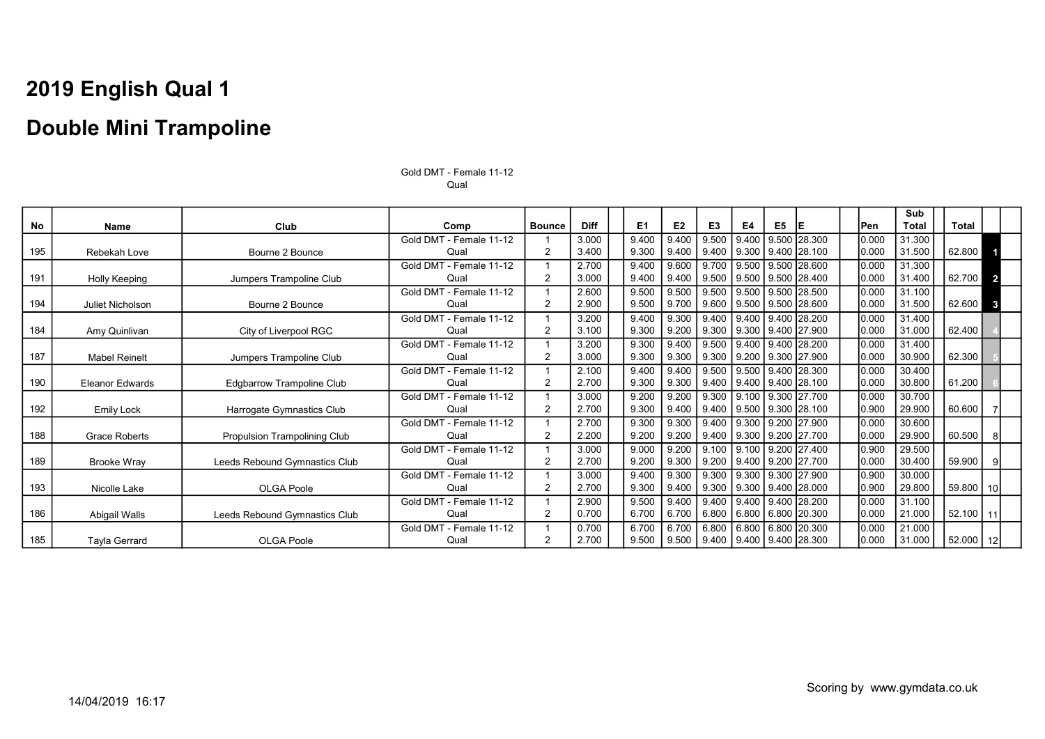|     |                        |                               |                         |                |             |                |                |                                                  |       |    |                                        |       | Sub          |               |                |
|-----|------------------------|-------------------------------|-------------------------|----------------|-------------|----------------|----------------|--------------------------------------------------|-------|----|----------------------------------------|-------|--------------|---------------|----------------|
| No  | Name                   | Club                          | Comp                    | <b>Bounce</b>  | <b>Diff</b> | E <sub>1</sub> | E <sub>2</sub> | E <sub>3</sub>                                   | E4    | E5 | IE.                                    | lPen  | <b>Total</b> | Total         |                |
|     |                        |                               | Gold DMT - Female 11-12 |                | 3.000       | 9.400          | 9.400          | 9.500                                            | 9.400 |    | 9.500 28.300                           | 0.000 | 31.300       |               |                |
| 195 | Rebekah Love           | Bourne 2 Bounce               | Qual                    | $\overline{2}$ | 3.400       | 9.300          | 9.400          |                                                  |       |    | $9.400$   $9.300$   $9.400$   $28.100$ | 0.000 | 31.500       | 62.800        |                |
|     |                        |                               | Gold DMT - Female 11-12 |                | 2.700       | 9.400          | 9.600          | 9.700                                            |       |    | l 9.500 l 9.500 l28.600                | 0.000 | 31.300       |               |                |
| 191 | <b>Holly Keeping</b>   | Jumpers Trampoline Club       | Qual                    | 2              | 3.000       | 9.400          | 9.400          | 9.500                                            |       |    | 9.500 9.500 28.400                     | 0.000 | 31.400       | 62.700        | $\overline{2}$ |
|     |                        |                               | Gold DMT - Female 11-12 |                | 2.600       | 9.500          | 9.500          | 9.500                                            |       |    | 9.500 9.500 28.500                     | 0.000 | 31.100       |               |                |
| 194 | Juliet Nicholson       | Bourne 2 Bounce               | Qual                    | 2              | 2.900       | 9.500          | 9.700          | 9.600                                            |       |    | 9.500 9.500 28.600                     | 0.000 | 31.500       | 62.600        | $\mathbf{3}$   |
|     |                        |                               | Gold DMT - Female 11-12 |                | 3.200       | 9.400          | 9.300          | 9.400                                            |       |    | 9.400 9.400 28.200                     | 0.000 | 31.400       |               |                |
| 184 | Amy Quinlivan          | City of Liverpool RGC         | Qual                    | $\overline{2}$ | 3.100       | 9.300          | 9.200          | 9.300                                            |       |    | 9.300 9.400 27.900                     | 0.000 | 31.000       | 62.400        |                |
|     |                        |                               | Gold DMT - Female 11-12 |                | 3.200       | 9.300          | 9.400          | 9.500                                            | 9.400 |    | 9.400 28.200                           | 0.000 | 31.400       |               |                |
| 187 | <b>Mabel Reinelt</b>   | Jumpers Trampoline Club       | Qual                    | 2              | 3.000       | 9.300          | 9.300          |                                                  |       |    | $9.300$   $9.200$   $9.300$   27.900   | 0.000 | 30.900       | 62.300        |                |
|     |                        |                               | Gold DMT - Female 11-12 |                | 2.100       | 9.400          | 9.400          | 9.500                                            |       |    | $9.500$ $9.400$ 28.300                 | 0.000 | 30.400       |               |                |
| 190 | <b>Eleanor Edwards</b> | Edgbarrow Trampoline Club     | Qual                    | $\overline{2}$ | 2.700       | 9.300          | 9.300          |                                                  |       |    | $9.400$   $9.400$   $9.400$   $28.100$ | 0.000 | 30.800       | 61.200        |                |
|     |                        |                               | Gold DMT - Female 11-12 |                | 3.000       | 9.200          | 9.200          | 9.300                                            | 9.100 |    | 9.300 27.700                           | 0.000 | 30.700       |               |                |
| 192 | Emily Lock             | Harrogate Gymnastics Club     | Qual                    | 2              | 2.700       | 9.300          | 9.400          |                                                  |       |    | $9.400$   $9.500$   $9.300$   $28.100$ | 0.900 | 29.900       | 60.600        |                |
|     |                        |                               | Gold DMT - Female 11-12 |                | 2.700       | 9.300          | 9.300          | 9.400                                            | 9.300 |    | 9.200 27.900                           | 0.000 | 30.600       |               |                |
| 188 | <b>Grace Roberts</b>   | Propulsion Trampolining Club  | Qual                    | 2              | 2.200       | 9.200          | 9.200          | 9.400                                            |       |    | 9.300   9.200   27.700                 | 0.000 | 29.900       | 60.500        | 81             |
|     |                        |                               | Gold DMT - Female 11-12 |                | 3.000       | 9.000          | 9.200          | 9.100 9.100 9.200 27.400                         |       |    |                                        | 0.900 | 29.500       |               |                |
| 189 | <b>Brooke Wrav</b>     | Leeds Rebound Gymnastics Club | Qual                    | 2              | 2.700       | 9.200          | 9.300          |                                                  |       |    | 9.200   9.400   9.200   27.700         | 0.000 | 30.400       | 59.900        |                |
|     |                        |                               | Gold DMT - Female 11-12 |                | 3.000       | 9.400          | 9.300          | 9.300                                            |       |    | 9.300   9.300   27.900                 | 0.900 | 30.000       |               |                |
| 193 | Nicolle Lake           | <b>OLGA Poole</b>             | Qual                    | 2              | 2.700       | 9.300          | 9.400          |                                                  |       |    | $9.300$   $9.300$   $9.400$   $28.000$ | 0.900 | 29.800       | $59.800$   10 |                |
|     |                        |                               | Gold DMT - Female 11-12 |                | 2.900       | 9.500          | 9.400          | 9.400                                            |       |    | 9.400 9.400 28.200                     | 0.000 | 31.100       |               |                |
| 186 | Abigail Walls          | Leeds Rebound Gymnastics Club | Qual                    | 2              | 0.700       | 6.700          | 6.700          | 6.800                                            |       |    | 6.800 6.800 20.300                     | 0.000 | 21.000       | $52.100$   11 |                |
|     |                        |                               | Gold DMT - Female 11-12 |                | 0.700       | 6.700          | 6.700          | 6.800                                            | 6.800 |    | 6.800 20.300                           | 0.000 | 21.000       |               |                |
| 185 | Tayla Gerrard          | <b>OLGA Poole</b>             | Qual                    | 2              | 2.700       | 9.500          |                | $9.500$   $9.400$   $9.400$   $9.400$   $28.300$ |       |    |                                        | 0.000 | 31.000       | 52.000   12   |                |

Gold DMT - Female 11-12 Qual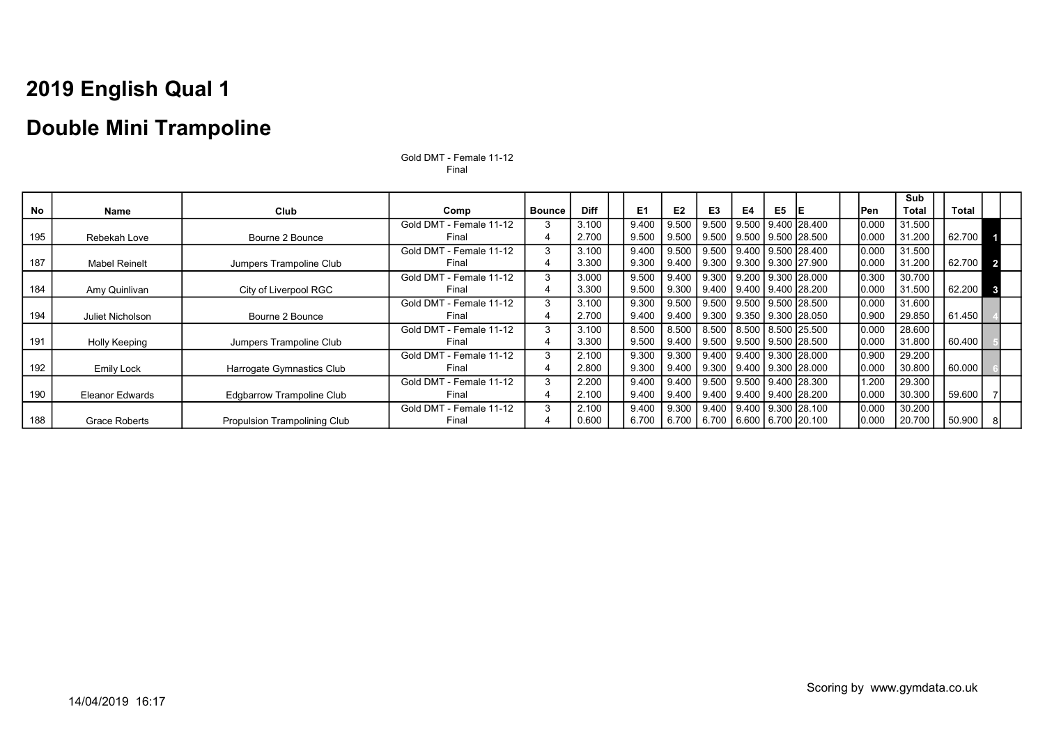### Double Mini Trampoline

|     |                      |                                     |                         |               |             |                |                |                                        |    |    |                          |        | Sub    |              |                         |
|-----|----------------------|-------------------------------------|-------------------------|---------------|-------------|----------------|----------------|----------------------------------------|----|----|--------------------------|--------|--------|--------------|-------------------------|
| No  | Name                 | Club                                | Comp                    | <b>Bounce</b> | <b>Diff</b> | E <sub>1</sub> | E <sub>2</sub> | E <sub>3</sub>                         | E4 | E5 | IE                       | lPen   | Total  | <b>Total</b> |                         |
|     |                      |                                     | Gold DMT - Female 11-12 |               | 3.100       | 9.400          | 9.500          |                                        |    |    | 9.500 9.500 9.400 28.400 | 0.000  | 31.500 |              |                         |
| 195 | Rebekah Love         | Bourne 2 Bounce                     | Final                   |               | 2.700       | 9.500          |                | 9.500   9.500   9.500   9.500   28.500 |    |    |                          | 0.000  | 31.200 | 62.700       |                         |
|     |                      |                                     | Gold DMT - Female 11-12 |               | 3.100       | 9.400          |                | 9.500   9.500   9.400   9.500   28.400 |    |    |                          | 0.000  | 31.500 |              |                         |
| 187 | <b>Mabel Reinelt</b> | Jumpers Trampoline Club             | Final                   |               | 3.300       | 9.300          | 9.400          | 9.300   9.300   9.300   27.900         |    |    |                          | 0.000  | 31.200 | 62.700       | $\overline{\mathbf{z}}$ |
|     |                      |                                     | Gold DMT - Female 11-12 |               | 3.000       | 9.500          | 9.400          | $\vert$ 9.300   9.200   9.300   28.000 |    |    |                          | 0.300  | 30.700 |              |                         |
| 184 | Amy Quinlivan        | City of Liverpool RGC               | Final                   |               | 3.300       | 9.500          |                | 9.300   9.400   9.400   9.400   28.200 |    |    |                          | 0.000  | 31.500 | 62.200       |                         |
|     |                      |                                     | Gold DMT - Female 11-12 | 3             | 3.100       | 9.300          |                | 9.500   9.500   9.500   9.500   28.500 |    |    |                          | 0.000  | 31.600 |              |                         |
| 194 | Juliet Nicholson     | Bourne 2 Bounce                     | Final                   |               | 2.700       | 9.400          | 9.400          | 9.300   9.350   9.300   28.050         |    |    |                          | 0.900  | 29.850 | 61.450       |                         |
|     |                      |                                     | Gold DMT - Female 11-12 | 3             | 3.100       | 8.500          | 8.500          | 8.500   8.500   8.500   25.500         |    |    |                          | 0.000  | 28.600 |              |                         |
| 191 | <b>Holly Keeping</b> | Jumpers Trampoline Club             | Final                   |               | 3.300       | 9.500          | 9.400          | l 9.500 l 9.500 l 9.500 l28.500        |    |    |                          | 10.000 | 31.800 | 60.400       |                         |
|     |                      |                                     | Gold DMT - Female 11-12 | 3             | 2.100       | 9.300          | 9.300          | 9.400   9.400   9.300   28.000         |    |    |                          | 0.900  | 29.200 |              |                         |
| 192 | <b>Emily Lock</b>    | Harrogate Gymnastics Club           | Final                   | 4             | 2.800       | 9.300          |                | 9.400   9.300   9.400   9.300   28.000 |    |    |                          | 0.000  | 30.800 | 60.000       |                         |
|     |                      |                                     | Gold DMT - Female 11-12 | 3             | 2.200       | 9.400          | 9.400          | 9.500   9.500   9.400   28.300         |    |    |                          | 1.200  | 29.300 |              |                         |
| 190 | Eleanor Edwards      | Edgbarrow Trampoline Club           | Final                   | 4             | 2.100       | 9.400          | 9.400          | l 9.400 l 9.400 l 9.400 l28.200        |    |    |                          | 10.000 | 30.300 | 59.600       |                         |
|     |                      |                                     | Gold DMT - Female 11-12 | 3             | 2.100       | 9.400          | 9.300          | 9.400 9.400 9.300 28.100               |    |    |                          | 0.000  | 30.200 |              |                         |
| 188 | Grace Roberts        | <b>Propulsion Trampolining Club</b> | Final                   | 4             | 0.600       | 6.700          | 6.700          | 6.700   6.600   6.700   20.100         |    |    |                          | 0.000  | 20.700 | 50.900       |                         |

Gold DMT - Female 11-12 Final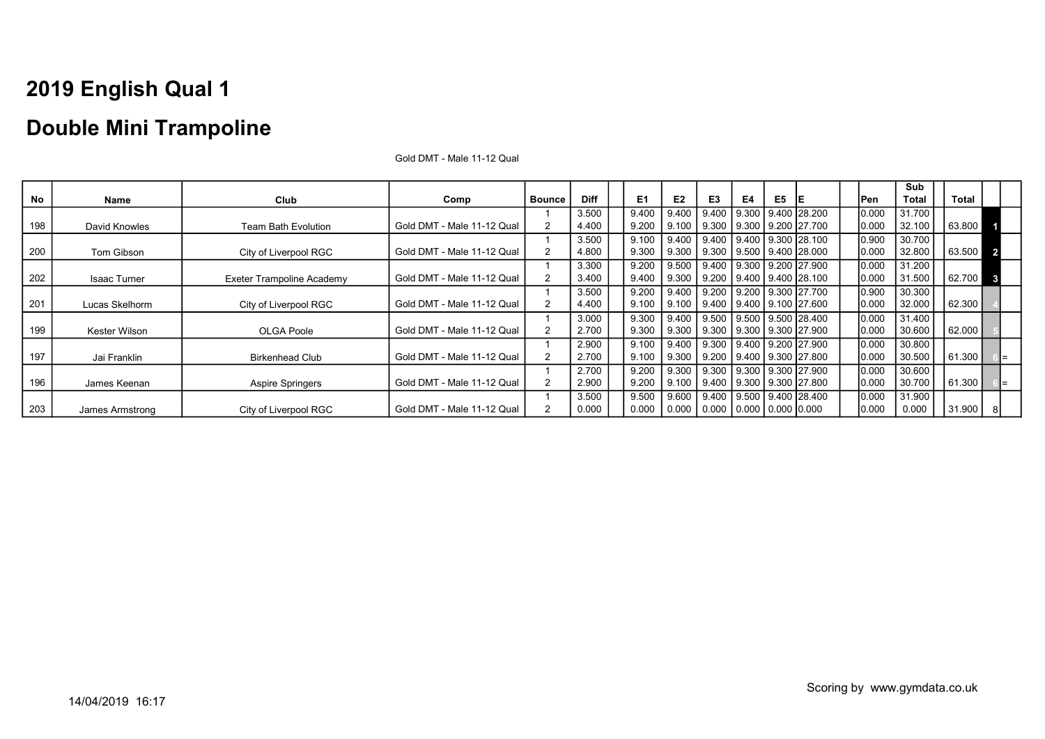### Double Mini Trampoline

|     |                     |                                  |                            |        |             |       |       |                                         |    |    |                                        |       | Sub    |        |                         |
|-----|---------------------|----------------------------------|----------------------------|--------|-------------|-------|-------|-----------------------------------------|----|----|----------------------------------------|-------|--------|--------|-------------------------|
| No  | Name                | Club                             | Comp                       | Bounce | <b>Diff</b> | E1    | E2    | E3                                      | E4 | E5 | IE                                     | Pen   | Total  | Total  |                         |
|     |                     |                                  |                            |        | 3.500       | 9.400 | 9.400 | 9.400                                   |    |    | 9.300 9.400 28.200                     | 0.000 | 31.700 |        |                         |
| 198 | David Knowles       | Team Bath Evolution              | Gold DMT - Male 11-12 Qual |        | 4.400       | 9.200 | 9.100 | 9.300                                   |    |    | 9.300   9.200   27.700                 | 0.000 | 32.100 | 63.800 |                         |
|     |                     |                                  |                            |        | 3.500       | 9.100 | 9.400 | 9.400                                   |    |    | 9.400   9.300   28.100                 | 0.900 | 30.700 |        |                         |
| 200 | Tom Gibson          | City of Liverpool RGC            | Gold DMT - Male 11-12 Qual |        | 4.800       | 9.300 | 9.300 |                                         |    |    | 9.300 9.500 9.400 28.000               | 0.000 | 32.800 | 63.500 | $\overline{\mathbf{2}}$ |
|     |                     |                                  |                            |        | 3.300       | 9.200 | 9.500 |                                         |    |    | 9.400 9.300 9.200 27.900               | 0.000 | 31.200 |        |                         |
| 202 | <b>Isaac Turner</b> | <b>Exeter Trampoline Academy</b> | Gold DMT - Male 11-12 Qual |        | 3.400       | 9.400 | 9.300 |                                         |    |    | 9.200 9.400 9.400 28.100               | 0.000 | 31.500 | 62.700 | $\mathbf{3}$            |
|     |                     |                                  |                            |        | 3.500       | 9.200 | 9.400 |                                         |    |    | 9.200   9.200   9.300   27.700         | 0.900 | 30.300 |        |                         |
| 201 | Lucas Skelhorm      | City of Liverpool RGC            | Gold DMT - Male 11-12 Qual | 2      | 4.400       | 9.100 | 9.100 |                                         |    |    | 9.400   9.400   9.100   27.600         | 0.000 | 32.000 | 62.300 |                         |
|     |                     |                                  |                            |        | 3.000       | 9.300 | 9.400 |                                         |    |    | 9.500 9.500 9.500 28.400               | 0.000 | 31.400 |        |                         |
| 199 | Kester Wilson       | OLGA Poole                       | Gold DMT - Male 11-12 Qual | 2      | 2.700       | 9.300 | 9.300 | 9.300                                   |    |    | 9.300   9.300   27.900                 | 0.000 | 30.600 | 62.000 |                         |
|     |                     |                                  |                            |        | 2.900       | 9.100 | 9.400 |                                         |    |    | 9.300 9.400 9.200 27.900               | 0.000 | 30.800 |        |                         |
| 197 | Jai Franklin        | <b>Birkenhead Club</b>           | Gold DMT - Male 11-12 Qual | 2      | 2.700       | 9.100 | 9.300 | 9.200                                   |    |    | 9.400   9.300  27.800                  | 0.000 | 30.500 | 61.300 |                         |
|     |                     |                                  |                            |        | 2.700       | 9.200 |       |                                         |    |    | 9.300   9.300   9.300   9.300   27.900 | 0.000 | 30.600 |        |                         |
| 196 | James Keenan        | <b>Aspire Springers</b>          | Gold DMT - Male 11-12 Qual | 2      | 2.900       | 9.200 | 9.100 |                                         |    |    | 9.400 9.300 9.300 27.800               | 0.000 | 30.700 | 61.300 |                         |
|     |                     |                                  |                            |        | 3.500       | 9.500 | 9.600 |                                         |    |    | 9.400 9.500 9.400 28.400               | 0.000 | 31.900 |        |                         |
| 203 | James Armstrong     | City of Liverpool RGC            | Gold DMT - Male 11-12 Qual |        | 0.000       | 0.000 |       | $0.000$   0.000   0.000   0.000   0.000 |    |    |                                        | 0.000 | 0.000  | 31.900 | 8                       |

Gold DMT - Male 11-12 Qual